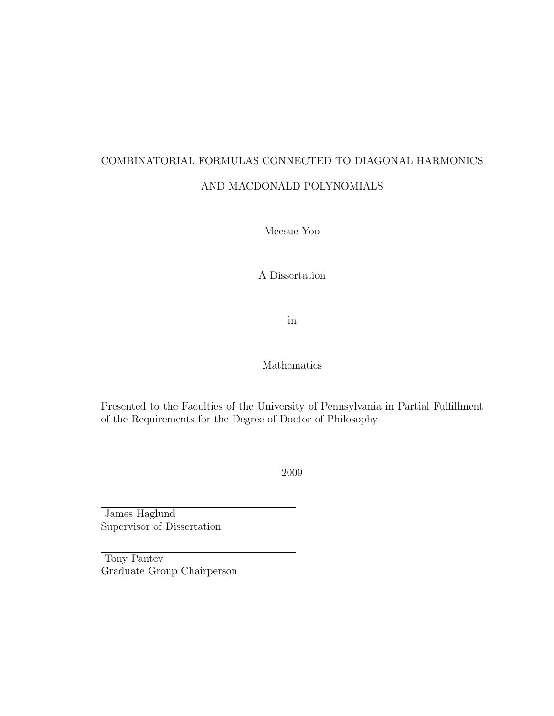## COMBINATORIAL FORMULAS CONNECTED TO DIAGONAL HARMONICS AND MACDONALD POLYNOMIALS

Meesue Yoo

A Dissertation

in

Mathematics

Presented to the Faculties of the University of Pennsylvania in Partial Fulfillment of the Requirements for the Degree of Doctor of Philosophy

2009

James Haglund Supervisor of Dissertation

Tony Pantev Graduate Group Chairperson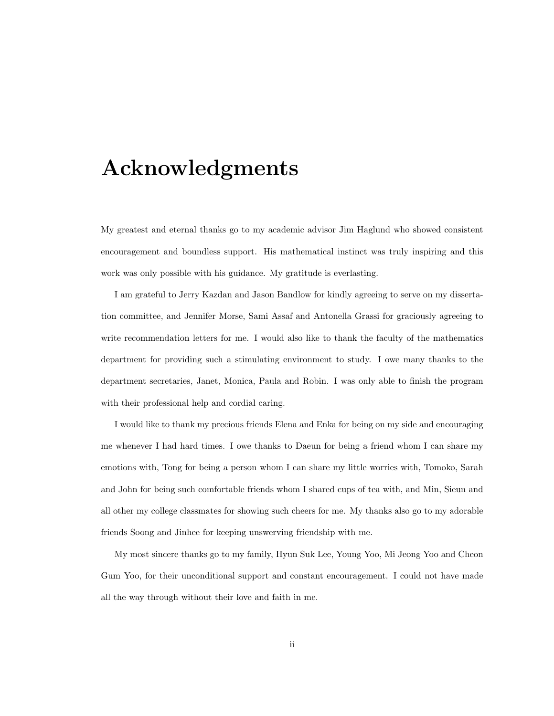## Acknowledgments

My greatest and eternal thanks go to my academic advisor Jim Haglund who showed consistent encouragement and boundless support. His mathematical instinct was truly inspiring and this work was only possible with his guidance. My gratitude is everlasting.

I am grateful to Jerry Kazdan and Jason Bandlow for kindly agreeing to serve on my dissertation committee, and Jennifer Morse, Sami Assaf and Antonella Grassi for graciously agreeing to write recommendation letters for me. I would also like to thank the faculty of the mathematics department for providing such a stimulating environment to study. I owe many thanks to the department secretaries, Janet, Monica, Paula and Robin. I was only able to finish the program with their professional help and cordial caring.

I would like to thank my precious friends Elena and Enka for being on my side and encouraging me whenever I had hard times. I owe thanks to Daeun for being a friend whom I can share my emotions with, Tong for being a person whom I can share my little worries with, Tomoko, Sarah and John for being such comfortable friends whom I shared cups of tea with, and Min, Sieun and all other my college classmates for showing such cheers for me. My thanks also go to my adorable friends Soong and Jinhee for keeping unswerving friendship with me.

My most sincere thanks go to my family, Hyun Suk Lee, Young Yoo, Mi Jeong Yoo and Cheon Gum Yoo, for their unconditional support and constant encouragement. I could not have made all the way through without their love and faith in me.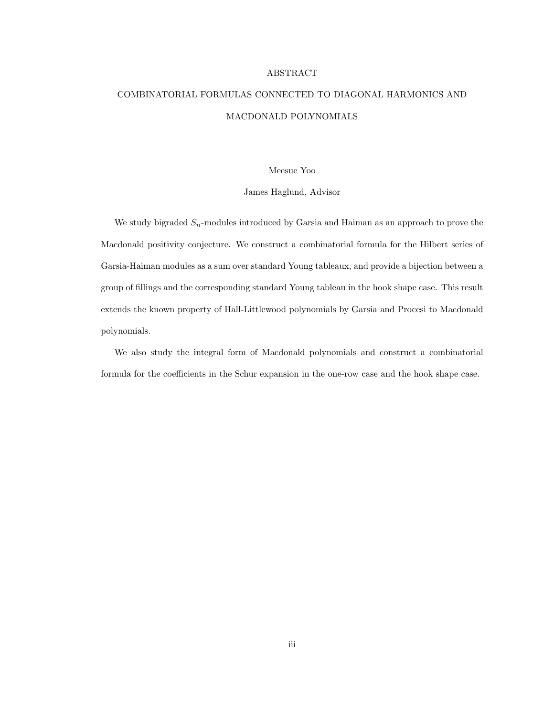#### ABSTRACT

### COMBINATORIAL FORMULAS CONNECTED TO DIAGONAL HARMONICS AND MACDONALD POLYNOMIALS

#### Meesue Yoo

#### James Haglund, Advisor

We study bigraded  $S_n$ -modules introduced by Garsia and Haiman as an approach to prove the Macdonald positivity conjecture. We construct a combinatorial formula for the Hilbert series of Garsia-Haiman modules as a sum over standard Young tableaux, and provide a bijection between a group of fillings and the corresponding standard Young tableau in the hook shape case. This result extends the known property of Hall-Littlewood polynomials by Garsia and Procesi to Macdonald polynomials.

We also study the integral form of Macdonald polynomials and construct a combinatorial formula for the coefficients in the Schur expansion in the one-row case and the hook shape case.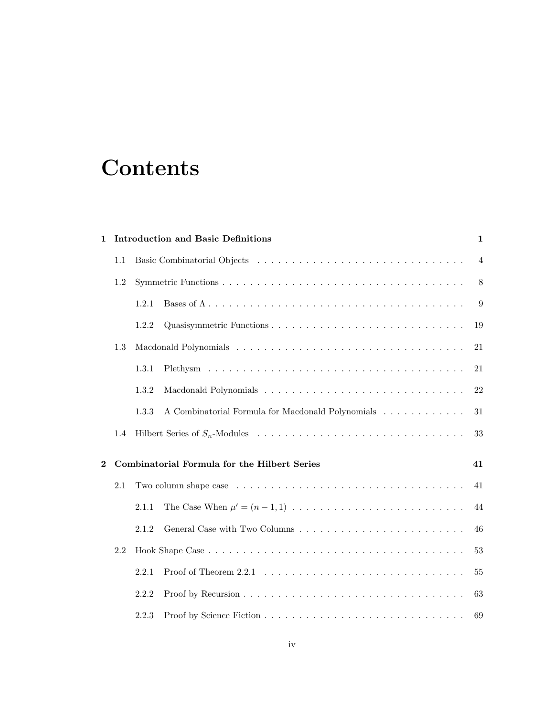# **Contents**

| <b>Introduction and Basic Definitions</b><br>1           |     |                                                                                                                           |    |  |  |  |
|----------------------------------------------------------|-----|---------------------------------------------------------------------------------------------------------------------------|----|--|--|--|
|                                                          | 1.1 |                                                                                                                           |    |  |  |  |
| 1.2                                                      |     |                                                                                                                           |    |  |  |  |
|                                                          |     | 1.2.1                                                                                                                     | 9  |  |  |  |
|                                                          |     | 1.2.2                                                                                                                     | 19 |  |  |  |
|                                                          | 1.3 |                                                                                                                           | 21 |  |  |  |
|                                                          |     | 1.3.1                                                                                                                     | 21 |  |  |  |
|                                                          |     | 1.3.2                                                                                                                     | 22 |  |  |  |
|                                                          |     | A Combinatorial Formula for Macdonald Polynomials<br>1.3.3                                                                | 31 |  |  |  |
|                                                          | 1.4 |                                                                                                                           | 33 |  |  |  |
| Combinatorial Formula for the Hilbert Series<br>$\bf{2}$ |     |                                                                                                                           |    |  |  |  |
|                                                          |     | 41                                                                                                                        |    |  |  |  |
|                                                          |     | The Case When $\mu' = (n - 1, 1) \dots \dots \dots \dots \dots \dots \dots \dots \dots \dots$<br>2.1.1                    | 44 |  |  |  |
|                                                          |     | 2.1.2                                                                                                                     | 46 |  |  |  |
| 2.2                                                      |     |                                                                                                                           |    |  |  |  |
|                                                          |     | Proof of Theorem 2.2.1 $\ldots$ $\ldots$ $\ldots$ $\ldots$ $\ldots$ $\ldots$ $\ldots$ $\ldots$ $\ldots$ $\ldots$<br>2.2.1 | 55 |  |  |  |
|                                                          |     | 2.2.2                                                                                                                     | 63 |  |  |  |
|                                                          |     | 2.2.3                                                                                                                     | 69 |  |  |  |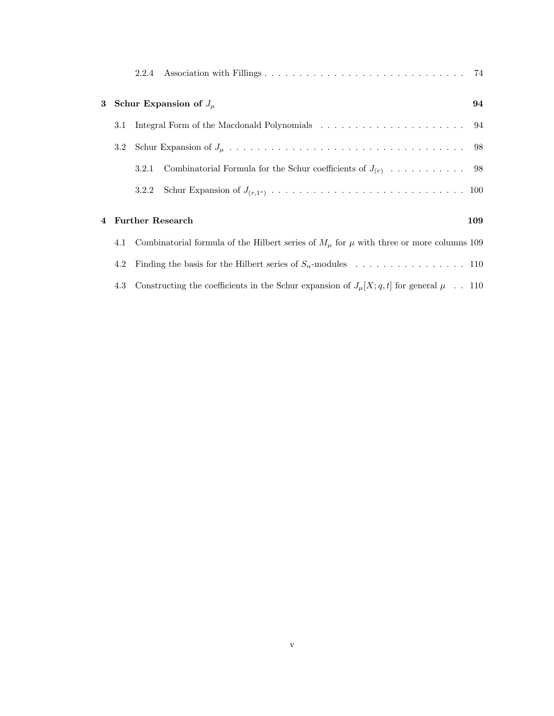|                                                                                                       | 2.2.4 |                                                                 |     |
|-------------------------------------------------------------------------------------------------------|-------|-----------------------------------------------------------------|-----|
| 3 Schur Expansion of $J_\mu$                                                                          |       |                                                                 |     |
| 3.1                                                                                                   |       |                                                                 |     |
| 3.2                                                                                                   |       |                                                                 |     |
|                                                                                                       | 3.2.1 |                                                                 |     |
|                                                                                                       |       |                                                                 |     |
|                                                                                                       |       | 4 Further Research                                              | 109 |
| 4.1 Combinatorial formula of the Hilbert series of $M_{\mu}$ for $\mu$ with three or more columns 109 |       |                                                                 |     |
| 4.2                                                                                                   |       | Finding the basis for the Hilbert series of $S_n$ -modules  110 |     |

4.3 Constructing the coefficients in the Schur expansion of  $J_\mu[X;q,t]$  for general  $\mu~~.$  . 110  $\,$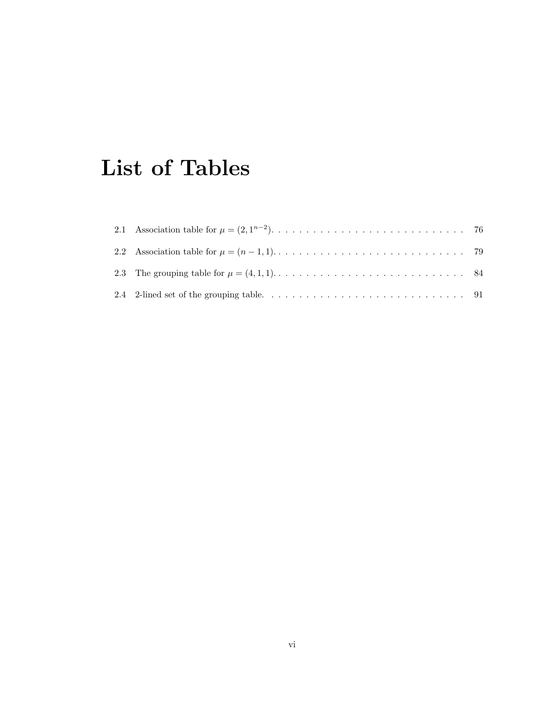# List of Tables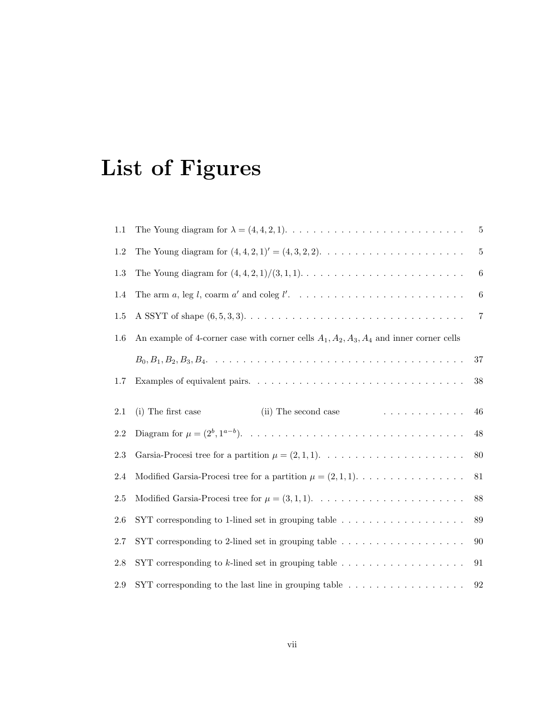# List of Figures

| 1.1     |                                                                                                                   | 5       |  |  |  |  |
|---------|-------------------------------------------------------------------------------------------------------------------|---------|--|--|--|--|
| 1.2     | The Young diagram for $(4, 4, 2, 1)' = (4, 3, 2, 2). \dots \dots \dots \dots \dots \dots \dots \dots$             | $\bf 5$ |  |  |  |  |
| $1.3\,$ |                                                                                                                   | $\,6$   |  |  |  |  |
| 1.4     |                                                                                                                   | 6       |  |  |  |  |
| 1.5     |                                                                                                                   | 7       |  |  |  |  |
| 1.6     | An example of 4-corner case with corner cells $A_1, A_2, A_3, A_4$ and inner corner cells                         |         |  |  |  |  |
|         |                                                                                                                   | $37\,$  |  |  |  |  |
| 1.7     |                                                                                                                   | $38\,$  |  |  |  |  |
| 2.1     | . The second contract of the second second $\mathcal{L}_\mathbf{1}$<br>(i) The first case<br>(ii) The second case | 46      |  |  |  |  |
| 2.2     |                                                                                                                   | 48      |  |  |  |  |
| 2.3     |                                                                                                                   | 80      |  |  |  |  |
| 2.4     | Modified Garsia-Procesi tree for a partition $\mu = (2, 1, 1)$                                                    | 81      |  |  |  |  |
| 2.5     |                                                                                                                   | 88      |  |  |  |  |
| 2.6     | SYT corresponding to 1-lined set in grouping table $\ldots \ldots \ldots \ldots \ldots \ldots$                    | $89\,$  |  |  |  |  |
| 2.7     | SYT corresponding to 2-lined set in grouping table $\ldots \ldots \ldots \ldots \ldots \ldots$                    | 90      |  |  |  |  |
| 2.8     | SYT corresponding to $k$ -lined set in grouping table $\ldots \ldots \ldots \ldots \ldots$                        | 91      |  |  |  |  |
| 2.9     | SYT corresponding to the last line in grouping table $\ldots \ldots \ldots \ldots \ldots$                         | 92      |  |  |  |  |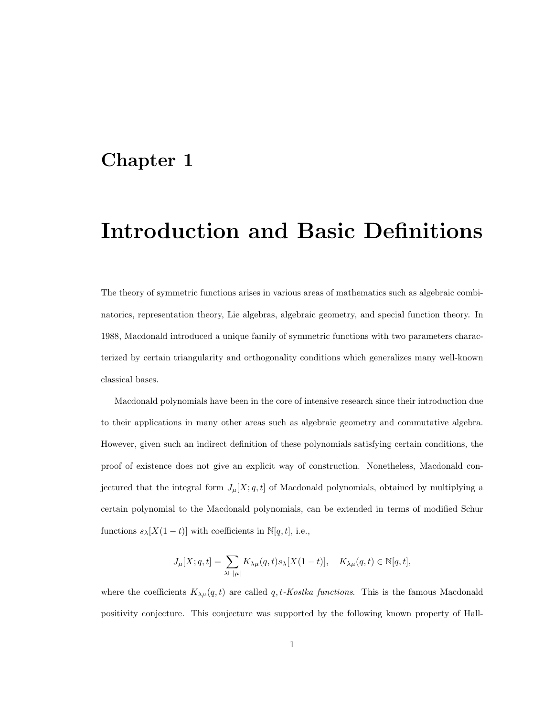## Chapter 1

# Introduction and Basic Definitions

The theory of symmetric functions arises in various areas of mathematics such as algebraic combinatorics, representation theory, Lie algebras, algebraic geometry, and special function theory. In 1988, Macdonald introduced a unique family of symmetric functions with two parameters characterized by certain triangularity and orthogonality conditions which generalizes many well-known classical bases.

Macdonald polynomials have been in the core of intensive research since their introduction due to their applications in many other areas such as algebraic geometry and commutative algebra. However, given such an indirect definition of these polynomials satisfying certain conditions, the proof of existence does not give an explicit way of construction. Nonetheless, Macdonald conjectured that the integral form  $J_{\mu}[X; q, t]$  of Macdonald polynomials, obtained by multiplying a certain polynomial to the Macdonald polynomials, can be extended in terms of modified Schur functions  $s_{\lambda}[X(1-t)]$  with coefficients in  $\mathbb{N}[q,t]$ , i.e.,

$$
J_\mu[X;q,t]=\sum_{\lambda\vdash |\mu|}K_{\lambda\mu}(q,t)s_\lambda[X(1-t)],\quad K_{\lambda\mu}(q,t)\in\mathbb{N}[q,t],
$$

where the coefficients  $K_{\lambda\mu}(q,t)$  are called q, t-Kostka functions. This is the famous Macdonald positivity conjecture. This conjecture was supported by the following known property of Hall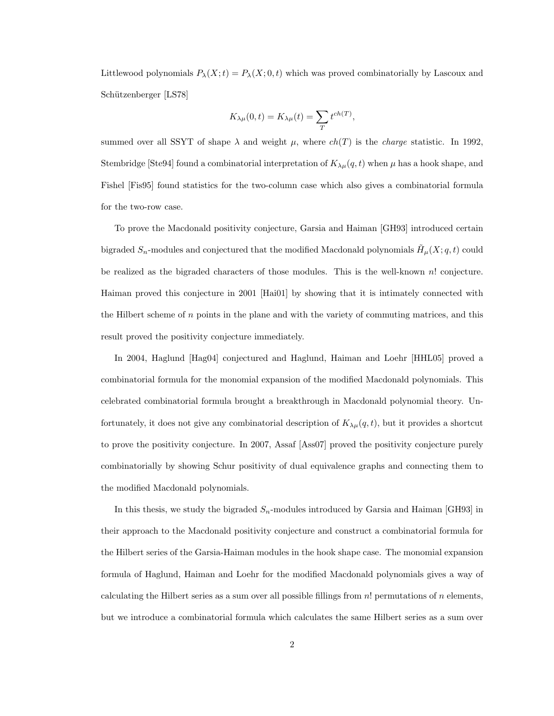Littlewood polynomials  $P_{\lambda}(X; t) = P_{\lambda}(X; 0, t)$  which was proved combinatorially by Lascoux and Schützenberger [LS78]

$$
K_{\lambda\mu}(0,t)=K_{\lambda\mu}(t)=\sum_{T}t^{ch(T)},
$$

summed over all SSYT of shape  $\lambda$  and weight  $\mu$ , where  $ch(T)$  is the *charge* statistic. In 1992, Stembridge [Ste94] found a combinatorial interpretation of  $K_{\lambda\mu}(q,t)$  when  $\mu$  has a hook shape, and Fishel [Fis95] found statistics for the two-column case which also gives a combinatorial formula for the two-row case.

To prove the Macdonald positivity conjecture, Garsia and Haiman [GH93] introduced certain bigraded  $S_n$ -modules and conjectured that the modified Macdonald polynomials  $\tilde{H}_{\mu}(X; q, t)$  could be realized as the bigraded characters of those modules. This is the well-known n! conjecture. Haiman proved this conjecture in 2001 [Hai01] by showing that it is intimately connected with the Hilbert scheme of n points in the plane and with the variety of commuting matrices, and this result proved the positivity conjecture immediately.

In 2004, Haglund [Hag04] conjectured and Haglund, Haiman and Loehr [HHL05] proved a combinatorial formula for the monomial expansion of the modified Macdonald polynomials. This celebrated combinatorial formula brought a breakthrough in Macdonald polynomial theory. Unfortunately, it does not give any combinatorial description of  $K_{\lambda\mu}(q, t)$ , but it provides a shortcut to prove the positivity conjecture. In 2007, Assaf [Ass07] proved the positivity conjecture purely combinatorially by showing Schur positivity of dual equivalence graphs and connecting them to the modified Macdonald polynomials.

In this thesis, we study the bigraded  $S_n$ -modules introduced by Garsia and Haiman [GH93] in their approach to the Macdonald positivity conjecture and construct a combinatorial formula for the Hilbert series of the Garsia-Haiman modules in the hook shape case. The monomial expansion formula of Haglund, Haiman and Loehr for the modified Macdonald polynomials gives a way of calculating the Hilbert series as a sum over all possible fillings from  $n!$  permutations of  $n$  elements, but we introduce a combinatorial formula which calculates the same Hilbert series as a sum over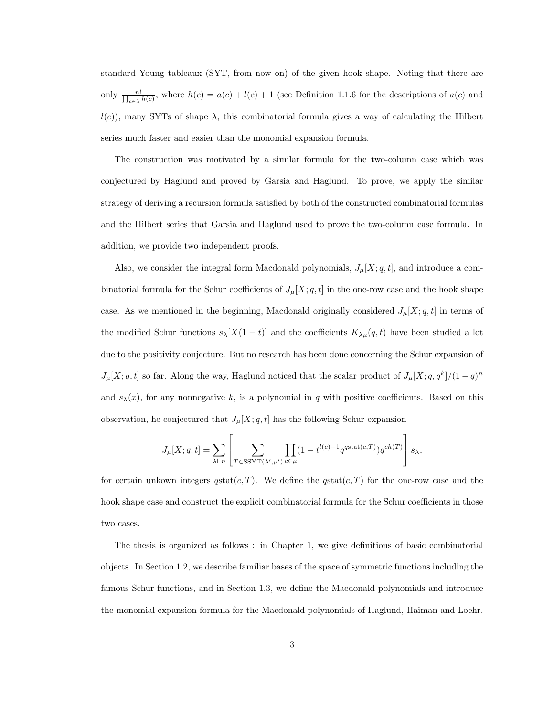standard Young tableaux (SYT, from now on) of the given hook shape. Noting that there are only  $\frac{n!}{\prod_{c\in\lambda}h(c)}$ , where  $h(c) = a(c) + l(c) + 1$  (see Definition 1.1.6 for the descriptions of  $a(c)$  and  $l(c)$ , many SYTs of shape  $\lambda$ , this combinatorial formula gives a way of calculating the Hilbert series much faster and easier than the monomial expansion formula.

The construction was motivated by a similar formula for the two-column case which was conjectured by Haglund and proved by Garsia and Haglund. To prove, we apply the similar strategy of deriving a recursion formula satisfied by both of the constructed combinatorial formulas and the Hilbert series that Garsia and Haglund used to prove the two-column case formula. In addition, we provide two independent proofs.

Also, we consider the integral form Macdonald polynomials,  $J_{\mu}[X; q, t]$ , and introduce a combinatorial formula for the Schur coefficients of  $J_{\mu}[X; q, t]$  in the one-row case and the hook shape case. As we mentioned in the beginning, Macdonald originally considered  $J_{\mu}[X; q, t]$  in terms of the modified Schur functions  $s_\lambda[X(1-t)]$  and the coefficients  $K_{\lambda\mu}(q,t)$  have been studied a lot due to the positivity conjecture. But no research has been done concerning the Schur expansion of  $J_{\mu}[X; q, t]$  so far. Along the way, Haglund noticed that the scalar product of  $J_{\mu}[X; q, q^k]/(1-q)^n$ and  $s_{\lambda}(x)$ , for any nonnegative k, is a polynomial in q with positive coefficients. Based on this observation, he conjectured that  $J_{\mu}[X; q, t]$  has the following Schur expansion

$$
J_{\mu}[X;q,t] = \sum_{\lambda \vdash n} \left[ \sum_{T \in \text{SSYT}(\lambda',\mu')}\prod_{c \in \mu} (1-t^{l(c)+1}q^{\text{qstat}(c,T)})q^{ch(T)} \right] s_{\lambda},
$$

for certain unkown integers  $qstat(c,T)$ . We define the  $qstat(c,T)$  for the one-row case and the hook shape case and construct the explicit combinatorial formula for the Schur coefficients in those two cases.

The thesis is organized as follows : in Chapter 1, we give definitions of basic combinatorial objects. In Section 1.2, we describe familiar bases of the space of symmetric functions including the famous Schur functions, and in Section 1.3, we define the Macdonald polynomials and introduce the monomial expansion formula for the Macdonald polynomials of Haglund, Haiman and Loehr.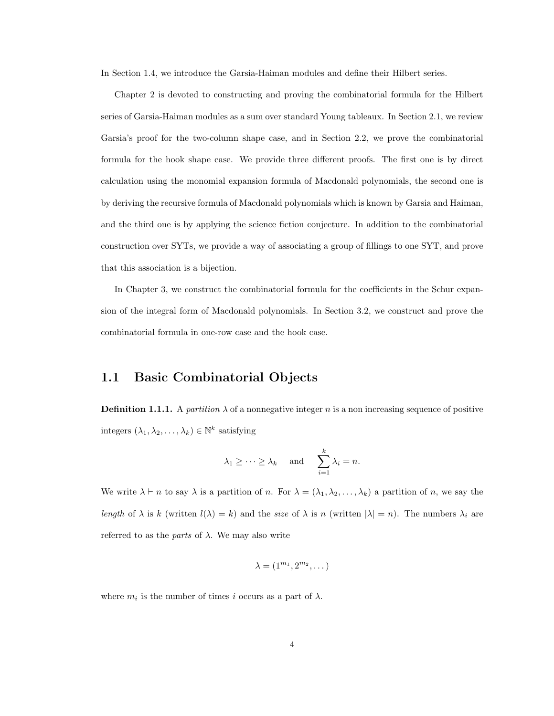In Section 1.4, we introduce the Garsia-Haiman modules and define their Hilbert series.

Chapter 2 is devoted to constructing and proving the combinatorial formula for the Hilbert series of Garsia-Haiman modules as a sum over standard Young tableaux. In Section 2.1, we review Garsia's proof for the two-column shape case, and in Section 2.2, we prove the combinatorial formula for the hook shape case. We provide three different proofs. The first one is by direct calculation using the monomial expansion formula of Macdonald polynomials, the second one is by deriving the recursive formula of Macdonald polynomials which is known by Garsia and Haiman, and the third one is by applying the science fiction conjecture. In addition to the combinatorial construction over SYTs, we provide a way of associating a group of fillings to one SYT, and prove that this association is a bijection.

In Chapter 3, we construct the combinatorial formula for the coefficients in the Schur expansion of the integral form of Macdonald polynomials. In Section 3.2, we construct and prove the combinatorial formula in one-row case and the hook case.

#### 1.1 Basic Combinatorial Objects

**Definition 1.1.1.** A *partition*  $\lambda$  of a nonnegative integer n is a non increasing sequence of positive integers  $(\lambda_1, \lambda_2, \ldots, \lambda_k) \in \mathbb{N}^k$  satisfying

$$
\lambda_1 \geq \cdots \geq \lambda_k
$$
 and  $\sum_{i=1}^k \lambda_i = n$ .

We write  $\lambda \vdash n$  to say  $\lambda$  is a partition of n. For  $\lambda = (\lambda_1, \lambda_2, \ldots, \lambda_k)$  a partition of n, we say the length of  $\lambda$  is k (written  $l(\lambda) = k$ ) and the size of  $\lambda$  is n (written  $|\lambda| = n$ ). The numbers  $\lambda_i$  are referred to as the *parts* of  $\lambda$ . We may also write

$$
\lambda=(1^{m_1},2^{m_2},\dots)
$$

where  $m_i$  is the number of times i occurs as a part of  $\lambda$ .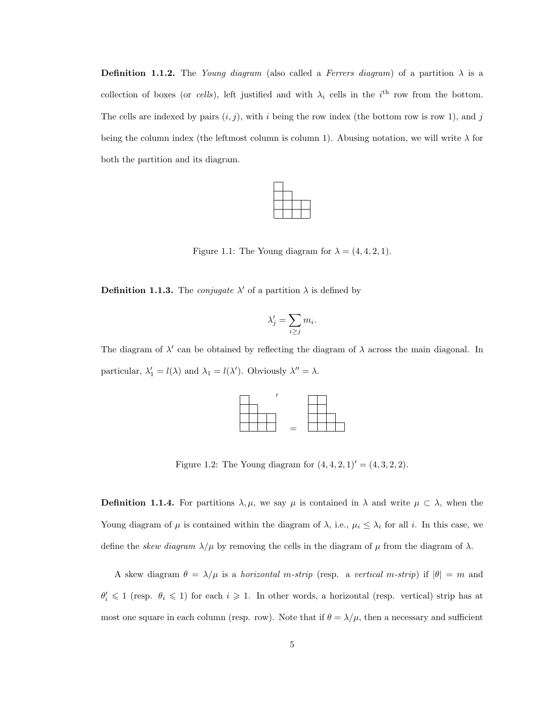**Definition 1.1.2.** The Young diagram (also called a Ferrers diagram) of a partition  $\lambda$  is a collection of boxes (or cells), left justified and with  $\lambda_i$  cells in the i<sup>th</sup> row from the bottom. The cells are indexed by pairs  $(i, j)$ , with i being the row index (the bottom row is row 1), and j being the column index (the leftmost column is column 1). Abusing notation, we will write  $\lambda$  for both the partition and its diagram.



Figure 1.1: The Young diagram for  $\lambda = (4, 4, 2, 1)$ .

**Definition 1.1.3.** The *conjugate*  $\lambda'$  of a partition  $\lambda$  is defined by

$$
\lambda'_j = \sum_{i \ge j} m_i.
$$

The diagram of  $\lambda'$  can be obtained by reflecting the diagram of  $\lambda$  across the main diagonal. In particular,  $\lambda'_1 = l(\lambda)$  and  $\lambda_1 = l(\lambda')$ . Obviously  $\lambda'' = \lambda$ .

|  | ᆖ |  |  |
|--|---|--|--|

Figure 1.2: The Young diagram for  $(4, 4, 2, 1)' = (4, 3, 2, 2).$ 

**Definition 1.1.4.** For partitions  $\lambda, \mu$ , we say  $\mu$  is contained in  $\lambda$  and write  $\mu \subset \lambda$ , when the Young diagram of  $\mu$  is contained within the diagram of  $\lambda$ , i.e.,  $\mu_i \leq \lambda_i$  for all i. In this case, we define the *skew diagram*  $\lambda/\mu$  by removing the cells in the diagram of  $\mu$  from the diagram of  $\lambda$ .

A skew diagram  $\theta = \lambda/\mu$  is a *horizontal m-strip* (resp. a vertical m-strip) if  $|\theta| = m$  and  $\theta_i' \leq 1$  (resp.  $\theta_i \leq 1$ ) for each  $i \geq 1$ . In other words, a horizontal (resp. vertical) strip has at most one square in each column (resp. row). Note that if  $\theta = \lambda/\mu$ , then a necessary and sufficient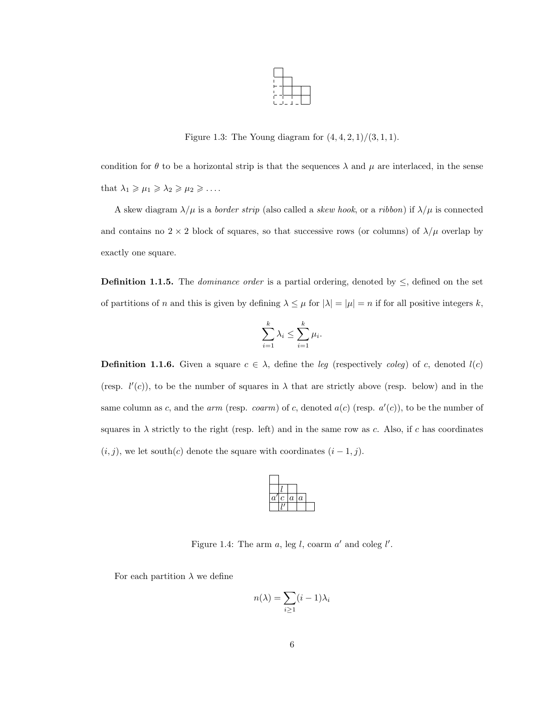

Figure 1.3: The Young diagram for  $(4, 4, 2, 1)/(3, 1, 1)$ .

condition for  $\theta$  to be a horizontal strip is that the sequences  $\lambda$  and  $\mu$  are interlaced, in the sense that  $\lambda_1 \geq \mu_1 \geq \lambda_2 \geq \mu_2 \geq \ldots$ 

A skew diagram  $\lambda/\mu$  is a *border strip* (also called a *skew hook*, or a *ribbon*) if  $\lambda/\mu$  is connected and contains no  $2 \times 2$  block of squares, so that successive rows (or columns) of  $\lambda/\mu$  overlap by exactly one square.

**Definition 1.1.5.** The *dominance order* is a partial ordering, denoted by  $\leq$ , defined on the set of partitions of n and this is given by defining  $\lambda \leq \mu$  for  $|\lambda| = |\mu| = n$  if for all positive integers k,

$$
\sum_{i=1}^k \lambda_i \le \sum_{i=1}^k \mu_i.
$$

**Definition 1.1.6.** Given a square  $c \in \lambda$ , define the leg (respectively coleg) of c, denoted  $l(c)$ (resp.  $l'(c)$ ), to be the number of squares in  $\lambda$  that are strictly above (resp. below) and in the same column as c, and the *arm* (resp. coarm) of c, denoted  $a(c)$  (resp.  $a'(c)$ ), to be the number of squares in  $\lambda$  strictly to the right (resp. left) and in the same row as c. Also, if c has coordinates  $(i, j)$ , we let south $(c)$  denote the square with coordinates  $(i - 1, j)$ .



Figure 1.4: The arm  $a$ , leg l, coarm  $a'$  and coleg l'.

For each partition  $\lambda$  we define

$$
n(\lambda) = \sum_{i \ge 1} (i-1)\lambda_i
$$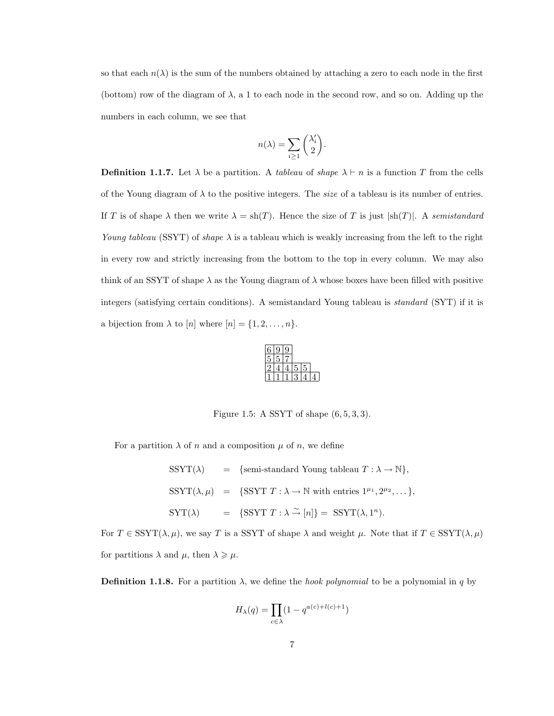so that each  $n(\lambda)$  is the sum of the numbers obtained by attaching a zero to each node in the first (bottom) row of the diagram of  $\lambda$ , a 1 to each node in the second row, and so on. Adding up the numbers in each column, we see that

$$
n(\lambda) = \sum_{i \ge 1} {\lambda'_i \choose 2}.
$$

**Definition 1.1.7.** Let  $\lambda$  be a partition. A tableau of shape  $\lambda \vdash n$  is a function T from the cells of the Young diagram of  $\lambda$  to the positive integers. The *size* of a tableau is its number of entries. If T is of shape  $\lambda$  then we write  $\lambda = \text{sh}(T)$ . Hence the size of T is just  $|\text{sh}(T)|$ . A semistandard Young tableau (SSYT) of shape  $\lambda$  is a tableau which is weakly increasing from the left to the right in every row and strictly increasing from the bottom to the top in every column. We may also think of an SSYT of shape  $\lambda$  as the Young diagram of  $\lambda$  whose boxes have been filled with positive integers (satisfying certain conditions). A semistandard Young tableau is standard (SYT) if it is a bijection from  $\lambda$  to  $[n]$  where  $[n] = \{1, 2, \ldots, n\}.$ 

| G, |  |  |
|----|--|--|

Figure 1.5: A SSYT of shape  $(6, 5, 3, 3)$ .

For a partition  $\lambda$  of n and a composition  $\mu$  of n, we define

 $SSYT(\lambda) = {\text{semi-standard Young tableau } T : \lambda \to \mathbb{N}},$ SSYT $(\lambda, \mu)$  = {SSYT  $T : \lambda \to \mathbb{N}$  with entries  $1^{\mu_1}, 2^{\mu_2}, \dots$ }, SYT( $\lambda$ ) = {SSYT  $T : \lambda \stackrel{\sim}{\to} [n]$ } = SSYT( $\lambda$ , 1<sup>n</sup>).

For  $T \in \text{SSYT}(\lambda, \mu)$ , we say T is a SSYT of shape  $\lambda$  and weight  $\mu$ . Note that if  $T \in \text{SSYT}(\lambda, \mu)$ for partitions  $\lambda$  and  $\mu$ , then  $\lambda \geq \mu$ .

**Definition 1.1.8.** For a partition  $\lambda$ , we define the *hook polynomial* to be a polynomial in q by

$$
H_{\lambda}(q) = \prod_{c \in \lambda} (1 - q^{a(c) + l(c) + 1})
$$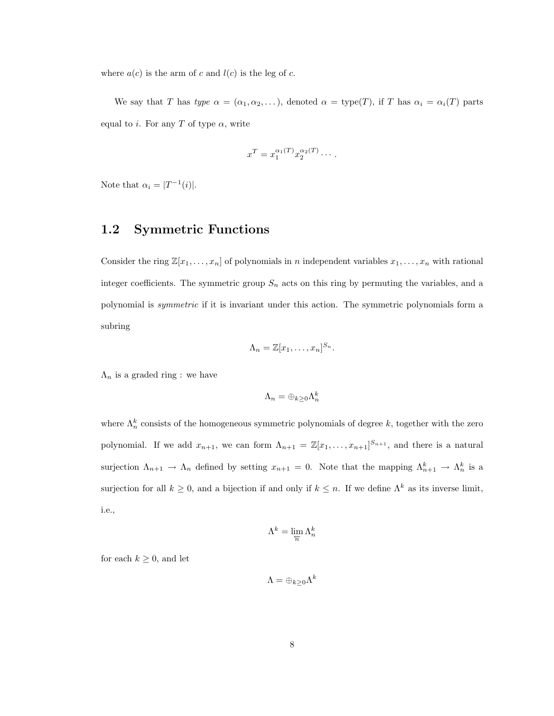where  $a(c)$  is the arm of c and  $l(c)$  is the leg of c.

We say that T has type  $\alpha = (\alpha_1, \alpha_2, \dots)$ , denoted  $\alpha = \text{type}(T)$ , if T has  $\alpha_i = \alpha_i(T)$  parts equal to i. For any T of type  $\alpha$ , write

$$
x^T = x_1^{\alpha_1(T)} x_2^{\alpha_2(T)} \cdots.
$$

Note that  $\alpha_i = |T^{-1}(i)|$ .

#### 1.2 Symmetric Functions

Consider the ring  $\mathbb{Z}[x_1,\ldots,x_n]$  of polynomials in n independent variables  $x_1,\ldots,x_n$  with rational integer coefficients. The symmetric group  $S_n$  acts on this ring by permuting the variables, and a polynomial is symmetric if it is invariant under this action. The symmetric polynomials form a subring

$$
\Lambda_n = \mathbb{Z}[x_1,\ldots,x_n]^{S_n}.
$$

 $\Lambda_n$  is a graded ring : we have

$$
\Lambda_n=\oplus_{k\geq 0}\Lambda_n^k
$$

where  $\Lambda_n^k$  consists of the homogeneous symmetric polynomials of degree k, together with the zero polynomial. If we add  $x_{n+1}$ , we can form  $\Lambda_{n+1} = \mathbb{Z}[x_1,\ldots,x_{n+1}]^{S_{n+1}}$ , and there is a natural surjection  $\Lambda_{n+1} \to \Lambda_n$  defined by setting  $x_{n+1} = 0$ . Note that the mapping  $\Lambda_{n+1}^k \to \Lambda_n^k$  is a surjection for all  $k \geq 0$ , and a bijection if and only if  $k \leq n$ . If we define  $\Lambda^k$  as its inverse limit, i.e.,

$$
\Lambda^k = \lim_{\overleftarrow{n}} \Lambda_n^k
$$

for each  $k \geq 0$ , and let

$$
\Lambda=\oplus_{k\geq 0}\Lambda^k
$$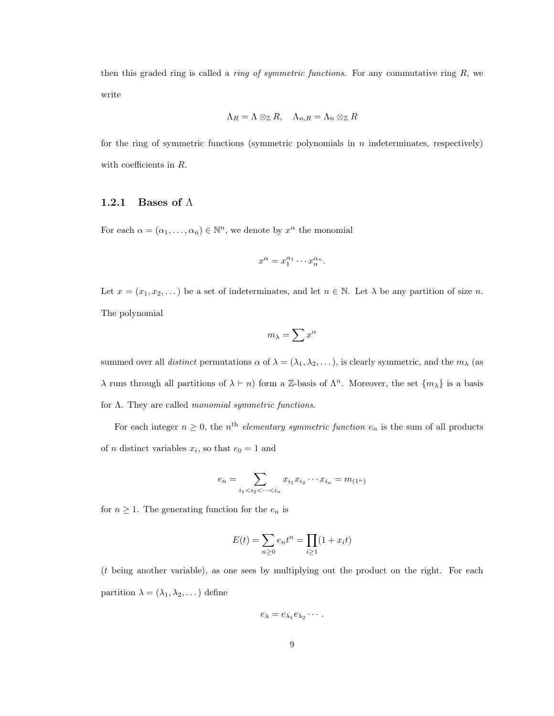then this graded ring is called a *ring of symmetric functions*. For any commutative ring  $R$ , we write

$$
\Lambda_R = \Lambda \otimes_{\mathbb{Z}} R, \quad \Lambda_{n,R} = \Lambda_n \otimes_{\mathbb{Z}} R
$$

for the ring of symmetric functions (symmetric polynomials in  $n$  indeterminates, respectively) with coefficients in R.

#### 1.2.1 Bases of  $\Lambda$

For each  $\alpha = (\alpha_1, \dots, \alpha_n) \in \mathbb{N}^n$ , we denote by  $x^{\alpha}$  the monomial

$$
x^{\alpha} = x_1^{\alpha_1} \cdots x_n^{\alpha_n}.
$$

Let  $x = (x_1, x_2, ...)$  be a set of indeterminates, and let  $n \in \mathbb{N}$ . Let  $\lambda$  be any partition of size n. The polynomial

$$
m_{\lambda} = \sum x^{\alpha}
$$

summed over all *distinct* permutations  $\alpha$  of  $\lambda = (\lambda_1, \lambda_2, \dots)$ , is clearly symmetric, and the  $m_\lambda$  (as λ runs through all partitions of  $\lambda \vdash n$ ) form a Z-basis of  $\Lambda^n$ . Moreover, the set  $\{m_\lambda\}$  is a basis for  $\Lambda$ . They are called *monomial symmetric functions*.

For each integer  $n \geq 0$ , the n<sup>th</sup> elementary symmetric function  $e_n$  is the sum of all products of *n* distinct variables  $x_i$ , so that  $e_0 = 1$  and

$$
e_n = \sum_{i_1 < i_2 < \dots < i_n} x_{i_1} x_{i_2} \dots x_{i_n} = m_{(1^n)}
$$

for  $n \geq 1$ . The generating function for the  $e_n$  is

$$
E(t) = \sum_{n \ge 0} e_n t^n = \prod_{i \ge 1} (1 + x_i t)
$$

(t being another variable), as one sees by multiplying out the product on the right. For each partition  $\lambda = (\lambda_1, \lambda_2, \dots)$  define

$$
e_{\lambda}=e_{\lambda_1}e_{\lambda_2}\cdots.
$$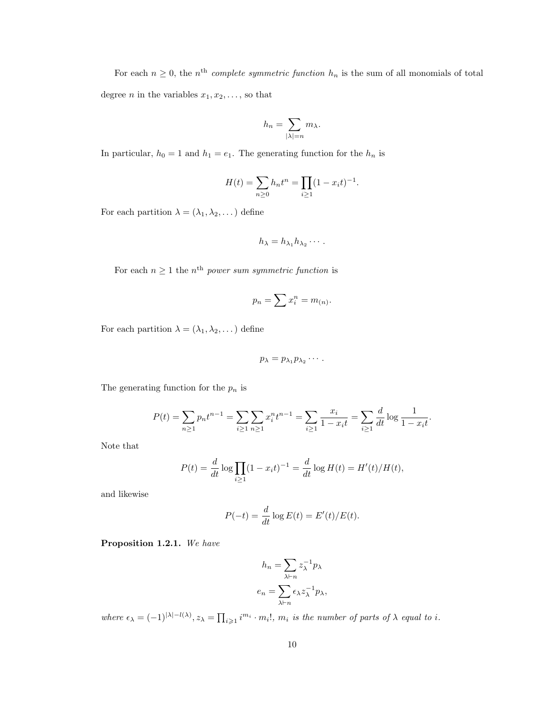For each  $n \geq 0$ , the n<sup>th</sup> complete symmetric function  $h_n$  is the sum of all monomials of total degree *n* in the variables  $x_1, x_2, \ldots$ , so that

$$
h_n = \sum_{|\lambda|=n} m_{\lambda}.
$$

In particular,  $h_0 = 1$  and  $h_1 = e_1$ . The generating function for the  $h_n$  is

$$
H(t) = \sum_{n\geq 0} h_n t^n = \prod_{i\geq 1} (1 - x_i t)^{-1}.
$$

For each partition  $\lambda=(\lambda_1,\lambda_2,\dots)$  define

$$
h_{\lambda}=h_{\lambda_1}h_{\lambda_2}\cdots.
$$

For each  $n \geq 1$  the  $n^{\text{th}}$  power sum symmetric function is

$$
p_n = \sum x_i^n = m_{(n)}.
$$

For each partition  $\lambda = (\lambda_1, \lambda_2, \dots)$  define

$$
p_{\lambda}=p_{\lambda_1}p_{\lambda_2}\cdots.
$$

The generating function for the  $p_n$  is

$$
P(t) = \sum_{n\geq 1} p_n t^{n-1} = \sum_{i\geq 1} \sum_{n\geq 1} x_i^n t^{n-1} = \sum_{i\geq 1} \frac{x_i}{1 - x_i t} = \sum_{i\geq 1} \frac{d}{dt} \log \frac{1}{1 - x_i t}.
$$

Note that

$$
P(t) = \frac{d}{dt} \log \prod_{i \ge 1} (1 - x_i t)^{-1} = \frac{d}{dt} \log H(t) = H'(t) / H(t),
$$

and likewise

$$
P(-t) = \frac{d}{dt} \log E(t) = E'(t)/E(t).
$$

Proposition 1.2.1. We have

$$
h_n = \sum_{\lambda \vdash n} z_{\lambda}^{-1} p_{\lambda}
$$

$$
e_n = \sum_{\lambda \vdash n} \epsilon_{\lambda} z_{\lambda}^{-1} p_{\lambda},
$$

where  $\epsilon_{\lambda} = (-1)^{|\lambda| - l(\lambda)}$ ,  $z_{\lambda} = \prod_{i \geqslant 1} i^{m_i} \cdot m_i!$ ,  $m_i$  is the number of parts of  $\lambda$  equal to i.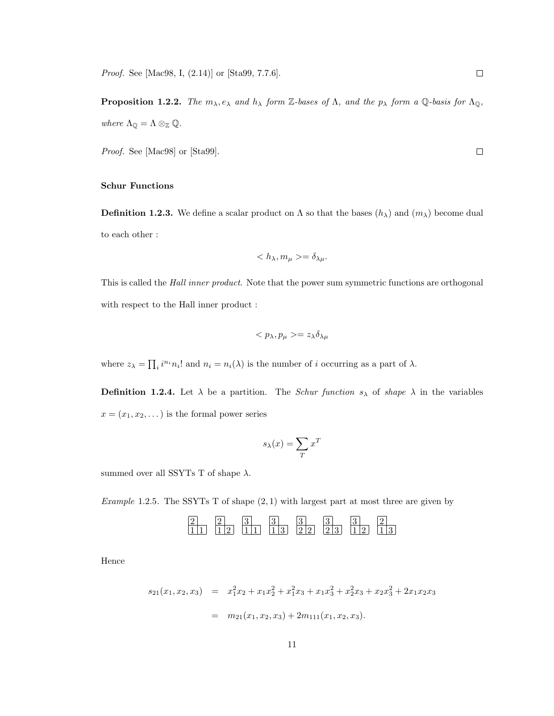**Proposition 1.2.2.** The  $m_{\lambda}, e_{\lambda}$  and  $h_{\lambda}$  form Z-bases of  $\Lambda$ , and the  $p_{\lambda}$  form a Q-basis for  $\Lambda_{\mathbb{Q}}$ , where  $\Lambda_{\mathbb Q} = \Lambda \otimes_{\mathbb Z} {\mathbb Q}.$ 

Proof. See [Mac98] or [Sta99].

#### Schur Functions

**Definition 1.2.3.** We define a scalar product on  $\Lambda$  so that the bases  $(h_{\lambda})$  and  $(m_{\lambda})$  become dual to each other :

$$
\langle h_{\lambda}, m_{\mu} \rangle = \delta_{\lambda \mu}.
$$

This is called the Hall inner product. Note that the power sum symmetric functions are orthogonal with respect to the Hall inner product :

$$
\langle p_\lambda, p_\mu \rangle = z_\lambda \delta_{\lambda \mu}
$$

where  $z_{\lambda} = \prod_i i^{n_i} n_i!$  and  $n_i = n_i(\lambda)$  is the number of i occurring as a part of  $\lambda$ .

**Definition 1.2.4.** Let  $\lambda$  be a partition. The Schur function  $s_{\lambda}$  of shape  $\lambda$  in the variables  $x = (x_1, x_2, \dots)$  is the formal power series

$$
s_\lambda(x)=\sum_T x^T
$$

summed over all SSYTs T of shape  $\lambda$ .

Example 1.2.5. The SSYTs T of shape  $(2, 1)$  with largest part at most three are given by

2 2 3 3 3 3 3 2 1 1 1 2 1 1 1 3 2 2 2 3 1 2 1 3

Hence

$$
s_{21}(x_1, x_2, x_3) = x_1^2 x_2 + x_1 x_2^2 + x_1^2 x_3 + x_1 x_3^2 + x_2^2 x_3 + x_2 x_3^2 + 2x_1 x_2 x_3
$$

$$
= m_{21}(x_1, x_2, x_3) + 2m_{111}(x_1, x_2, x_3).
$$

 $\Box$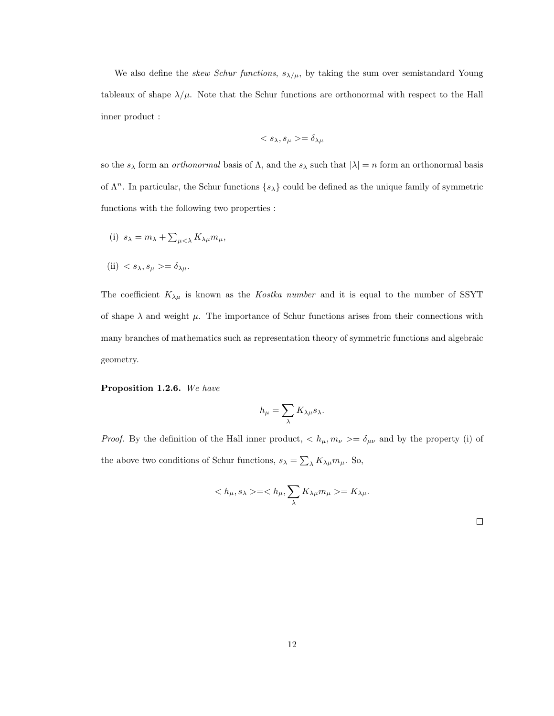We also define the *skew Schur functions*,  $s_{\lambda/\mu}$ , by taking the sum over semistandard Young tableaux of shape  $\lambda/\mu$ . Note that the Schur functions are orthonormal with respect to the Hall inner product :

$$
=\delta_{\lambda\mu}
$$

so the  $s_\lambda$  form an *orthonormal* basis of  $\Lambda$ , and the  $s_\lambda$  such that  $|\lambda| = n$  form an orthonormal basis of  $\Lambda^n$ . In particular, the Schur functions  $\{s_\lambda\}$  could be defined as the unique family of symmetric functions with the following two properties :

(i) 
$$
s_{\lambda} = m_{\lambda} + \sum_{\mu < \lambda} K_{\lambda \mu} m_{\mu},
$$

(ii) 
$$
\langle s_{\lambda}, s_{\mu} \rangle = \delta_{\lambda \mu}
$$
.

The coefficient  $K_{\lambda\mu}$  is known as the *Kostka number* and it is equal to the number of SSYT of shape  $\lambda$  and weight  $\mu$ . The importance of Schur functions arises from their connections with many branches of mathematics such as representation theory of symmetric functions and algebraic geometry.

Proposition 1.2.6. We have

$$
h_{\mu} = \sum_{\lambda} K_{\lambda \mu} s_{\lambda}.
$$

*Proof.* By the definition of the Hall inner product,  $\langle h_\mu, m_\nu \rangle = \delta_{\mu\nu}$  and by the property (i) of the above two conditions of Schur functions,  $s_{\lambda} = \sum_{\lambda} K_{\lambda\mu} m_{\mu}$ . So,

$$
\langle h_{\mu}, s_{\lambda} \rangle = \langle h_{\mu}, \sum_{\lambda} K_{\lambda \mu} m_{\mu} \rangle = K_{\lambda \mu}.
$$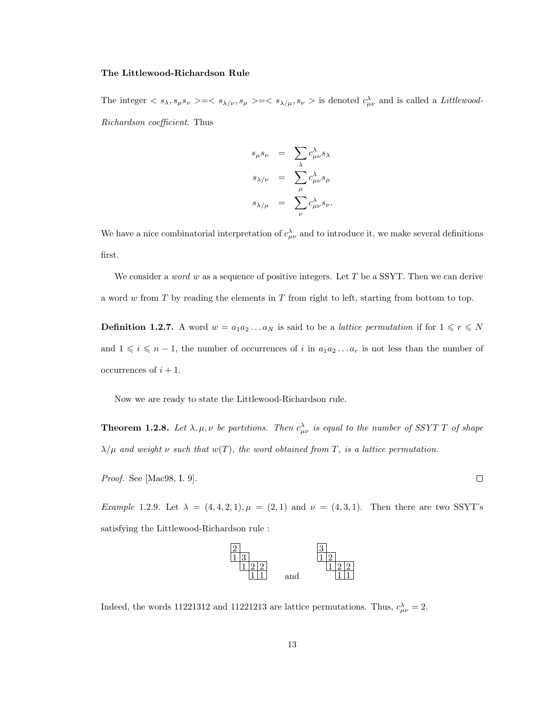#### The Littlewood-Richardson Rule

The integer  $\langle s_{\lambda}, s_{\mu} s_{\nu}\rangle = \langle s_{\lambda/\nu}, s_{\mu}\rangle = \langle s_{\lambda/\mu}, s_{\nu}\rangle$  is denoted  $c_{\mu\nu}^{\lambda}$  and is called a *Littlewood-*Richardson coefficient. Thus

$$
s_{\mu}s_{\nu} = \sum_{\lambda} c_{\mu\nu}^{\lambda} s_{\lambda}
$$

$$
s_{\lambda/\nu} = \sum_{\mu} c_{\mu\nu}^{\lambda} s_{\mu}
$$

$$
s_{\lambda/\mu} = \sum_{\nu} c_{\mu\nu}^{\lambda} s_{\nu}.
$$

We have a nice combinatorial interpretation of  $c^{\lambda}_{\mu\nu}$  and to introduce it, we make several definitions first.

We consider a *word* w as a sequence of positive integers. Let T be a SSYT. Then we can derive a word  $w$  from  $T$  by reading the elements in  $T$  from right to left, starting from bottom to top.

**Definition 1.2.7.** A word  $w = a_1 a_2 ... a_N$  is said to be a *lattice permutation* if for  $1 \le r \le N$ and  $1 \leq i \leq n-1$ , the number of occurrences of i in  $a_1 a_2 \ldots a_r$  is not less than the number of occurrences of  $i + 1$ .

Now we are ready to state the Littlewood-Richardson rule.

**Theorem 1.2.8.** Let  $\lambda, \mu, \nu$  be partitions. Then  $c_{\mu\nu}^{\lambda}$  is equal to the number of SSYT T of shape  $\lambda/\mu$  and weight  $\nu$  such that  $w(T)$ , the word obtained from T, is a lattice permutation.

Proof. See [Mac98, I. 9].

*Example* 1.2.9. Let  $\lambda = (4, 4, 2, 1), \mu = (2, 1)$  and  $\nu = (4, 3, 1)$ . Then there are two SSYT's satisfying the Littlewood-Richardson rule :



Indeed, the words 11221312 and 11221213 are lattice permutations. Thus,  $c^{\lambda}_{\mu\nu} = 2$ .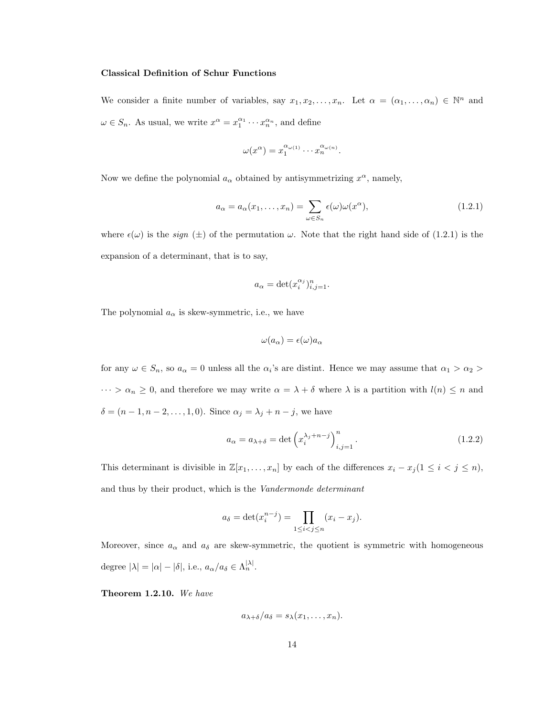#### Classical Definition of Schur Functions

We consider a finite number of variables, say  $x_1, x_2, \ldots, x_n$ . Let  $\alpha = (\alpha_1, \ldots, \alpha_n) \in \mathbb{N}^n$  and  $\omega \in S_n$ . As usual, we write  $x^{\alpha} = x_1^{\alpha_1} \cdots x_n^{\alpha_n}$ , and define

$$
\omega(x^{\alpha}) = x_1^{\alpha_{\omega(1)}} \cdots x_n^{\alpha_{\omega(n)}}.
$$

Now we define the polynomial  $a_{\alpha}$  obtained by antisymmetrizing  $x^{\alpha}$ , namely,

$$
a_{\alpha} = a_{\alpha}(x_1, \dots, x_n) = \sum_{\omega \in S_n} \epsilon(\omega) \omega(x^{\alpha}), \qquad (1.2.1)
$$

where  $\epsilon(\omega)$  is the *sign* ( $\pm$ ) of the permutation  $\omega$ . Note that the right hand side of (1.2.1) is the expansion of a determinant, that is to say,

$$
a_{\alpha} = \det(x_i^{\alpha_j})_{i,j=1}^n.
$$

The polynomial  $a_{\alpha}$  is skew-symmetric, i.e., we have

$$
\omega(a_{\alpha}) = \epsilon(\omega)a_{\alpha}
$$

for any  $\omega \in S_n$ , so  $a_{\alpha} = 0$  unless all the  $\alpha_i$ 's are distint. Hence we may assume that  $\alpha_1 > \alpha_2$  $\cdots > \alpha_n \geq 0$ , and therefore we may write  $\alpha = \lambda + \delta$  where  $\lambda$  is a partition with  $l(n) \leq n$  and  $\delta = (n-1, n-2, \ldots, 1, 0)$ . Since  $\alpha_j = \lambda_j + n - j$ , we have

$$
a_{\alpha} = a_{\lambda + \delta} = \det \left( x_i^{\lambda_j + n - j} \right)_{i,j=1}^n.
$$
\n(1.2.2)

This determinant is divisible in  $\mathbb{Z}[x_1, \ldots, x_n]$  by each of the differences  $x_i - x_j (1 \leq i \leq j \leq n)$ , and thus by their product, which is the Vandermonde determinant

$$
a_{\delta} = \det(x_i^{n-j}) = \prod_{1 \le i < j \le n} (x_i - x_j).
$$

Moreover, since  $a_{\alpha}$  and  $a_{\delta}$  are skew-symmetric, the quotient is symmetric with homogeneous degree  $|\lambda| = |\alpha| - |\delta|$ , i.e.,  $a_{\alpha}/a_{\delta} \in \Lambda_n^{|\lambda|}$ .

Theorem 1.2.10. We have

$$
a_{\lambda+\delta}/a_{\delta}=s_{\lambda}(x_1,\ldots,x_n).
$$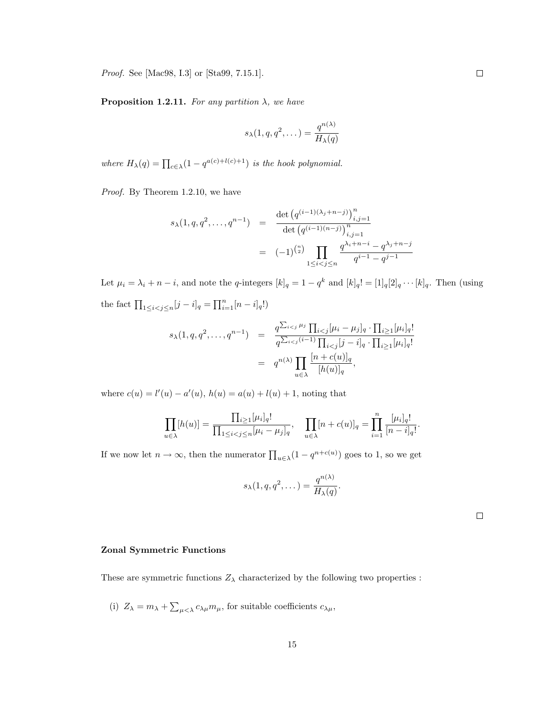Proof. See [Mac98, I.3] or [Sta99, 7.15.1].

**Proposition 1.2.11.** For any partition  $\lambda$ , we have

$$
s_{\lambda}(1, q, q^2, \dots) = \frac{q^{n(\lambda)}}{H_{\lambda}(q)}
$$

where  $H_{\lambda}(q) = \prod_{c \in \lambda} (1 - q^{a(c) + l(c) + 1})$  is the hook polynomial.

Proof. By Theorem 1.2.10, we have

$$
s_{\lambda}(1, q, q^2, \dots, q^{n-1}) = \frac{\det (q^{(i-1)(\lambda_j + n - j)})_{i,j=1}^n}{\det (q^{(i-1)(n-j)})_{i,j=1}^n}
$$
  

$$
= (-1)^{\binom{n}{2}} \prod_{1 \le i < j \le n} \frac{q^{\lambda_i + n - i} - q^{\lambda_j + n - j}}{q^{i-1} - q^{j-1}}
$$

Let  $\mu_i = \lambda_i + n - i$ , and note the q-integers  $[k]_q = 1 - q^k$  and  $[k]_q! = [1]_q[2]_q \cdots [k]_q$ . Then (using the fact  $\prod_{1 \leq i < j \leq n} [j - i]_q = \prod_{i=1}^n [n - i]_q!$ 

$$
s_{\lambda}(1, q, q^{2}, \dots, q^{n-1}) = \frac{q^{\sum_{i < j} \mu_{j}} \prod_{i < j} [\mu_{i} - \mu_{j}]_{q} \cdot \prod_{i \geq 1} [\mu_{i}]_{q}!}{q^{\sum_{i < j} (i-1)} \prod_{i < j} [j-i]_{q} \cdot \prod_{i \geq 1} [\mu_{i}]_{q}!}
$$
\n
$$
= q^{n(\lambda)} \prod_{u \in \lambda} \frac{[n+c(u)]_{q}}{[h(u)]_{q}},
$$

where  $c(u) = l'(u) - a'(u)$ ,  $h(u) = a(u) + l(u) + 1$ , noting that

$$
\prod_{u \in \lambda} [h(u)] = \frac{\prod_{i \geq 1} [\mu_i]_q!}{\prod_{1 \leq i < j \leq n} [\mu_i - \mu_j]_q}, \quad \prod_{u \in \lambda} [n + c(u)]_q = \prod_{i=1}^n \frac{[\mu_i]_q!}{[n - i]_q!}.
$$

If we now let  $n \to \infty$ , then the numerator  $\prod_{u \in \lambda} (1 - q^{n+c(u)})$  goes to 1, so we get

$$
s_{\lambda}(1, q, q^2, \dots) = \frac{q^{n(\lambda)}}{H_{\lambda}(q)}.
$$

 $\Box$ 

#### Zonal Symmetric Functions

These are symmetric functions  $Z_{\lambda}$  characterized by the following two properties :

(i)  $Z_{\lambda} = m_{\lambda} + \sum_{\mu < \lambda} c_{\lambda \mu} m_{\mu}$ , for suitable coefficients  $c_{\lambda \mu}$ ,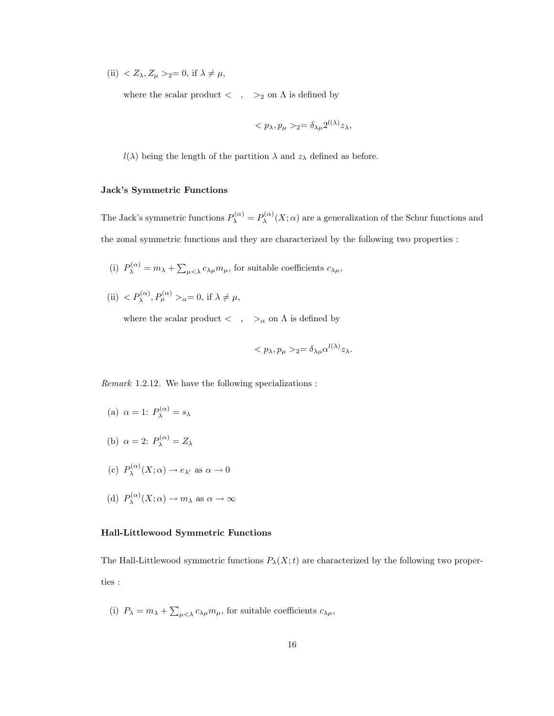(ii)  $Z_{\lambda}, Z_{\mu} >_2 = 0$ , if  $\lambda \neq \mu$ ,

where the scalar product  $< \quad , \quad >_2$  on  $\Lambda$  is defined by

$$
\langle p_{\lambda}, p_{\mu} \rangle_2 = \delta_{\lambda \mu} 2^{l(\lambda)} z_{\lambda},
$$

 $l(\lambda)$  being the length of the partition  $\lambda$  and  $z_{\lambda}$  defined as before.

#### Jack's Symmetric Functions

The Jack's symmetric functions  $P_{\lambda}^{(\alpha)} = P_{\lambda}^{(\alpha)}$  $\lambda^{(\alpha)}(X;\alpha)$  are a generalization of the Schur functions and the zonal symmetric functions and they are characterized by the following two properties :

- (i)  $P_{\lambda}^{(\alpha)} = m_{\lambda} + \sum_{\mu < \lambda} c_{\lambda \mu} m_{\mu}$ , for suitable coefficients  $c_{\lambda \mu}$ ,
- (ii)  $\langle P_{\lambda}^{(\alpha)}, P_{\mu}^{(\alpha)} \rangle_{\alpha} = 0$ , if  $\lambda \neq \mu$ ,

where the scalar product  $\langle , \rangle_{\alpha}$  on  $\Lambda$  is defined by

$$
\langle p_{\lambda}, p_{\mu} \rangle_2 = \delta_{\lambda \mu} \alpha^{l(\lambda)} z_{\lambda}.
$$

Remark 1.2.12. We have the following specializations :

- (a)  $\alpha = 1$ :  $P_{\lambda}^{(\alpha)} = s_{\lambda}$
- (b)  $\alpha = 2$ :  $P_{\lambda}^{(\alpha)} = Z_{\lambda}$
- (c)  $P_{\lambda}^{(\alpha)}$  $\lambda^{(\alpha)}(X;\alpha) \to e_{\lambda'}$  as  $\alpha \to 0$
- (d)  $P_{\lambda}^{(\alpha)}$  $\lambda^{(\alpha)}(X;\alpha) \to m_\lambda$  as  $\alpha \to \infty$

#### Hall-Littlewood Symmetric Functions

The Hall-Littlewood symmetric functions  $P_{\lambda}(X;t)$  are characterized by the following two properties :

(i)  $P_{\lambda} = m_{\lambda} + \sum_{\mu < \lambda} c_{\lambda \mu} m_{\mu}$ , for suitable coefficients  $c_{\lambda \mu}$ ,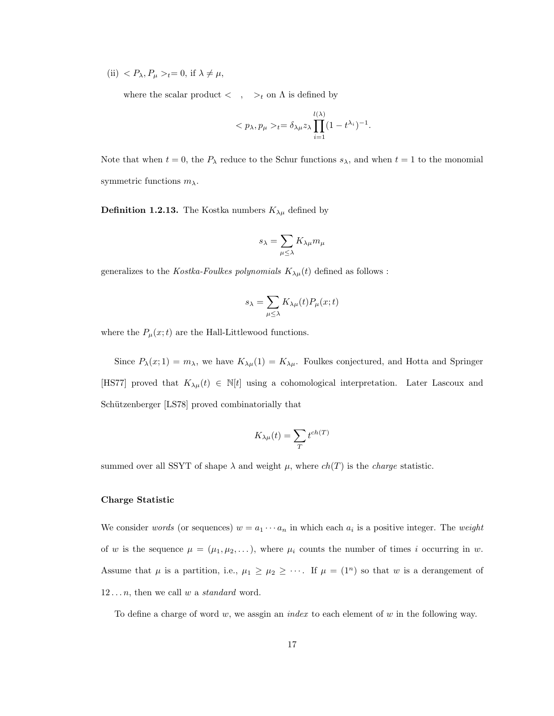(ii)  $\langle P_{\lambda}, P_{\mu} \rangle_t = 0$ , if  $\lambda \neq \mu$ ,

where the scalar product  $\langle , \rangle_t$  on  $\Lambda$  is defined by

$$
_{t}=\delta_{\lambda\mu}z_{\lambda}\prod_{i=1}^{l(\lambda)}(1-t^{\lambda_{i}})^{-1}.
$$

Note that when  $t = 0$ , the  $P_{\lambda}$  reduce to the Schur functions  $s_{\lambda}$ , and when  $t = 1$  to the monomial symmetric functions  $m_{\lambda}$ .

**Definition 1.2.13.** The Kostka numbers  $K_{\lambda\mu}$  defined by

$$
s_\lambda = \sum_{\mu \leq \lambda} K_{\lambda \mu} m_\mu
$$

generalizes to the *Kostka-Foulkes polynomials*  $K_{\lambda\mu}(t)$  defined as follows :

$$
s_\lambda = \sum_{\mu \leq \lambda} K_{\lambda \mu}(t) P_\mu(x;t)
$$

where the  $P_{\mu}(x;t)$  are the Hall-Littlewood functions.

Since  $P_{\lambda}(x; 1) = m_{\lambda}$ , we have  $K_{\lambda\mu}(1) = K_{\lambda\mu}$ . Foulkes conjectured, and Hotta and Springer [HS77] proved that  $K_{\lambda\mu}(t) \in \mathbb{N}[t]$  using a cohomological interpretation. Later Lascoux and Schützenberger [LS78] proved combinatorially that

$$
K_{\lambda\mu}(t) = \sum_{T} t^{ch(T)}
$$

summed over all SSYT of shape  $\lambda$  and weight  $\mu$ , where  $ch(T)$  is the *charge* statistic.

#### Charge Statistic

We consider words (or sequences)  $w = a_1 \cdots a_n$  in which each  $a_i$  is a positive integer. The weight of w is the sequence  $\mu = (\mu_1, \mu_2, \dots)$ , where  $\mu_i$  counts the number of times i occurring in w. Assume that  $\mu$  is a partition, i.e.,  $\mu_1 \geq \mu_2 \geq \cdots$ . If  $\mu = (1^n)$  so that w is a derangement of  $12 \ldots n$ , then we call w a *standard* word.

To define a charge of word  $w$ , we assgin an *index* to each element of  $w$  in the following way.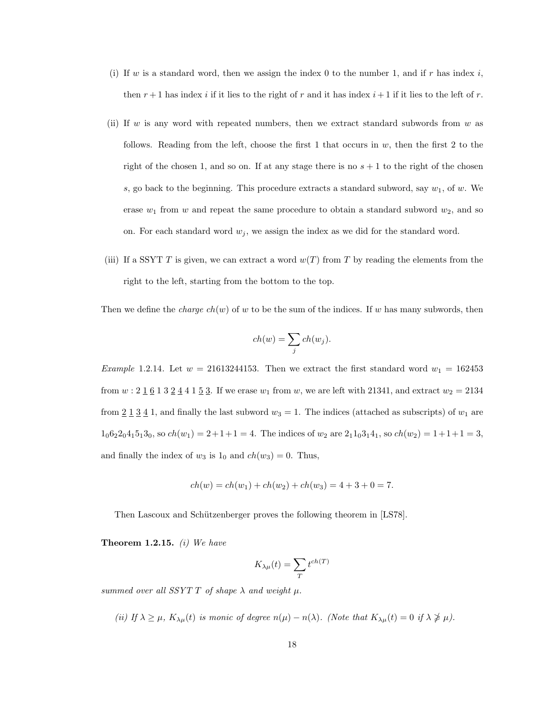- (i) If w is a standard word, then we assign the index 0 to the number 1, and if r has index i, then  $r+1$  has index i if it lies to the right of r and it has index  $i+1$  if it lies to the left of r.
- (ii) If w is any word with repeated numbers, then we extract standard subwords from  $w$  as follows. Reading from the left, choose the first 1 that occurs in  $w$ , then the first 2 to the right of the chosen 1, and so on. If at any stage there is no  $s + 1$  to the right of the chosen s, go back to the beginning. This procedure extracts a standard subword, say  $w_1$ , of  $w$ . We erase  $w_1$  from w and repeat the same procedure to obtain a standard subword  $w_2$ , and so on. For each standard word  $w_j$ , we assign the index as we did for the standard word.
- (iii) If a SSYT T is given, we can extract a word  $w(T)$  from T by reading the elements from the right to the left, starting from the bottom to the top.

Then we define the *charge ch(w)* of w to be the sum of the indices. If w has many subwords, then

$$
ch(w) = \sum_{j} ch(w_j).
$$

Example 1.2.14. Let  $w = 21613244153$ . Then we extract the first standard word  $w_1 = 162453$ from  $w: 2 \underline{1} 6 1 3 \underline{2} 4 4 1 \underline{5} 3$ . If we erase  $w_1$  from  $w$ , we are left with 21341, and extract  $w_2 = 2134$ from  $2\overline{1}\,\overline{3}\,\overline{4}\,1$ , and finally the last subword  $w_3 = 1$ . The indices (attached as subscripts) of  $w_1$  are  $1_06_22_04_15_13_0$ , so  $ch(w_1) = 2+1+1 = 4$ . The indices of  $w_2$  are  $2_11_03_14_1$ , so  $ch(w_2) = 1+1+1=3$ , and finally the index of  $w_3$  is  $1_0$  and  $ch(w_3) = 0$ . Thus,

$$
ch(w) = ch(w1) + ch(w2) + ch(w3) = 4 + 3 + 0 = 7.
$$

Then Lascoux and Schützenberger proves the following theorem in [LS78].

**Theorem 1.2.15.** (i) We have

$$
K_{\lambda\mu}(t) = \sum_{T} t^{ch(T)}
$$

summed over all SSYT T of shape  $\lambda$  and weight  $\mu$ .

(ii) If  $\lambda \geq \mu$ ,  $K_{\lambda\mu}(t)$  is monic of degree  $n(\mu) - n(\lambda)$ . (Note that  $K_{\lambda\mu}(t) = 0$  if  $\lambda \ngeq \mu$ ).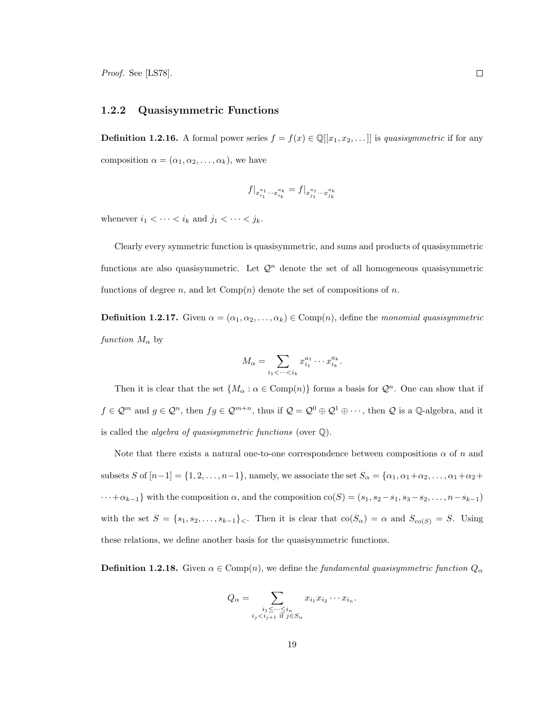#### 1.2.2 Quasisymmetric Functions

**Definition 1.2.16.** A formal power series  $f = f(x) \in \mathbb{Q}[[x_1, x_2, \dots]]$  is quasisymmetric if for any composition  $\alpha = (\alpha_1, \alpha_2, \dots, \alpha_k)$ , we have

$$
f|_{x_{i_1}^{a_1}\cdots x_{i_k}^{a_k}} = f|_{x_{j_1}^{a_1}\cdots x_{j_k}^{a_k}}
$$

whenever  $i_1 < \cdots < i_k$  and  $j_1 < \cdots < j_k$ .

Clearly every symmetric function is quasisymmetric, and sums and products of quasisymmetric functions are also quasisymmetric. Let  $\mathcal{Q}^n$  denote the set of all homogeneous quasisymmetric functions of degree n, and let  $Comp(n)$  denote the set of compositions of n.

**Definition 1.2.17.** Given  $\alpha = (\alpha_1, \alpha_2, \dots, \alpha_k) \in \text{Comp}(n)$ , define the monomial quasisymmetric function  $M_{\alpha}$  by

$$
M_{\alpha} = \sum_{i_1 < \dots < i_k} x_{i_1}^{a_1} \cdots x_{i_k}^{a_k}.
$$

Then it is clear that the set  $\{M_{\alpha} : \alpha \in \text{Comp}(n)\}\)$  forms a basis for  $\mathcal{Q}^n$ . One can show that if  $f \in \mathcal{Q}^m$  and  $g \in \mathcal{Q}^n$ , then  $fg \in \mathcal{Q}^{m+n}$ , thus if  $\mathcal{Q} = \mathcal{Q}^0 \oplus \mathcal{Q}^1 \oplus \cdots$ , then  $\mathcal Q$  is a  $\mathbb Q$ -algebra, and it is called the *algebra of quasisymmetric functions* (over  $\mathbb{Q}$ ).

Note that there exists a natural one-to-one correspondence between compositions  $\alpha$  of n and subsets S of  $[n-1] = \{1, 2, \ldots, n-1\}$ , namely, we associate the set  $S_\alpha = \{\alpha_1, \alpha_1 + \alpha_2, \ldots, \alpha_1 + \alpha_2 + \ldots\}$  $\cdots + \alpha_{k-1}$ } with the composition  $\alpha$ , and the composition  $\text{co}(S) = (s_1, s_2 - s_1, s_3 - s_2, \ldots, n - s_{k-1})$ with the set  $S = \{s_1, s_2, \ldots, s_{k-1}\}\right\}$ . Then it is clear that  $\text{co}(S_\alpha) = \alpha$  and  $S_{\text{co}(S)} = S$ . Using these relations, we define another basis for the quasisymmetric functions.

**Definition 1.2.18.** Given  $\alpha \in \text{Comp}(n)$ , we define the fundamental quasisymmetric function  $Q_{\alpha}$ 

$$
Q_{\alpha} = \sum_{\substack{i_1 \leq \cdots \leq i_n \\ i_j < i_{j+1} \text{ if } j \in S_{\alpha}}} x_{i_1} x_{i_2} \cdots x_{i_n}.
$$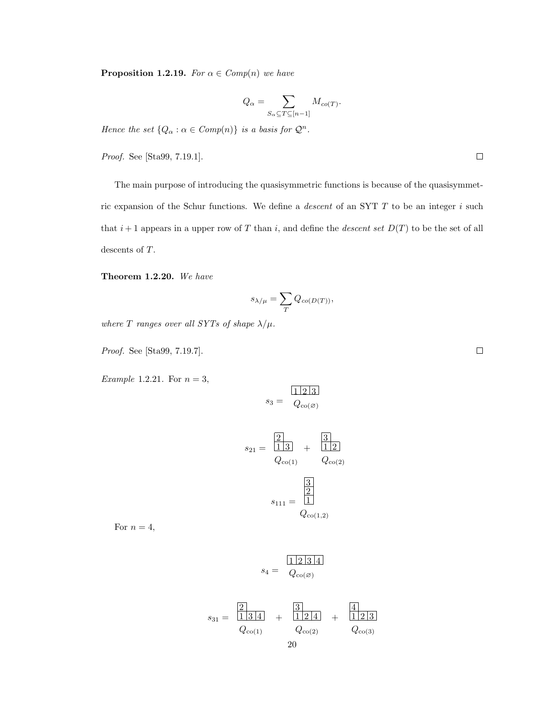**Proposition 1.2.19.** For  $\alpha \in Comp(n)$  we have

$$
Q_\alpha = \sum_{S_\alpha \subseteq T \subseteq [n-1]} M_{co(T)}.
$$

Hence the set  $\{Q_\alpha : \alpha \in \mathit{Comp}(n)\}$  is a basis for  $\mathcal{Q}^n$ .

Proof. See [Sta99, 7.19.1].

The main purpose of introducing the quasisymmetric functions is because of the quasisymmetric expansion of the Schur functions. We define a *descent* of an SYT  $T$  to be an integer  $i$  such that  $i+1$  appears in a upper row of T than i, and define the *descent set*  $D(T)$  to be the set of all descents of T.

Theorem 1.2.20. We have

$$
s_{\lambda/\mu}=\sum_{T}Q_{co(D(T))},
$$

where T ranges over all SYTs of shape  $\lambda/\mu$ .

Proof. See [Sta99, 7.19.7].

Example 1.2.21. For  $n = 3$ ,

$$
s_3 = \frac{|1| \cdot 2| \cdot 3}{Q_{\text{co}(\varnothing)}}
$$

$$
s_{21} = \frac{2}{1 \cdot 3} + \frac{3}{1 \cdot 2}
$$

$$
Q_{\text{co}(1)} \qquad Q_{\text{co}(2)}
$$

$$
s_{111} = \frac{3}{1 \cdot 2}
$$

$$
Q_{\text{co}(1,2)}
$$

For  $n = 4$ ,

$$
s_4 = \frac{|1| \cdot 2 \cdot |3| \cdot 4}{Q_{\text{co}(\varnothing)}}
$$

$$
s_{31} = \frac{2}{13|4|} + \frac{3}{12|4|} + \frac{4}{12|3|}
$$
  
\n
$$
Q_{\text{co}(1)} \qquad Q_{\text{co}(2)} \qquad Q_{\text{co}(3)}
$$
  
\n
$$
20
$$

 $\Box$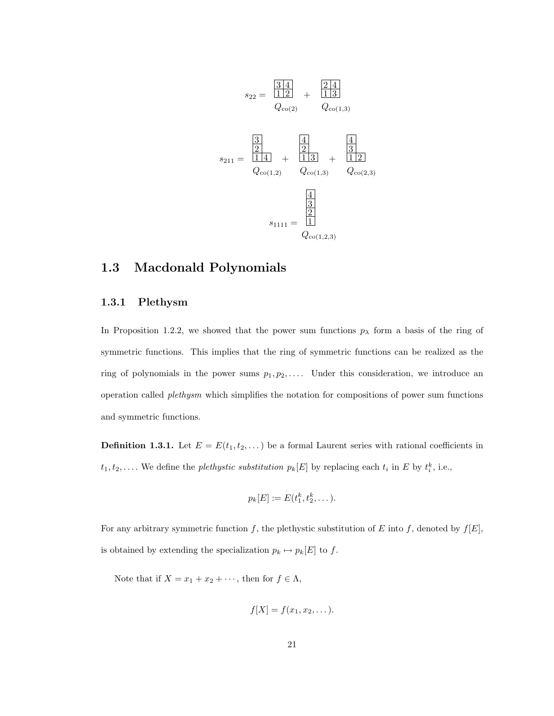$$
s_{22} = \frac{\frac{3}{1}\frac{4}{1}}{1\frac{2}{1}}
$$
  
\n
$$
Q_{\text{co}(2)} \qquad Q_{\text{co}(1,3)}
$$
  
\n
$$
s_{211} = \frac{\frac{3}{2}}{1\frac{4}{1}} + \frac{\frac{4}{2}}{1\frac{3}{1}} + \frac{\frac{4}{3}}{1\frac{2}{1}}
$$
  
\n
$$
Q_{\text{co}(1,2)} \qquad Q_{\text{co}(1,3)} \qquad Q_{\text{co}(2,3)}
$$
  
\n
$$
s_{1111} = \frac{\frac{4}{3}}{1}
$$
  
\n
$$
Q_{\text{co}(1,2,3)}
$$

#### 1.3 Macdonald Polynomials

#### 1.3.1 Plethysm

In Proposition 1.2.2, we showed that the power sum functions  $p_{\lambda}$  form a basis of the ring of symmetric functions. This implies that the ring of symmetric functions can be realized as the ring of polynomials in the power sums  $p_1, p_2, \ldots$  Under this consideration, we introduce an operation called plethysm which simplifies the notation for compositions of power sum functions and symmetric functions.

**Definition 1.3.1.** Let  $E = E(t_1, t_2, \dots)$  be a formal Laurent series with rational coefficients in  $t_1, t_2, \ldots$  We define the *plethystic substitution*  $p_k[E]$  by replacing each  $t_i$  in E by  $t_i^k$ , i.e.,

$$
p_k[E] := E(t_1^k, t_2^k, \dots).
$$

For any arbitrary symmetric function f, the plethystic substitution of E into f, denoted by  $f[E]$ , is obtained by extending the specialization  $p_k \mapsto p_k[E]$  to  $f.$ 

Note that if  $X = x_1 + x_2 + \cdots$ , then for  $f \in \Lambda$ ,

$$
f[X] = f(x_1, x_2, \dots).
$$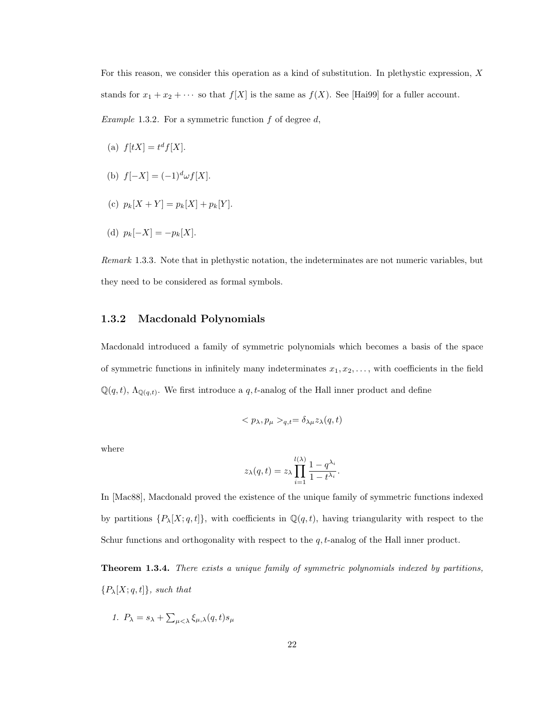For this reason, we consider this operation as a kind of substitution. In plethystic expression, X stands for  $x_1 + x_2 + \cdots$  so that  $f[X]$  is the same as  $f(X)$ . See [Hai99] for a fuller account.

*Example* 1.3.2. For a symmetric function  $f$  of degree  $d$ ,

- (a)  $f[tX] = t^d f[X]$ .
- (b)  $f[-X] = (-1)^d \omega f[X]$ .
- (c)  $p_k[X+Y] = p_k[X] + p_k[Y]$ .
- (d)  $p_k[-X] = -p_k[X]$ .

Remark 1.3.3. Note that in plethystic notation, the indeterminates are not numeric variables, but they need to be considered as formal symbols.

#### 1.3.2 Macdonald Polynomials

Macdonald introduced a family of symmetric polynomials which becomes a basis of the space of symmetric functions in infinitely many indeterminates  $x_1, x_2, \ldots$ , with coefficients in the field  $\mathbb{Q}(q,t)$ ,  $\Lambda_{\mathbb{Q}(q,t)}$ . We first introduce a q, t-analog of the Hall inner product and define

$$
\langle p_{\lambda}, p_{\mu} \rangle_{q,t} = \delta_{\lambda\mu} z_{\lambda}(q,t)
$$

where

$$
z_{\lambda}(q,t) = z_{\lambda} \prod_{i=1}^{l(\lambda)} \frac{1 - q^{\lambda_i}}{1 - t^{\lambda_i}}.
$$

In [Mac88], Macdonald proved the existence of the unique family of symmetric functions indexed by partitions  $\{P_{\lambda}[X; q, t]\}$ , with coefficients in  $\mathbb{Q}(q, t)$ , having triangularity with respect to the Schur functions and orthogonality with respect to the  $q$ ,  $t$ -analog of the Hall inner product.

**Theorem 1.3.4.** There exists a unique family of symmetric polynomials indexed by partitions,  ${P_\lambda[X; q, t]},$  such that

1. 
$$
P_{\lambda} = s_{\lambda} + \sum_{\mu < \lambda} \xi_{\mu,\lambda}(q,t) s_{\mu}
$$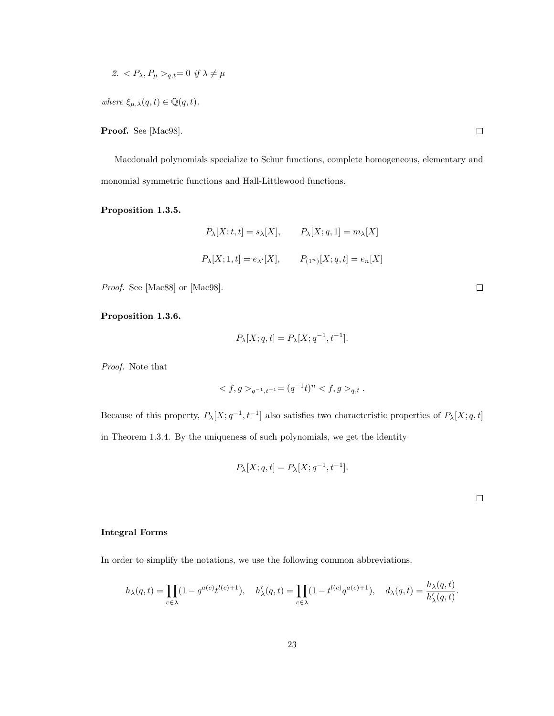2. 
$$
P_{\lambda}, P_{\mu} >_{q,t} = 0 \text{ if } \lambda \neq \mu
$$

where  $\xi_{\mu,\lambda}(q,t) \in \mathbb{Q}(q,t)$ .

Proof. See [Mac98].

Macdonald polynomials specialize to Schur functions, complete homogeneous, elementary and monomial symmetric functions and Hall-Littlewood functions.

Proposition 1.3.5.

$$
P_{\lambda}[X;t,t] = s_{\lambda}[X], \qquad P_{\lambda}[X;q,1] = m_{\lambda}[X]
$$

$$
P_{\lambda}[X;1,t] = e_{\lambda'}[X], \qquad P_{(1^n)}[X;q,t] = e_n[X]
$$

Proof. See [Mac88] or [Mac98].

Proposition 1.3.6.

$$
P_{\lambda}[X;q,t] = P_{\lambda}[X;q^{-1},t^{-1}].
$$

Proof. Note that

$$
\langle f, g \rangle_{q^{-1}, t^{-1}} = (q^{-1}t)^n \langle f, g \rangle_{q,t} .
$$

Because of this property,  $P_{\lambda}[X; q^{-1}, t^{-1}]$  also satisfies two characteristic properties of  $P_{\lambda}[X; q, t]$ in Theorem 1.3.4. By the uniqueness of such polynomials, we get the identity

$$
P_{\lambda}[X; q, t] = P_{\lambda}[X; q^{-1}, t^{-1}].
$$

 $\Box$ 

#### Integral Forms

In order to simplify the notations, we use the following common abbreviations.

$$
h_{\lambda}(q,t) = \prod_{c \in \lambda} (1 - q^{a(c)} t^{l(c)+1}), \quad h'_{\lambda}(q,t) = \prod_{c \in \lambda} (1 - t^{l(c)} q^{a(c)+1}), \quad d_{\lambda}(q,t) = \frac{h_{\lambda}(q,t)}{h'_{\lambda}(q,t)}.
$$

 $\Box$ 

 $\hfill \square$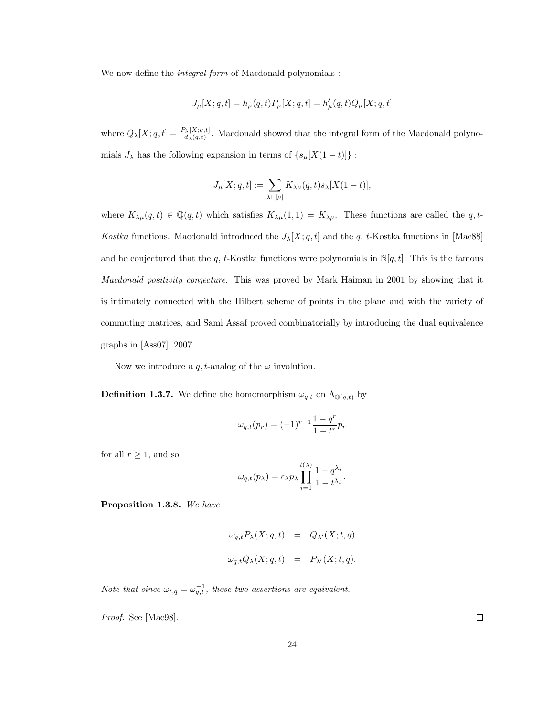We now define the *integral form* of Macdonald polynomials :

$$
J_\mu[X;q,t]=h_\mu(q,t)P_\mu[X;q,t]=h_\mu'(q,t)Q_\mu[X;q,t]
$$

where  $Q_{\lambda}[X; q, t] = \frac{P_{\lambda}[X; q, t]}{d_{\lambda}(q, t)}$ . Macdonald showed that the integral form of the Macdonald polynomials  $J_\lambda$  has the following expansion in terms of  $\{s_\mu[X(1-t)]\}$  :

$$
J_\mu[X;q,t]:=\sum_{\lambda\vdash |\mu|}K_{\lambda\mu}(q,t)s_\lambda[X(1-t)],
$$

where  $K_{\lambda\mu}(q,t) \in \mathbb{Q}(q,t)$  which satisfies  $K_{\lambda\mu}(1,1) = K_{\lambda\mu}$ . These functions are called the q, t-Kostka functions. Macdonald introduced the  $J_{\lambda}[X; q, t]$  and the q, t-Kostka functions in [Mac88] and he conjectured that the q, t-Kostka functions were polynomials in  $\mathbb{N}[q, t]$ . This is the famous Macdonald positivity conjecture. This was proved by Mark Haiman in 2001 by showing that it is intimately connected with the Hilbert scheme of points in the plane and with the variety of commuting matrices, and Sami Assaf proved combinatorially by introducing the dual equivalence graphs in [Ass07], 2007.

Now we introduce a q, t-analog of the  $\omega$  involution.

**Definition 1.3.7.** We define the homomorphism  $\omega_{q,t}$  on  $\Lambda_{\mathbb{Q}(q,t)}$  by

$$
\omega_{q,t}(p_r) = (-1)^{r-1} \frac{1-q^r}{1-t^r} p_r
$$

for all  $r\geq 1,$  and so

$$
\omega_{q,t}(p_\lambda) = \epsilon_\lambda p_\lambda \prod_{i=1}^{l(\lambda)} \frac{1-q^{\lambda_i}}{1-t^{\lambda_i}}.
$$

Proposition 1.3.8. We have

$$
\omega_{q,t} P_{\lambda}(X; q, t) = Q_{\lambda'}(X; t, q)
$$
  

$$
\omega_{q,t} Q_{\lambda}(X; q, t) = P_{\lambda'}(X; t, q).
$$

Note that since  $\omega_{t,q} = \omega_{q,t}^{-1}$ , these two assertions are equivalent.

Proof. See [Mac98].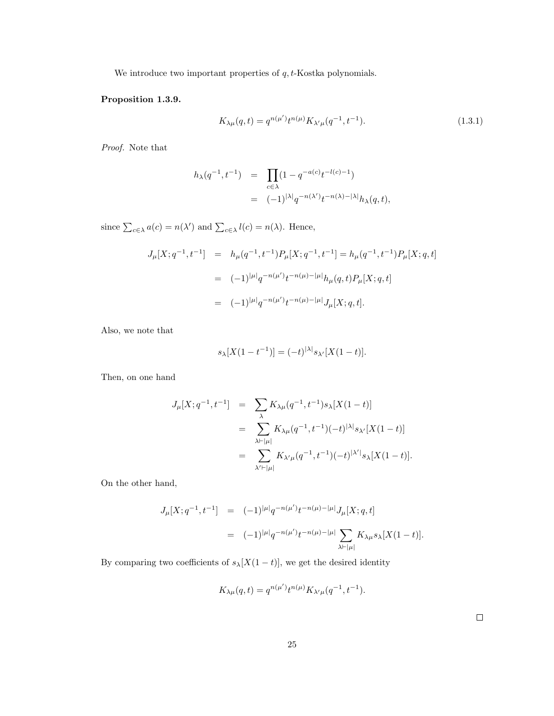We introduce two important properties of  $q$ ,  $t$ -Kostka polynomials.

#### Proposition 1.3.9.

$$
K_{\lambda\mu}(q,t) = q^{n(\mu')}t^{n(\mu)}K_{\lambda'\mu}(q^{-1},t^{-1}).
$$
\n(1.3.1)

Proof. Note that

$$
h_{\lambda}(q^{-1}, t^{-1}) = \prod_{c \in \lambda} (1 - q^{-a(c)} t^{-l(c) - 1})
$$
  
= 
$$
(-1)^{|\lambda|} q^{-n(\lambda')} t^{-n(\lambda) - |\lambda|} h_{\lambda}(q, t),
$$

since  $\sum_{c \in \lambda} a(c) = n(\lambda')$  and  $\sum_{c \in \lambda} l(c) = n(\lambda)$ . Hence,

$$
J_{\mu}[X; q^{-1}, t^{-1}] = h_{\mu}(q^{-1}, t^{-1}) P_{\mu}[X; q^{-1}, t^{-1}] = h_{\mu}(q^{-1}, t^{-1}) P_{\mu}[X; q, t]
$$
  

$$
= (-1)^{|\mu|} q^{-n(\mu')} t^{-n(\mu)-|\mu|} h_{\mu}(q, t) P_{\mu}[X; q, t]
$$
  

$$
= (-1)^{|\mu|} q^{-n(\mu')} t^{-n(\mu)-|\mu|} J_{\mu}[X; q, t].
$$

Also, we note that

$$
s_{\lambda}[X(1-t^{-1})] = (-t)^{|\lambda|} s_{\lambda'}[X(1-t)].
$$

Then, on one hand

$$
J_{\mu}[X;q^{-1},t^{-1}] = \sum_{\lambda} K_{\lambda\mu}(q^{-1},t^{-1})s_{\lambda}[X(1-t)]
$$
  

$$
= \sum_{\lambda \vdash |\mu|} K_{\lambda\mu}(q^{-1},t^{-1})(-t)^{|\lambda|}s_{\lambda'}[X(1-t)]
$$
  

$$
= \sum_{\lambda' \vdash |\mu|} K_{\lambda'\mu}(q^{-1},t^{-1})(-t)^{|\lambda'|}s_{\lambda}[X(1-t)].
$$

On the other hand,

$$
J_{\mu}[X; q^{-1}, t^{-1}] = (-1)^{|\mu|} q^{-n(\mu')} t^{-n(\mu)-|\mu|} J_{\mu}[X; q, t]
$$
  

$$
= (-1)^{|\mu|} q^{-n(\mu')} t^{-n(\mu)-|\mu|} \sum_{\lambda \vdash |\mu|} K_{\lambda \mu} s_{\lambda}[X(1-t)].
$$

By comparing two coefficients of  $s_\lambda[X(1-t)],$  we get the desired identity

$$
K_{\lambda\mu}(q,t)=q^{n(\mu')}t^{n(\mu)}K_{\lambda'\mu}(q^{-1},t^{-1}).
$$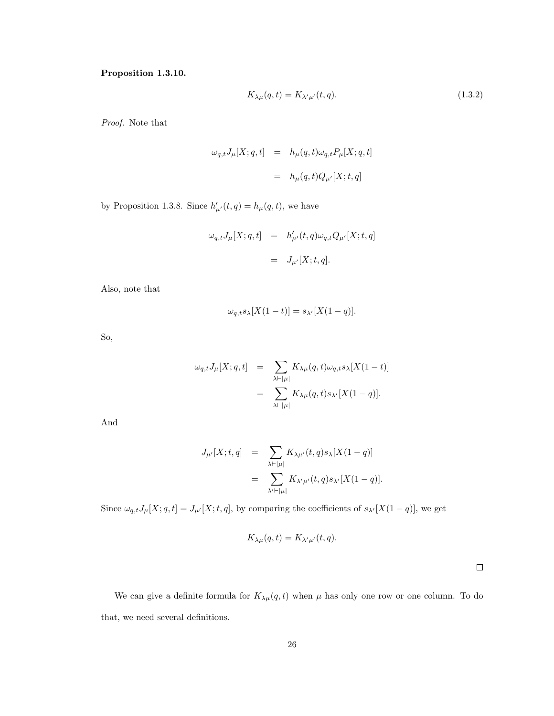Proposition 1.3.10.

$$
K_{\lambda\mu}(q,t) = K_{\lambda'\mu'}(t,q). \tag{1.3.2}
$$

Proof. Note that

$$
\begin{array}{rcl} \omega_{q,t}J_\mu[X;q,t] & = & h_\mu(q,t)\omega_{q,t}P_\mu[X;q,t] \\ \\ & = & h_\mu(q,t)Q_{\mu'}[X;t,q] \end{array}
$$

by Proposition 1.3.8. Since  $h'_{\mu'}(t,q) = h_{\mu}(q,t)$ , we have

$$
\begin{array}{lcl} \omega_{q,t}J_{\mu}[X;q,t] & = & h'_{\mu'}(t,q)\omega_{q,t}Q_{\mu'}[X;t,q] \\ \\ & = & J_{\mu'}[X;t,q]. \end{array}
$$

Also, note that

$$
\omega_{q,t} s_{\lambda}[X(1-t)] = s_{\lambda'}[X(1-q)].
$$

So,

$$
\omega_{q,t} J_{\mu}[X;q,t] = \sum_{\lambda \vdash |\mu|} K_{\lambda \mu}(q,t) \omega_{q,t} s_{\lambda}[X(1-t)]
$$
  

$$
= \sum_{\lambda \vdash |\mu|} K_{\lambda \mu}(q,t) s_{\lambda'}[X(1-q)].
$$

And

$$
J_{\mu'}[X;t,q] = \sum_{\lambda \vdash |\mu|} K_{\lambda \mu'}(t,q) s_{\lambda}[X(1-q)]
$$
  

$$
= \sum_{\lambda' \vdash |\mu|} K_{\lambda' \mu'}(t,q) s_{\lambda'}[X(1-q)].
$$

Since  $\omega_{q,t} J_\mu[X; q, t] = J_{\mu'}[X; t, q]$ , by comparing the coefficients of  $s_{\lambda'}[X(1-q)]$ , we get

$$
K_{\lambda\mu}(q,t) = K_{\lambda'\mu'}(t,q).
$$

 $\Box$ 

We can give a definite formula for  $K_{\lambda\mu}(q,t)$  when  $\mu$  has only one row or one column. To do that, we need several definitions.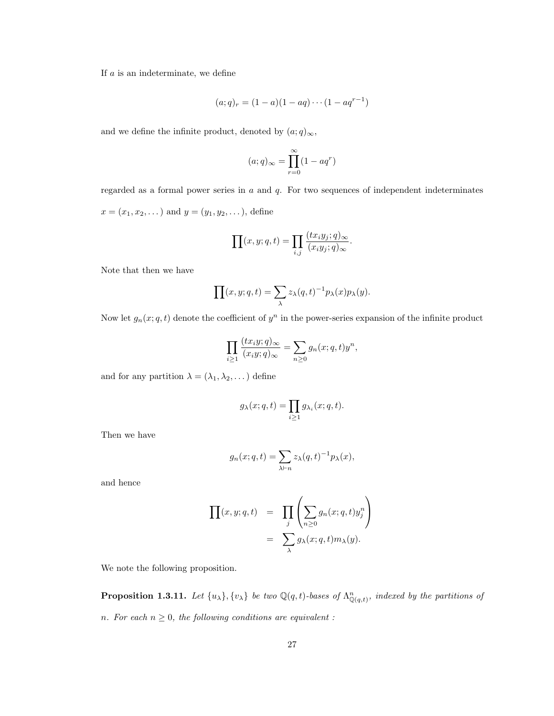If  $a$  is an indeterminate, we define

$$
(a;q)_r = (1-a)(1-aq)\cdots(1-aq^{r-1})
$$

and we define the infinite product, denoted by  $(a;q)_{\infty}$ ,

$$
(a;q)_{\infty} = \prod_{r=0}^{\infty} (1 - aq^r)
$$

regarded as a formal power series in  $a$  and  $q$ . For two sequences of independent indeterminates  $x = (x_1, x_2, \dots)$  and  $y = (y_1, y_2, \dots)$ , define

$$
\prod(x, y; q, t) = \prod_{i,j} \frac{(tx_i y_j; q)_{\infty}}{(x_i y_j; q)_{\infty}}.
$$

Note that then we have

$$
\prod(x, y; q, t) = \sum_{\lambda} z_{\lambda}(q, t)^{-1} p_{\lambda}(x) p_{\lambda}(y).
$$

Now let  $g_n(x; q, t)$  denote the coefficient of  $y^n$  in the power-series expansion of the infinite product

$$
\prod_{i\geq 1} \frac{(tx_iy;q)_\infty}{(x_iy;q)_\infty} = \sum_{n\geq 0} g_n(x;q,t)y^n,
$$

and for any partition  $\lambda = (\lambda_1, \lambda_2, \dots)$  define

$$
g_{\lambda}(x;q,t) = \prod_{i \ge 1} g_{\lambda_i}(x;q,t).
$$

Then we have

$$
g_n(x;q,t) = \sum_{\lambda \vdash n} z_{\lambda}(q,t)^{-1} p_{\lambda}(x),
$$

and hence

$$
\prod(x, y; q, t) = \prod_{j} \left( \sum_{n \geq 0} g_n(x; q, t) y_j^n \right)
$$
  
= 
$$
\sum_{\lambda} g_{\lambda}(x; q, t) m_{\lambda}(y).
$$

We note the following proposition.

**Proposition 1.3.11.** Let  $\{u_\lambda\}$ ,  $\{v_\lambda\}$  be two  $\mathbb{Q}(q,t)$ -bases of  $\Lambda_{\mathbb{Q}(q,t)}^n$ , indexed by the partitions of n. For each  $n \geq 0$ , the following conditions are equivalent :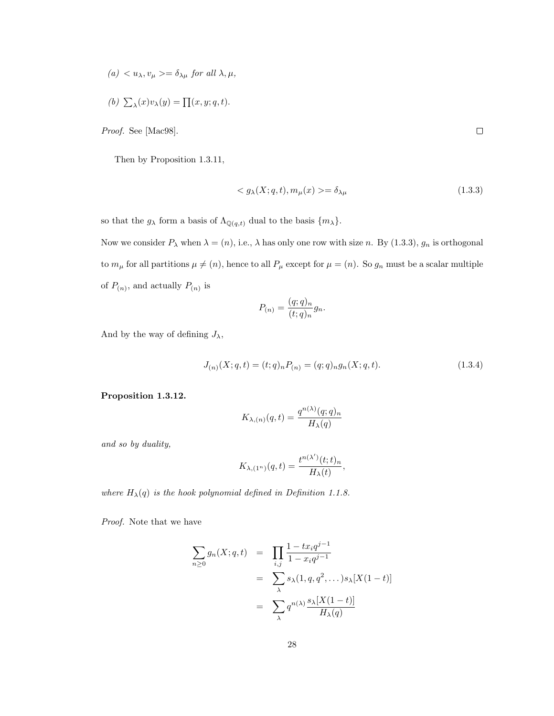$(a) < u_{\lambda}, v_{\mu} > = \delta_{\lambda\mu}$  for all  $\lambda, \mu$ ,

(b) 
$$
\sum_{\lambda}(x)v_{\lambda}(y) = \prod(x, y; q, t).
$$

Proof. See [Mac98].

Then by Proposition 1.3.11,

$$
\langle g_{\lambda}(X;q,t), m_{\mu}(x) \rangle = \delta_{\lambda\mu} \tag{1.3.3}
$$

so that the  $g_{\lambda}$  form a basis of  $\Lambda_{\mathbb{Q}(q,t)}$  dual to the basis  $\{m_{\lambda}\}.$ 

Now we consider  $P_\lambda$  when  $\lambda = (n)$ , i.e.,  $\lambda$  has only one row with size n. By (1.3.3),  $g_n$  is orthogonal to  $m_{\mu}$  for all partitions  $\mu \neq (n)$ , hence to all  $P_{\mu}$  except for  $\mu = (n)$ . So  $g_n$  must be a scalar multiple of  $P_{(n)}$ , and actually  $P_{(n)}$  is

$$
P_{(n)} = \frac{(q;q)_n}{(t;q)_n} g_n.
$$

And by the way of defining  $J_{\lambda}$ ,

$$
J_{(n)}(X;q,t) = (t;q)_n P_{(n)} = (q;q)_n g_n(X;q,t).
$$
\n(1.3.4)

#### Proposition 1.3.12.

$$
K_{\lambda,(n)}(q,t)=\frac{q^{n(\lambda)}(q;q)_n}{H_\lambda(q)}
$$

and so by duality,

$$
K_{\lambda,(1^n)}(q,t)=\frac{t^{n(\lambda')}(t;t)_n}{H_\lambda(t)},
$$

where  $H_{\lambda}(q)$  is the hook polynomial defined in Definition 1.1.8.

Proof. Note that we have

$$
\sum_{n\geq 0} g_n(X; q, t) = \prod_{i,j} \frac{1 - tx_i q^{j-1}}{1 - x_i q^{j-1}}
$$

$$
= \sum_{\lambda} s_{\lambda}(1, q, q^2, \dots) s_{\lambda}[X(1-t)]
$$

$$
= \sum_{\lambda} q^{n(\lambda)} \frac{s_{\lambda}[X(1-t)]}{H_{\lambda}(q)}
$$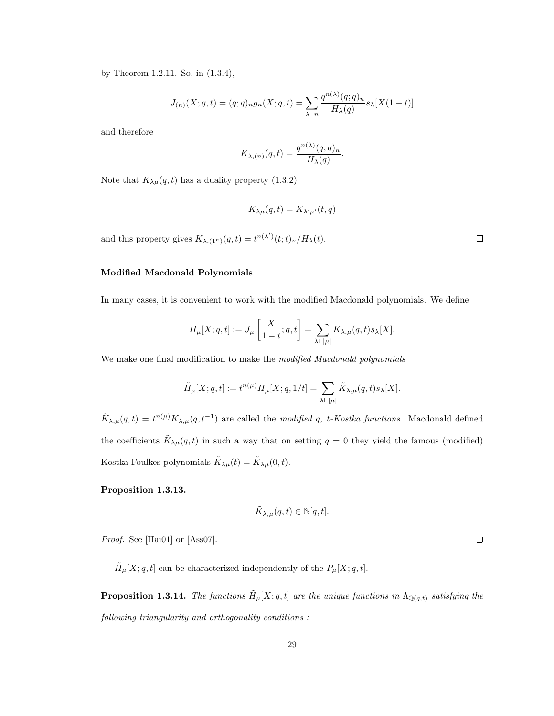by Theorem 1.2.11. So, in (1.3.4),

$$
J_{(n)}(X;q,t) = (q;q)_n g_n(X;q,t) = \sum_{\lambda \vdash n} \frac{q^{n(\lambda)}(q;q)_n}{H_{\lambda}(q)} s_{\lambda}[X(1-t)]
$$

and therefore

$$
K_{\lambda,(n)}(q,t) = \frac{q^{n(\lambda)}(q;q)_n}{H_{\lambda}(q)}
$$

.

Note that  $K_{\lambda\mu}(q, t)$  has a duality property (1.3.2)

$$
K_{\lambda\mu}(q,t) = K_{\lambda'\mu'}(t,q)
$$

and this property gives  $K_{\lambda,(1^n)}(q,t) = t^{n(\lambda')}(t;t)_n / H_{\lambda}(t)$ .

#### Modified Macdonald Polynomials

In many cases, it is convenient to work with the modified Macdonald polynomials. We define

$$
H_{\mu}[X;q,t] := J_{\mu}\left[\frac{X}{1-t};q,t\right] = \sum_{\lambda \vdash |\mu|} K_{\lambda,\mu}(q,t) s_{\lambda}[X].
$$

We make one final modification to make the modified Macdonald polynomials

$$
\tilde{H}_{\mu}[X;q,t]:=t^{n(\mu)}H_{\mu}[X;q,1/t]=\sum_{\lambda\vdash |\mu|}\tilde{K}_{\lambda,\mu}(q,t)s_{\lambda}[X].
$$

 $\tilde{K}_{\lambda,\mu}(q,t) = t^{n(\mu)} K_{\lambda,\mu}(q,t^{-1})$  are called the *modified* q, t-Kostka functions. Macdonald defined the coefficients  $\tilde{K}_{\lambda\mu}(q,t)$  in such a way that on setting  $q=0$  they yield the famous (modified) Kostka-Foulkes polynomials  $\tilde{K}_{\lambda\mu}(t) = \tilde{K}_{\lambda\mu}(0,t)$ .

#### Proposition 1.3.13.

$$
\tilde{K}_{\lambda,\mu}(q,t) \in \mathbb{N}[q,t].
$$

Proof. See [Hai01] or [Ass07].

 $\tilde{H}_{\mu}[X; q, t]$  can be characterized independently of the  $P_{\mu}[X; q, t]$ .

**Proposition 1.3.14.** The functions  $\tilde{H}_{\mu}[X; q, t]$  are the unique functions in  $\Lambda_{\mathbb{Q}(q,t)}$  satisfying the following triangularity and orthogonality conditions :

 $\Box$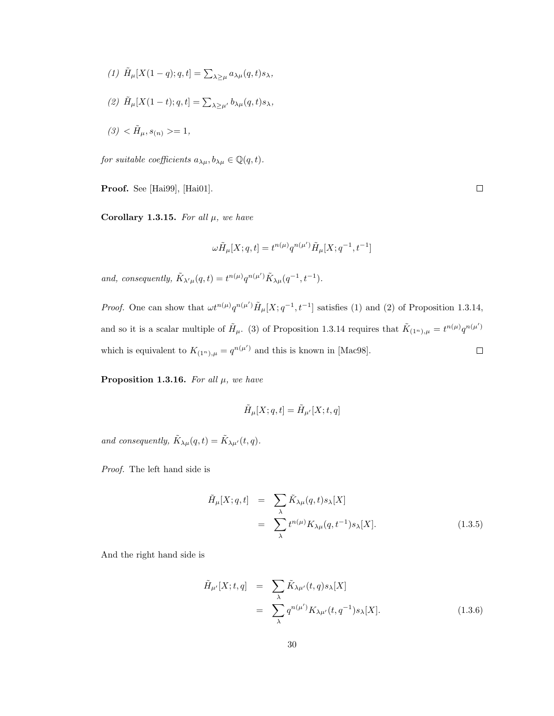- (1)  $\tilde{H}_{\mu}[X(1-q); q, t] = \sum_{\lambda \geq \mu} a_{\lambda \mu}(q, t) s_{\lambda},$
- (2)  $\tilde{H}_{\mu}[X(1-t); q, t] = \sum_{\lambda \geq \mu'} b_{\lambda \mu}(q, t) s_{\lambda},$

$$
(3) < \tilde{H}_{\mu}, s_{(n)} > = 1,
$$

for suitable coefficients  $a_{\lambda\mu},b_{\lambda\mu}\in\mathbb Q(q,t).$ 

Proof. See [Hai99], [Hai01].

Corollary 1.3.15. For all  $\mu$ , we have

$$
\omega \tilde{H}_\mu[X;q,t]=t^{n(\mu)}q^{n(\mu')} \tilde{H}_\mu[X;q^{-1},t^{-1}]
$$

and, consequently,  $\tilde{K}_{\lambda'\mu}(q,t) = t^{n(\mu)}q^{n(\mu')} \tilde{K}_{\lambda\mu}(q^{-1},t^{-1}).$ 

*Proof.* One can show that  $\omega t^{n(\mu)} q^{n(\mu')} \tilde{H}_{\mu}[X; q^{-1}, t^{-1}]$  satisfies (1) and (2) of Proposition 1.3.14, and so it is a scalar multiple of  $\tilde{H}_{\mu}$ . (3) of Proposition 1.3.14 requires that  $\tilde{K}_{(1^n),\mu} = t^{n(\mu)}q^{n(\mu')}$ which is equivalent to  $K_{(1^n),\mu} = q^{n(\mu')}$  and this is known in [Mac98].  $\Box$ 

**Proposition 1.3.16.** For all  $\mu$ , we have

$$
\tilde{H}_{\mu}[X;q,t] = \tilde{H}_{\mu'}[X;t,q]
$$

and consequently,  $\tilde{K}_{\lambda\mu}(q,t) = \tilde{K}_{\lambda\mu'}(t,q)$ .

Proof. The left hand side is

$$
\tilde{H}_{\mu}[X;q,t] = \sum_{\lambda} \tilde{K}_{\lambda\mu}(q,t) s_{\lambda}[X] \n= \sum_{\lambda} t^{n(\mu)} K_{\lambda\mu}(q,t^{-1}) s_{\lambda}[X].
$$
\n(1.3.5)

And the right hand side is

$$
\tilde{H}_{\mu'}[X;t,q] = \sum_{\lambda} \tilde{K}_{\lambda\mu'}(t,q)s_{\lambda}[X] \n= \sum_{\lambda} q^{n(\mu')} K_{\lambda\mu'}(t,q^{-1})s_{\lambda}[X].
$$
\n(1.3.6)

 $\Box$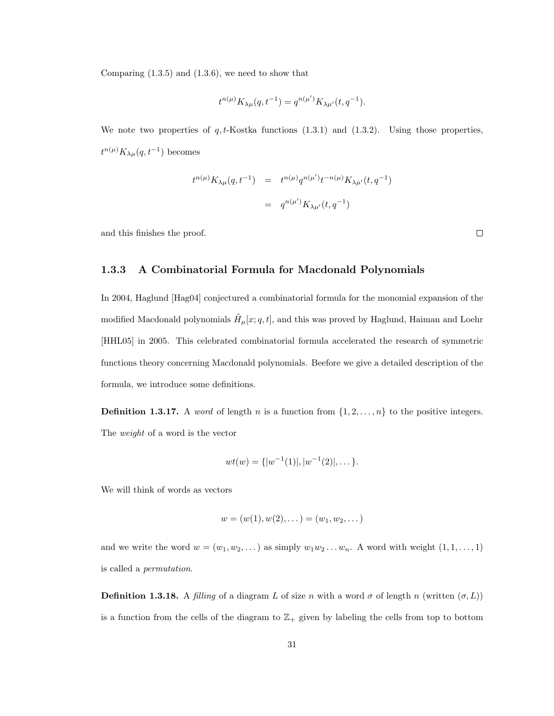Comparing  $(1.3.5)$  and  $(1.3.6)$ , we need to show that

$$
t^{n(\mu)} K_{\lambda\mu}(q, t^{-1}) = q^{n(\mu')} K_{\lambda\mu'}(t, q^{-1}).
$$

We note two properties of  $q, t$ -Kostka functions  $(1.3.1)$  and  $(1.3.2)$ . Using those properties,  $t^{n(\mu)} K_{\lambda\mu}(q, t^{-1})$  becomes

$$
t^{n(\mu)} K_{\lambda \mu}(q, t^{-1}) = t^{n(\mu)} q^{n(\mu')} t^{-n(\mu)} K_{\lambda \mu'}(t, q^{-1})
$$
  
= 
$$
q^{n(\mu')} K_{\lambda \mu'}(t, q^{-1})
$$

and this finishes the proof.

#### 1.3.3 A Combinatorial Formula for Macdonald Polynomials

In 2004, Haglund [Hag04] conjectured a combinatorial formula for the monomial expansion of the modified Macdonald polynomials  $\tilde{H}_{\mu}[x;q,t],$  and this was proved by Haglund, Haiman and Loehr [HHL05] in 2005. This celebrated combinatorial formula accelerated the research of symmetric functions theory concerning Macdonald polynomials. Beefore we give a detailed description of the formula, we introduce some definitions.

**Definition 1.3.17.** A *word* of length n is a function from  $\{1, 2, \ldots, n\}$  to the positive integers. The weight of a word is the vector

$$
wt(w) = \{|w^{-1}(1)|, |w^{-1}(2)|, \dots\}.
$$

We will think of words as vectors

$$
w = (w(1), w(2), \dots) = (w_1, w_2, \dots)
$$

and we write the word  $w = (w_1, w_2, \dots)$  as simply  $w_1 w_2 \dots w_n$ . A word with weight  $(1, 1, \dots, 1)$ is called a permutation.

**Definition 1.3.18.** A filling of a diagram L of size n with a word  $\sigma$  of length n (written  $(\sigma, L)$ ) is a function from the cells of the diagram to  $\mathbb{Z}_+$  given by labeling the cells from top to bottom

 $\Box$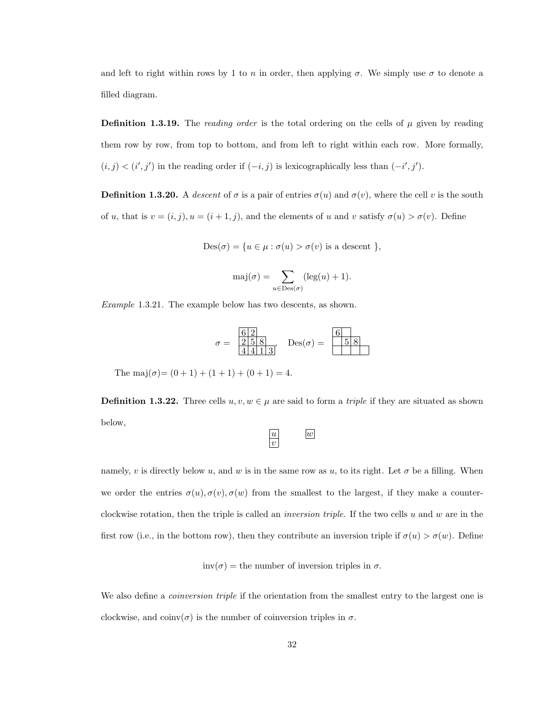and left to right within rows by 1 to n in order, then applying  $\sigma$ . We simply use  $\sigma$  to denote a filled diagram.

**Definition 1.3.19.** The reading order is the total ordering on the cells of  $\mu$  given by reading them row by row, from top to bottom, and from left to right within each row. More formally,  $(i, j) < (i', j')$  in the reading order if  $(-i, j)$  is lexicographically less than  $(-i', j')$ .

**Definition 1.3.20.** A descent of  $\sigma$  is a pair of entries  $\sigma(u)$  and  $\sigma(v)$ , where the cell v is the south of u, that is  $v = (i, j), u = (i + 1, j)$ , and the elements of u and v satisfy  $\sigma(u) > \sigma(v)$ . Define

$$
Des(\sigma) = \{ u \in \mu : \sigma(u) > \sigma(v) \text{ is a descent } \},
$$

$$
\mathrm{maj}(\sigma) = \sum_{u \in \mathrm{Des}(\sigma)} (\mathrm{leg}(u) + 1).
$$

Example 1.3.21. The example below has two descents, as shown.

$$
\sigma = \frac{\begin{array}{c} 6/2 \\ 2/5/8 \\ 4/4/1 \end{array}}{\begin{array}{c} 2+1 \\ 2/1 \end{array}} \quad \text{Des}(\sigma) = \frac{\begin{array}{c} 6 \\ 5/8 \\ \end{array}}{\begin{array}{c} 2+1 \\ 2/1 \end{array}}
$$

The maj $(\sigma)=(0+1)+(1+1)+(0+1)=4.$ 

**Definition 1.3.22.** Three cells  $u, v, w \in \mu$  are said to form a *triple* if they are situated as shown below,

$$
\begin{array}{c}\n\overline{u} \\
\overline{v}\n\end{array}\n\qquad\n\begin{array}{c}\n\overline{w} \\
\overline{w}\n\end{array}
$$

namely, v is directly below u, and w is in the same row as u, to its right. Let  $\sigma$  be a filling. When we order the entries  $\sigma(u), \sigma(v), \sigma(w)$  from the smallest to the largest, if they make a counterclockwise rotation, then the triple is called an *inversion triple*. If the two cells u and w are in the first row (i.e., in the bottom row), then they contribute an inversion triple if  $\sigma(u) > \sigma(w)$ . Define

$$
inv(\sigma)
$$
 = the number of inversion triples in  $\sigma$ .

We also define a *coinversion triple* if the orientation from the smallest entry to the largest one is clockwise, and  $\text{coinv}(\sigma)$  is the number of coinversion triples in  $\sigma$ .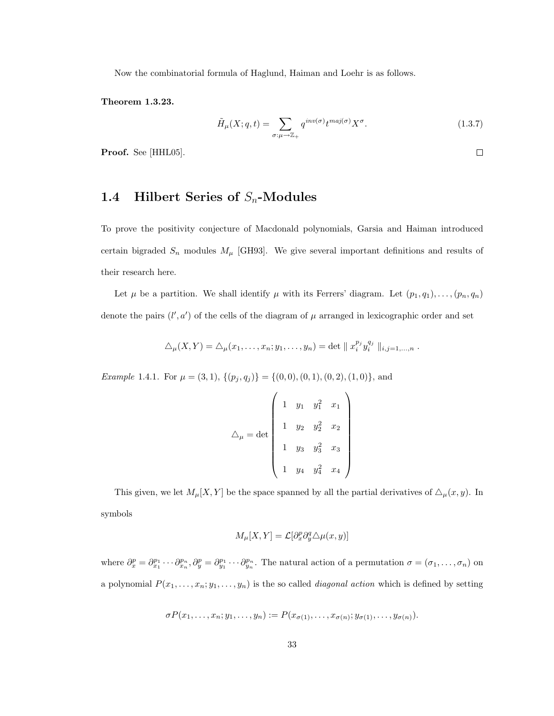Now the combinatorial formula of Haglund, Haiman and Loehr is as follows.

Theorem 1.3.23.

$$
\tilde{H}_{\mu}(X;q,t) = \sum_{\sigma:\mu \to \mathbb{Z}_+} q^{inv(\sigma)} t^{maj(\sigma)} X^{\sigma}.
$$
\n(1.3.7)

Proof. See [HHL05].

# 1.4 Hilbert Series of  $S_n$ -Modules

To prove the positivity conjecture of Macdonald polynomials, Garsia and Haiman introduced certain bigraded  $S_n$  modules  $M_\mu$  [GH93]. We give several important definitions and results of their research here.

Let  $\mu$  be a partition. We shall identify  $\mu$  with its Ferrers' diagram. Let  $(p_1, q_1), \ldots, (p_n, q_n)$ denote the pairs  $(l', a')$  of the cells of the diagram of  $\mu$  arranged in lexicographic order and set

$$
\triangle_{\mu}(X,Y) = \triangle_{\mu}(x_1,\ldots,x_n;y_1,\ldots,y_n) = \det ||x_i^{p_j} y_i^{q_j} ||_{i,j=1,\ldots,n}.
$$

Example 1.4.1. For  $\mu = (3, 1), \{(p_j, q_j)\} = \{(0, 0), (0, 1), (0, 2), (1, 0)\},$  and

$$
\triangle_{\mu} = \det \begin{pmatrix} 1 & y_1 & y_1^2 & x_1 \\ & 1 & y_2 & y_2^2 & x_2 \\ & & 1 & y_3 & y_3^2 & x_3 \\ & & & 1 & y_4 & y_4^2 & x_4 \end{pmatrix}
$$

This given, we let  $M_{\mu}[X, Y]$  be the space spanned by all the partial derivatives of  $\Delta_{\mu}(x, y)$ . In symbols

$$
M_{\mu}[X,Y] = \mathcal{L}[\partial_x^p \partial_y^q \triangle \mu(x,y)]
$$

where  $\partial_x^p = \partial_{x_1}^{p_1} \cdots \partial_{x_n}^{p_n}, \partial_y^p = \partial_{y_1}^{p_1} \cdots \partial_{y_n}^{p_n}$ . The natural action of a permutation  $\sigma = (\sigma_1, \ldots, \sigma_n)$  on a polynomial  $P(x_1, \ldots, x_n; y_1, \ldots, y_n)$  is the so called *diagonal action* which is defined by setting

$$
\sigma P(x_1,\ldots,x_n;y_1,\ldots,y_n):=P(x_{\sigma(1)},\ldots,x_{\sigma(n)};y_{\sigma(1)},\ldots,y_{\sigma(n)}).
$$

 $\Box$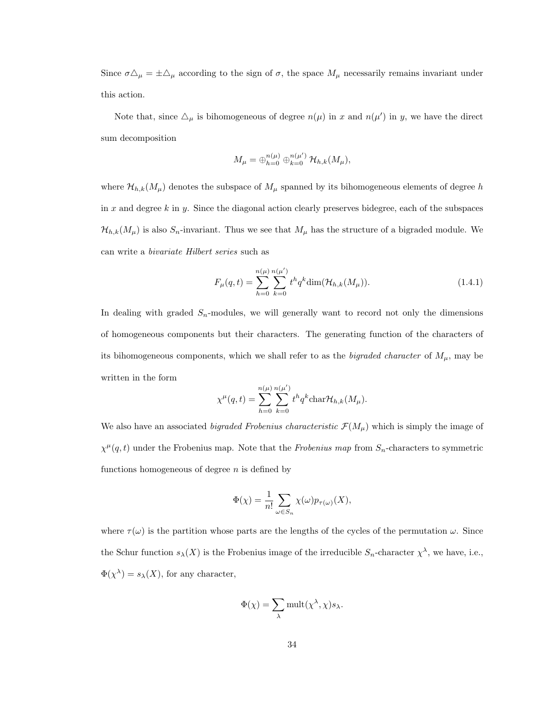Since  $\sigma \Delta_{\mu} = \pm \Delta_{\mu}$  according to the sign of  $\sigma$ , the space  $M_{\mu}$  necessarily remains invariant under this action.

Note that, since  $\Delta_{\mu}$  is bihomogeneous of degree  $n(\mu)$  in x and  $n(\mu')$  in y, we have the direct sum decomposition

$$
M_{\mu} = \bigoplus_{h=0}^{n(\mu)} \bigoplus_{k=0}^{n(\mu')} \mathcal{H}_{h,k}(M_{\mu}),
$$

where  $\mathcal{H}_{h,k}(M_\mu)$  denotes the subspace of  $M_\mu$  spanned by its bihomogeneous elements of degree h in x and degree  $k$  in y. Since the diagonal action clearly preserves bidegree, each of the subspaces  $\mathcal{H}_{h,k}(M_\mu)$  is also  $S_n$ -invariant. Thus we see that  $M_\mu$  has the structure of a bigraded module. We can write a bivariate Hilbert series such as

$$
F_{\mu}(q,t) = \sum_{h=0}^{n(\mu)} \sum_{k=0}^{n(\mu')} t^h q^k \dim(\mathcal{H}_{h,k}(M_{\mu})).
$$
\n(1.4.1)

In dealing with graded  $S_n$ -modules, we will generally want to record not only the dimensions of homogeneous components but their characters. The generating function of the characters of its bihomogeneous components, which we shall refer to as the bigraded character of  $M_{\mu}$ , may be written in the form

$$
\chi^{\mu}(q,t) = \sum_{h=0}^{n(\mu)} \sum_{k=0}^{n(\mu')} t^h q^k \text{char} \mathcal{H}_{h,k}(M_{\mu}).
$$

We also have an associated bigraded Frobenius characteristic  $\mathcal{F}(M_\mu)$  which is simply the image of  $\chi^{\mu}(q,t)$  under the Frobenius map. Note that the Frobenius map from  $S_n$ -characters to symmetric functions homogeneous of degree  $n$  is defined by

$$
\Phi(\chi) = \frac{1}{n!} \sum_{\omega \in S_n} \chi(\omega) p_{\tau(\omega)}(X),
$$

where  $\tau(\omega)$  is the partition whose parts are the lengths of the cycles of the permutation  $\omega$ . Since the Schur function  $s_{\lambda}(X)$  is the Frobenius image of the irreducible  $S_n$ -character  $\chi^{\lambda}$ , we have, i.e.,  $\Phi(\chi^{\lambda}) = s_{\lambda}(X)$ , for any character,

$$
\Phi(\chi)=\sum_{\lambda} \mathrm{mult}(\chi^{\lambda},\chi) s_{\lambda}.
$$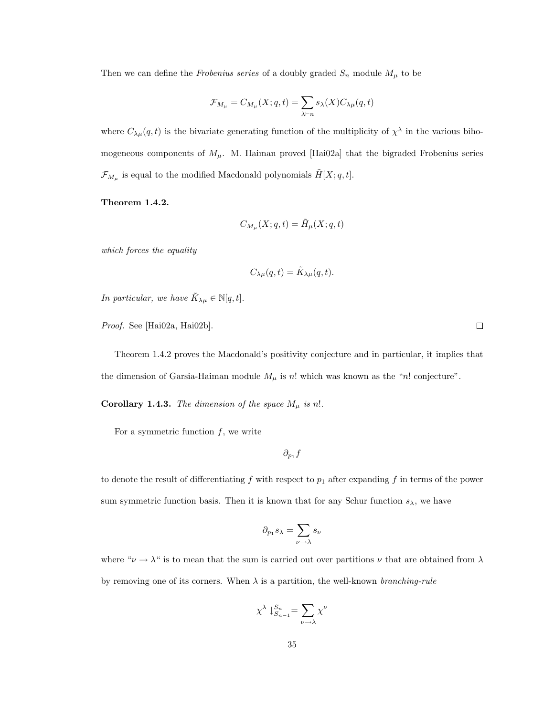Then we can define the *Frobenius series* of a doubly graded  $S_n$  module  $M_\mu$  to be

$$
\mathcal{F}_{M_{\mu}} = C_{M_{\mu}}(X; q, t) = \sum_{\lambda \vdash n} s_{\lambda}(X) C_{\lambda \mu}(q, t)
$$

where  $C_{\lambda\mu}(q,t)$  is the bivariate generating function of the multiplicity of  $\chi^{\lambda}$  in the various bihomogeneous components of  $M_{\mu}$ . M. Haiman proved [Hai02a] that the bigraded Frobenius series  $\mathcal{F}_{M_{\mu}}$  is equal to the modified Macdonald polynomials  $\tilde{H}[X; q, t]$ .

#### Theorem 1.4.2.

$$
C_{M_{\mu}}(X;q,t)=\tilde{H}_{\mu}(X;q,t)
$$

which forces the equality

$$
C_{\lambda\mu}(q,t) = \tilde{K}_{\lambda\mu}(q,t).
$$

In particular, we have  $\tilde{K}_{\lambda\mu} \in \mathbb{N}[q,t]$ .

Proof. See [Hai02a, Hai02b].

Theorem 1.4.2 proves the Macdonald's positivity conjecture and in particular, it implies that the dimension of Garsia-Haiman module  $M_{\mu}$  is n! which was known as the "n! conjecture".

**Corollary 1.4.3.** The dimension of the space  $M_{\mu}$  is n!.

For a symmetric function  $f$ , we write

 $\partial_{p_1}f$ 

to denote the result of differentiating f with respect to  $p_1$  after expanding f in terms of the power sum symmetric function basis. Then it is known that for any Schur function  $s_{\lambda}$ , we have

$$
\partial_{p_1} s_\lambda = \sum_{\nu \to \lambda} s_\nu
$$

where " $\nu \rightarrow \lambda$ " is to mean that the sum is carried out over partitions  $\nu$  that are obtained from  $\lambda$ by removing one of its corners. When  $\lambda$  is a partition, the well-known *branching-rule* 

$$
\chi^\lambda\downarrow_{S_{n-1}}^{S_n}=\sum_{\nu\to\lambda}\chi^\nu
$$

 $\Box$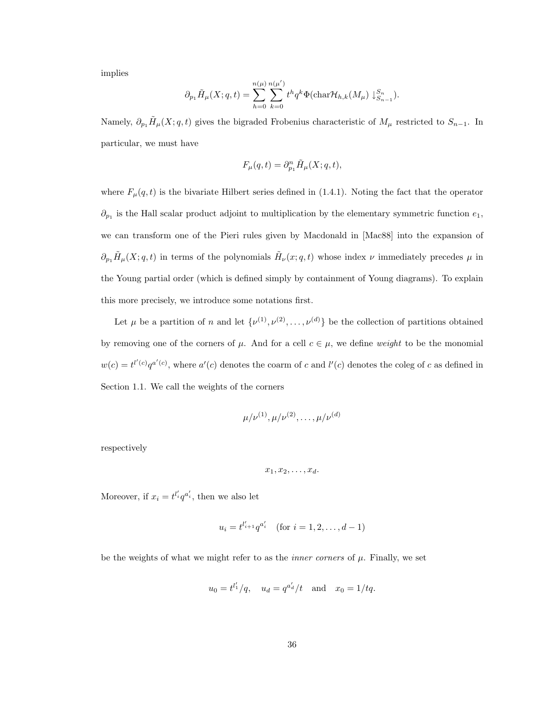implies

$$
\partial_{p_1} \tilde{H}_{\mu}(X;q,t) = \sum_{h=0}^{n(\mu)} \sum_{k=0}^{n(\mu')} t^h q^k \Phi(\text{char}\mathcal{H}_{h,k}(M_{\mu}) \downarrow_{S_{n-1}}^{S_n}).
$$

Namely,  $\partial_{p_1} \tilde{H}_{\mu}(X; q, t)$  gives the bigraded Frobenius characteristic of  $M_{\mu}$  restricted to  $S_{n-1}$ . In particular, we must have

$$
F_{\mu}(q,t) = \partial_{p_1}^n \tilde{H}_{\mu}(X;q,t),
$$

where  $F_{\mu}(q, t)$  is the bivariate Hilbert series defined in (1.4.1). Noting the fact that the operator  $\partial_{p_1}$  is the Hall scalar product adjoint to multiplication by the elementary symmetric function  $e_1$ , we can transform one of the Pieri rules given by Macdonald in [Mac88] into the expansion of  $\partial_{p_1}\tilde{H}_{\mu}(X;q,t)$  in terms of the polynomials  $\tilde{H}_{\nu}(x;q,t)$  whose index  $\nu$  immediately precedes  $\mu$  in the Young partial order (which is defined simply by containment of Young diagrams). To explain this more precisely, we introduce some notations first.

Let  $\mu$  be a partition of n and let  $\{\nu^{(1)}, \nu^{(2)}, \ldots, \nu^{(d)}\}$  be the collection of partitions obtained by removing one of the corners of  $\mu$ . And for a cell  $c \in \mu$ , we define *weight* to be the monomial  $w(c) = t^{l'(c)}q^{a'(c)}$ , where  $a'(c)$  denotes the coarm of c and  $l'(c)$  denotes the coleg of c as defined in Section 1.1. We call the weights of the corners

$$
\mu/\nu^{(1)}, \mu/\nu^{(2)}, \ldots, \mu/\nu^{(d)}
$$

respectively

$$
x_1, x_2, \ldots, x_d.
$$

Moreover, if  $x_i = t^{l'_i} q^{a'_i}$ , then we also let

$$
u_i = t^{l'_{i+1}} q^{a'_i} \quad \text{(for } i = 1, 2, \dots, d-1\text{)}
$$

be the weights of what we might refer to as the *inner corners* of  $\mu$ . Finally, we set

$$
u_0 = t^{l'_1}/q
$$
,  $u_d = q^{a'_d}/t$  and  $x_0 = 1/tq$ .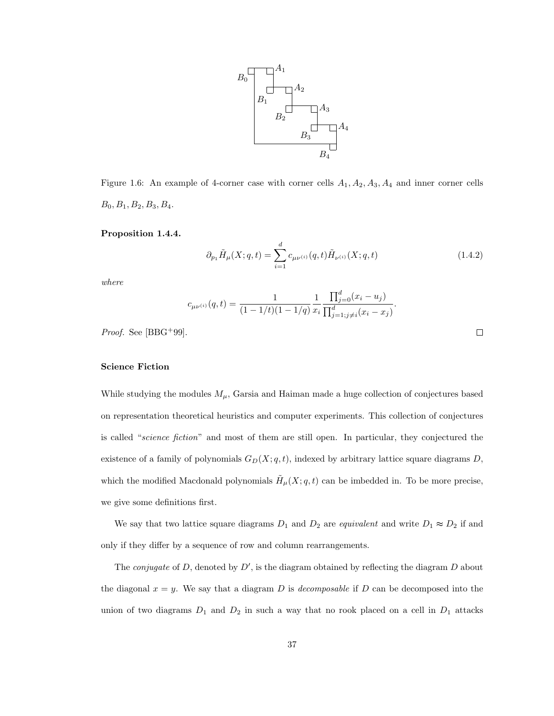

Figure 1.6: An example of 4-corner case with corner cells  $A_1, A_2, A_3, A_4$  and inner corner cells  $B_0, B_1, B_2, B_3, B_4.$ 

#### Proposition 1.4.4.

$$
\partial_{p_1} \tilde{H}_{\mu}(X;q,t) = \sum_{i=1}^d c_{\mu\nu^{(i)}}(q,t) \tilde{H}_{\nu^{(i)}}(X;q,t)
$$
\n(1.4.2)

 $\Box$ 

where

$$
c_{\mu\nu^{(i)}}(q,t) = \frac{1}{(1 - 1/t)(1 - 1/q)} \frac{1}{x_i} \frac{\prod_{j=0}^d (x_i - u_j)}{\prod_{j=1; j \neq i}^d (x_i - x_j)}.
$$

*Proof.* See [BBG<sup>+</sup>99].

#### Science Fiction

While studying the modules  $M_{\mu}$ , Garsia and Haiman made a huge collection of conjectures based on representation theoretical heuristics and computer experiments. This collection of conjectures is called "science fiction" and most of them are still open. In particular, they conjectured the existence of a family of polynomials  $G_D(X; q, t)$ , indexed by arbitrary lattice square diagrams D, which the modified Macdonald polynomials  $\tilde{H}_{\mu}(X; q, t)$  can be imbedded in. To be more precise, we give some definitions first.

We say that two lattice square diagrams  $D_1$  and  $D_2$  are equivalent and write  $D_1 \approx D_2$  if and only if they differ by a sequence of row and column rearrangements.

The *conjugate* of D, denoted by  $D'$ , is the diagram obtained by reflecting the diagram D about the diagonal  $x = y$ . We say that a diagram D is *decomposable* if D can be decomposed into the union of two diagrams  $D_1$  and  $D_2$  in such a way that no rook placed on a cell in  $D_1$  attacks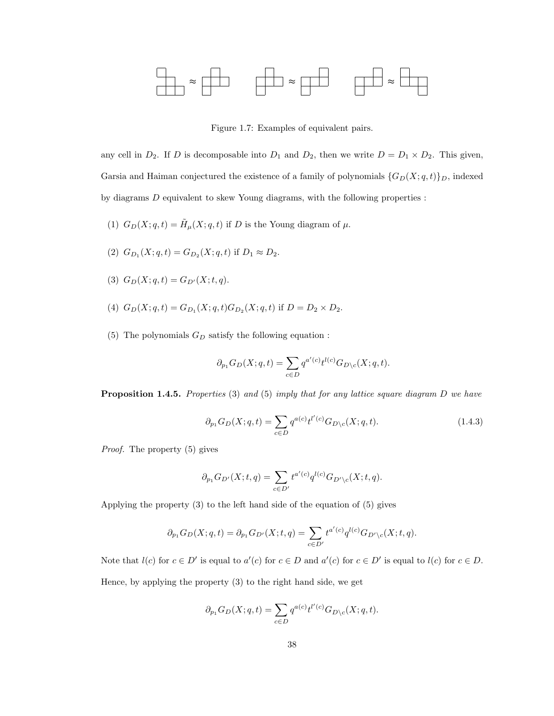

Figure 1.7: Examples of equivalent pairs.

any cell in  $D_2$ . If D is decomposable into  $D_1$  and  $D_2$ , then we write  $D = D_1 \times D_2$ . This given, Garsia and Haiman conjectured the existence of a family of polynomials  $\{G_D(X; q, t)\}_D$ , indexed by diagrams  $D$  equivalent to skew Young diagrams, with the following properties :

- (1)  $G_D(X; q, t) = \tilde{H}_{\mu}(X; q, t)$  if D is the Young diagram of  $\mu$ .
- (2)  $G_{D_1}(X; q, t) = G_{D_2}(X; q, t)$  if  $D_1 \approx D_2$ .
- (3)  $G_D(X; q, t) = G_{D'}(X; t, q)$ .
- (4)  $G_D(X; q, t) = G_{D_1}(X; q, t)G_{D_2}(X; q, t)$  if  $D = D_2 \times D_2$ .
- (5) The polynomials  $G_D$  satisfy the following equation :

$$
\partial_{p_1} G_D(X;q,t) = \sum_{c \in D} q^{a'(c)} t^{l(c)} G_{D \backslash c}(X;q,t).
$$

**Proposition 1.4.5.** Properties (3) and (5) imply that for any lattice square diagram  $D$  we have

$$
\partial_{p_1} G_D(X; q, t) = \sum_{c \in D} q^{a(c)} t^{l'(c)} G_{D \setminus c}(X; q, t).
$$
\n(1.4.3)

Proof. The property (5) gives

$$
\partial_{p_1}G_{D'}(X;t,q)=\sum_{c\in D'}t^{a'(c)}q^{l(c)}G_{D'\setminus c}(X;t,q).
$$

Applying the property (3) to the left hand side of the equation of (5) gives

$$
\partial_{p_1} G_D(X; q, t) = \partial_{p_1} G_{D'}(X; t, q) = \sum_{c \in D'} t^{a'(c)} q^{l(c)} G_{D' \setminus c}(X; t, q).
$$

Note that  $l(c)$  for  $c \in D'$  is equal to  $a'(c)$  for  $c \in D$  and  $a'(c)$  for  $c \in D'$  is equal to  $l(c)$  for  $c \in D$ . Hence, by applying the property (3) to the right hand side, we get

$$
\partial_{p_1} G_D(X; q, t) = \sum_{c \in D} q^{a(c)} t^{l'(c)} G_{D \setminus c}(X; q, t).
$$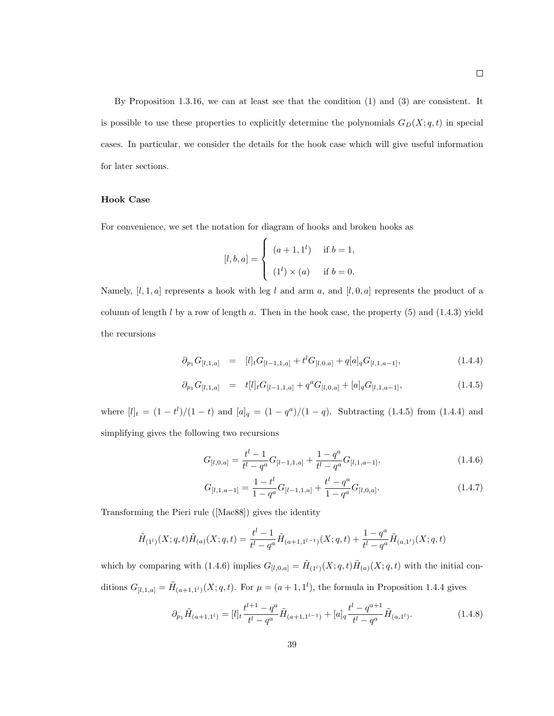By Proposition 1.3.16, we can at least see that the condition (1) and (3) are consistent. It is possible to use these properties to explicitly determine the polynomials  $G_D(X; q, t)$  in special cases. In particular, we consider the details for the hook case which will give useful information for later sections.

#### Hook Case

For convenience, we set the notation for diagram of hooks and broken hooks as

$$
[l, b, a] = \begin{cases} (a + 1, 1^{l}) & \text{if } b = 1, \\ (1^{l}) \times (a) & \text{if } b = 0. \end{cases}
$$

Namely, [l, 1, a] represents a hook with leg l and arm a, and [l, 0, a] represents the product of a column of length  $l$  by a row of length  $a$ . Then in the hook case, the property  $(5)$  and  $(1.4.3)$  yield the recursions

$$
\partial_{p_1} G_{[l,1,a]} = [l]_t G_{[l-1,1,a]} + t^l G_{[l,0,a]} + q[a]_q G_{[l,1,a-1]}, \qquad (1.4.4)
$$

$$
\partial_{p_1} G_{[l,1,a]} = t[l]_t G_{[l-1,1,a]} + q^a G_{[l,0,a]} + [a]_q G_{[l,1,a-1]}, \qquad (1.4.5)
$$

where  $[l]_t = (1 - t^l)/(1 - t)$  and  $[a]_q = (1 - q^a)/(1 - q)$ . Subtracting (1.4.5) from (1.4.4) and simplifying gives the following two recursions

$$
G_{[l,0,a]} = \frac{t^l - 1}{t^l - q^a} G_{[l-1,1,a]} + \frac{1 - q^a}{t^l - q^a} G_{[l,1,a-1]},
$$
\n(1.4.6)

$$
G_{[l,1,a-1]} = \frac{1-t^l}{1-q^a} G_{[l-1,1,a]} + \frac{t^l - q^a}{1-q^a} G_{[l,0,a]}.
$$
\n(1.4.7)

Transforming the Pieri rule ([Mac88]) gives the identity

$$
\tilde{H}_{(1^l)}(X;q,t)\tilde{H}_{(a)}(X;q,t) = \frac{t^l-1}{t^l-q^a}\tilde{H}_{(a+1,1^{l-1})}(X;q,t) + \frac{1-q^a}{t^l-q^a}\tilde{H}_{(a,1^l)}(X;q,t)
$$

which by comparing with (1.4.6) implies  $G_{[l,0,a]} = \tilde{H}_{(1^l)}(X;q,t)\tilde{H}_{(a)}(X;q,t)$  with the initial conditions  $G_{[l,1,a]} = \tilde{H}_{(a+1,1^l)}(X;q,t)$ . For  $\mu = (a+1,1^l)$ , the formula in Proposition 1.4.4 gives

$$
\partial_{p_1} \tilde{H}_{(a+1,1^l)} = [l]_t \frac{t^{l+1} - q^a}{t^l - q^a} \tilde{H}_{(a+1,1^{l-1})} + [a]_q \frac{t^l - q^{a+1}}{t^l - q^a} \tilde{H}_{(a,1^l)}.
$$
\n(1.4.8)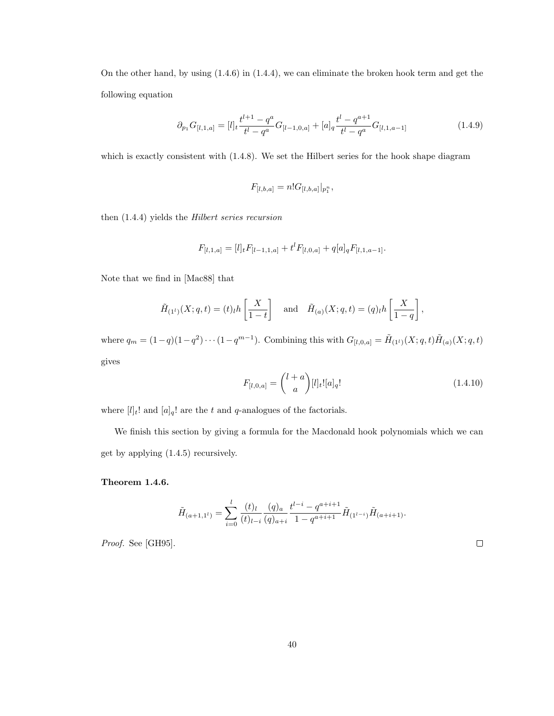On the other hand, by using (1.4.6) in (1.4.4), we can eliminate the broken hook term and get the following equation

$$
\partial_{p_1} G_{[l,1,a]} = [l]_t \frac{t^{l+1} - q^a}{t^l - q^a} G_{[l-1,0,a]} + [a]_q \frac{t^l - q^{a+1}}{t^l - q^a} G_{[l,1,a-1]} \tag{1.4.9}
$$

which is exactly consistent with  $(1.4.8)$ . We set the Hilbert series for the hook shape diagram

$$
F_{[l,b,a]} = n! G_{[l,b,a]}|_{p_1^n},
$$

then (1.4.4) yields the Hilbert series recursion

$$
F_{[l,1,a]} = [l]_t F_{[l-1,1,a]} + t^l F_{[l,0,a]} + q[a]_q F_{[l,1,a-1]}.
$$

Note that we find in [Mac88] that

$$
\tilde{H}_{(1^l)}(X;q,t) = (t)_l h\left[\frac{X}{1-t}\right]
$$
 and  $\tilde{H}_{(a)}(X;q,t) = (q)_l h\left[\frac{X}{1-q}\right]$ ,

where  $q_m = (1-q)(1-q^2)\cdots(1-q^{m-1})$ . Combining this with  $G_{[l,0,a]} = \tilde{H}_{(1^l)}(X;q,t)\tilde{H}_{(a)}(X;q,t)$ gives

$$
F_{[l,0,a]} = \binom{l+a}{a} [l]_t! [a]_q! \tag{1.4.10}
$$

where  $[l]_t!$  and  $[a]_q!$  are the t and q-analogues of the factorials.

We finish this section by giving a formula for the Macdonald hook polynomials which we can get by applying (1.4.5) recursively.

Theorem 1.4.6.

$$
\tilde{H}_{(a+1,1^l)} = \sum_{i=0}^l \frac{(t)_l}{(t)_{l-i}} \frac{(q)_a}{(q)_{a+i}} \frac{t^{l-i} - q^{a+i+1}}{1 - q^{a+i+1}} \tilde{H}_{(1^{l-i})} \tilde{H}_{(a+i+1)}.
$$

Proof. See [GH95].

 $\Box$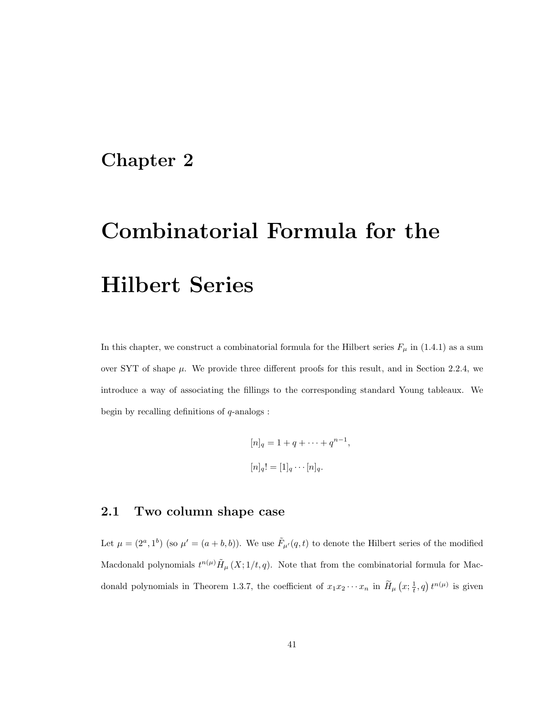# Chapter 2

# Combinatorial Formula for the Hilbert Series

In this chapter, we construct a combinatorial formula for the Hilbert series  $F_{\mu}$  in (1.4.1) as a sum over SYT of shape  $\mu$ . We provide three different proofs for this result, and in Section 2.2.4, we introduce a way of associating the fillings to the corresponding standard Young tableaux. We begin by recalling definitions of  $q$ -analogs :

$$
[n]_q = 1 + q + \dots + q^{n-1},
$$
  

$$
[n]_q! = [1]_q \cdots [n]_q.
$$

# 2.1 Two column shape case

Let  $\mu = (2^a, 1^b)$  (so  $\mu' = (a + b, b)$ ). We use  $\tilde{F}_{\mu'}(q, t)$  to denote the Hilbert series of the modified Macdonald polynomials  $t^{n(\mu)}\tilde{H}_{\mu}(X;1/t,q)$ . Note that from the combinatorial formula for Macdonald polynomials in Theorem 1.3.7, the coefficient of  $x_1x_2\cdots x_n$  in  $\widetilde{H}_{\mu}(x;\frac{1}{t},q)$   $t^{n(\mu)}$  is given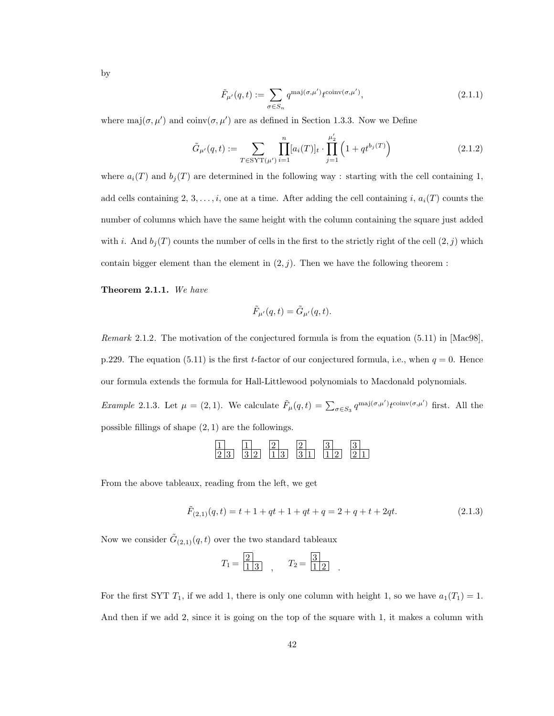by

$$
\tilde{F}_{\mu'}(q,t) := \sum_{\sigma \in S_n} q^{\text{maj}(\sigma,\mu')} t^{\text{coinv}(\sigma,\mu')},\tag{2.1.1}
$$

where maj $(\sigma, \mu')$  and coinv $(\sigma, \mu')$  are as defined in Section 1.3.3. Now we Define

$$
\tilde{G}_{\mu'}(q,t) := \sum_{T \in \text{SYT}(\mu')} \prod_{i=1}^n [a_i(T)]_t \cdot \prod_{j=1}^{\mu'_2} \left(1 + qt^{b_j(T)}\right)
$$
\n(2.1.2)

where  $a_i(T)$  and  $b_j(T)$  are determined in the following way : starting with the cell containing 1, add cells containing 2, 3, ..., i, one at a time. After adding the cell containing i,  $a_i(T)$  counts the number of columns which have the same height with the column containing the square just added with i. And  $b_j(T)$  counts the number of cells in the first to the strictly right of the cell  $(2, j)$  which contain bigger element than the element in  $(2, j)$ . Then we have the following theorem :

Theorem 2.1.1. We have

$$
\tilde{F}_{\mu'}(q,t) = \tilde{G}_{\mu'}(q,t).
$$

Remark 2.1.2. The motivation of the conjectured formula is from the equation (5.11) in [Mac98], p.229. The equation (5.11) is the first t-factor of our conjectured formula, i.e., when  $q = 0$ . Hence our formula extends the formula for Hall-Littlewood polynomials to Macdonald polynomials. Example 2.1.3. Let  $\mu = (2, 1)$ . We calculate  $\tilde{F}_{\mu}(q, t) = \sum_{\sigma \in S_3} q^{\text{maj}(\sigma, \mu')} t^{\text{coinv}(\sigma, \mu')}$  first. All the possible fillings of shape  $(2, 1)$  are the followings.

| 2 3 | التراث<br> 3 2 | $\boxed{1}$ | 3 1 | 1 2 | 2 |
|-----|----------------|-------------|-----|-----|---|

From the above tableaux, reading from the left, we get

$$
\tilde{F}_{(2,1)}(q,t) = t + 1 + qt + 1 + qt + q = 2 + q + t + 2qt.
$$
\n(2.1.3)

Now we consider  $\tilde{G}_{(2,1)}(q,t)$  over the two standard tableaux

$$
T_1 = \frac{2}{1 \ 3}
$$
,  $T_2 = \frac{3}{1 \ 2}$ .

For the first SYT  $T_1$ , if we add 1, there is only one column with height 1, so we have  $a_1(T_1) = 1$ . And then if we add 2, since it is going on the top of the square with 1, it makes a column with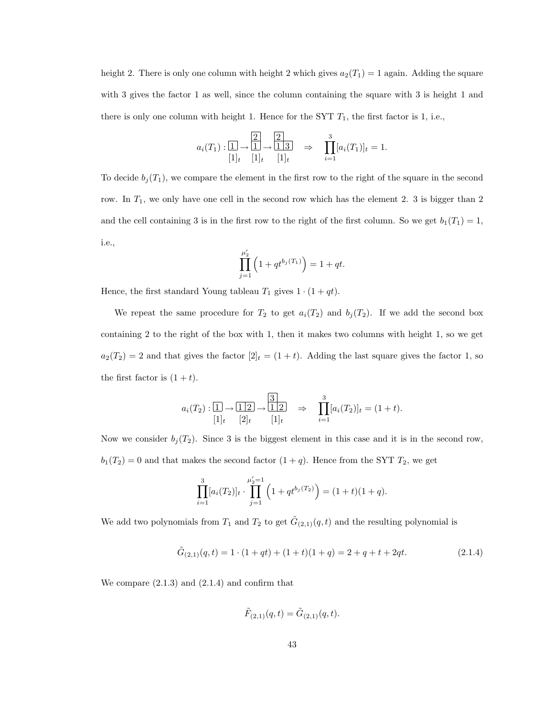height 2. There is only one column with height 2 which gives  $a_2(T_1) = 1$  again. Adding the square with 3 gives the factor 1 as well, since the column containing the square with 3 is height 1 and there is only one column with height 1. Hence for the SYT  $T_1$ , the first factor is 1, i.e.,

$$
a_i(T_1): \boxed{1} \rightarrow \boxed{2} \rightarrow \boxed{1 \atop 1 \atop 1} \rightarrow \boxed{2} \rightarrow \boxed{1 \atop 1 \atop 1 \atop 1} \rightarrow \boxed{3} [a_i(T_1)]_t = 1.
$$

To decide  $b_j(T_1)$ , we compare the element in the first row to the right of the square in the second row. In  $T_1$ , we only have one cell in the second row which has the element 2. 3 is bigger than 2 and the cell containing 3 is in the first row to the right of the first column. So we get  $b_1(T_1) = 1$ , i.e.,

$$
\prod_{j=1}^{\mu'_2} \left( 1 + qt^{b_j(T_1)} \right) = 1 + qt.
$$

Hence, the first standard Young tableau  $T_1$  gives  $1 \cdot (1 + qt)$ .

We repeat the same procedure for  $T_2$  to get  $a_i(T_2)$  and  $b_j(T_2)$ . If we add the second box containing 2 to the right of the box with 1, then it makes two columns with height 1, so we get  $a_2(T_2) = 2$  and that gives the factor  $[2]_t = (1 + t)$ . Adding the last square gives the factor 1, so the first factor is  $(1 + t)$ .

$$
a_i(T_2): \boxed{1} \to \boxed{1 \ 2} \to \boxed{3} \Rightarrow \prod_{i=1}^3 [a_i(T_2)]_t = (1+t).
$$
  

$$
[1]_t \quad [2]_t \quad [1]_t \quad [2]_t = [1]_t
$$

Now we consider  $b_j(T_2)$ . Since 3 is the biggest element in this case and it is in the second row,  $b_1(T_2) = 0$  and that makes the second factor  $(1 + q)$ . Hence from the SYT  $T_2$ , we get

$$
\prod_{i=1}^{3} [a_i(T_2)]_t \cdot \prod_{j=1}^{\mu'_2=1} \left(1 + qt^{b_j(T_2)}\right) = (1+t)(1+q).
$$

We add two polynomials from  $T_1$  and  $T_2$  to get  $\tilde{G}_{(2,1)}(q,t)$  and the resulting polynomial is

$$
\tilde{G}_{(2,1)}(q,t) = 1 \cdot (1+qt) + (1+t)(1+q) = 2+q+t+2qt.
$$
\n(2.1.4)

We compare  $(2.1.3)$  and  $(2.1.4)$  and confirm that

$$
\tilde{F}_{(2,1)}(q,t) = \tilde{G}_{(2,1)}(q,t).
$$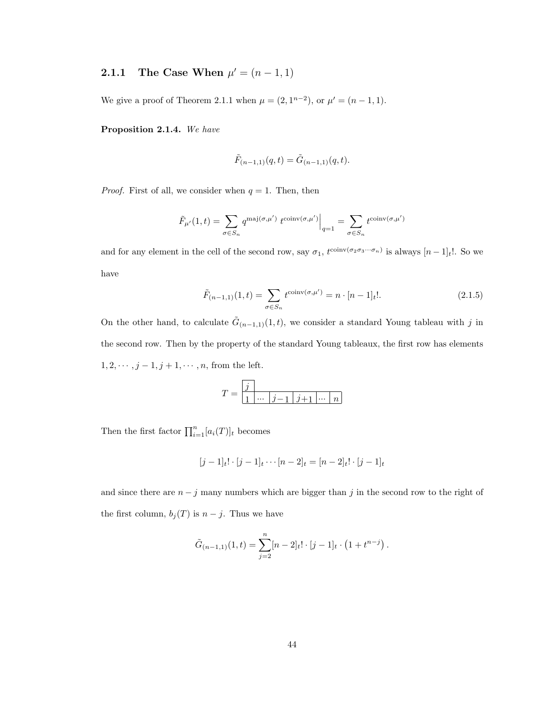# **2.1.1** The Case When  $\mu' = (n-1,1)$

We give a proof of Theorem 2.1.1 when  $\mu = (2, 1^{n-2})$ , or  $\mu' = (n-1, 1)$ .

Proposition 2.1.4. We have

$$
\tilde{F}_{(n-1,1)}(q,t) = \tilde{G}_{(n-1,1)}(q,t).
$$

*Proof.* First of all, we consider when  $q = 1$ . Then, then

$$
\tilde{F}_{\mu'}(1,t) = \sum_{\sigma \in S_n} q^{\text{maj}(\sigma,\mu')} t^{\text{coinv}(\sigma,\mu')} \Big|_{q=1} = \sum_{\sigma \in S_n} t^{\text{coinv}(\sigma,\mu')}
$$

and for any element in the cell of the second row, say  $\sigma_1$ ,  $t^{\text{coinv}(\sigma_2 \sigma_3 \cdots \sigma_n)}$  is always  $[n-1]_t!$ . So we have

$$
\tilde{F}_{(n-1,1)}(1,t) = \sum_{\sigma \in S_n} t^{\text{coinv}(\sigma,\mu')} = n \cdot [n-1]_t!.
$$
\n(2.1.5)

On the other hand, to calculate  $\tilde{G}_{(n-1,1)}(1,t)$ , we consider a standard Young tableau with j in the second row. Then by the property of the standard Young tableaux, the first row has elements  $1, 2, \cdots, j-1, j+1, \cdots, n$ , from the left.

$$
T = \boxed{\frac{j}{1} \begin{array}{|l|} \hline \cdots & \hline j-1 & j+1 & \cdots & n \end{array}}
$$

Then the first factor  $\prod_{i=1}^{n} [a_i(T)]_t$  becomes

$$
[j-1]_t! \cdot [j-1]_t \cdots [n-2]_t = [n-2]_t! \cdot [j-1]_t
$$

and since there are  $n - j$  many numbers which are bigger than j in the second row to the right of the first column,  $b_j(T)$  is  $n - j$ . Thus we have

$$
\tilde{G}_{(n-1,1)}(1,t) = \sum_{j=2}^{n} [n-2]_t! \cdot [j-1]_t \cdot (1+t^{n-j}).
$$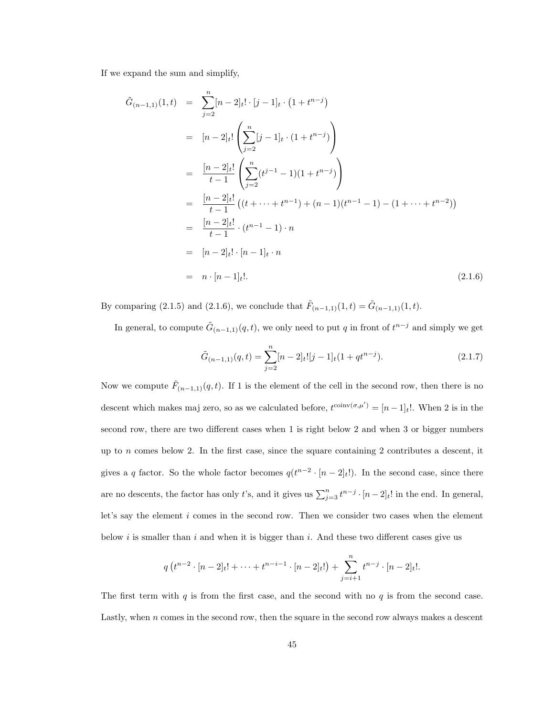If we expand the sum and simplify,

$$
\tilde{G}_{(n-1,1)}(1,t) = \sum_{j=2}^{n} [n-2]_t! \cdot [j-1]_t \cdot (1+t^{n-j})
$$
\n
$$
= [n-2]_t! \left( \sum_{j=2}^{n} [j-1]_t \cdot (1+t^{n-j}) \right)
$$
\n
$$
= \frac{[n-2]_t!}{t-1} \left( \sum_{j=2}^{n} (t^{j-1} - 1)(1+t^{n-j}) \right)
$$
\n
$$
= \frac{[n-2]_t!}{t-1} \left( (t+\cdots+t^{n-1}) + (n-1)(t^{n-1} - 1) - (1+\cdots+t^{n-2}) \right)
$$
\n
$$
= \frac{[n-2]_t!}{t-1} \cdot (t^{n-1} - 1) \cdot n
$$
\n
$$
= [n-2]_t! \cdot [n-1]_t \cdot n
$$
\n
$$
= n \cdot [n-1]_t!.
$$
\n(2.1.6)

By comparing (2.1.5) and (2.1.6), we conclude that  $\tilde{F}_{(n-1,1)}(1,t) = \tilde{G}_{(n-1,1)}(1,t)$ .

In general, to compute  $\tilde{G}_{(n-1,1)}(q,t)$ , we only need to put q in front of  $t^{n-j}$  and simply we get

$$
\tilde{G}_{(n-1,1)}(q,t) = \sum_{j=2}^{n} [n-2]_t! [j-1]_t (1+qt^{n-j}).
$$
\n(2.1.7)

Now we compute  $\tilde{F}_{(n-1,1)}(q,t)$ . If 1 is the element of the cell in the second row, then there is no descent which makes maj zero, so as we calculated before,  $t^{\text{coinv}(\sigma,\mu')} = [n-1]_t!$ . When 2 is in the second row, there are two different cases when 1 is right below 2 and when 3 or bigger numbers up to n comes below 2. In the first case, since the square containing 2 contributes a descent, it gives a q factor. So the whole factor becomes  $q(t^{n-2} \cdot [n-2]_t!)$ . In the second case, since there are no descents, the factor has only t's, and it gives us  $\sum_{j=3}^{n} t^{n-j} \cdot [n-2]_t!$  in the end. In general, let's say the element i comes in the second row. Then we consider two cases when the element below i is smaller than i and when it is bigger than i. And these two different cases give us

$$
q(t^{n-2} \cdot [n-2]_t! + \dots + t^{n-i-1} \cdot [n-2]_t!) + \sum_{j=i+1}^n t^{n-j} \cdot [n-2]_t!.
$$

The first term with q is from the first case, and the second with no  $q$  is from the second case. Lastly, when  $n$  comes in the second row, then the square in the second row always makes a descent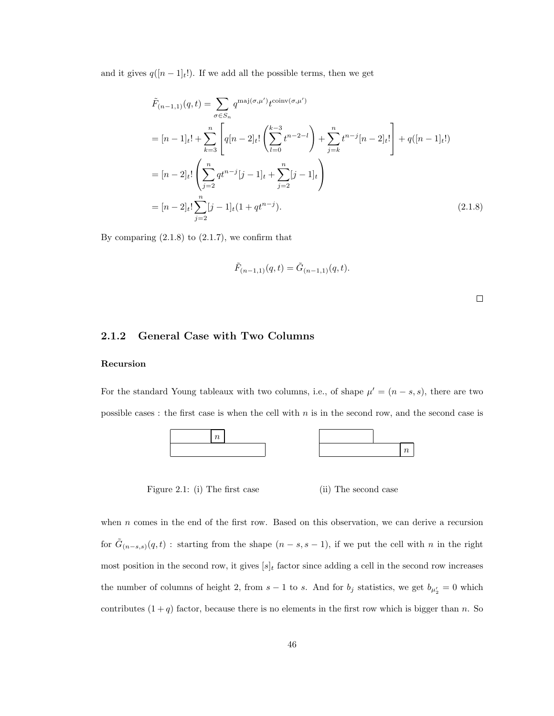and it gives  $q([n-1]_t!)$ . If we add all the possible terms, then we get

$$
\tilde{F}_{(n-1,1)}(q,t) = \sum_{\sigma \in S_n} q^{\text{maj}(\sigma,\mu')} t^{\text{coinv}(\sigma,\mu')}
$$
\n
$$
= [n-1]_t! + \sum_{k=3}^n \left[ q[n-2]_t! \left( \sum_{l=0}^{k-3} t^{n-2-l} \right) + \sum_{j=k}^n t^{n-j} [n-2]_t! \right] + q([n-1]_t!)
$$
\n
$$
= [n-2]_t! \left( \sum_{j=2}^n qt^{n-j} [j-1]_t + \sum_{j=2}^n [j-1]_t \right)
$$
\n
$$
= [n-2]_t! \sum_{j=2}^n [j-1]_t (1+qt^{n-j}). \tag{2.1.8}
$$

By comparing  $(2.1.8)$  to  $(2.1.7)$ , we confirm that

$$
\tilde{F}_{(n-1,1)}(q,t) = \tilde{G}_{(n-1,1)}(q,t).
$$

 $\Box$ 

#### 2.1.2 General Case with Two Columns

#### Recursion

For the standard Young tableaux with two columns, i.e., of shape  $\mu' = (n - s, s)$ , there are two possible cases : the first case is when the cell with  $n$  is in the second row, and the second case is



Figure 2.1: (i) The first case (ii) The second case

when *n* comes in the end of the first row. Based on this observation, we can derive a recursion for  $\tilde{G}_{(n-s,s)}(q,t)$ : starting from the shape  $(n-s,s-1)$ , if we put the cell with n in the right most position in the second row, it gives  $[s]_t$  factor since adding a cell in the second row increases the number of columns of height 2, from  $s-1$  to s. And for  $b_j$  statistics, we get  $b_{\mu'_2} = 0$  which contributes  $(1 + q)$  factor, because there is no elements in the first row which is bigger than n. So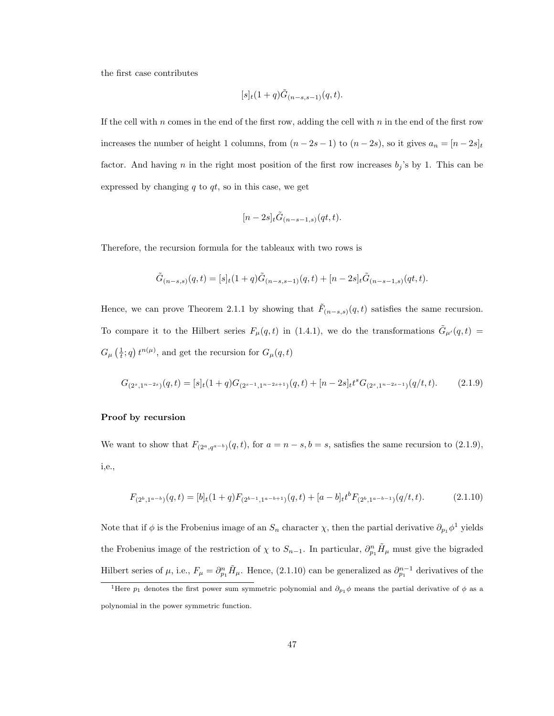the first case contributes

$$
[s]_t(1+q)\tilde{G}_{(n-s,s-1)}(q,t).
$$

If the cell with  $n$  comes in the end of the first row, adding the cell with  $n$  in the end of the first row increases the number of height 1 columns, from  $(n - 2s - 1)$  to  $(n - 2s)$ , so it gives  $a_n = [n - 2s]_t$ factor. And having n in the right most position of the first row increases  $b_j$ 's by 1. This can be expressed by changing  $q$  to  $qt$ , so in this case, we get

$$
[n-2s]_t \tilde{G}_{(n-s-1,s)}(qt,t).
$$

Therefore, the recursion formula for the tableaux with two rows is

$$
\tilde{G}_{(n-s,s)}(q,t)=[s]_t(1+q)\tilde{G}_{(n-s,s-1)}(q,t)+[n-2s]_t\tilde{G}_{(n-s-1,s)}(qt,t).
$$

Hence, we can prove Theorem 2.1.1 by showing that  $\tilde{F}_{(n-s,s)}(q,t)$  satisfies the same recursion. To compare it to the Hilbert series  $F_{\mu}(q,t)$  in (1.4.1), we do the transformations  $\tilde{G}_{\mu'}(q,t)$  $G_{\mu}\left(\frac{1}{t};q\right)t^{n(\mu)},$  and get the recursion for  $G_{\mu}(q,t)$ 

$$
G_{(2^s,1^{n-2s})}(q,t) = [s]_t(1+q)G_{(2^{s-1},1^{n-2s+1})}(q,t) + [n-2s]_t t^s G_{(2^s,1^{n-2s-1})}(q/t,t). \tag{2.1.9}
$$

#### Proof by recursion

We want to show that  $F_{(2^a, q^{a-b})}(q, t)$ , for  $a = n - s, b = s$ , satisfies the same recursion to  $(2.1.9)$ , i,e.,

$$
F_{(2^b,1^{a-b})}(q,t) = [b]_t(1+q)F_{(2^{b-1},1^{a-b+1})}(q,t) + [a-b]_t b^b F_{(2^b,1^{a-b-1})}(q/t,t).
$$
\n(2.1.10)

Note that if  $\phi$  is the Frobenius image of an  $S_n$  character  $\chi$ , then the partial derivative  $\partial_{p_1}\phi^1$  yields the Frobenius image of the restriction of  $\chi$  to  $S_{n-1}$ . In particular,  $\partial_{p_1}^n \tilde{H}_{\mu}$  must give the bigraded Hilbert series of  $\mu$ , i.e.,  $F_{\mu} = \partial_{p_1}^n \tilde{H}_{\mu}$ . Hence, (2.1.10) can be generalized as  $\partial_{p_1}^{n-1}$  derivatives of the

<sup>&</sup>lt;sup>1</sup>Here  $p_1$  denotes the first power sum symmetric polynomial and  $\partial_{p_1}\phi$  means the partial derivative of  $\phi$  as a polynomial in the power symmetric function.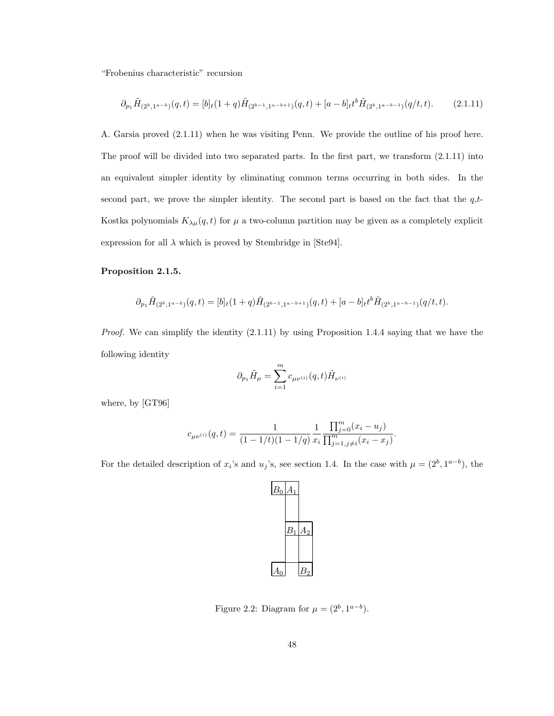"Frobenius characteristic" recursion

$$
\partial_{p_1} \tilde{H}_{(2^b,1^{a-b})}(q,t) = [b]_t(1+q)\tilde{H}_{(2^{b-1},1^{a-b+1})}(q,t) + [a-b]_t b^b \tilde{H}_{(2^b,1^{a-b-1})}(q/t,t). \tag{2.1.11}
$$

A. Garsia proved (2.1.11) when he was visiting Penn. We provide the outline of his proof here. The proof will be divided into two separated parts. In the first part, we transform (2.1.11) into an equivalent simpler identity by eliminating common terms occurring in both sides. In the second part, we prove the simpler identity. The second part is based on the fact that the  $q,t$ -Kostka polynomials  $K_{\lambda\mu}(q,t)$  for  $\mu$  a two-column partition may be given as a completely explicit expression for all  $\lambda$  which is proved by Stembridge in [Ste94].

#### Proposition 2.1.5.

$$
\partial_{p_1} \tilde{H}_{(2^b,1^{a-b})}(q,t) = [b]_t(1+q)\tilde{H}_{(2^{b-1},1^{a-b+1})}(q,t) + [a-b]_t t^b \tilde{H}_{(2^b,1^{a-b-1})}(q/t,t).
$$

Proof. We can simplify the identity  $(2.1.11)$  by using Proposition 1.4.4 saying that we have the following identity

$$
\partial_{p_1}\tilde{H}_{\mu}=\sum_{i=1}^m c_{\mu\nu^{(i)}}(q,t)\tilde{H}_{\nu^{(i)}}
$$

where, by [GT96]

$$
c_{\mu\nu^{(i)}}(q,t) = \frac{1}{(1 - 1/t)(1 - 1/q)} \frac{1}{x_i} \frac{\prod_{j=0}^m (x_i - u_j)}{\prod_{j=1, j \neq i}^m (x_i - x_j)}.
$$

For the detailed description of  $x_i$ 's and  $u_j$ 's, see section 1.4. In the case with  $\mu = (2^b, 1^{a-b})$ , the



Figure 2.2: Diagram for  $\mu = (2^b, 1^{a-b}).$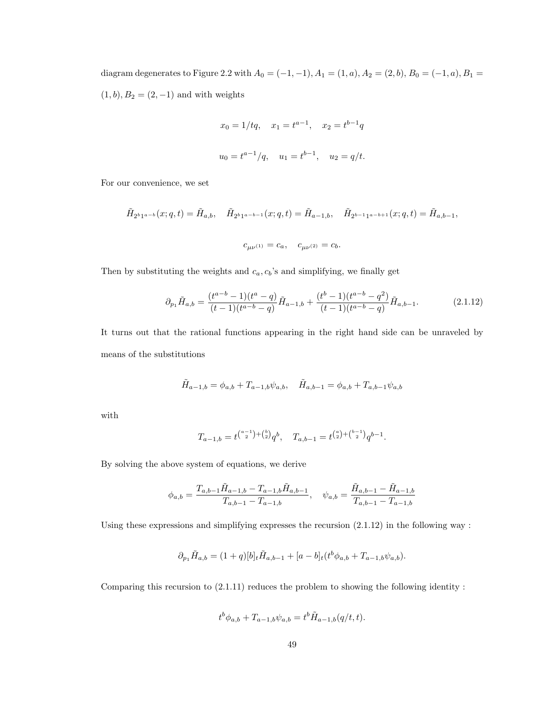diagram degenerates to Figure 2.2 with  $A_0 = (-1, -1), A_1 = (1, a), A_2 = (2, b), B_0 = (-1, a), B_1 =$  $\left(1, b\right), B_2 = \left(2, -1\right)$  and with weights

$$
x_0 = 1/tq
$$
,  $x_1 = t^{a-1}$ ,  $x_2 = t^{b-1}q$   
 $u_0 = t^{a-1}/q$ ,  $u_1 = t^{b-1}$ ,  $u_2 = q/t$ .

For our convenience, we set

$$
\tilde{H}_{2^{b}1^{a-b}}(x;q,t) = \tilde{H}_{a,b}, \quad \tilde{H}_{2^{b}1^{a-b-1}}(x;q,t) = \tilde{H}_{a-1,b}, \quad \tilde{H}_{2^{b-1}1^{a-b+1}}(x;q,t) = \tilde{H}_{a,b-1},
$$
  

$$
c_{\mu\nu^{(1)}} = c_a, \quad c_{\mu\nu^{(2)}} = c_b.
$$

Then by substituting the weights and  $c_a, c_b$ 's and simplifying, we finally get

$$
\partial_{p_1} \tilde{H}_{a,b} = \frac{(t^{a-b}-1)(t^a-q)}{(t-1)(t^{a-b}-q)} \tilde{H}_{a-1,b} + \frac{(t^b-1)(t^{a-b}-q^2)}{(t-1)(t^{a-b}-q)} \tilde{H}_{a,b-1}.
$$
\n(2.1.12)

It turns out that the rational functions appearing in the right hand side can be unraveled by means of the substitutions

$$
\tilde{H}_{a-1,b} = \phi_{a,b} + T_{a-1,b}\psi_{a,b}, \quad \tilde{H}_{a,b-1} = \phi_{a,b} + T_{a,b-1}\psi_{a,b}
$$

with

$$
T_{a-1,b} = t^{a-1+b} {b \choose 2} q^b, \quad T_{a,b-1} = t^{a \choose 2} {b-1 \choose 2} q^{b-1}.
$$

By solving the above system of equations, we derive

$$
\phi_{a,b} = \frac{T_{a,b-1}\tilde{H}_{a-1,b} - T_{a-1,b}\tilde{H}_{a,b-1}}{T_{a,b-1} - T_{a-1,b}}, \quad \psi_{a,b} = \frac{\tilde{H}_{a,b-1} - \tilde{H}_{a-1,b}}{T_{a,b-1} - T_{a-1,b}}
$$

Using these expressions and simplifying expresses the recursion  $(2.1.12)$  in the following way :

$$
\partial_{p_1} \tilde{H}_{a,b} = (1+q)[b]_t \tilde{H}_{a,b-1} + [a-b]_t (t^b \phi_{a,b} + T_{a-1,b} \psi_{a,b}).
$$

Comparing this recursion to  $(2.1.11)$  reduces the problem to showing the following identity :

$$
t^{b}\phi_{a,b} + T_{a-1,b}\psi_{a,b} = t^{b}\tilde{H}_{a-1,b}(q/t,t).
$$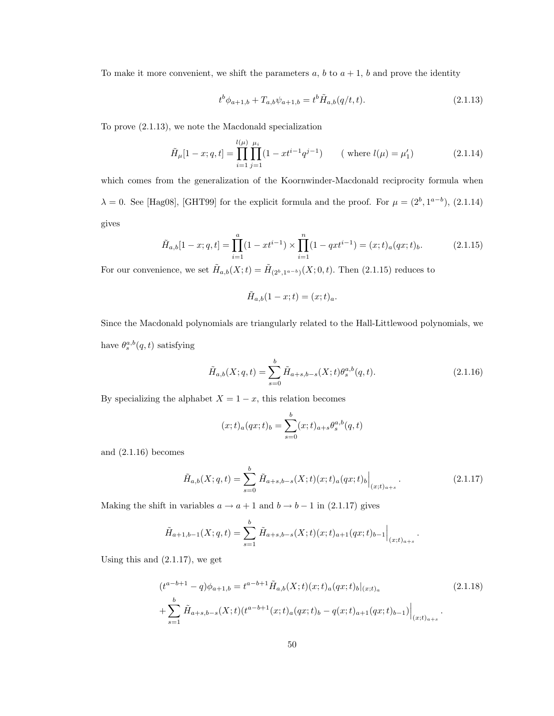To make it more convenient, we shift the parameters  $a, b$  to  $a + 1, b$  and prove the identity

$$
t^{b}\phi_{a+1,b} + T_{a,b}\psi_{a+1,b} = t^{b}\tilde{H}_{a,b}(q/t,t).
$$
\n(2.1.13)

To prove (2.1.13), we note the Macdonald specialization

$$
\tilde{H}_{\mu}[1-x; q, t] = \prod_{i=1}^{l(\mu)} \prod_{j=1}^{\mu_i} (1 - xt^{i-1}q^{j-1}) \qquad \text{(where } l(\mu) = \mu'_1\text{)} \tag{2.1.14}
$$

which comes from the generalization of the Koornwinder-Macdonald reciprocity formula when  $\lambda = 0$ . See [Hag08], [GHT99] for the explicit formula and the proof. For  $\mu = (2^b, 1^{a-b})$ , (2.1.14) gives

$$
\tilde{H}_{a,b}[1-x;q,t] = \prod_{i=1}^{a} (1 - xt^{i-1}) \times \prod_{i=1}^{n} (1 - qxt^{i-1}) = (x;t)_a(qx;t)_b.
$$
\n(2.1.15)

For our convenience, we set  $\tilde{H}_{a,b}(X;t) = \tilde{H}_{(2^b,1^{a-b})}(X;0,t)$ . Then  $(2.1.15)$  reduces to

$$
\tilde{H}_{a,b}(1-x;t)=(x;t)_a.
$$

Since the Macdonald polynomials are triangularly related to the Hall-Littlewood polynomials, we have  $\theta_s^{a,b}(q,t)$  satisfying

$$
\tilde{H}_{a,b}(X;q,t) = \sum_{s=0}^{b} \tilde{H}_{a+s,b-s}(X;t)\theta_s^{a,b}(q,t).
$$
\n(2.1.16)

By specializing the alphabet  $X = 1 - x$ , this relation becomes

$$
(x;t)_a(qx;t)_b = \sum_{s=0}^b (x;t)_{a+s} \theta_s^{a,b}(q,t)
$$

and (2.1.16) becomes

$$
\tilde{H}_{a,b}(X;q,t) = \sum_{s=0}^{b} \tilde{H}_{a+s,b-s}(X;t)(x;t)_{a}(qx;t)_{b}\Big|_{(x;t)_{a+s}}.
$$
\n(2.1.17)

.

Making the shift in variables  $a \to a + 1$  and  $b \to b - 1$  in (2.1.17) gives

$$
\tilde{H}_{a+1,b-1}(X;q,t) = \sum_{s=1}^{b} \tilde{H}_{a+s,b-s}(X;t)(x;t)_{a+1}(qx;t)_{b-1}\Big|_{(x;t)_{a+s}}
$$

Using this and (2.1.17), we get

$$
(t^{a-b+1} - q)\phi_{a+1,b} = t^{a-b+1} \tilde{H}_{a,b}(X;t)(x;t)_a (qx;t)_b|_{(x;t)_a}
$$
\n
$$
+ \sum_{s=1}^b \tilde{H}_{a+s,b-s}(X;t)(t^{a-b+1}(x;t)_a(qx;t)_b - q(x;t)_{a+1}(qx;t)_{b-1})|_{(x;t)_{a+s}}.
$$
\n(2.1.18)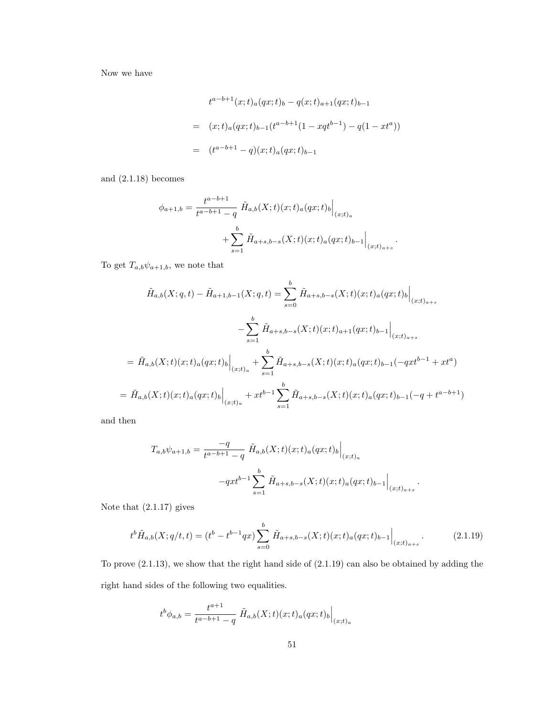Now we have

$$
t^{a-b+1}(x;t)_a(qx;t)_b - q(x;t)_{a+1}(qx;t)_{b-1}
$$
  
=  $(x;t)_a(qx;t)_{b-1}(t^{a-b+1}(1-xqt^{b-1}) - q(1 - xt^a))$   
=  $(t^{a-b+1} - q)(x;t)_a(qx;t)_{b-1}$ 

and (2.1.18) becomes

$$
\phi_{a+1,b} = \frac{t^{a-b+1}}{t^{a-b+1} - q} \tilde{H}_{a,b}(X;t)(x;t)_a(qx;t)_b \Big|_{(x;t)_a}
$$

$$
+ \sum_{s=1}^b \tilde{H}_{a+s,b-s}(X;t)(x;t)_a(qx;t)_{b-1} \Big|_{(x;t)_{a+s}}.
$$

To get  $T_{a,b}\psi_{a+1,b}$ , we note that

$$
\tilde{H}_{a,b}(X;q,t) - \tilde{H}_{a+1,b-1}(X;q,t) = \sum_{s=0}^{b} \tilde{H}_{a+s,b-s}(X;t)(x;t)_a(qx;t)_b \Big|_{(x;t)_{a+s}}
$$
\n
$$
- \sum_{s=1}^{b} \tilde{H}_{a+s,b-s}(X;t)(x;t)_{a+1}(qx;t)_{b-1} \Big|_{(x;t)_{a+s}}
$$
\n
$$
= \tilde{H}_{a,b}(X;t)(x;t)_a(qx;t)_b \Big|_{(x;t)_a} + \sum_{s=1}^{b} \tilde{H}_{a+s,b-s}(X;t)(x;t)_a(qx;t)_{b-1}(-qxt^{b-1} + xt^a)
$$
\n
$$
= \tilde{H}_{a,b}(X;t)(x;t)_a(qx;t)_b \Big|_{(x;t)_a} + xt^{b-1} \sum_{s=1}^{b} \tilde{H}_{a+s,b-s}(X;t)(x;t)_a(qx;t)_{b-1}(-q+t^{a-b+1})
$$

and then

$$
T_{a,b}\psi_{a+1,b} = \frac{-q}{t^{a-b+1} - q} \tilde{H}_{a,b}(X;t)(x;t)_a (qx;t)_b \Big|_{(x;t)_a}
$$

$$
-qxt^{b-1} \sum_{s=1}^b \tilde{H}_{a+s,b-s}(X;t)(x;t)_a (qx;t)_{b-1} \Big|_{(x;t)_{a+s}}.
$$

Note that (2.1.17) gives

$$
t^{b}\tilde{H}_{a,b}(X;q/t,t) = (t^{b} - t^{b-1}qx) \sum_{s=0}^{b} \tilde{H}_{a+s,b-s}(X;t)(x;t)_{a}(qx;t)_{b-1}\Big|_{(x;t)_{a+s}}.
$$
\n(2.1.19)

To prove (2.1.13), we show that the right hand side of (2.1.19) can also be obtained by adding the right hand sides of the following two equalities.

$$
t^{b}\phi_{a,b} = \frac{t^{a+1}}{t^{a-b+1} - q} \left. \tilde{H}_{a,b}(X;t)(x;t)_a(qx;t)_b \right|_{(x;t)_a}
$$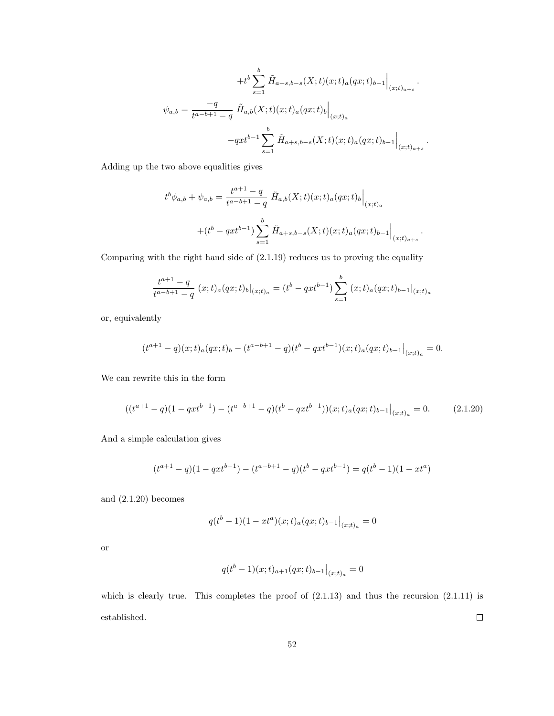$$
+t^{b}\sum_{s=1}^{b} \tilde{H}_{a+s,b-s}(X;t)(x;t)_{a}(qx;t)_{b-1}\Big|_{(x;t)_{a+s}}.
$$

$$
\psi_{a,b} = \frac{-q}{t^{a-b+1}-q} \tilde{H}_{a,b}(X;t)(x;t)_{a}(qx;t)_{b}\Big|_{(x;t)_{a}}
$$

$$
-qxt^{b-1}\sum_{s=1}^{b} \tilde{H}_{a+s,b-s}(X;t)(x;t)_{a}(qx;t)_{b-1}\Big|_{(x;t)_{a+s}}.
$$

Adding up the two above equalities gives

$$
t^{b}\phi_{a,b} + \psi_{a,b} = \frac{t^{a+1} - q}{t^{a-b+1} - q} \tilde{H}_{a,b}(X;t)(x;t)_{a}(qx;t)_{b} \Big|_{(x;t)_{a}}
$$

$$
+ (t^{b} - qxt^{b-1}) \sum_{s=1}^{b} \tilde{H}_{a+s,b-s}(X;t)(x;t)_{a}(qx;t)_{b-1} \Big|_{(x;t)_{a+s}}.
$$

Comparing with the right hand side of (2.1.19) reduces us to proving the equality

$$
\frac{t^{a+1}-q}{t^{a-b+1}-q}(x;t)_a(qx;t)_b|_{(x;t)_a}=(t^b-qxt^{b-1})\sum_{s=1}^b(x;t)_a(qx;t)_{b-1}|_{(x;t)_a}
$$

or, equivalently

$$
(t^{a+1}-q)(x;t)_a(qx;t)_b - (t^{a-b+1}-q)(t^b-qxt^{b-1})(x;t)_a(qx;t)_{b-1}|_{(x;t)_a} = 0.
$$

We can rewrite this in the form

$$
((t^{a+1}-q)(1-qxt^{b-1}) - (t^{a-b+1}-q)(t^b-qxt^{b-1}))(x;t)_a(qx;t)_{b-1}|_{(x;t)_a} = 0.
$$
 (2.1.20)

And a simple calculation gives

$$
(t^{a+1} - q)(1 - qxt^{b-1}) - (t^{a-b+1} - q)(t^b - qxt^{b-1}) = q(t^b - 1)(1 - xt^a)
$$

and (2.1.20) becomes

$$
q(t^{b}-1)(1 - xt^{a})(x;t)_{a}(qx;t)_{b-1}|_{(x;t)_{a}} = 0
$$

or

$$
q(t^{b}-1)(x;t)_{a+1}(qx;t)_{b-1}\big|_{(x;t)_{a}}=0
$$

which is clearly true. This completes the proof of  $(2.1.13)$  and thus the recursion  $(2.1.11)$  is established.  $\Box$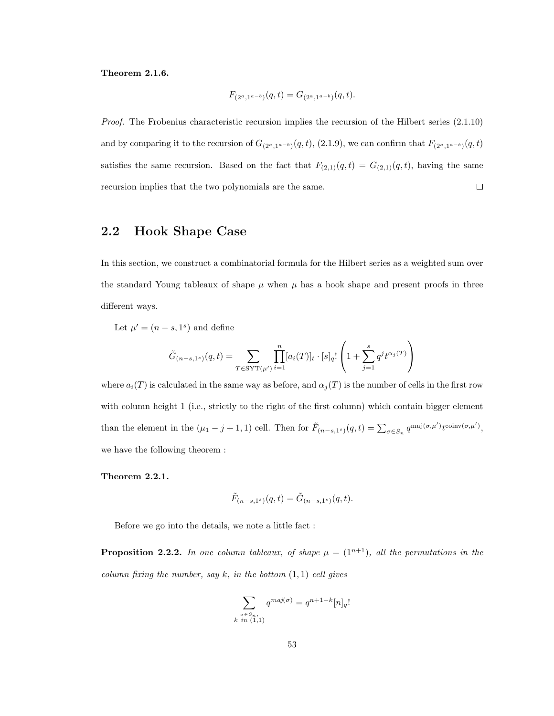#### Theorem 2.1.6.

$$
F_{(2^a,1^{a-b})}(q,t) = G_{(2^a,1^{a-b})}(q,t).
$$

Proof. The Frobenius characteristic recursion implies the recursion of the Hilbert series (2.1.10) and by comparing it to the recursion of  $G_{(2^a,1^{a-b})}(q,t)$ , (2.1.9), we can confirm that  $F_{(2^a,1^{a-b})}(q,t)$ satisfies the same recursion. Based on the fact that  $F_{(2,1)}(q,t) = G_{(2,1)}(q,t)$ , having the same recursion implies that the two polynomials are the same.  $\Box$ 

# 2.2 Hook Shape Case

In this section, we construct a combinatorial formula for the Hilbert series as a weighted sum over the standard Young tableaux of shape  $\mu$  when  $\mu$  has a hook shape and present proofs in three different ways.

Let  $\mu' = (n - s, 1^s)$  and define

$$
\tilde{G}_{(n-s,1^{s})}(q,t) = \sum_{T \in \text{SYT}(\mu')} \prod_{i=1}^{n} [a_i(T)]_t \cdot [s]_q! \left(1 + \sum_{j=1}^{s} q^j t^{\alpha_j(T)}\right)
$$

where  $a_i(T)$  is calculated in the same way as before, and  $\alpha_i(T)$  is the number of cells in the first row with column height 1 (i.e., strictly to the right of the first column) which contain bigger element than the element in the  $(\mu_1 - j + 1, 1)$  cell. Then for  $\tilde{F}_{(n-s,1^s)}(q,t) = \sum_{\sigma \in S_n} q^{\text{maj}(\sigma,\mu')} t^{\text{coinv}(\sigma,\mu')}$ , we have the following theorem :

#### Theorem 2.2.1.

$$
\tilde{F}_{(n-s,1^{s})}(q,t) = \tilde{G}_{(n-s,1^{s})}(q,t).
$$

Before we go into the details, we note a little fact :

**Proposition 2.2.2.** In one column tableaux, of shape  $\mu = (1^{n+1})$ , all the permutations in the column fixing the number, say  $k$ , in the bottom  $(1, 1)$  cell gives

$$
\sum_{\substack{\sigma \in S_n, \\ k \text{ in } (1,1)}} q^{\text{maj}(\sigma)} = q^{n+1-k} [n]_q!
$$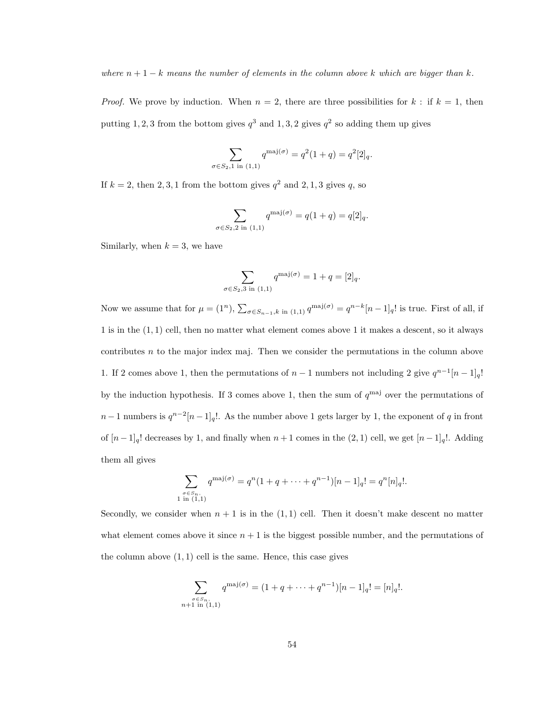where  $n + 1 - k$  means the number of elements in the column above k which are bigger than k.

*Proof.* We prove by induction. When  $n = 2$ , there are three possibilities for  $k :$  if  $k = 1$ , then putting 1, 2, 3 from the bottom gives  $q^3$  and 1, 3, 2 gives  $q^2$  so adding them up gives

$$
\sum_{\sigma \in S_2, 1 \text{ in } (1,1)} q^{\text{maj}(\sigma)} = q^2 (1+q) = q^2 [2]_q.
$$

If  $k = 2$ , then 2, 3, 1 from the bottom gives  $q^2$  and 2, 1, 3 gives q, so

$$
\sum_{\sigma \in S_2, 2 \text{ in } (1,1)} q^{\text{maj}(\sigma)} = q(1+q) = q[2]_q.
$$

Similarly, when  $k = 3$ , we have

$$
\sum_{\sigma \in S_2, 3 \text{ in } (1,1)} q^{\text{maj}(\sigma)} = 1 + q = [2]_q.
$$

Now we assume that for  $\mu = (1^n)$ ,  $\sum_{\sigma \in S_{n-1}, k \text{ in } (1,1)} q^{\text{maj}(\sigma)} = q^{n-k} [n-1]_q!$  is true. First of all, if 1 is in the (1, 1) cell, then no matter what element comes above 1 it makes a descent, so it always contributes  $n$  to the major index maj. Then we consider the permutations in the column above 1. If 2 comes above 1, then the permutations of  $n-1$  numbers not including 2 give  $q^{n-1}[n-1]_q!$ by the induction hypothesis. If 3 comes above 1, then the sum of  $q^{\text{maj}}$  over the permutations of  $n-1$  numbers is  $q^{n-2}[n-1]_q!$ . As the number above 1 gets larger by 1, the exponent of q in front of  $[n-1]_q!$  decreases by 1, and finally when  $n+1$  comes in the  $(2,1)$  cell, we get  $[n-1]_q!$ . Adding them all gives

$$
\sum_{\substack{\sigma \in S_n, \\ 1 \text{ in } (1,1)}} q^{\text{maj}(\sigma)} = q^n (1 + q + \dots + q^{n-1})[n-1]_q! = q^n [n]_q!.
$$

Secondly, we consider when  $n + 1$  is in the  $(1, 1)$  cell. Then it doesn't make descent no matter what element comes above it since  $n + 1$  is the biggest possible number, and the permutations of the column above  $(1, 1)$  cell is the same. Hence, this case gives

$$
\sum_{\substack{\sigma \in S_n, \\ n+1 \text{ in } (1,1)}} q^{\text{maj}(\sigma)} = (1 + q + \dots + q^{n-1})[n-1]_q! = [n]_q!.
$$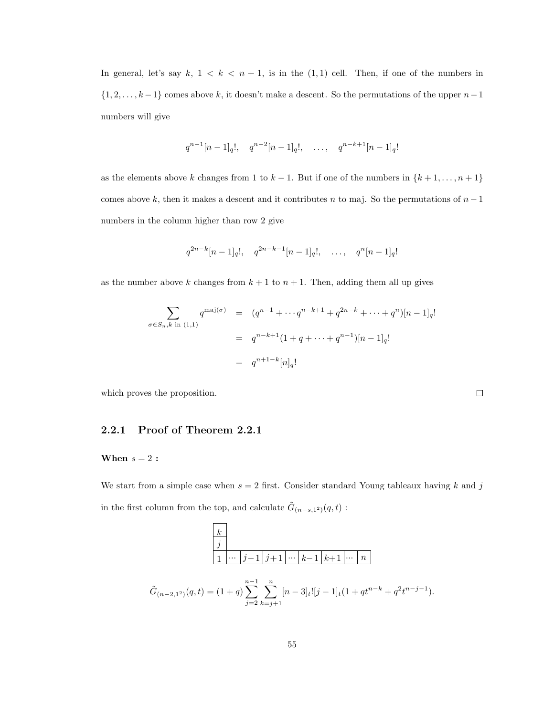In general, let's say  $k$ ,  $1 < k < n + 1$ , is in the  $(1, 1)$  cell. Then, if one of the numbers in  $\{1, 2, \ldots, k-1\}$  comes above k, it doesn't make a descent. So the permutations of the upper  $n-1$ numbers will give

$$
q^{n-1}[n-1]_q!, \quad q^{n-2}[n-1]_q!, \quad \ldots, \quad q^{n-k+1}[n-1]_q!
$$

as the elements above k changes from 1 to  $k-1$ . But if one of the numbers in  $\{k+1,\ldots,n+1\}$ comes above k, then it makes a descent and it contributes n to maj. So the permutations of  $n-1$ numbers in the column higher than row 2 give

$$
q^{2n-k}[n-1]_q!, \quad q^{2n-k-1}[n-1]_q!, \quad \ldots, \quad q^n[n-1]_q!
$$

as the number above k changes from  $k + 1$  to  $n + 1$ . Then, adding them all up gives

$$
\sum_{\sigma \in S_n, k \text{ in (1,1)}} q^{\text{maj}(\sigma)} = (q^{n-1} + \cdots q^{n-k+1} + q^{2n-k} + \cdots + q^n)[n-1]_q!
$$
  
=  $q^{n-k+1}(1 + q + \cdots + q^{n-1})[n-1]_q!$   
=  $q^{n+1-k}[n]_q!$ 

 $\Box$ 

which proves the proposition.

### 2.2.1 Proof of Theorem 2.2.1

#### When  $s = 2$ :

We start from a simple case when  $s = 2$  first. Consider standard Young tableaux having k and j in the first column from the top, and calculate  $\tilde{G}_{(n-s,1^2)}(q,t)$ :

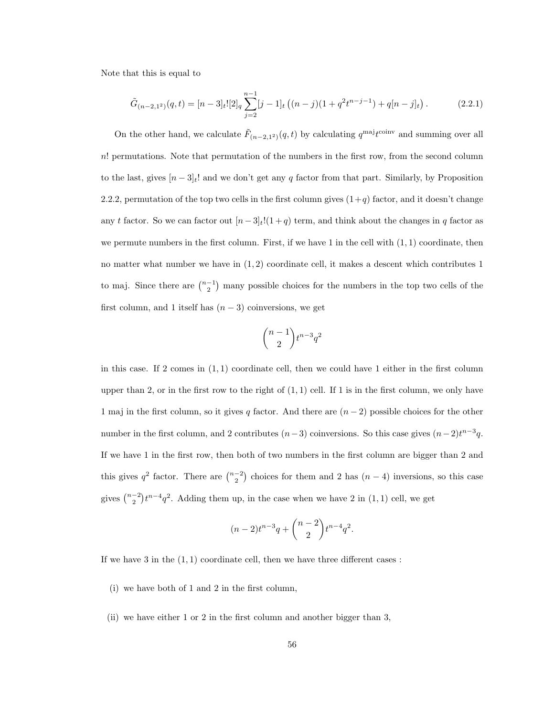Note that this is equal to

$$
\tilde{G}_{(n-2,1^2)}(q,t) = [n-3]_t! [2]_q \sum_{j=2}^{n-1} [j-1]_t \left( (n-j)(1+q^2 t^{n-j-1}) + q[n-j]_t \right). \tag{2.2.1}
$$

On the other hand, we calculate  $\tilde{F}_{(n-2,1^2)}(q,t)$  by calculating  $q^{\text{maj}}t^{\text{coinv}}$  and summing over all n! permutations. Note that permutation of the numbers in the first row, from the second column to the last, gives  $[n-3]_t!$  and we don't get any q factor from that part. Similarly, by Proposition 2.2.2, permutation of the top two cells in the first column gives  $(1+q)$  factor, and it doesn't change any t factor. So we can factor out  $[n-3]_t!(1+q)$  term, and think about the changes in q factor as we permute numbers in the first column. First, if we have 1 in the cell with  $(1, 1)$  coordinate, then no matter what number we have in  $(1, 2)$  coordinate cell, it makes a descent which contributes 1 to maj. Since there are  $\binom{n-1}{2}$  many possible choices for the numbers in the top two cells of the first column, and 1 itself has  $(n-3)$  coinversions, we get

$$
\binom{n-1}{2}t^{n-3}q^2
$$

in this case. If 2 comes in  $(1,1)$  coordinate cell, then we could have 1 either in the first column upper than 2, or in the first row to the right of  $(1,1)$  cell. If 1 is in the first column, we only have 1 maj in the first column, so it gives q factor. And there are  $(n-2)$  possible choices for the other number in the first column, and 2 contributes  $(n-3)$  coinversions. So this case gives  $(n-2)t^{n-3}q$ . If we have 1 in the first row, then both of two numbers in the first column are bigger than 2 and this gives  $q^2$  factor. There are  $\binom{n-2}{2}$  choices for them and 2 has  $(n-4)$  inversions, so this case gives  $\binom{n-2}{2}t^{n-4}q^2$ . Adding them up, in the case when we have 2 in  $(1, 1)$  cell, we get

$$
(n-2)t^{n-3}q + \binom{n-2}{2}t^{n-4}q^2.
$$

If we have 3 in the  $(1, 1)$  coordinate cell, then we have three different cases :

- (i) we have both of 1 and 2 in the first column,
- (ii) we have either 1 or 2 in the first column and another bigger than 3,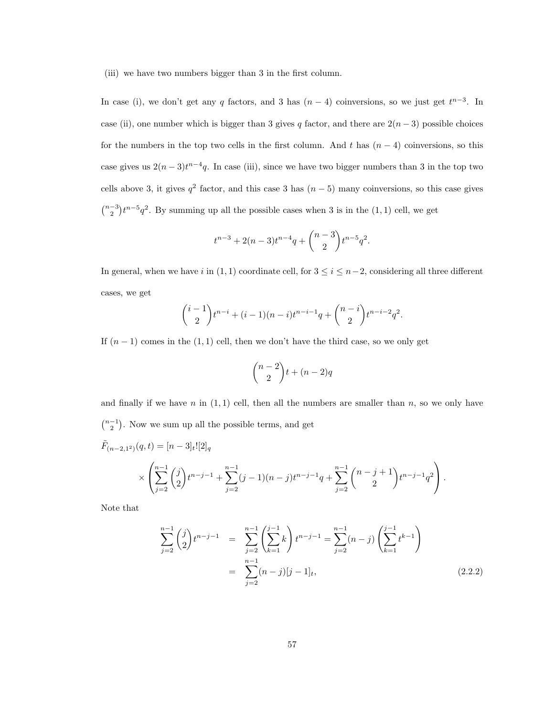(iii) we have two numbers bigger than 3 in the first column.

In case (i), we don't get any q factors, and 3 has  $(n-4)$  coinversions, so we just get  $t^{n-3}$ . In case (ii), one number which is bigger than 3 gives q factor, and there are  $2(n-3)$  possible choices for the numbers in the top two cells in the first column. And t has  $(n-4)$  coinversions, so this case gives us  $2(n-3)t^{n-4}q$ . In case (iii), since we have two bigger numbers than 3 in the top two cells above 3, it gives  $q^2$  factor, and this case 3 has  $(n-5)$  many coinversions, so this case gives  $\binom{n-3}{2}t^{n-5}q^2$ . By summing up all the possible cases when 3 is in the  $(1, 1)$  cell, we get

$$
t^{n-3} + 2(n-3)t^{n-4}q + \binom{n-3}{2}t^{n-5}q^2.
$$

In general, when we have i in (1, 1) coordinate cell, for  $3 \le i \le n-2$ , considering all three different cases, we get

$$
\binom{i-1}{2}t^{n-i} + (i-1)(n-i)t^{n-i-1}q + \binom{n-i}{2}t^{n-i-2}q^2.
$$

If  $(n-1)$  comes in the  $(1,1)$  cell, then we don't have the third case, so we only get

$$
\binom{n-2}{2}t + (n-2)q
$$

and finally if we have n in  $(1, 1)$  cell, then all the numbers are smaller than n, so we only have  $\binom{n-1}{2}$ . Now we sum up all the possible terms, and get  $\tilde{F}_{(n-2,1^2)}(q,t) = [n-3]_t![2]_q$ 

$$
\times \left( \sum_{j=2}^{n-1} \binom{j}{2} t^{n-j-1} + \sum_{j=2}^{n-1} (j-1)(n-j)t^{n-j-1}q + \sum_{j=2}^{n-1} \binom{n-j+1}{2} t^{n-j-1} q^2 \right).
$$

Note that

$$
\sum_{j=2}^{n-1} {j \choose 2} t^{n-j-1} = \sum_{j=2}^{n-1} \left( \sum_{k=1}^{j-1} k \right) t^{n-j-1} = \sum_{j=2}^{n-1} (n-j) \left( \sum_{k=1}^{j-1} t^{k-1} \right)
$$

$$
= \sum_{j=2}^{n-1} (n-j) [j-1]_t,
$$
(2.2.2)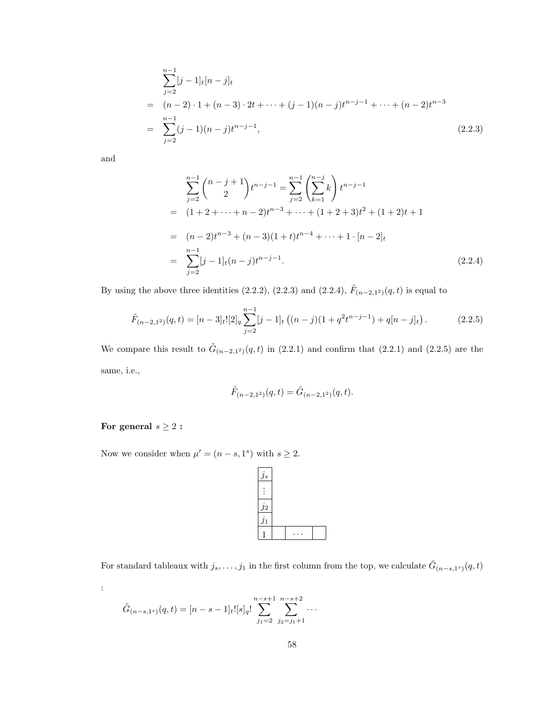$$
\sum_{j=2}^{n-1} [j-1]_t [n-j]_t
$$
  
=  $(n-2) \cdot 1 + (n-3) \cdot 2t + \dots + (j-1)(n-j)t^{n-j-1} + \dots + (n-2)t^{n-3}$   
= 
$$
\sum_{j=2}^{n-1} (j-1)(n-j)t^{n-j-1},
$$
 (2.2.3)

and

$$
\sum_{j=2}^{n-1} {n-j+1 \choose 2} t^{n-j-1} = \sum_{j=2}^{n-1} \left( \sum_{k=1}^{n-j} k \right) t^{n-j-1}
$$
  
=  $(1+2+\cdots+n-2)t^{n-3}+\cdots+(1+2+3)t^2+(1+2)t+1$   
=  $(n-2)t^{n-3}+(n-3)(1+t)t^{n-4}+\cdots+1 \cdot [n-2]_t$   
=  $\sum_{j=2}^{n-1} [j-1]_t (n-j)t^{n-j-1}.$  (2.2.4)

By using the above three identities (2.2.2), (2.2.3) and (2.2.4),  $\tilde{F}_{(n-2,1^2)}(q,t)$  is equal to

$$
\tilde{F}_{(n-2,1^2)}(q,t) = [n-3]_t! [2]_q \sum_{j=2}^{n-1} [j-1]_t \left( (n-j)(1+q^2 t^{n-j-1}) + q[n-j]_t \right).
$$
\n(2.2.5)

We compare this result to  $\tilde{G}_{(n-2,1^2)}(q,t)$  in (2.2.1) and confirm that (2.2.1) and (2.2.5) are the same, i.e.,

$$
\tilde{F}_{(n-2,1^2)}(q,t) = \tilde{G}_{(n-2,1^2)}(q,t).
$$

## For general  $s\geq 2$  :

:

Now we consider when  $\mu' = (n - s, 1^s)$  with  $s \geq 2$ .



For standard tableaux with  $j_s, \ldots, j_1$  in the first column from the top, we calculate  $\tilde{G}_{(n-s,1^s)}(q,t)$ 

$$
\tilde{G}_{(n-s,1^{s})}(q,t) = [n-s-1]_t! [s]_q! \sum_{j_1=2}^{n-s+1} \sum_{j_2=j_1+1}^{n-s+2} \cdots
$$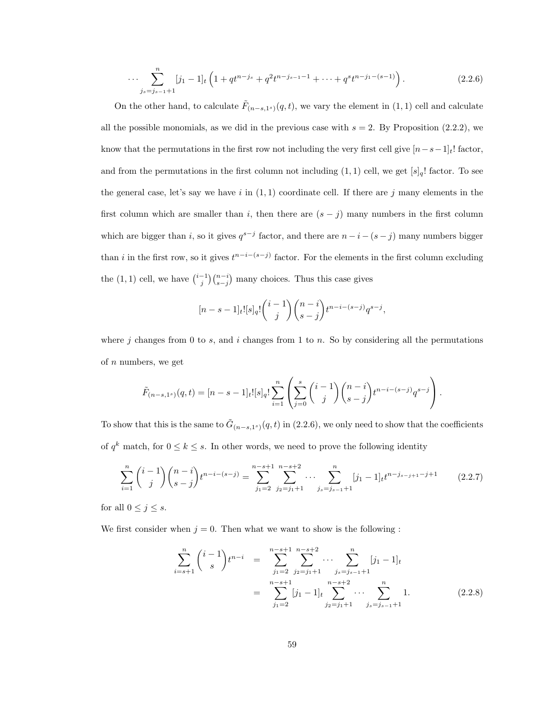$$
\cdots \sum_{j_s=j_{s-1}+1}^{n} [j_1-1]_t \left(1+q t^{n-j_s}+q^2 t^{n-j_{s-1}-1}+\cdots+q^{s} t^{n-j_1-(s-1)}\right). \tag{2.2.6}
$$

On the other hand, to calculate  $\tilde{F}_{(n-s,1^{s})}(q,t)$ , we vary the element in  $(1,1)$  cell and calculate all the possible monomials, as we did in the previous case with  $s = 2$ . By Proposition (2.2.2), we know that the permutations in the first row not including the very first cell give  $[n-s-1]_t$ ! factor, and from the permutations in the first column not including  $(1, 1)$  cell, we get  $[s]_q!$  factor. To see the general case, let's say we have i in  $(1,1)$  coordinate cell. If there are j many elements in the first column which are smaller than i, then there are  $(s - j)$  many numbers in the first column which are bigger than i, so it gives  $q^{s-j}$  factor, and there are  $n-i-(s-j)$  many numbers bigger than i in the first row, so it gives  $t^{n-i-(s-j)}$  factor. For the elements in the first column excluding the  $(1, 1)$  cell, we have  $\binom{i-1}{j}\binom{n-i}{s-j}$  many choices. Thus this case gives

$$
[n-s-1]_t![s]_q! {i-1 \choose j} {n-i \choose s-j} t^{n-i-(s-j)} q^{s-j},
$$

where j changes from 0 to s, and i changes from 1 to n. So by considering all the permutations of n numbers, we get

$$
\tilde{F}_{(n-s,1^{s})}(q,t) = [n-s-1]_t! [s]_q! \sum_{i=1}^{n} \left( \sum_{j=0}^{s} {i-1 \choose j} {n-i \choose s-j} t^{n-i-(s-j)} q^{s-j} \right).
$$

To show that this is the same to  $\tilde{G}_{(n-s,1^s)}(q,t)$  in (2.2.6), we only need to show that the coefficients of  $q^k$  match, for  $0 \leq k \leq s$ . In other words, we need to prove the following identity

$$
\sum_{i=1}^{n} {i-1 \choose j} {n-i \choose s-j} t^{n-i-(s-j)} = \sum_{j_1=2}^{n-s+1} \sum_{j_2=j_1+1}^{n-s+2} \cdots \sum_{j_s=j_{s-1}+1}^{n} [j_1-1]_t t^{n-j_{s-j+1}-j+1}
$$
(2.2.7)

for all  $0 \leq j \leq s$ .

We first consider when  $j = 0$ . Then what we want to show is the following:

$$
\sum_{i=s+1}^{n} {i-1 \choose s} t^{n-i} = \sum_{j_1=2}^{n-s+1} \sum_{j_2=j_1+1}^{n-s+2} \cdots \sum_{j_s=j_{s-1}+1}^{n} [j_1-1]_t
$$
\n
$$
= \sum_{j_1=2}^{n-s+1} [j_1-1]_t \sum_{j_2=j_1+1}^{n-s+2} \cdots \sum_{j_s=j_{s-1}+1}^{n} 1.
$$
\n(2.2.8)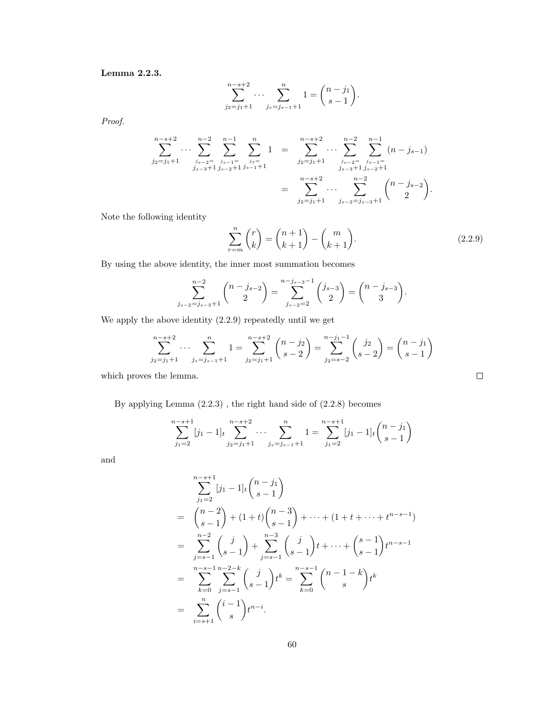Lemma 2.2.3.

$$
\sum_{j_2=j_1+1}^{n-s+2} \cdots \sum_{j_s=j_{s-1}+1}^{n} 1 = \binom{n-j_1}{s-1}.
$$

Proof.

$$
\sum_{j_2=j_1+1}^{n-s+2} \cdots \sum_{j_{s-2}=\atop j_{s-3}+1}^{n-2} \sum_{j_{s-1}=\atop j_{s-2}+1}^{n-1} \sum_{j_s=\atop j_{s-1}+1}^{n} 1 = \sum_{j_2=j_1+1}^{n-s+2} \cdots \sum_{j_{s-2}=\atop j_{s-3}+1}^{n-2} \sum_{j_{s-1}=\atop j_{s-2}+1}^{n-1} (n-j_{s-1})
$$

$$
= \sum_{j_2=j_1+1}^{n-s+2} \cdots \sum_{j_{s-2}=\atop j_{s-2}+s+1}^{n-2} {n-1 \choose 2}.
$$

Note the following identity

$$
\sum_{r=m}^{n} {r \choose k} = {n+1 \choose k+1} - {m \choose k+1}.
$$
\n(2.2.9)

 $\Box$ 

By using the above identity, the inner most summation becomes

$$
\sum_{j_{s-2}=j_{s-3}+1}^{n-2} \binom{n-j_{s-2}}{2} = \sum_{j_{s-2}=2}^{n-j_{s-3}-1} \binom{j_{s-3}}{2} = \binom{n-j_{s-3}}{3}.
$$

We apply the above identity (2.2.9) repeatedly until we get

$$
\sum_{j_2=j_1+1}^{n-s+2} \cdots \sum_{j_s=j_{s-1}+1}^{n} 1 = \sum_{j_2=j_1+1}^{n-s+2} {n-j_2 \choose s-2} = \sum_{j_2=s-2}^{n-j_1-1} {j_2 \choose s-2} = {n-j_1 \choose s-1}
$$

which proves the lemma.

By applying Lemma (2.2.3) , the right hand side of (2.2.8) becomes

$$
\sum_{j_1=2}^{n-s+1} [j_1-1]_t \sum_{j_2=j_1+1}^{n-s+2} \cdots \sum_{j_s=j_{s-1}+1}^{n} 1 = \sum_{j_1=2}^{n-s+1} [j_1-1]_t \binom{n-j_1}{s-1}
$$

and

$$
\sum_{j_1=2}^{n-s+1} [j_1 - 1]_t {n-j_1 \choose s-1}
$$
  
=  ${n-2 \choose s-1} + (1+t){n-3 \choose s-1} + \dots + (1+t+\dots+t^{n-s-1})$   
=  $\sum_{j=s-1}^{n-2} {j \choose s-1} + \sum_{j=s-1}^{n-3} {j \choose s-1}t + \dots + {s-1 \choose s-1}t^{n-s-1}$   
=  $\sum_{k=0}^{n-s-1} \sum_{j=s-1}^{n-2-k} {j \choose s-1}t^k = \sum_{k=0}^{n-s-1} {n-1-k \choose s}t^k$   
=  $\sum_{i=s+1}^{n} {i-1 \choose s}t^{n-i}.$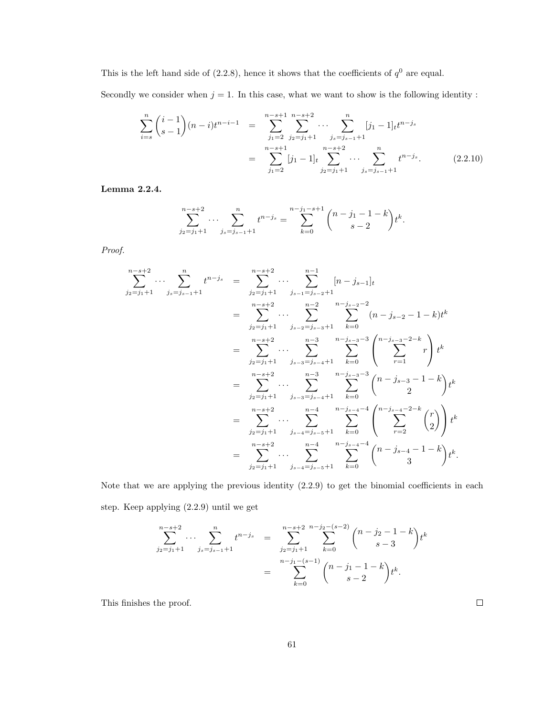This is the left hand side of  $(2.2.8)$ , hence it shows that the coefficients of  $q<sup>0</sup>$  are equal.

Secondly we consider when  $j = 1$ . In this case, what we want to show is the following identity :

$$
\sum_{i=s}^{n} {i-1 \choose s-1} (n-i)t^{n-i-1} = \sum_{j_1=2}^{n-s+1} \sum_{j_2=j_1+1}^{n-s+2} \cdots \sum_{j_s=j_{s-1}+1}^{n} [j_1-1]_t t^{n-j_s}
$$

$$
= \sum_{j_1=2}^{n-s+1} [j_1-1]_t \sum_{j_2=j_1+1}^{n-s+2} \cdots \sum_{j_s=j_{s-1}+1}^{n} t^{n-j_s}.
$$
(2.2.10)

Lemma 2.2.4.

$$
\sum_{j_2=j_1+1}^{n-s+2} \cdots \sum_{j_s=j_{s-1}+1}^{n} t^{n-j_s} = \sum_{k=0}^{n-j_1-s+1} {n-j_1-1-k \choose s-2} t^k.
$$

Proof.

$$
\sum_{j_2=j_1+1}^{n-s+2} \cdots \sum_{j_s=j_{s-1}+1}^{n} t^{n-j_s} = \sum_{j_2=j_1+1}^{n-s+2} \cdots \sum_{j_{s-1}=j_{s-2}+1}^{n-1} [n-j_{s-1}]_t
$$
  
\n
$$
= \sum_{j_2=j_1+1}^{n-s+2} \cdots \sum_{j_{s-2}=j_{s-3}+1}^{n-2} \sum_{k=0}^{n-j_{s-2}-2} (n-j_{s-2}-1-k)t^k
$$
  
\n
$$
= \sum_{j_2=j_1+1}^{n-s+2} \cdots \sum_{j_{s-3}=j_{s-4}+1}^{n-3} \sum_{k=0}^{n-j_{s-3}-3} \left( \sum_{r=1}^{n-j_{s-3}-2-k} r \right) t^k
$$
  
\n
$$
= \sum_{j_2=j_1+1}^{n-s+2} \cdots \sum_{j_{s-3}=j_{s-4}+1}^{n-3} \sum_{k=0}^{n-j_{s-3}-3} {n-j_{s-3}-3 \choose 2} t^k
$$
  
\n
$$
= \sum_{j_2=j_1+1}^{n-s+2} \cdots \sum_{j_{s-4}=j_{s-5}+1}^{n-4} \sum_{k=0}^{n-j_{s-4}-4} {n-j_{s-4}-4 \choose 2} t^k
$$
  
\n
$$
= \sum_{j_2=j_1+1}^{n-s+2} \cdots \sum_{j_{s-4}=j_{s-5}+1}^{n-4} \sum_{k=0}^{n-j_{s-4}-4} {n-j_{s-4}-4 \choose 3} t^k.
$$

Note that we are applying the previous identity (2.2.9) to get the binomial coefficients in each step. Keep applying (2.2.9) until we get

$$
\sum_{j_2=j_1+1}^{n-s+2} \cdots \sum_{j_s=j_{s-1}+1}^{n} t^{n-j_s} = \sum_{j_2=j_1+1}^{n-s+2} \sum_{k=0}^{n-j_2-(s-2)} {n-j_2-1-k \choose s-3} t^k
$$
  
= 
$$
\sum_{k=0}^{n-j_1-(s-1)} {n-j_1-1-k \choose s-2} t^k.
$$

This finishes the proof.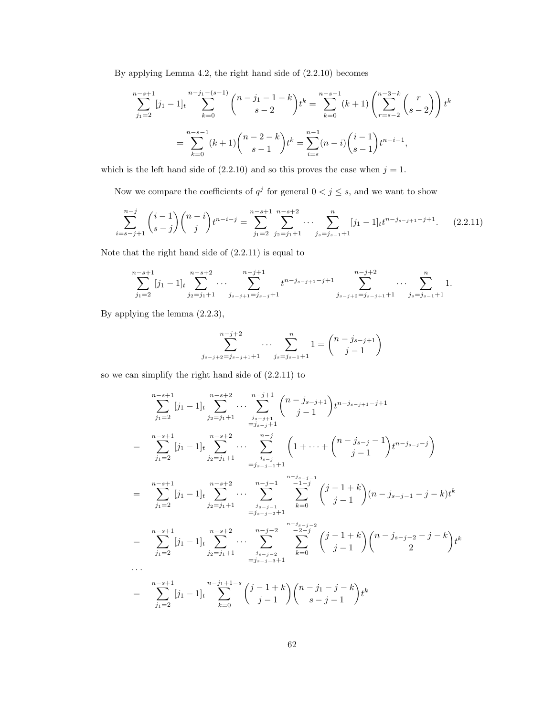By applying Lemma 4.2, the right hand side of (2.2.10) becomes

$$
\sum_{j_1=2}^{n-s+1} [j_1 - 1]_t \sum_{k=0}^{n-j_1 - (s-1)} {n-j_1 - 1-k \choose s-2} t^k = \sum_{k=0}^{n-s-1} (k+1) \left( \sum_{r=s-2}^{n-3-k} {r \choose s-2} \right) t^k
$$

$$
= \sum_{k=0}^{n-s-1} (k+1) {n-2-k \choose s-1} t^k = \sum_{i=s}^{n-1} (n-i) {i-1 \choose s-1} t^{n-i-1},
$$

which is the left hand side of  $(2.2.10)$  and so this proves the case when  $j = 1$ .

Now we compare the coefficients of  $q^j$  for general  $0 < j \leq s$ , and we want to show

$$
\sum_{i=s-j+1}^{n-j} \binom{i-1}{s-j} \binom{n-i}{j} t^{n-i-j} = \sum_{j_1=2}^{n-s+1} \sum_{j_2=j_1+1}^{n-s+2} \cdots \sum_{j_s=j_{s-1}+1}^{n} [j_1-1]_t t^{n-j_{s-j+1}-j+1}.
$$
 (2.2.11)

Note that the right hand side of (2.2.11) is equal to

$$
\sum_{j_1=2}^{n-s+1} [j_1-1]_t \sum_{j_2=j_1+1}^{n-s+2} \cdots \sum_{j_{s-j+1}=j_{s-j}+1}^{n-j+1} t^{n-j_{s-j+1}-j+1} \sum_{j_{s-j+2}=j_{s-j+1}+1}^{n-j+2} \cdots \sum_{j_s=j_{s-1}+1}^{n} 1.
$$

By applying the lemma (2.2.3),

$$
\sum_{j_{s-j+2}=j_{s-j+1}+1}^{n-j+2} \cdots \sum_{j_s=j_{s-1}+1}^{n} 1 = \binom{n-j_{s-j+1}}{j-1}
$$

so we can simplify the right hand side of (2.2.11) to

$$
\sum_{j_1=2}^{n-s+1} [j_1 - 1]_t \sum_{j_2=j_1+1}^{n-s+2} \cdots \sum_{j_s=j+1}^{n-j+1} {n-j_s-j+1 \choose j-1} t^{n-j_{s-j+1}-j+1}
$$
\n
$$
= \sum_{j_1=2}^{n-s+1} [j_1 - 1]_t \sum_{j_2=j_1+1}^{n-s+2} \cdots \sum_{j_s=j}^{n-j} (1 + \cdots + {n-j_s-j-1 \choose j-1} t^{n-j_{s-j}-j})
$$
\n
$$
= \sum_{j_1=2}^{n-s+1} [j_1 - 1]_t \sum_{j_2=j_1+1}^{n-s+2} \cdots \sum_{j_s=j-1}^{n-j-1} \sum_{k=0}^{n-j-1} {j-1-j \choose j-1} (n-j_{s-j-1}-j-k) t^k
$$
\n
$$
= \sum_{j_1=2}^{n-s+1} [j_1 - 1]_t \sum_{j_2=j_1+1}^{n-s+2} \cdots \sum_{j_s=j-2}^{n-j-2} \sum_{k=0}^{n-j-2} {j-1 \choose j-1} {n-j_{s-j-2}-j-k \choose j-1} t^k
$$
\n
$$
\cdots
$$
\n
$$
= \sum_{j_1=2}^{n-s+1} [j_1 - 1]_t \sum_{j_2=j_1+1}^{n-j_1+1-s} \cdots \sum_{j_s=j-3+1}^{j_{s-j-2}} \sum_{k=0}^{n-j-2} {j-1 \choose j-1} t^k
$$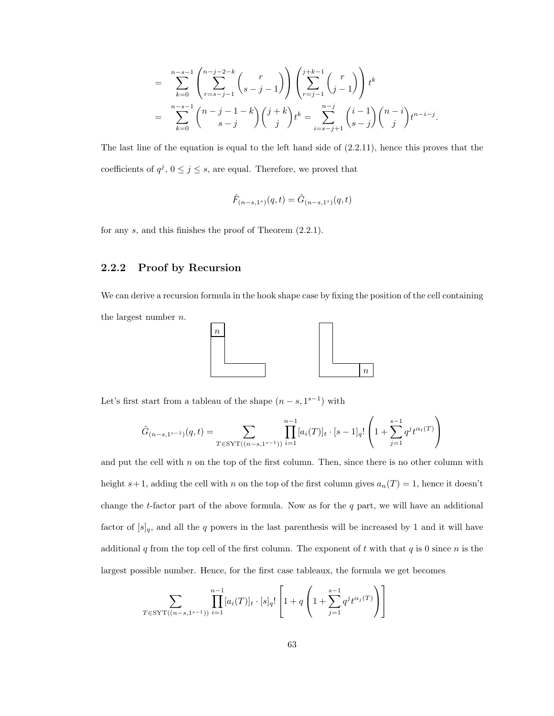$$
= \sum_{k=0}^{n-s-1} \binom{n-j-2-k}{r=s-j-1} {r \choose s-j-1} \left( \sum_{r=j-1}^{j+k-1} {r \choose j-1} \right) t^k
$$
  

$$
= \sum_{k=0}^{n-s-1} \binom{n-j-1-k}{s-j} {j+k \choose j} t^k = \sum_{i=s-j+1}^{n-j} {i-1 \choose s-j} {n-i \choose j} t^{n-i-j}.
$$

The last line of the equation is equal to the left hand side of (2.2.11), hence this proves that the coefficients of  $q^j$ ,  $0 \le j \le s$ , are equal. Therefore, we proved that

$$
\tilde{F}_{(n-s,1^s)}(q,t) = \tilde{G}_{(n-s,1^s)}(q,t)
$$

for any s, and this finishes the proof of Theorem (2.2.1).

#### 2.2.2 Proof by Recursion

We can derive a recursion formula in the hook shape case by fixing the position of the cell containing the largest number n.



Let's first start from a tableau of the shape  $(n-s, 1^{s-1})$  with

$$
\tilde{G}_{(n-s,1^{s-1})}(q,t) = \sum_{T \in \text{SYT}((n-s,1^{s-1}))} \prod_{i=1}^{n-1} [a_i(T)]_t \cdot [s-1]_q! \left(1 + \sum_{j=1}^{s-1} q^j t^{\alpha_t(T)}\right)
$$

and put the cell with  $n$  on the top of the first column. Then, since there is no other column with height s+1, adding the cell with n on the top of the first column gives  $a_n(T) = 1$ , hence it doesn't change the t-factor part of the above formula. Now as for the  $q$  part, we will have an additional factor of  $[s]_q$ , and all the q powers in the last parenthesis will be increased by 1 and it will have additional q from the top cell of the first column. The exponent of t with that q is 0 since n is the largest possible number. Hence, for the first case tableaux, the formula we get becomes

$$
\sum_{T \in \text{SYT}((n-s,1^{s-1}))} \prod_{i=1}^{n-1} [a_i(T)]_t \cdot [s]_q! \left[ 1 + q \left( 1 + \sum_{j=1}^{s-1} q^j t^{\alpha_j(T)} \right) \right]
$$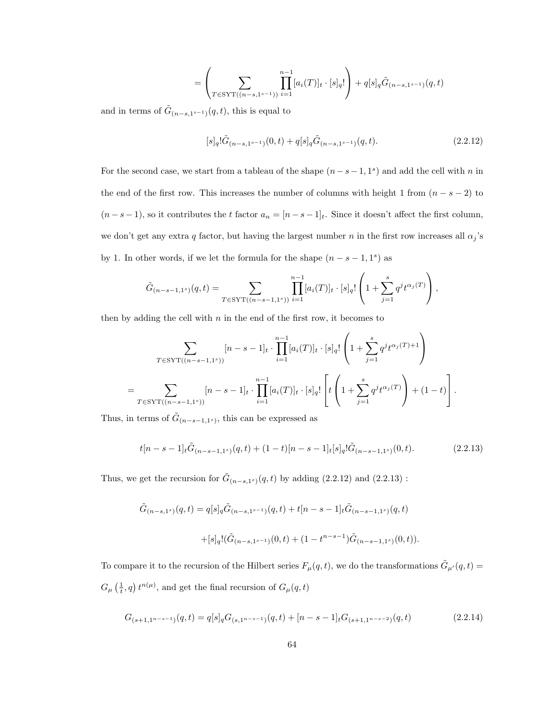$$
= \left(\sum_{T \in \text{SYT}((n-s,1^{s-1}))} \prod_{i=1}^{n-1} [a_i(T)]_t \cdot [s]_q!\right) + q[s]_q \tilde{G}_{(n-s,1^{s-1})}(q,t)
$$

and in terms of  $\tilde{G}_{(n-s,1^{s-1})}(q,t)$ , this is equal to

$$
[s]_q! \tilde{G}_{(n-s,1^{s-1})}(0,t) + q[s]_q \tilde{G}_{(n-s,1^{s-1})}(q,t).
$$
 (2.2.12)

For the second case, we start from a tableau of the shape  $(n-s-1, 1<sup>s</sup>)$  and add the cell with n in the end of the first row. This increases the number of columns with height 1 from  $(n - s - 2)$  to  $(n - s - 1)$ , so it contributes the t factor  $a_n = [n - s - 1]_t$ . Since it doesn't affect the first column, we don't get any extra q factor, but having the largest number  $n$  in the first row increases all  $\alpha_j$ 's by 1. In other words, if we let the formula for the shape  $(n - s - 1, 1^s)$  as

$$
\tilde{G}_{(n-s-1,1^{s})}(q,t) = \sum_{T \in \text{SYT}((n-s-1,1^{s}))} \prod_{i=1}^{n-1} [a_i(T)]_t \cdot [s]_q! \left(1 + \sum_{j=1}^{s} q^j t^{\alpha_j(T)}\right),
$$

then by adding the cell with  $n$  in the end of the first row, it becomes to

$$
\sum_{T \in \text{SYT}((n-s-1,1^s))} [n-s-1]_t \cdot \prod_{i=1}^{n-1} [a_i(T)]_t \cdot [s]_q! \left(1 + \sum_{j=1}^s q^j t^{\alpha_j(T)+1}\right)
$$
  
= 
$$
\sum_{T \in \text{SYT}((n-s-1,1^s))} [n-s-1]_t \cdot \prod_{i=1}^{n-1} [a_i(T)]_t \cdot [s]_q! \left[t \left(1 + \sum_{j=1}^s q^j t^{\alpha_j(T)}\right) + (1-t)\right].
$$

Thus, in terms of  $\tilde{G}_{(n-s-1,1^s)}$ , this can be expressed as

$$
t[n-s-1]_t\tilde{G}_{(n-s-1,1^s)}(q,t) + (1-t)[n-s-1]_t[s]_q!\tilde{G}_{(n-s-1,1^s)}(0,t). \tag{2.2.13}
$$

Thus, we get the recursion for  $\tilde{G}_{(n-s,1^s)}(q,t)$  by adding (2.2.12) and (2.2.13):

$$
\begin{array}{c}\tilde{G}_{(n-s,1^s)}(q,t)=q[s]_q\tilde{G}_{(n-s,1^{s-1})}(q,t)+t[n-s-1]_t\tilde{G}_{(n-s-1,1^s)}(q,t)\\ \\ \qquad+\lbrack s\rbrack_q! (\tilde{G}_{(n-s,1^{s-1})}(0,t)+(1-t^{n-s-1})\tilde{G}_{(n-s-1,1^s)}(0,t)).\end{array}
$$

To compare it to the recursion of the Hilbert series  $F_{\mu}(q, t)$ , we do the transformations  $\tilde{G}_{\mu'}(q, t)$  $G_{\mu}\left(\frac{1}{t},q\right)t^{n(\mu)},$  and get the final recursion of  $G_{\mu}(q,t)$ 

$$
G_{(s+1,1^{n-s-1})}(q,t) = q[s]_q G_{(s,1^{n-s-1})}(q,t) + [n-s-1]_t G_{(s+1,1^{n-s-2})}(q,t)
$$
\n(2.2.14)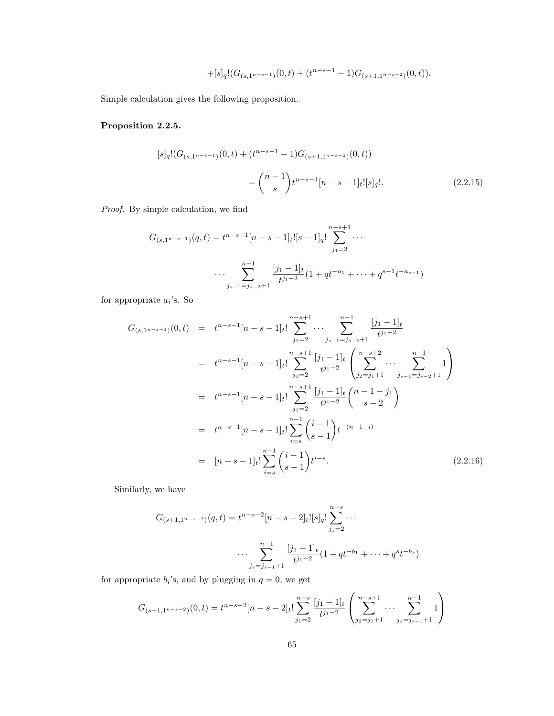$$
+[s]_q!(G_{(s,1^{n-s-1})}(0,t)+(t^{n-s-1}-1)G_{(s+1,1^{n-s-2})}(0,t)).\\
$$

Simple calculation gives the following proposition.

#### Proposition 2.2.5.

$$
[s]_q!(G_{(s,1^{n-s-1})}(0,t) + (t^{n-s-1} - 1)G_{(s+1,1^{n-s-2})}(0,t))
$$
  
= 
$$
{n-1 \choose s}t^{n-s-1}[n-s-1]_t![s]_q!.
$$
 (2.2.15)

Proof. By simple calculation, we find

$$
G_{(s,1^{n-s-1})}(q,t) = t^{n-s-1}[n-s-1]_t![s-1]_q! \sum_{j_1=2}^{n-s+1} \cdots
$$

$$
\cdots \sum_{j_{s-1}=j_{s-2}+1}^{n-1} \frac{[j_1-1]_t}{t^{j_1-2}}(1+qt^{-a_1}+\cdots+q^{s-1}t^{-a_{s-1}})
$$

for appropriate  $a_i$ 's. So

$$
G_{(s,1^{n-s-1})}(0,t) = t^{n-s-1}[n-s-1]_t! \sum_{j_1=2}^{n-s+1} \cdots \sum_{j_{s-1}=j_{s-2}+1}^{n-1} \frac{[j_1-1]_t}{t^{j_1-2}}
$$
  
\n
$$
= t^{n-s-1}[n-s-1]_t! \sum_{j_1=2}^{n-s+1} \frac{[j_1-1]_t}{t^{j_1-2}} \left( \sum_{j_2=j_1+1}^{n-s+2} \cdots \sum_{j_{s-1}=j_{s-2}+1}^{n-1} 1 \right)
$$
  
\n
$$
= t^{n-s-1}[n-s-1]_t! \sum_{j_1=2}^{n-s+1} \frac{[j_1-1]_t}{t^{j_1-2}} {n-1 \choose s-2}
$$
  
\n
$$
= t^{n-s-1}[n-s-1]_t! \sum_{i=s}^{n-1} {i-1 \choose s-1} t^{-(n-1-i)}
$$
  
\n
$$
= [n-s-1]_t! \sum_{i=s}^{n-1} {i-1 \choose s-1} t^{i-s}.
$$
 (2.2.16)

Similarly, we have

$$
G_{(s+1,1^{n-s-2})}(q,t) = t^{n-s-2}[n-s-2]_t![s]_q! \sum_{j_1=2}^{n-s} \cdots
$$

$$
\cdots \sum_{j_s=j_{s-1}+1}^{n-1} \frac{[j_1-1]_t}{t^{j_1-2}}(1+qt^{-b_1}+\cdots+q^st^{-b_s})
$$

for appropriate  $b_i$ 's, and by plugging in  $q = 0$ , we get

$$
G_{(s+1,1^{n-s-2})}(0,t) = t^{n-s-2} [n-s-2]_t! \sum_{j_1=2}^{n-s} \frac{[j_1-1]_t}{t^{j_1-2}} \left( \sum_{j_2=j_1+1}^{n-s+1} \cdots \sum_{j_s=j_{s-1}+1}^{n-1} 1 \right)
$$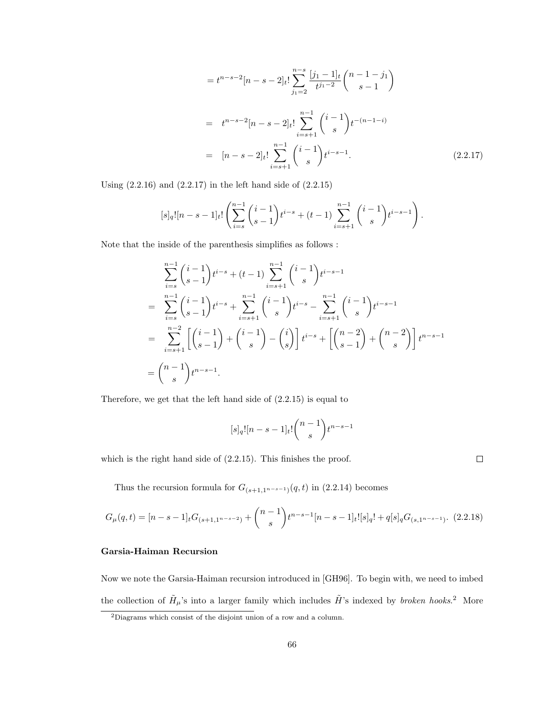$$
= t^{n-s-2} [n-s-2]_t! \sum_{j_1=2}^{n-s} \frac{[j_1-1]_t}{t^{j_1-2}} {n-1-j_1 \choose s-1}
$$
  

$$
= t^{n-s-2} [n-s-2]_t! \sum_{i=s+1}^{n-1} {i-1 \choose s} t^{-(n-1-i)}
$$
  

$$
= [n-s-2]_t! \sum_{i=s+1}^{n-1} {i-1 \choose s} t^{i-s-1}.
$$
 (2.2.17)

Using  $(2.2.16)$  and  $(2.2.17)$  in the left hand side of  $(2.2.15)$ 

$$
[s]_q! [n-s-1]_t! \left( \sum_{i=s}^{n-1} {i-1 \choose s-1} t^{i-s} + (t-1) \sum_{i=s+1}^{n-1} {i-1 \choose s} t^{i-s-1} \right).
$$

Note that the inside of the parenthesis simplifies as follows :

$$
\sum_{i=s}^{n-1} {i-1 \choose s-1} t^{i-s} + (t-1) \sum_{i=s+1}^{n-1} {i-1 \choose s} t^{i-s-1}
$$
  
= 
$$
\sum_{i=s}^{n-1} {i-1 \choose s-1} t^{i-s} + \sum_{i=s+1}^{n-1} {i-1 \choose s} t^{i-s} - \sum_{i=s+1}^{n-1} {i-1 \choose s} t^{i-s-1}
$$
  
= 
$$
\sum_{i=s+1}^{n-2} \left[ {i-1 \choose s-1} + {i-1 \choose s} - {i \choose s} \right] t^{i-s} + \left[ {n-2 \choose s-1} + {n-2 \choose s} \right] t^{n-s-1}
$$
  
= 
$$
{n-1 \choose s} t^{n-s-1}.
$$

Therefore, we get that the left hand side of (2.2.15) is equal to

$$
[s]_q! [n - s - 1]_t! \binom{n - 1}{s} t^{n - s - 1}
$$

which is the right hand side of (2.2.15). This finishes the proof.

 $\Box$ 

Thus the recursion formula for  $G_{(s+1,1^{n-s-1})}(q,t)$  in (2.2.14) becomes

$$
G_{\mu}(q,t) = [n-s-1]_t G_{(s+1,1^{n-s-2})} + {n-1 \choose s} t^{n-s-1} [n-s-1]_t! [s]_q! + q[s]_q G_{(s,1^{n-s-1})}. \tag{2.2.18}
$$

### Garsia-Haiman Recursion

Now we note the Garsia-Haiman recursion introduced in [GH96]. To begin with, we need to imbed the collection of  $\tilde{H}_{\mu}$ 's into a larger family which includes  $\tilde{H}$ 's indexed by *broken hooks*.<sup>2</sup> More

<sup>&</sup>lt;sup>2</sup>Diagrams which consist of the disjoint union of a row and a column.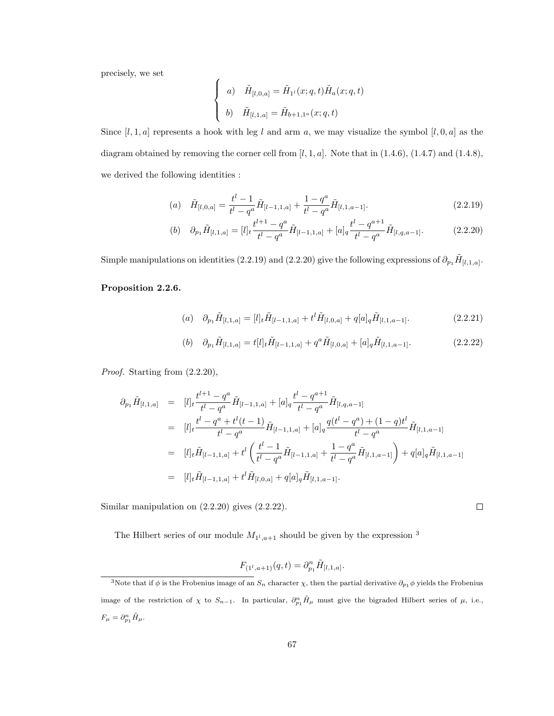precisely, we set

$$
\begin{cases}\na) \quad \tilde{H}_{[l,0,a]} = \tilde{H}_{1^l}(x;q,t)\tilde{H}_a(x;q,t) \\
b) \quad \tilde{H}_{[l,1,a]} = \tilde{H}_{b+1,1^a}(x;q,t)\n\end{cases}
$$

Since  $[l, 1, a]$  represents a hook with leg l and arm a, we may visualize the symbol  $[l, 0, a]$  as the diagram obtained by removing the corner cell from  $[l, 1, a]$ . Note that in  $(1.4.6)$ ,  $(1.4.7)$  and  $(1.4.8)$ , we derived the following identities :

(a) 
$$
\tilde{H}_{[l,0,a]} = \frac{t^l - 1}{t^l - q^a} \tilde{H}_{[l-1,1,a]} + \frac{1 - q^a}{t^l - q^a} \tilde{H}_{[l,1,a-1]}.
$$
\n(2.2.19)

(b) 
$$
\partial_{p_1} \tilde{H}_{[l,1,a]} = [l]_t \frac{t^{l+1} - q^a}{t^l - q^a} \tilde{H}_{[l-1,1,a]} + [a]_q \frac{t^l - q^{a+1}}{t^l - q^a} \tilde{H}_{[l,q,a-1]}.
$$
 (2.2.20)

Simple manipulations on identities (2.2.19) and (2.2.20) give the following expressions of  $\partial_{p_1}\tilde{H}_{[l,1,a]}$ .

### Proposition 2.2.6.

(a) 
$$
\partial_{p_1} \tilde{H}_{[l,1,a]} = [l]_t \tilde{H}_{[l-1,1,a]} + t^l \tilde{H}_{[l,0,a]} + q[a]_q \tilde{H}_{[l,1,a-1]}.
$$
 (2.2.21)

(b) 
$$
\partial_{p_1} \tilde{H}_{[l,1,a]} = t[l]_t \tilde{H}_{[l-1,1,a]} + q^a \tilde{H}_{[l,0,a]} + [a]_q \tilde{H}_{[l,1,a-1]}.
$$
 (2.2.22)

Proof. Starting from  $(2.2.20)$ ,

$$
\partial_{p_1} \tilde{H}_{[l,1,a]} = [l]_t \frac{t^{l+1} - q^a}{t^l - q^a} \tilde{H}_{[l-1,1,a]} + [a]_q \frac{t^l - q^{a+1}}{t^l - q^a} \tilde{H}_{[l,q,a-1]}
$$
\n
$$
= [l]_t \frac{t^l - q^a + t^l(t-1)}{t^l - q^a} \tilde{H}_{[l-1,1,a]} + [a]_q \frac{q(t^l - q^a) + (1-q)t^l}{t^l - q^a} \tilde{H}_{[l,1,a-1]}
$$
\n
$$
= [l]_t \tilde{H}_{[l-1,1,a]} + t^l \left( \frac{t^l - 1}{t^l - q^a} \tilde{H}_{[l-1,1,a]} + \frac{1 - q^a}{t^l - q^a} \tilde{H}_{[l,1,a-1]} \right) + q[a]_q \tilde{H}_{[l,1,a-1]}
$$
\n
$$
= [l]_t \tilde{H}_{[l-1,1,a]} + t^l \tilde{H}_{[l,0,a]} + q[a]_q \tilde{H}_{[l,1,a-1]}.
$$

Similar manipulation on (2.2.20) gives (2.2.22).

The Hilbert series of our module  $M_{1^l, a+1}$  should be given by the expression <sup>3</sup>

$$
F_{(1^l,a+1)}(q,t) = \partial_{p_1}^n \tilde{H}_{[l,1,a]}.
$$

 $\Box$ 

<sup>&</sup>lt;sup>3</sup>Note that if  $\phi$  is the Frobenius image of an  $S_n$  character  $\chi$ , then the partial derivative  $\partial_{p_1}\phi$  yields the Frobenius image of the restriction of  $\chi$  to  $S_{n-1}$ . In particular,  $\partial_{p_1}^n \tilde{H}_{\mu}$  must give the bigraded Hilbert series of  $\mu$ , i.e.,  $F_{\mu} = \partial_{p_1}^n \tilde{H}_{\mu}.$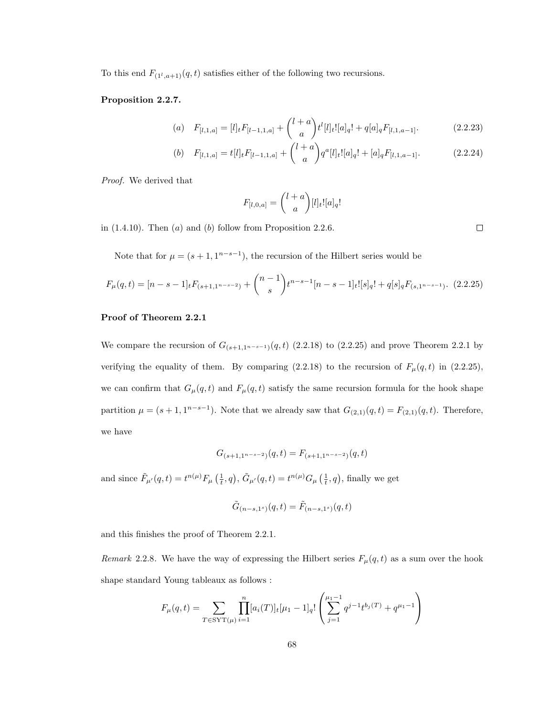To this end  $F_{(1^l, a+1)}(q, t)$  satisfies either of the following two recursions.

#### Proposition 2.2.7.

(a) 
$$
F_{[l,1,a]} = [l]_t F_{[l-1,1,a]} + {l+a \choose a} t^l [l]_t! [a]_q! + q[a]_q F_{[l,1,a-1]}.
$$
 (2.2.23)

(b) 
$$
F_{[l,1,a]} = t[l]_t F_{[l-1,1,a]} + {l+a \choose a} q^a[l]_t! [a]_q! + [a]_q F_{[l,1,a-1]}.
$$
 (2.2.24)

Proof. We derived that

$$
F_{[l,0,a]} = \binom{l+a}{a} [l]_t! [a]_q!
$$

in  $(1.4.10)$ . Then  $(a)$  and  $(b)$  follow from Proposition 2.2.6.

 $\Box$ 

Note that for  $\mu = (s+1, 1^{n-s-1})$ , the recursion of the Hilbert series would be

$$
F_{\mu}(q,t) = [n-s-1]_t F_{(s+1,1^{n-s-2})} + {n-1 \choose s} t^{n-s-1} [n-s-1]_t! [s]_q! + q[s]_q F_{(s,1^{n-s-1})}. \tag{2.2.25}
$$

#### Proof of Theorem 2.2.1

We compare the recursion of  $G_{(s+1,1^{n-s-1})}(q,t)$  (2.2.18) to (2.2.25) and prove Theorem 2.2.1 by verifying the equality of them. By comparing (2.2.18) to the recursion of  $F_{\mu}(q, t)$  in (2.2.25), we can confirm that  $G_{\mu}(q, t)$  and  $F_{\mu}(q, t)$  satisfy the same recursion formula for the hook shape partition  $\mu = (s+1, 1^{n-s-1})$ . Note that we already saw that  $G_{(2,1)}(q, t) = F_{(2,1)}(q, t)$ . Therefore, we have

$$
G_{(s+1,1^{n-s-2})}(q,t) = F_{(s+1,1^{n-s-2})}(q,t)
$$

and since  $\tilde{F}_{\mu'}(q,t) = t^{n(\mu)} F_{\mu}(\frac{1}{t},q), \tilde{G}_{\mu'}(q,t) = t^{n(\mu)} G_{\mu}(\frac{1}{t},q)$ , finally we get

$$
\tilde{G}_{(n-s,1^s)}(q,t) = \tilde{F}_{(n-s,1^s)}(q,t)
$$

and this finishes the proof of Theorem 2.2.1.

Remark 2.2.8. We have the way of expressing the Hilbert series  $F_{\mu}(q, t)$  as a sum over the hook shape standard Young tableaux as follows :

$$
F_{\mu}(q,t) = \sum_{T \in \text{SYT}(\mu)} \prod_{i=1}^{n} [a_i(T)]_t [\mu_1 - 1]_q! \left( \sum_{j=1}^{\mu_1 - 1} q^{j-1} t^{b_j(T)} + q^{\mu_1 - 1} \right)
$$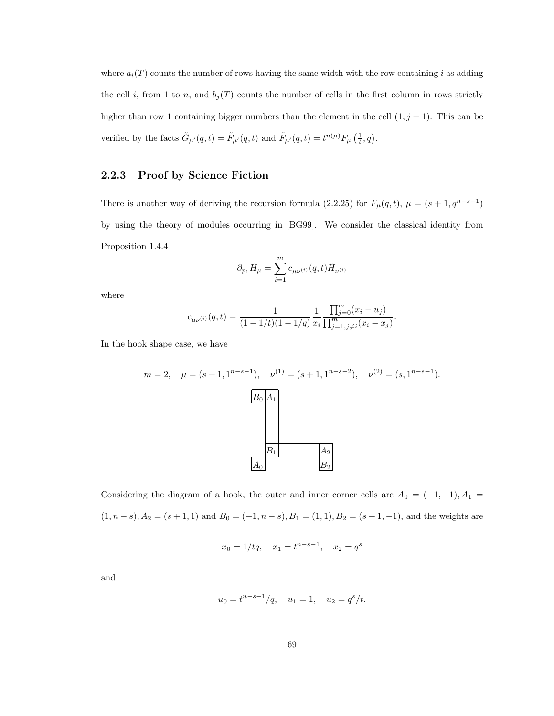where  $a_i(T)$  counts the number of rows having the same width with the row containing i as adding the cell i, from 1 to n, and  $b_i(T)$  counts the number of cells in the first column in rows strictly higher than row 1 containing bigger numbers than the element in the cell  $(1, j + 1)$ . This can be verified by the facts  $\tilde{G}_{\mu'}(q,t) = \tilde{F}_{\mu'}(q,t)$  and  $\tilde{F}_{\mu'}(q,t) = t^{n(\mu)} F_{\mu}(\frac{1}{t}, q)$ .

### 2.2.3 Proof by Science Fiction

There is another way of deriving the recursion formula (2.2.25) for  $F_{\mu}(q, t)$ ,  $\mu = (s + 1, q^{n-s-1})$ by using the theory of modules occurring in [BG99]. We consider the classical identity from Proposition 1.4.4

$$
\partial_{p_1}\tilde{H}_{\mu}=\sum_{i=1}^m c_{\mu\nu^{(i)}}(q,t)\tilde{H}_{\nu^{(i)}}
$$

where

$$
c_{\mu\nu^{(i)}}(q,t) = \frac{1}{(1 - 1/t)(1 - 1/q)} \frac{1}{x_i} \frac{\prod_{j=0}^m (x_i - u_j)}{\prod_{j=1, j \neq i}^m (x_i - x_j)}.
$$

In the hook shape case, we have

$$
m = 2, \quad \mu = (s+1, 1^{n-s-1}), \quad \nu^{(1)} = (s+1, 1^{n-s-2}), \quad \nu^{(2)} = (s, 1^{n-s-1}).
$$
  
  

$$
\boxed{B_0 | A_1}
$$
  
  

$$
\boxed{B_1}
$$
  
  
 $A_2$   
  
 $A_0$   
  
 $B_2$ 

Considering the diagram of a hook, the outer and inner corner cells are  $A_0 = (-1, -1), A_1 =$  $(1, n - s), A<sub>2</sub> = (s + 1, 1)$  and  $B<sub>0</sub> = (-1, n - s), B<sub>1</sub> = (1, 1), B<sub>2</sub> = (s + 1, -1),$  and the weights are

$$
x_0 = 1/tq
$$
,  $x_1 = t^{n-s-1}$ ,  $x_2 = q^s$ 

and

$$
u_0 = t^{n-s-1}/q
$$
,  $u_1 = 1$ ,  $u_2 = q^s/t$ .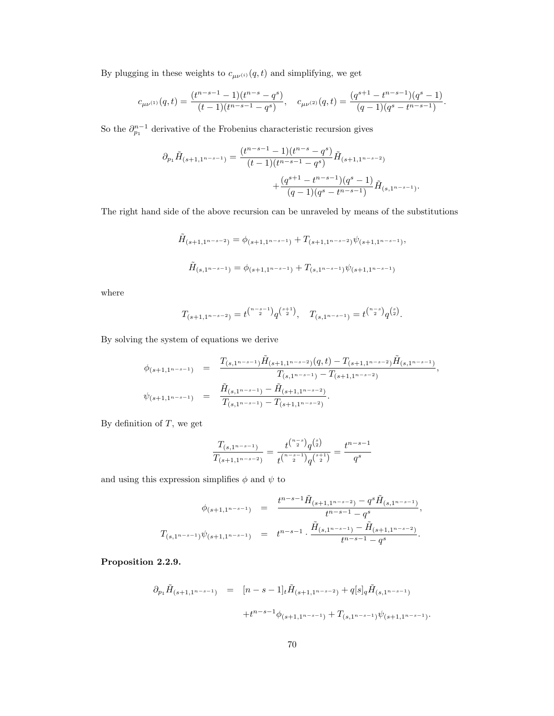By plugging in these weights to  $c_{\mu\nu^{(i)}}(q,t)$  and simplifying, we get

$$
c_{\mu\nu^{(1)}}(q,t)=\frac{(t^{n-s-1}-1)(t^{n-s}-q^s)}{(t-1)(t^{n-s-1}-q^s)},\quad c_{\mu\nu^{(2)}}(q,t)=\frac{(q^{s+1}-t^{n-s-1})(q^s-1)}{(q-1)(q^s-t^{n-s-1})}.
$$

So the  $\partial_{p_1}^{n-1}$  derivative of the Frobenius characteristic recursion gives

$$
\begin{aligned} \partial_{p_1}\tilde{H}_{(s+1,1^{n-s-1})} &= \frac{(t^{n-s-1}-1)(t^{n-s}-q^s)}{(t-1)(t^{n-s-1}-q^s)}\tilde{H}_{(s+1,1^{n-s-2})}\\ &\qquad\qquad + \frac{(q^{s+1}-t^{n-s-1})(q^s-1)}{(q-1)(q^s-t^{n-s-1})}\tilde{H}_{(s,1^{n-s-1})}. \end{aligned}
$$

The right hand side of the above recursion can be unraveled by means of the substitutions

$$
\tilde{H}_{(s+1,1^{n-s-2})} = \phi_{(s+1,1^{n-s-1})} + T_{(s+1,1^{n-s-2})} \psi_{(s+1,1^{n-s-1})},
$$
\n
$$
\tilde{H}_{(s,1^{n-s-1})} = \phi_{(s+1,1^{n-s-1})} + T_{(s,1^{n-s-1})} \psi_{(s+1,1^{n-s-1})}
$$

where

$$
T_{(s+1,1^{n-s-2})} = t^{n-s-1 \choose 2} q^{\binom{s+1}{2}}, \quad T_{(s,1^{n-s-1})} = t^{n-s \choose 2} q^{\binom{s}{2}}.
$$

By solving the system of equations we derive

$$
\begin{array}{rcl}\n\phi_{(s+1,1^{n-s-1})} & = & \frac{T_{(s,1^{n-s-1})}\tilde{H}_{(s+1,1^{n-s-2})}(q,t) - T_{(s+1,1^{n-s-2})}\tilde{H}_{(s,1^{n-s-1})}}{T_{(s,1^{n-s-1})} - T_{(s+1,1^{n-s-2})}}, \\
\psi_{(s+1,1^{n-s-1})} & = & \frac{\tilde{H}_{(s,1^{n-s-1})} - \tilde{H}_{(s+1,1^{n-s-2})}}{T_{(s,1^{n-s-1})} - T_{(s+1,1^{n-s-2})}}.\n\end{array}
$$

By definition of  $T$ , we get

$$
\frac{T_{(s,1^{n-s-1})}}{T_{(s+1,1^{n-s-2})}} = \frac{t^{n-s \choose 2} q^{{s \choose 2}}}{t^{n-s-1 \choose 2} q^{{s+1 \choose 2}}} = \frac{t^{n-s-1}}{q^s}
$$

and using this expression simplifies  $\phi$  and  $\psi$  to

$$
\begin{array}{rcl}\n\phi_{(s+1,1^{n-s-1})} & = & \frac{t^{n-s-1}\tilde{H}_{(s+1,1^{n-s-2})} - q^s\tilde{H}_{(s,1^{n-s-1})}}{t^{n-s-1} - q^s}, \\
T_{(s,1^{n-s-1})}\psi_{(s+1,1^{n-s-1})} & = & t^{n-s-1} \cdot \frac{\tilde{H}_{(s,1^{n-s-1})} - \tilde{H}_{(s+1,1^{n-s-2})}}{t^{n-s-1} - q^s}.\n\end{array}
$$

Proposition 2.2.9.

$$
\partial_{p_1} \tilde{H}_{(s+1,1^{n-s-1})} = [n-s-1]_t \tilde{H}_{(s+1,1^{n-s-2})} + q[s]_q \tilde{H}_{(s,1^{n-s-1})}
$$
  
 
$$
+ t^{n-s-1} \phi_{(s+1,1^{n-s-1})} + T_{(s,1^{n-s-1})} \psi_{(s+1,1^{n-s-1})}.
$$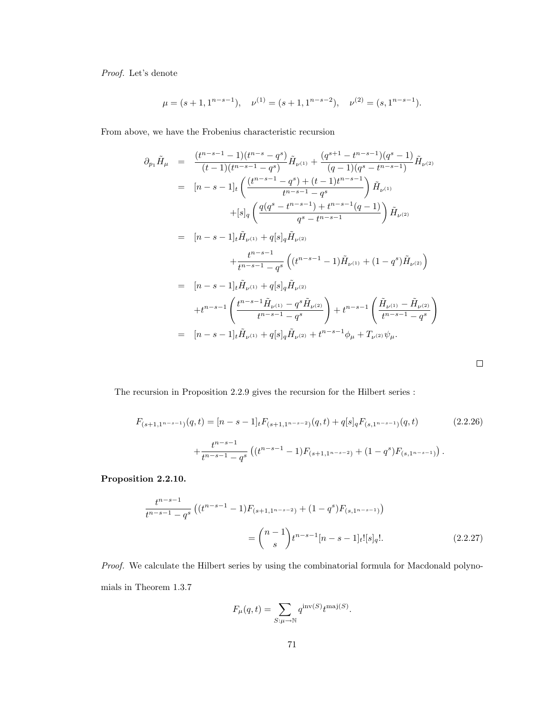Proof. Let's denote

$$
\mu = (s+1, 1^{n-s-1}), \quad \nu^{(1)} = (s+1, 1^{n-s-2}), \quad \nu^{(2)} = (s, 1^{n-s-1}).
$$

From above, we have the Frobenius characteristic recursion

$$
\partial_{p_1}\tilde{H}_{\mu} = \frac{(t^{n-s-1}-1)(t^{n-s}-q^{s})}{(t-1)(t^{n-s-1}-q^{s})}\tilde{H}_{\nu^{(1)}} + \frac{(q^{s+1}-t^{n-s-1})(q^{s}-1)}{(q-1)(q^{s}-t^{n-s-1})}\tilde{H}_{\nu^{(2)}}
$$
\n
$$
= [n-s-1]_t \left( \frac{(t^{n-s-1}-q^{s})+(t-1)t^{n-s-1}}{t^{n-s-1}-q^{s}} \right) \tilde{H}_{\nu^{(1)}}
$$
\n
$$
+ [s]_q \left( \frac{q(q^{s}-t^{n-s-1})+t^{n-s-1}(q-1)}{q^{s}-t^{n-s-1}} \right) \tilde{H}_{\nu^{(2)}}
$$
\n
$$
= [n-s-1]_t \tilde{H}_{\nu^{(1)}} + q[s]_q \tilde{H}_{\nu^{(2)}}
$$
\n
$$
+ \frac{t^{n-s-1}}{t^{n-s-1}-q^{s}} \left( (t^{n-s-1}-1) \tilde{H}_{\nu^{(1)}} + (1-q^{s}) \tilde{H}_{\nu^{(2)}} \right)
$$
\n
$$
= [n-s-1]_t \tilde{H}_{\nu^{(1)}} + q[s]_q \tilde{H}_{\nu^{(2)}}
$$
\n
$$
+ t^{n-s-1} \left( \frac{t^{n-s-1} \tilde{H}_{\nu^{(1)}} - q^{s} \tilde{H}_{\nu^{(2)}}}{t^{n-s-1}-q^{s}} \right) + t^{n-s-1} \left( \frac{\tilde{H}_{\nu^{(1)}} - \tilde{H}_{\nu^{(2)}}}{t^{n-s-1}-q^{s}} \right)
$$
\n
$$
= [n-s-1]_t \tilde{H}_{\nu^{(1)}} + q[s]_q \tilde{H}_{\nu^{(2)}} + t^{n-s-1} \phi_{\mu} + T_{\nu^{(2)}} \psi_{\mu}.
$$

The recursion in Proposition 2.2.9 gives the recursion for the Hilbert series :

$$
F_{(s+1,1^{n-s-1})}(q,t) = [n-s-1]_t F_{(s+1,1^{n-s-2})}(q,t) + q[s]_q F_{(s,1^{n-s-1})}(q,t)
$$
\n
$$
+ \frac{t^{n-s-1}}{t^{n-s-1}-q^s} \left( (t^{n-s-1}-1) F_{(s+1,1^{n-s-2})} + (1-q^s) F_{(s,1^{n-s-1})} \right).
$$
\n(2.2.26)

 $\Box$ 

Proposition 2.2.10.

$$
\frac{t^{n-s-1}}{t^{n-s-1}-q^s} \left( (t^{n-s-1}-1) F_{(s+1,1^{n-s-2})} + (1-q^s) F_{(s,1^{n-s-1})} \right)
$$

$$
= {n-1 \choose s} t^{n-s-1} [n-s-1]_t! [s]_q!.
$$
(2.2.27)

Proof. We calculate the Hilbert series by using the combinatorial formula for Macdonald polynomials in Theorem 1.3.7

$$
F_{\mu}(q,t) = \sum_{S:\mu \to \mathbb{N}} q^{\text{inv}(S)} t^{\text{maj}(S)}.
$$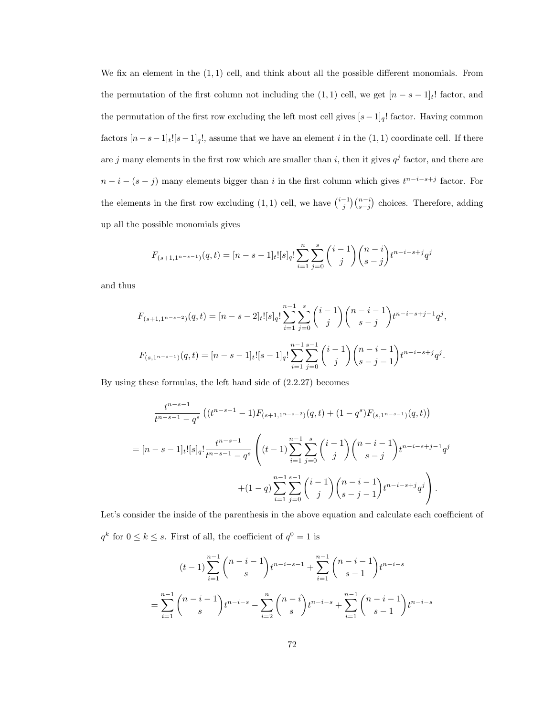We fix an element in the  $(1, 1)$  cell, and think about all the possible different monomials. From the permutation of the first column not including the  $(1, 1)$  cell, we get  $[n - s - 1]_t!$  factor, and the permutation of the first row excluding the left most cell gives  $[s-1]_q!$  factor. Having common factors  $[n-s-1]_t$ ![s−1]<sub>q</sub>!, assume that we have an element *i* in the (1, 1) coordinate cell. If there are j many elements in the first row which are smaller than i, then it gives  $q^j$  factor, and there are  $n-i-(s-j)$  many elements bigger than i in the first column which gives  $t^{n-i-s+j}$  factor. For the elements in the first row excluding  $(1,1)$  cell, we have  $\binom{i-1}{j}\binom{n-i}{s-j}$  choices. Therefore, adding up all the possible monomials gives

$$
F_{(s+1,1^{n-s-1})}(q,t) = [n-s-1]_t! [s]_q! \sum_{i=1}^n \sum_{j=0}^s {i-1 \choose j} {n-i \choose s-j} t^{n-i-s+j} q^j
$$

and thus

$$
F_{(s+1,1^{n-s-2})}(q,t) = [n-s-2]_t! [s]_q! \sum_{i=1}^{n-1} \sum_{j=0}^s {i-1 \choose j} {n-i-1 \choose s-j} t^{n-i-s+j-1} q^j,
$$
  

$$
F_{(s,1^{n-s-1})}(q,t) = [n-s-1]_t! [s-1]_q! \sum_{i=1}^{n-1} \sum_{j=0}^{s-1} {i-1 \choose j} {n-i-1 \choose s-j-1} t^{n-i-s+j} q^j.
$$

By using these formulas, the left hand side of (2.2.27) becomes

$$
\frac{t^{n-s-1}}{t^{n-s-1}-q^s} \left( (t^{n-s-1}-1) F_{(s+1,1^{n-s-2})}(q,t) + (1-q^s) F_{(s,1^{n-s-1})}(q,t) \right)
$$
\n
$$
= [n-s-1]_t! [s]_q! \frac{t^{n-s-1}}{t^{n-s-1}-q^s} \left( (t-1) \sum_{i=1}^{n-1} \sum_{j=0}^s \binom{i-1}{j} \binom{n-i-1}{s-j} t^{n-i-s+j-1} q^j + (1-q) \sum_{i=1}^{n-1} \sum_{j=0}^{s-1} \binom{i-1}{j} \binom{n-i-1}{s-j-1} t^{n-i-s+j} q^j \right).
$$

Let's consider the inside of the parenthesis in the above equation and calculate each coefficient of  $q^k$  for  $0 \leq k \leq s$ . First of all, the coefficient of  $q^0 = 1$  is

$$
(t-1)\sum_{i=1}^{n-1} \binom{n-i-1}{s} t^{n-i-s-1} + \sum_{i=1}^{n-1} \binom{n-i-1}{s-1} t^{n-i-s}
$$

$$
= \sum_{i=1}^{n-1} \binom{n-i-1}{s} t^{n-i-s} - \sum_{i=2}^{n} \binom{n-i}{s} t^{n-i-s} + \sum_{i=1}^{n-1} \binom{n-i-1}{s-1} t^{n-i-s}
$$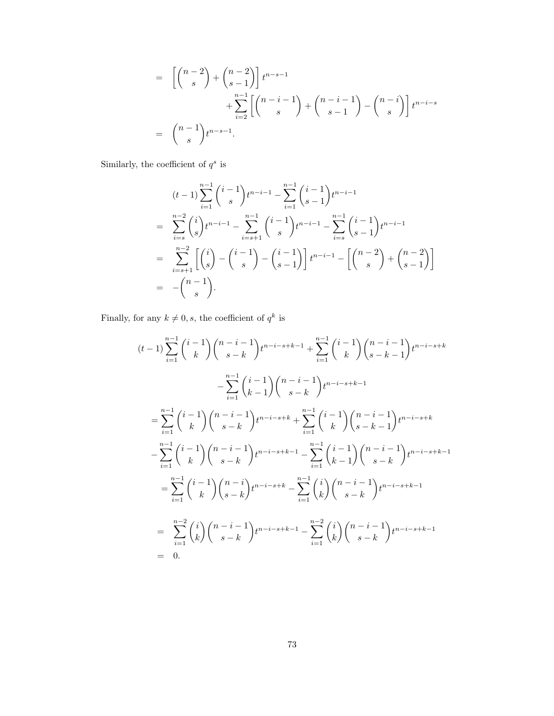$$
= \left[ \binom{n-2}{s} + \binom{n-2}{s-1} \right] t^{n-s-1}
$$
  
+ 
$$
\sum_{i=2}^{n-1} \left[ \binom{n-i-1}{s} + \binom{n-i-1}{s-1} - \binom{n-i}{s} \right] t^{n-i-s}
$$
  
= 
$$
\binom{n-1}{s} t^{n-s-1}.
$$

Similarly, the coefficient of  $q^s$  is

$$
(t-1)\sum_{i=1}^{n-1} {i-1 \choose s} t^{n-i-1} - \sum_{i=1}^{n-1} {i-1 \choose s-1} t^{n-i-1}
$$
  
= 
$$
\sum_{i=s}^{n-2} {i \choose s} t^{n-i-1} - \sum_{i=s+1}^{n-1} {i-1 \choose s} t^{n-i-1} - \sum_{i=s}^{n-1} {i-1 \choose s-1} t^{n-i-1}
$$
  
= 
$$
\sum_{i=s+1}^{n-2} \left[ {i \choose s} - {i-1 \choose s} - {i-1 \choose s-1} \right] t^{n-i-1} - \left[ {n-2 \choose s} + {n-2 \choose s-1} \right]
$$
  
= 
$$
- {n-1 \choose s}.
$$

Finally, for any  $k \neq 0, s$ , the coefficient of  $q^k$  is

$$
(t-1)\sum_{i=1}^{n-1} {i-1 \choose k} {n-i-1 \choose s-k} t^{n-i-s+k-1} + \sum_{i=1}^{n-1} {i-1 \choose k} {n-i-1 \choose s-k} t^{n-i-s+k}
$$
  

$$
-\sum_{i=1}^{n-1} {i-1 \choose k-1} {n-i-1 \choose s-k} t^{n-i-s+k-1}
$$
  

$$
=\sum_{i=1}^{n-1} {i-1 \choose k} {n-i-1 \choose s-k} t^{n-i-s+k} + \sum_{i=1}^{n-1} {i-1 \choose k} {n-i-1 \choose s-k} t^{n-i-s+k}
$$
  

$$
-\sum_{i=1}^{n-1} {i-1 \choose k} {n-i-1 \choose s-k} t^{n-i-s+k-1} - \sum_{i=1}^{n-1} {i-1 \choose k-1} {n-i-1 \choose s-k} t^{n-i-s+k-1}
$$
  

$$
=\sum_{i=1}^{n-1} {i-1 \choose k} {n-i \choose s-k} t^{n-i-s+k} - \sum_{i=1}^{n-1} {i \choose k} {n-i-1 \choose s-k} t^{n-i-s+k-1}
$$
  

$$
=\sum_{i=1}^{n-2} {i \choose k} {n-i-1 \choose s-k} t^{n-i-s+k-1} - \sum_{i=1}^{n-2} {i \choose k} {n-i-1 \choose s-k} t^{n-i-s+k-1}
$$
  

$$
= 0.
$$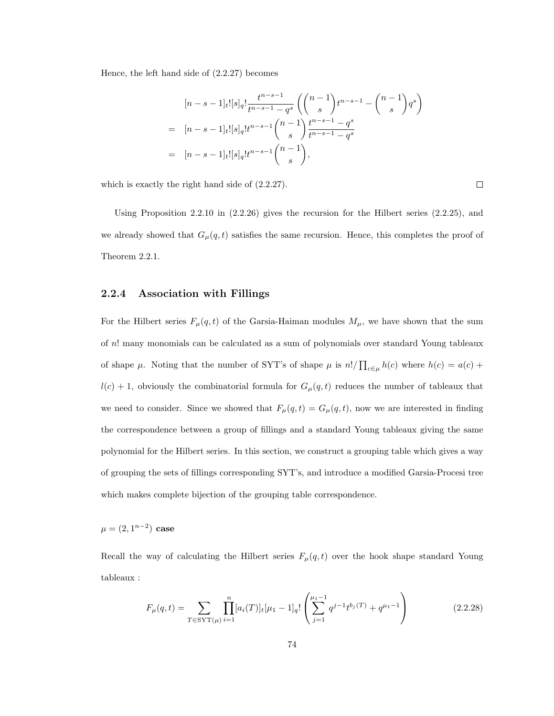Hence, the left hand side of (2.2.27) becomes

$$
[n-s-1]_t![s]_q! \frac{t^{n-s-1}}{t^{n-s-1}-q^s} \left( \binom{n-1}{s} t^{n-s-1} - \binom{n-1}{s} q^s \right)
$$
  
= 
$$
[n-s-1]_t![s]_q! t^{n-s-1} \binom{n-1}{s} \frac{t^{n-s-1}-q^s}{t^{n-s-1}-q^s}
$$
  
= 
$$
[n-s-1]_t![s]_q! t^{n-s-1} \binom{n-1}{s},
$$

which is exactly the right hand side of (2.2.27).

Using Proposition 2.2.10 in (2.2.26) gives the recursion for the Hilbert series (2.2.25), and we already showed that  $G_{\mu}(q,t)$  satisfies the same recursion. Hence, this completes the proof of Theorem 2.2.1.

### 2.2.4 Association with Fillings

For the Hilbert series  $F_{\mu}(q, t)$  of the Garsia-Haiman modules  $M_{\mu}$ , we have shown that the sum of n! many monomials can be calculated as a sum of polynomials over standard Young tableaux of shape  $\mu$ . Noting that the number of SYT's of shape  $\mu$  is  $n!/\prod_{c\in\mu}h(c)$  where  $h(c) = a(c) +$  $l(c) + 1$ , obviously the combinatorial formula for  $G_{\mu}(q, t)$  reduces the number of tableaux that we need to consider. Since we showed that  $F_{\mu}(q, t) = G_{\mu}(q, t)$ , now we are interested in finding the correspondence between a group of fillings and a standard Young tableaux giving the same polynomial for the Hilbert series. In this section, we construct a grouping table which gives a way of grouping the sets of fillings corresponding SYT's, and introduce a modified Garsia-Procesi tree which makes complete bijection of the grouping table correspondence.

 $\mu = (2, 1^{n-2})$  case

Recall the way of calculating the Hilbert series  $F_{\mu}(q, t)$  over the hook shape standard Young tableaux :

$$
F_{\mu}(q,t) = \sum_{T \in \text{SYT}(\mu)} \prod_{i=1}^{n} [a_i(T)]_t [\mu_1 - 1]_q! \left( \sum_{j=1}^{\mu_1 - 1} q^{j-1} t^{b_j(T)} + q^{\mu_1 - 1} \right)
$$
(2.2.28)

 $\Box$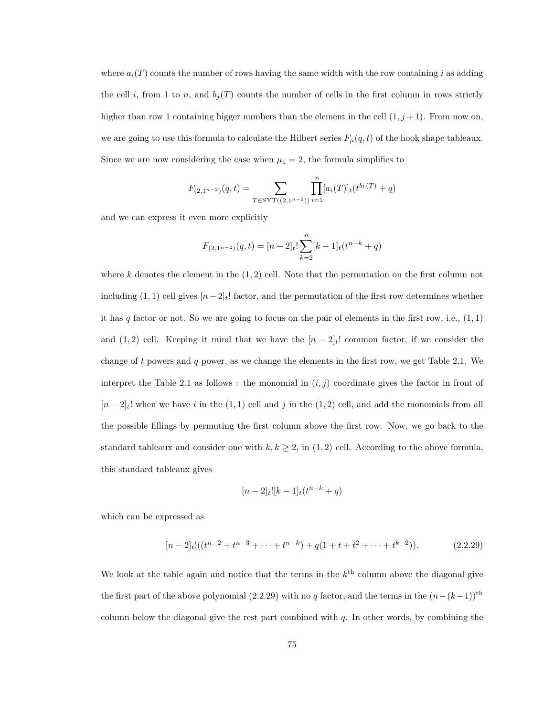where  $a_i(T)$  counts the number of rows having the same width with the row containing i as adding the cell i, from 1 to n, and  $b_j(T)$  counts the number of cells in the first column in rows strictly higher than row 1 containing bigger numbers than the element in the cell  $(1, j + 1)$ . From now on, we are going to use this formula to calculate the Hilbert series  $F_{\mu}(q, t)$  of the hook shape tableaux. Since we are now considering the case when  $\mu_1 = 2$ , the formula simplifies to

$$
F_{(2,1^{n-2})}(q,t) = \sum_{T \in \text{SYT}((2,1^{n-2}))} \prod_{i=1}^n [a_i(T)]_t(t^{b_1(T)} + q)
$$

and we can express it even more explicitly

$$
F_{(2,1^{n-2})}(q,t) = [n-2]_t! \sum_{k=2}^n [k-1]_t (t^{n-k} + q)
$$

where  $k$  denotes the element in the  $(1, 2)$  cell. Note that the permutation on the first column not including (1, 1) cell gives  $[n-2]_t!$  factor, and the permutation of the first row determines whether it has  $q$  factor or not. So we are going to focus on the pair of elements in the first row, i.e.,  $(1, 1)$ and (1, 2) cell. Keeping it mind that we have the  $[n-2]_t!$  common factor, if we consider the change of t powers and q power, as we change the elements in the first row, we get Table 2.1. We interpret the Table 2.1 as follows: the monomial in  $(i, j)$  coordinate gives the factor in front of  $[n-2]_t!$  when we have i in the  $(1, 1)$  cell and j in the  $(1, 2)$  cell, and add the monomials from all the possible fillings by permuting the first column above the first row. Now, we go back to the standard tableaux and consider one with  $k, k \geq 2$ , in  $(1, 2)$  cell. According to the above formula, this standard tableaux gives

$$
[n-2]_t![k-1]_t(t^{n-k}+q)
$$

which can be expressed as

$$
[n-2]_t!((t^{n-2}+t^{n-3}+\cdots+t^{n-k})+q(1+t+t^2+\cdots+t^{k-2})).
$$
 (2.2.29)

We look at the table again and notice that the terms in the  $k<sup>th</sup>$  column above the diagonal give the first part of the above polynomial (2.2.29) with no q factor, and the terms in the  $(n-(k-1))$ <sup>th</sup> column below the diagonal give the rest part combined with  $q$ . In other words, by combining the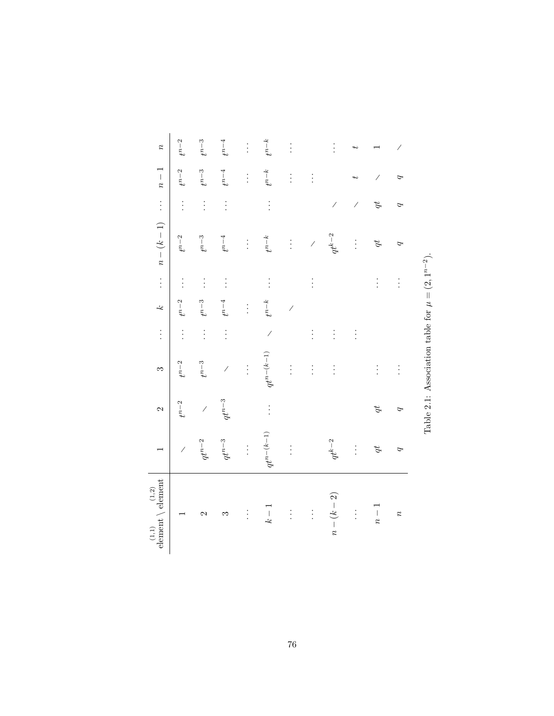| $\begin{array}{c} (1,1)\\ \in {\rm element} \, \setminus \, {\rm element} \end{array}$ |                 | $\mathbf{\Omega}$        | S                                                       | $\vdots$                 | یم                       | $\vdots$ | $n-(k-1)$                | $\vdots$                 | $n-1$     | $\boldsymbol{\mathcal{E}}$ |
|----------------------------------------------------------------------------------------|-----------------|--------------------------|---------------------------------------------------------|--------------------------|--------------------------|----------|--------------------------|--------------------------|-----------|----------------------------|
|                                                                                        | $\overline{1}$  | $t^{n-2}$                | $t^{n-2}$                                               | $\vdots$                 | $t^{n-2}$                | $\vdots$ | $t^{n-2}$                | $\vdots$                 | $t^{n-2}$ | $t^{n-2}$                  |
| 2                                                                                      | $q t^{n-2}$     | $\overline{\phantom{a}}$ | $t^{n-3}$                                               | $\vdots$                 | $t^{n-3}$                | $\vdots$ | $t^{n-3}$                | $\vdots$                 | $t^{n-3}$ | $t^{n-3}$                  |
| S                                                                                      | $q t^{n-3}$     | $q t^{n-3}$              | $\overline{\phantom{a}}$                                | $\vdots$                 | $t^{n-4}$                | $\vdots$ | $t^{n-4}$                | $\vdots$                 | $t^{n-4}$ | $t^{n-4}$                  |
| $\vdots$                                                                               | $\vdots$        |                          | $\vdots$                                                |                          | $\vdots$                 |          | $\vdots$                 |                          | $\vdots$  | $\vdots$                   |
| $k-1$                                                                                  | $q t^{n-(k-1)}$ | $\vdots$                 | $qt^{n-(k-1)}$                                          | $\overline{\phantom{a}}$ | $t^{n-k}$                | $\vdots$ | $t^{n-k}$                | $\vdots$                 | $t^{n-k}$ | $t^{n-k}$                  |
| $\vdots$                                                                               | $\vdots$        |                          | $\vdots$                                                |                          | $\overline{\phantom{a}}$ |          | $\vdots$                 |                          | $\vdots$  | $\vdots$                   |
| $\vdots$                                                                               |                 |                          | $\vdots$                                                | $\vdots$                 |                          | $\vdots$ | $\overline{\phantom{a}}$ |                          | $\vdots$  |                            |
| $n-(k-2)$                                                                              | $q t^{k-2}$     |                          | $\vdots$                                                | $\vdots$                 |                          |          | $q t^{k-2}$              | $\overline{\phantom{a}}$ |           | $\vdots$                   |
| $\vdots$                                                                               | $\vdots$        |                          |                                                         | $\vdots$                 |                          |          | $\vdots$                 | $\overline{\phantom{a}}$ |           |                            |
| $n -$                                                                                  | q               | q t                      | $\vdots$                                                |                          |                          | $\vdots$ | q                        | q                        |           |                            |
| $\boldsymbol{\mathcal{Z}}$                                                             | P               | P                        | $\vdots$                                                |                          |                          | $\vdots$ | P                        | P                        | P         |                            |
|                                                                                        |                 |                          | Table 2.1: Association table for $\mu = (2, 1^{n-2})$ . |                          |                          |          |                          |                          |           |                            |

Table 2.1: Association table for  $\mu = (2, 1^{n-2})$ .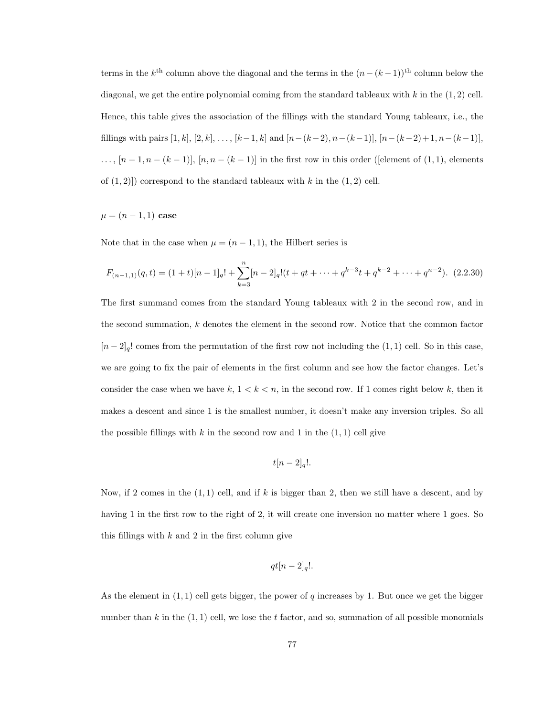terms in the  $k^{\text{th}}$  column above the diagonal and the terms in the  $(n-(k-1))^{\text{th}}$  column below the diagonal, we get the entire polynomial coming from the standard tableaux with  $k$  in the  $(1, 2)$  cell. Hence, this table gives the association of the fillings with the standard Young tableaux, i.e., the fillings with pairs  $[1, k]$ ,  $[2, k]$ , ...,  $[k-1, k]$  and  $[n-(k-2), n-(k-1)]$ ,  $[n-(k-2)+1, n-(k-1)]$ ,  $\ldots$ ,  $[n-1,n-(k-1)]$ ,  $[n,n-(k-1)]$  in the first row in this order ([element of  $(1,1)$ , elements of  $(1, 2)$ ) correspond to the standard tableaux with k in the  $(1, 2)$  cell.

 $\mu = (n - 1, 1)$  case

Note that in the case when  $\mu = (n-1,1)$ , the Hilbert series is

$$
F_{(n-1,1)}(q,t) = (1+t)[n-1]_q! + \sum_{k=3}^n [n-2]_q!(t+qt+\cdots+q^{k-3}t+q^{k-2}+\cdots+q^{n-2}). \tag{2.2.30}
$$

The first summand comes from the standard Young tableaux with 2 in the second row, and in the second summation, k denotes the element in the second row. Notice that the common factor  $[n-2]_q!$  comes from the permutation of the first row not including the  $(1, 1)$  cell. So in this case, we are going to fix the pair of elements in the first column and see how the factor changes. Let's consider the case when we have  $k, 1 < k < n$ , in the second row. If 1 comes right below k, then it makes a descent and since 1 is the smallest number, it doesn't make any inversion triples. So all the possible fillings with k in the second row and 1 in the  $(1, 1)$  cell give

$$
t[n-2]_q!
$$

Now, if 2 comes in the  $(1, 1)$  cell, and if k is bigger than 2, then we still have a descent, and by having 1 in the first row to the right of 2, it will create one inversion no matter where 1 goes. So this fillings with  $k$  and 2 in the first column give

$$
qt[n-2]_q!
$$

As the element in  $(1, 1)$  cell gets bigger, the power of q increases by 1. But once we get the bigger number than k in the  $(1, 1)$  cell, we lose the t factor, and so, summation of all possible monomials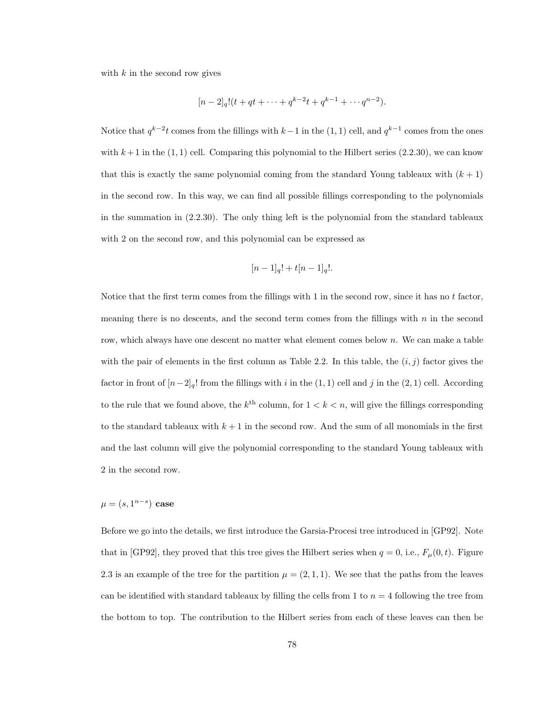with  $k$  in the second row gives

$$
[n-2]_q!(t+qt+\cdots+q^{k-2}t+q^{k-1}+\cdots+q^{n-2}).
$$

Notice that  $q^{k-2}t$  comes from the fillings with  $k-1$  in the  $(1, 1)$  cell, and  $q^{k-1}$  comes from the ones with  $k+1$  in the  $(1,1)$  cell. Comparing this polynomial to the Hilbert series  $(2.2.30)$ , we can know that this is exactly the same polynomial coming from the standard Young tableaux with  $(k + 1)$ in the second row. In this way, we can find all possible fillings corresponding to the polynomials in the summation in (2.2.30). The only thing left is the polynomial from the standard tableaux with 2 on the second row, and this polynomial can be expressed as

$$
[n-1]_q! + t[n-1]_q!
$$

Notice that the first term comes from the fillings with 1 in the second row, since it has no t factor, meaning there is no descents, and the second term comes from the fillings with  $n$  in the second row, which always have one descent no matter what element comes below  $n$ . We can make a table with the pair of elements in the first column as Table 2.2. In this table, the  $(i, j)$  factor gives the factor in front of  $[n-2]_q!$  from the fillings with i in the  $(1, 1)$  cell and j in the  $(2, 1)$  cell. According to the rule that we found above, the  $k^{\text{th}}$  column, for  $1 < k < n$ , will give the fillings corresponding to the standard tableaux with  $k + 1$  in the second row. And the sum of all monomials in the first and the last column will give the polynomial corresponding to the standard Young tableaux with 2 in the second row.

 $\mu = (s, 1^{n-s})$  case

Before we go into the details, we first introduce the Garsia-Procesi tree introduced in [GP92]. Note that in [GP92], they proved that this tree gives the Hilbert series when  $q = 0$ , i.e.,  $F_{\mu}(0, t)$ . Figure 2.3 is an example of the tree for the partition  $\mu = (2, 1, 1)$ . We see that the paths from the leaves can be identified with standard tableaux by filling the cells from 1 to  $n = 4$  following the tree from the bottom to top. The contribution to the Hilbert series from each of these leaves can then be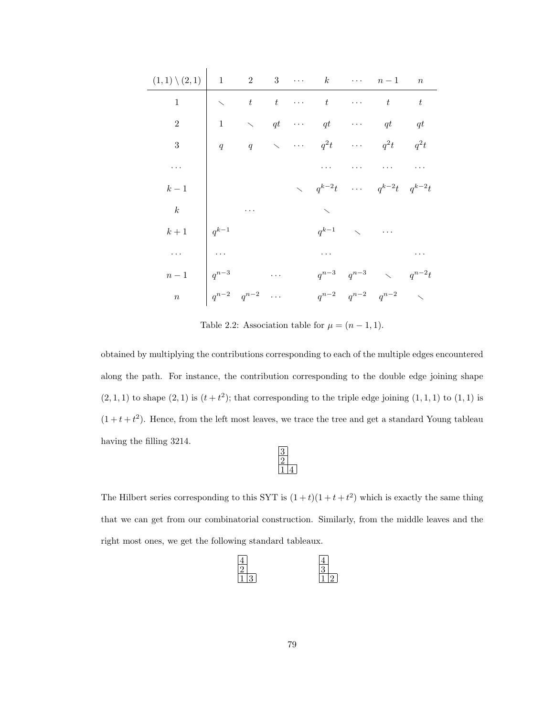| $(1,1)\setminus(2,1)$ 1 2 3 $k$ $n-1$ n |              |              |             |                                                                                                   |                           |                                                                                    |  |
|-----------------------------------------|--------------|--------------|-------------|---------------------------------------------------------------------------------------------------|---------------------------|------------------------------------------------------------------------------------|--|
| $\mathbf{1}$                            |              |              |             | $\begin{array}{cccccccccccccc} \diagdown & & t & t & \cdots & t & \cdots & t & t & t \end{array}$ |                           |                                                                                    |  |
| $\overline{2}$                          | $\mathbf{1}$ |              |             | $\diagdown\qquad qt \quad \cdots \quad qt \qquad \cdots \qquad qt \qquad qt$                      |                           |                                                                                    |  |
| 3 <sup>1</sup>                          |              | $q \qquad q$ | $\diagdown$ | $\cdots$ $q^2t$ $\cdots$ $q^2t$ $q^2t$                                                            |                           |                                                                                    |  |
| .                                       |              |              |             |                                                                                                   |                           |                                                                                    |  |
| $k-1$                                   |              |              |             | $\searrow q^{k-2}t$                                                                               |                           | $\cdots$ $q^{k-2}t$ $q^{k-2}t$                                                     |  |
| k                                       |              |              |             |                                                                                                   |                           |                                                                                    |  |
| $k+1$                                   | $q^{k-1}$    |              |             |                                                                                                   | $q^{k-1}$ $\qquad \qquad$ | $\cdots$                                                                           |  |
| $\cdots$                                | $\ldots$     |              |             | $\mathbf{r}$ , $\mathbf{r}$ , $\mathbf{r}$ , $\mathbf{r}$                                         |                           |                                                                                    |  |
| $n-1$                                   | $q^{n-3}$    |              |             |                                                                                                   |                           | $\label{eq:qn} q^{n-3} \hspace{.6cm} q^{n-3} \hspace{.6cm} \hspace{.6cm} q^{n-2}t$ |  |
| $\overline{n}$                          | $q^{n-2}$    | $q^{n-2}$    |             | $q^{n-2}$                                                                                         | $q^{n-2}$                 | $q^{n-2}$ $\sim$                                                                   |  |

Table 2.2: Association table for  $\mu = (n-1, 1)$ .

obtained by multiplying the contributions corresponding to each of the multiple edges encountered along the path. For instance, the contribution corresponding to the double edge joining shape  $(2,1,1)$  to shape  $(2,1)$  is  $(t+t^2)$ ; that corresponding to the triple edge joining  $(1,1,1)$  to  $(1,1)$  is  $(1 + t + t<sup>2</sup>)$ . Hence, from the left most leaves, we trace the tree and get a standard Young tableau having the filling 3214.

The Hilbert series corresponding to this SYT is  $(1+t)(1+t+t^2)$  which is exactly the same thing that we can get from our combinatorial construction. Similarly, from the middle leaves and the right most ones, we get the following standard tableaux.

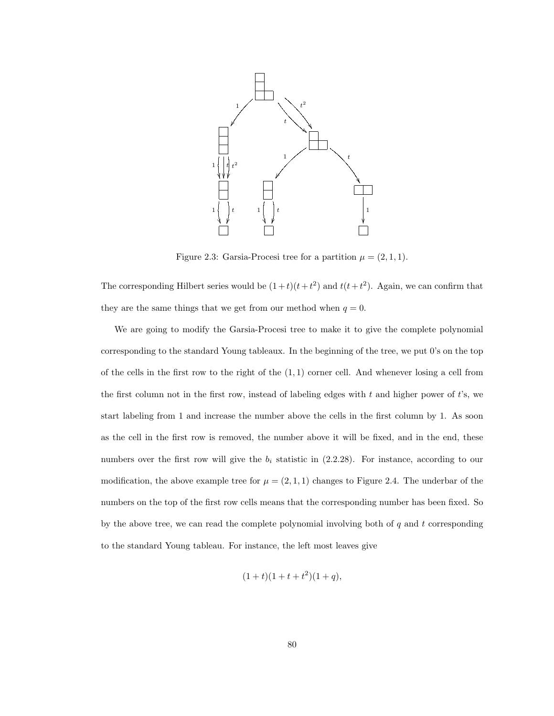

Figure 2.3: Garsia-Procesi tree for a partition  $\mu = (2, 1, 1)$ .

The corresponding Hilbert series would be  $(1+t)(t+t^2)$  and  $t(t+t^2)$ . Again, we can confirm that they are the same things that we get from our method when  $q = 0$ .

We are going to modify the Garsia-Procesi tree to make it to give the complete polynomial corresponding to the standard Young tableaux. In the beginning of the tree, we put 0's on the top of the cells in the first row to the right of the  $(1,1)$  corner cell. And whenever losing a cell from the first column not in the first row, instead of labeling edges with  $t$  and higher power of  $t$ 's, we start labeling from 1 and increase the number above the cells in the first column by 1. As soon as the cell in the first row is removed, the number above it will be fixed, and in the end, these numbers over the first row will give the  $b_i$  statistic in (2.2.28). For instance, according to our modification, the above example tree for  $\mu = (2, 1, 1)$  changes to Figure 2.4. The underbar of the numbers on the top of the first row cells means that the corresponding number has been fixed. So by the above tree, we can read the complete polynomial involving both of  $q$  and  $t$  corresponding to the standard Young tableau. For instance, the left most leaves give

$$
(1+t)(1+t+t^2)(1+q),
$$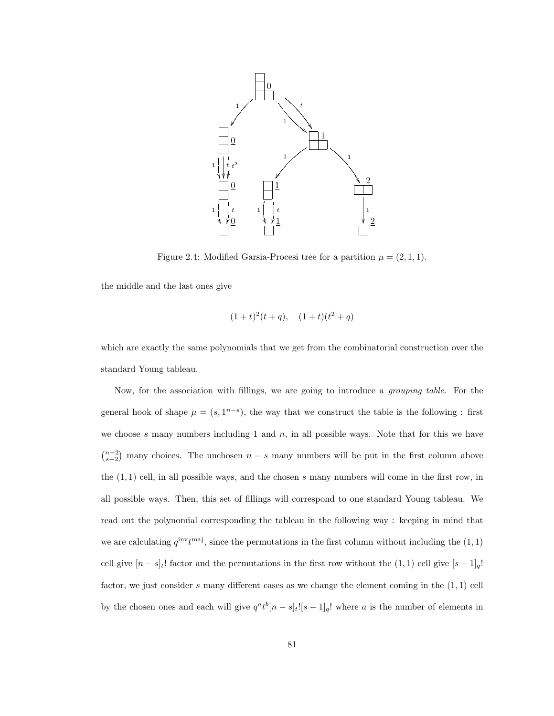

Figure 2.4: Modified Garsia-Procesi tree for a partition  $\mu = (2, 1, 1)$ .

the middle and the last ones give

$$
(1+t)^2(t+q)
$$
,  $(1+t)(t^2+q)$ 

which are exactly the same polynomials that we get from the combinatorial construction over the standard Young tableau.

Now, for the association with fillings, we are going to introduce a grouping table. For the general hook of shape  $\mu = (s, 1^{n-s})$ , the way that we construct the table is the following : first we choose s many numbers including 1 and  $n$ , in all possible ways. Note that for this we have  $\binom{n-2}{s-2}$  many choices. The unchosen  $n-s$  many numbers will be put in the first column above the  $(1, 1)$  cell, in all possible ways, and the chosen s many numbers will come in the first row, in all possible ways. Then, this set of fillings will correspond to one standard Young tableau. We read out the polynomial corresponding the tableau in the following way : keeping in mind that we are calculating  $q^{\text{inv}}t^{\text{maj}}$ , since the permutations in the first column without including the  $(1, 1)$ cell give  $[n-s]_t!$  factor and the permutations in the first row without the  $(1,1)$  cell give  $[s-1]_q!$ factor, we just consider s many different cases as we change the element coming in the  $(1, 1)$  cell by the chosen ones and each will give  $q^a t^b [n - s]_t [s - 1]_q$ ! where a is the number of elements in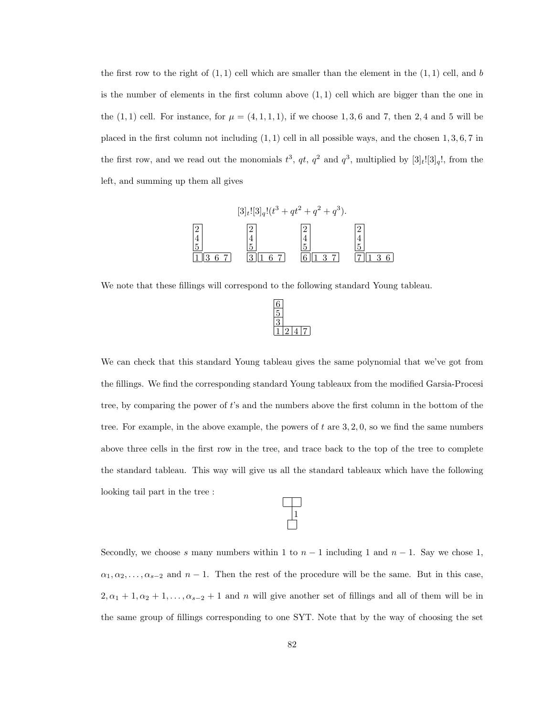the first row to the right of  $(1, 1)$  cell which are smaller than the element in the  $(1, 1)$  cell, and b is the number of elements in the first column above  $(1, 1)$  cell which are bigger than the one in the  $(1, 1)$  cell. For instance, for  $\mu = (4, 1, 1, 1)$ , if we choose 1, 3, 6 and 7, then 2, 4 and 5 will be placed in the first column not including  $(1, 1)$  cell in all possible ways, and the chosen  $1, 3, 6, 7$  in the first row, and we read out the monomials  $t^3$ ,  $qt$ ,  $q^2$  and  $q^3$ , multiplied by  $[3]_t![3]_q!$ , from the left, and summing up them all gives



We note that these fillings will correspond to the following standard Young tableau.



We can check that this standard Young tableau gives the same polynomial that we've got from the fillings. We find the corresponding standard Young tableaux from the modified Garsia-Procesi tree, by comparing the power of t's and the numbers above the first column in the bottom of the tree. For example, in the above example, the powers of  $t$  are  $3, 2, 0$ , so we find the same numbers above three cells in the first row in the tree, and trace back to the top of the tree to complete the standard tableau. This way will give us all the standard tableaux which have the following looking tail part in the tree :

Secondly, we choose s many numbers within 1 to  $n-1$  including 1 and  $n-1$ . Say we chose 1,  $\alpha_1, \alpha_2, \ldots, \alpha_{s-2}$  and  $n-1$ . Then the rest of the procedure will be the same. But in this case,  $2, \alpha_1 + 1, \alpha_2 + 1, \ldots, \alpha_{s-2} + 1$  and n will give another set of fillings and all of them will be in the same group of fillings corresponding to one SYT. Note that by the way of choosing the set

 $\frac{1}{1}$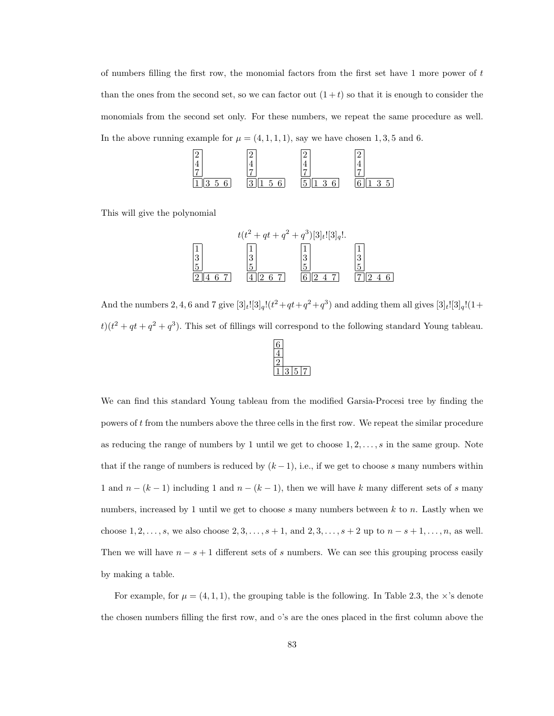of numbers filling the first row, the monomial factors from the first set have 1 more power of t than the ones from the second set, so we can factor out  $(1+t)$  so that it is enough to consider the monomials from the second set only. For these numbers, we repeat the same procedure as well. In the above running example for  $\mu = (4, 1, 1, 1)$ , say we have chosen 1, 3, 5 and 6.



This will give the polynomial



And the numbers 2, 4, 6 and 7 give  $[3]_t![3]_q!(t^2+qt+q^2+q^3)$  and adding them all gives  $[3]_t![3]_q!(1+$  $t$ )( $t^2 + qt + q^2 + q^3$ ). This set of fillings will correspond to the following standard Young tableau.

 $\sqrt{2}$ 

We can find this standard Young tableau from the modified Garsia-Procesi tree by finding the powers of t from the numbers above the three cells in the first row. We repeat the similar procedure as reducing the range of numbers by 1 until we get to choose  $1, 2, \ldots, s$  in the same group. Note that if the range of numbers is reduced by  $(k-1)$ , i.e., if we get to choose s many numbers within 1 and  $n - (k - 1)$  including 1 and  $n - (k - 1)$ , then we will have k many different sets of s many numbers, increased by 1 until we get to choose  $s$  many numbers between  $k$  to  $n$ . Lastly when we choose  $1, 2, ..., s$ , we also choose  $2, 3, ..., s + 1$ , and  $2, 3, ..., s + 2$  up to  $n - s + 1, ..., n$ , as well. Then we will have  $n - s + 1$  different sets of s numbers. We can see this grouping process easily by making a table.

For example, for  $\mu = (4, 1, 1)$ , the grouping table is the following. In Table 2.3, the  $\times$ 's denote the chosen numbers filling the first row, and ◦'s are the ones placed in the first column above the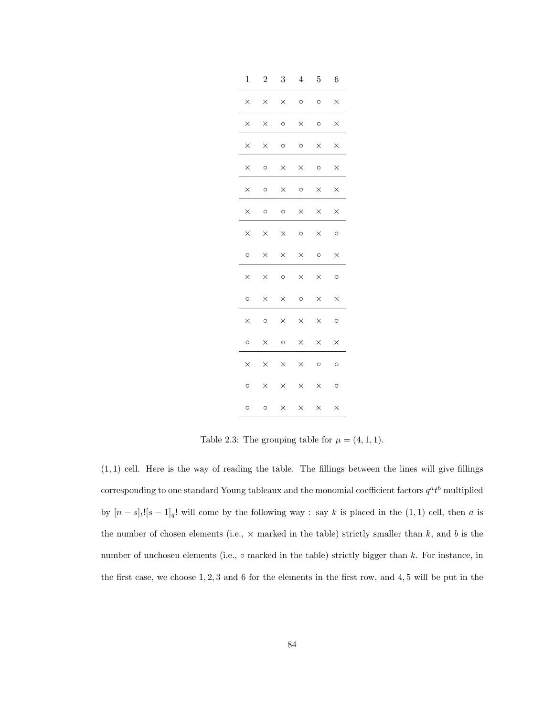| $\mathbf 1$ | $\overline{2}$ | 3        | 4        | 5        | 6        |
|-------------|----------------|----------|----------|----------|----------|
| $\times$    | $\times$       | X        | $\circ$  | $\circ$  | $\times$ |
| $\times$    | $\times$       | $\circ$  | $\times$ | $\circ$  | $\times$ |
| $\times$    | ×              | $\circ$  | $\circ$  | ×        | $\times$ |
| $\times$    | O              | $\times$ | $\times$ | $\circ$  | $\times$ |
| $\times$    | $\circ$        | $\times$ | $\circ$  | $\times$ | $\times$ |
| $\times$    | O              | $\circ$  | $\times$ | $\times$ | $\times$ |
| $\times$    | $\times$       | $\times$ | O        | $\times$ | O        |
| $\circ$     | X              | X        | $\times$ | $\circ$  | $\times$ |
| $\times$    | $\times$       | $\circ$  | $\times$ | $\times$ | O        |
| $\circ$     | $\times$       | $\times$ | $\circ$  | $\times$ | $\times$ |
| $\times$    | $\circ$        | $\times$ | $\times$ | $\times$ | $\circ$  |
| Ō           | $\times$       | $\circ$  | $\times$ | $\times$ | $\times$ |
| $\times$    | $\times$       | $\times$ | $\times$ | $\circ$  | $\circ$  |
| O           | $\times$       | $\times$ | $\times$ | $\times$ | O        |
| O           | O              | $\times$ | $\times$ | $\times$ | $\times$ |

Table 2.3: The grouping table for  $\mu = (4, 1, 1)$ .

 $(1, 1)$  cell. Here is the way of reading the table. The fillings between the lines will give fillings corresponding to one standard Young tableaux and the monomial coefficient factors  $q^a t^b$  multiplied by  $[n - s]_t$ ![s - 1]<sub>q</sub>! will come by the following way : say k is placed in the (1, 1) cell, then a is the number of chosen elements (i.e.,  $\times$  marked in the table) strictly smaller than k, and b is the number of unchosen elements (i.e.,  $\circ$  marked in the table) strictly bigger than k. For instance, in the first case, we choose 1, 2, 3 and 6 for the elements in the first row, and 4, 5 will be put in the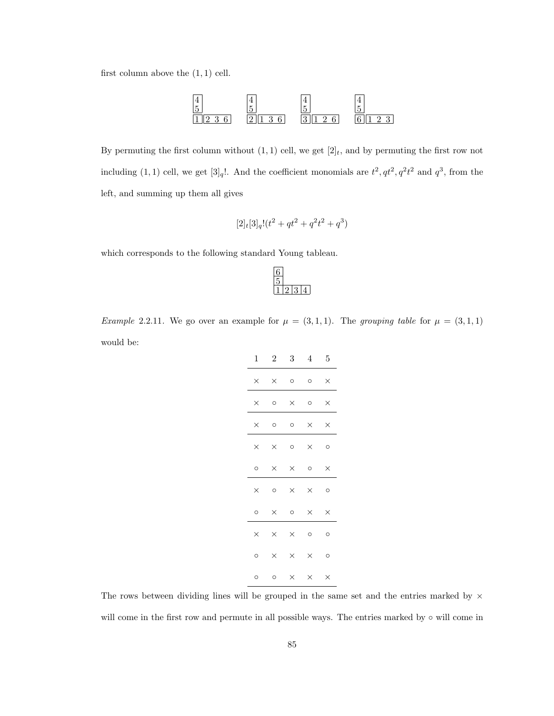first column above the  $(1, 1)$  cell.



By permuting the first column without  $(1, 1)$  cell, we get  $[2]_t$ , and by permuting the first row not including (1, 1) cell, we get [3]<sub>q</sub>!. And the coefficient monomials are  $t^2, qt^2, q^2t^2$  and  $q^3$ , from the left, and summing up them all gives

$$
[2]_t[3]_q!(t^2+qt^2+q^2t^2+q^3)\\
$$

which corresponds to the following standard Young tableau.

Example 2.2.11. We go over an example for  $\mu = (3,1,1)$ . The grouping table for  $\mu = (3,1,1)$ would be:

| $1 \quad \blacksquare$ |          | $2 \quad 3 \quad 4 \quad 5$ |          |          |
|------------------------|----------|-----------------------------|----------|----------|
| $\times$               | $\times$ | $\circ$ $\circ$             |          | $\times$ |
| $\times$               | $\circ$  | $\times$                    | $\circ$  | $\times$ |
| $\times$               | $\circ$  | $\circ$                     | $\times$ | $\times$ |
| $\times$               | $\times$ | $\circ$                     | $\times$ | $\circ$  |
| $\circ$                | $\times$ | $\times$                    | $\circ$  | $\times$ |
| $\times$               | $\circ$  | $\times$                    | $\times$ | $\circ$  |
| $\circ$                | $\times$ | $\circ$                     | $\times$ | $\times$ |
| $\times$               | $\times$ | $\times$                    | O        | $\circ$  |
| $\circ$                | $\times$ | $\times$                    | $\times$ | $\circ$  |
| O                      | $\circ$  | $\times$                    | $\times$ | $\times$ |

The rows between dividing lines will be grouped in the same set and the entries marked by  $\times$ will come in the first row and permute in all possible ways. The entries marked by ∘ will come in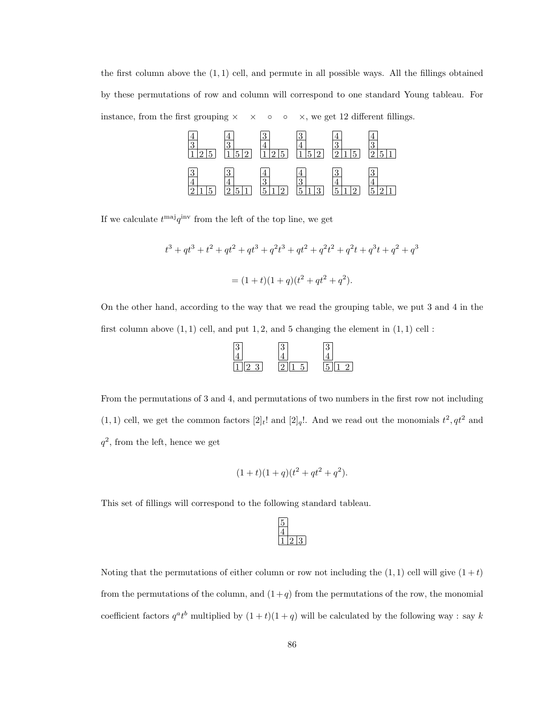the first column above the  $(1,1)$  cell, and permute in all possible ways. All the fillings obtained by these permutations of row and column will correspond to one standard Young tableau. For instance, from the first grouping  $\times \times \circ \circ \times$ , we get 12 different fillings.



If we calculate  $t^{\text{maj}}q^{\text{inv}}$  from the left of the top line, we get

$$
t^3 + qt^3 + t^2 + qt^2 + qt^3 + q^2t^3 + qt^2 + q^2t^2 + q^2t + q^3t + q^2 + q^3
$$

$$
= (1+t)(1+q)(t^2 + qt^2 + q^2).
$$

On the other hand, according to the way that we read the grouping table, we put 3 and 4 in the first column above  $(1, 1)$  cell, and put 1, 2, and 5 changing the element in  $(1, 1)$  cell :



From the permutations of 3 and 4, and permutations of two numbers in the first row not including  $(1, 1)$  cell, we get the common factors  $[2]_t!$  and  $[2]_q!$ . And we read out the monomials  $t^2, qt^2$  and  $q^2$ , from the left, hence we get

$$
(1+t)(1+q)(t^2+qt^2+q^2).
$$

This set of fillings will correspond to the following standard tableau.

Noting that the permutations of either column or row not including the  $(1, 1)$  cell will give  $(1 + t)$ from the permutations of the column, and  $(1+q)$  from the permutations of the row, the monomial coefficient factors  $q^a t^b$  multiplied by  $(1+t)(1+q)$  will be calculated by the following way : say k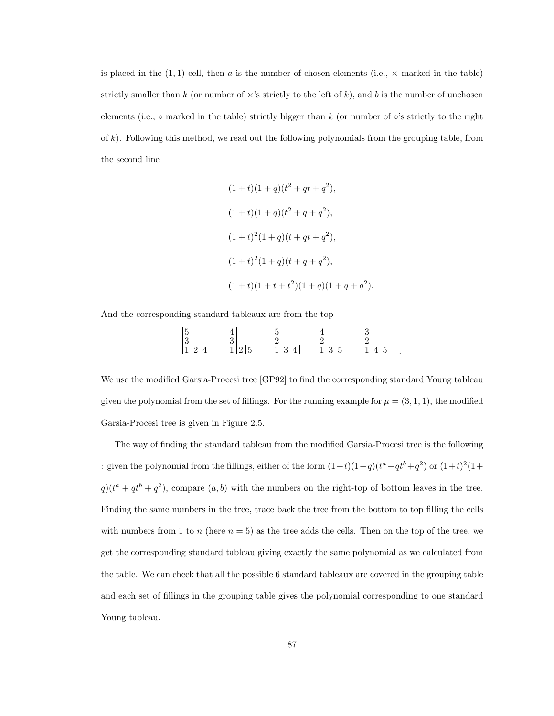is placed in the  $(1, 1)$  cell, then a is the number of chosen elements (i.e.,  $\times$  marked in the table) strictly smaller than k (or number of  $\times$ 's strictly to the left of k), and b is the number of unchosen elements (i.e.,  $\circ$  marked in the table) strictly bigger than k (or number of  $\circ$ 's strictly to the right of  $k$ ). Following this method, we read out the following polynomials from the grouping table, from the second line

$$
(1+t)(1+q)(t2 + qt + q2),
$$
  
\n
$$
(1+t)(1+q)(t2 + q + q2),
$$
  
\n
$$
(1+t)2(1+q)(t+qt+q2),
$$
  
\n
$$
(1+t)2(1+q)(t+q+q2),
$$
  
\n
$$
(1+t)(1+t+t2)(1+q)(1+q+q2).
$$

And the corresponding standard tableaux are from the top



We use the modified Garsia-Procesi tree [GP92] to find the corresponding standard Young tableau given the polynomial from the set of fillings. For the running example for  $\mu = (3, 1, 1)$ , the modified Garsia-Procesi tree is given in Figure 2.5.

The way of finding the standard tableau from the modified Garsia-Procesi tree is the following : given the polynomial from the fillings, either of the form  $(1+t)(1+q)(t^a+qt^b+q^2)$  or  $(1+t)^2(1+$  $q(t^a + qt^b + q^2)$ , compare  $(a, b)$  with the numbers on the right-top of bottom leaves in the tree. Finding the same numbers in the tree, trace back the tree from the bottom to top filling the cells with numbers from 1 to n (here  $n = 5$ ) as the tree adds the cells. Then on the top of the tree, we get the corresponding standard tableau giving exactly the same polynomial as we calculated from the table. We can check that all the possible 6 standard tableaux are covered in the grouping table and each set of fillings in the grouping table gives the polynomial corresponding to one standard Young tableau.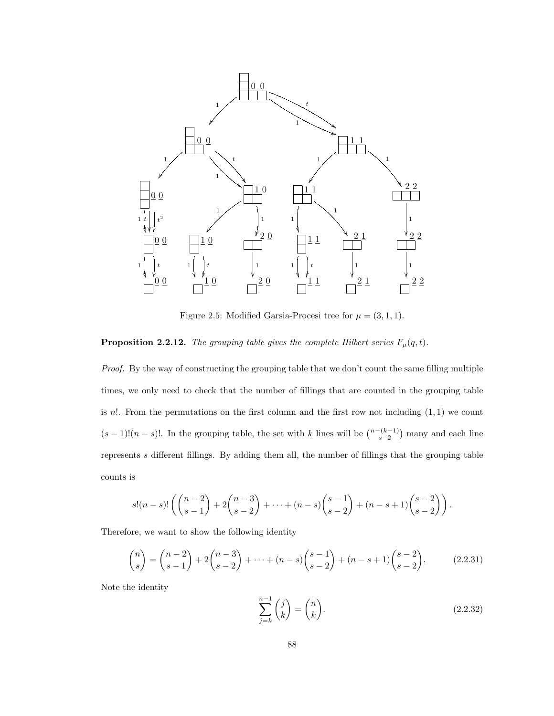

Figure 2.5: Modified Garsia-Procesi tree for  $\mu = (3, 1, 1)$ .

# **Proposition 2.2.12.** The grouping table gives the complete Hilbert series  $F_{\mu}(q, t)$ .

Proof. By the way of constructing the grouping table that we don't count the same filling multiple times, we only need to check that the number of fillings that are counted in the grouping table is  $n!$ . From the permutations on the first column and the first row not including  $(1, 1)$  we count  $(s-1)!(n-s)!$ . In the grouping table, the set with k lines will be  $\binom{n-(k-1)}{s-2}$  many and each line represents s different fillings. By adding them all, the number of fillings that the grouping table counts is

$$
s!(n-s)!\left(\binom{n-2}{s-1}+2\binom{n-3}{s-2}+\cdots+(n-s)\binom{s-1}{s-2}+(n-s+1)\binom{s-2}{s-2}\right).
$$

Therefore, we want to show the following identity

$$
\binom{n}{s} = \binom{n-2}{s-1} + 2\binom{n-3}{s-2} + \dots + (n-s)\binom{s-1}{s-2} + (n-s+1)\binom{s-2}{s-2}.\tag{2.2.31}
$$

Note the identity

$$
\sum_{j=k}^{n-1} \binom{j}{k} = \binom{n}{k}.\tag{2.2.32}
$$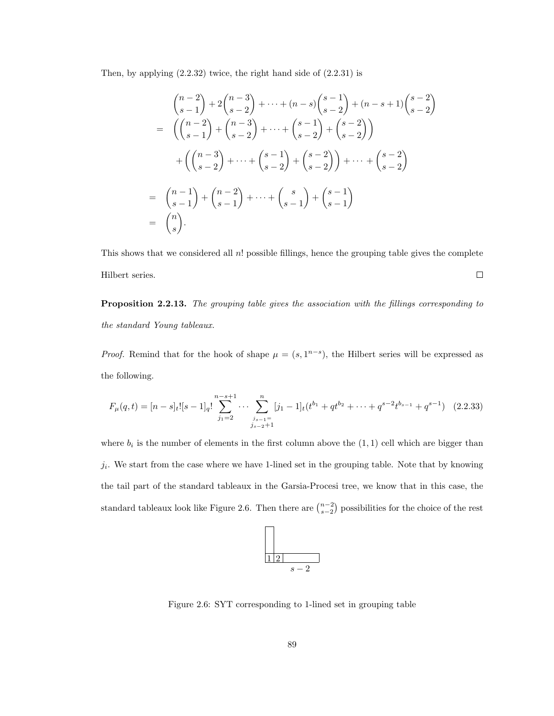Then, by applying (2.2.32) twice, the right hand side of (2.2.31) is

$$
\binom{n-2}{s-1} + 2\binom{n-3}{s-2} + \dots + (n-s)\binom{s-1}{s-2} + (n-s+1)\binom{s-2}{s-2}
$$
\n
$$
= \left(\binom{n-2}{s-1} + \binom{n-3}{s-2} + \dots + \binom{s-1}{s-2} + \binom{s-2}{s-2}\right)
$$
\n
$$
+ \left(\binom{n-3}{s-2} + \dots + \binom{s-1}{s-2} + \binom{s-2}{s-2}\right) + \dots + \binom{s-2}{s-2}
$$
\n
$$
= \binom{n-1}{s-1} + \binom{n-2}{s-1} + \dots + \binom{s}{s-1} + \binom{s-1}{s-1}
$$
\n
$$
= \binom{n}{s}.
$$

This shows that we considered all  $n!$  possible fillings, hence the grouping table gives the complete Hilbert series.  $\Box$ 

Proposition 2.2.13. The grouping table gives the association with the fillings corresponding to the standard Young tableaux.

*Proof.* Remind that for the hook of shape  $\mu = (s, 1^{n-s})$ , the Hilbert series will be expressed as the following.

$$
F_{\mu}(q,t) = [n-s]_t! [s-1]_q! \sum_{j_1=2}^{n-s+1} \cdots \sum_{j_{s-1}=1 \atop j_{s-2}+1}^{n} [j_1-1]_t (t^{b_1} + qt^{b_2} + \cdots + q^{s-2} t^{b_{s-1}} + q^{s-1}) \quad (2.2.33)
$$

where  $b_i$  is the number of elements in the first column above the  $(1,1)$  cell which are bigger than  $j_i$ . We start from the case where we have 1-lined set in the grouping table. Note that by knowing the tail part of the standard tableaux in the Garsia-Procesi tree, we know that in this case, the standard tableaux look like Figure 2.6. Then there are  $\binom{n-2}{s-2}$  possibilities for the choice of the rest



Figure 2.6: SYT corresponding to 1-lined set in grouping table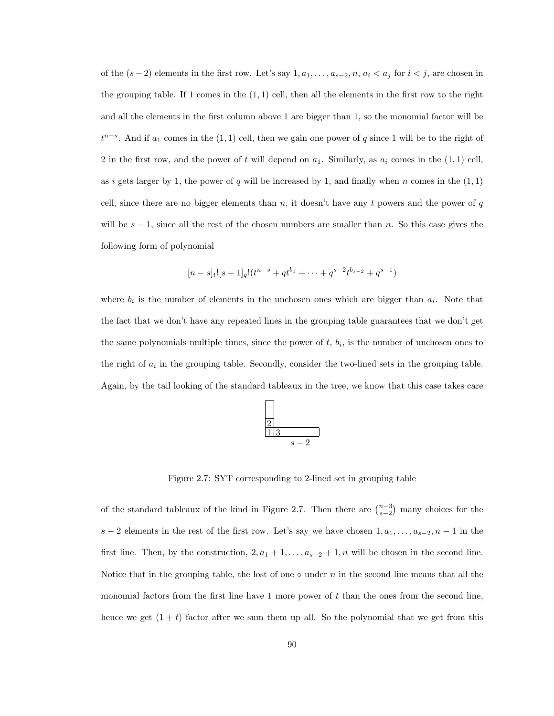of the  $(s-2)$  elements in the first row. Let's say  $1, a_1, \ldots, a_{s-2}, n, a_i < a_j$  for  $i < j$ , are chosen in the grouping table. If 1 comes in the  $(1, 1)$  cell, then all the elements in the first row to the right and all the elements in the first column above 1 are bigger than 1, so the monomial factor will be  $t^{n-s}$ . And if  $a_1$  comes in the  $(1, 1)$  cell, then we gain one power of q since 1 will be to the right of 2 in the first row, and the power of t will depend on  $a_1$ . Similarly, as  $a_i$  comes in the  $(1, 1)$  cell, as i gets larger by 1, the power of q will be increased by 1, and finally when n comes in the  $(1, 1)$ cell, since there are no bigger elements than  $n$ , it doesn't have any t powers and the power of  $q$ will be  $s - 1$ , since all the rest of the chosen numbers are smaller than n. So this case gives the following form of polynomial

$$
[n-s]_t![s-1]_q!(t^{n-s}+qt^{b_1}+\cdots+q^{s-2}t^{b_{s-2}}+q^{s-1})
$$

where  $b_i$  is the number of elements in the unchosen ones which are bigger than  $a_i$ . Note that the fact that we don't have any repeated lines in the grouping table guarantees that we don't get the same polynomials multiple times, since the power of  $t, b_i$ , is the number of unchosen ones to the right of  $a_i$  in the grouping table. Secondly, consider the two-lined sets in the grouping table. Again, by the tail looking of the standard tableaux in the tree, we know that this case takes care



Figure 2.7: SYT corresponding to 2-lined set in grouping table

of the standard tableaux of the kind in Figure 2.7. Then there are  $\binom{n-3}{s-2}$  many choices for the s − 2 elements in the rest of the first row. Let's say we have chosen  $1, a_1, \ldots, a_{s-2}, n-1$  in the first line. Then, by the construction,  $2, a_1 + 1, \ldots, a_{s-2} + 1, n$  will be chosen in the second line. Notice that in the grouping table, the lost of one  $\circ$  under n in the second line means that all the monomial factors from the first line have 1 more power of t than the ones from the second line, hence we get  $(1 + t)$  factor after we sum them up all. So the polynomial that we get from this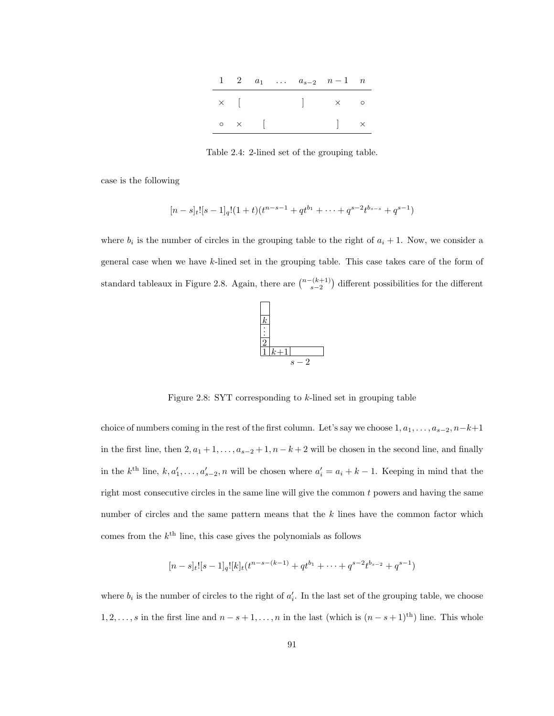|  |                    |  | 1 2 $a_1$ $a_{s-2}$ $n-1$ n          |  |
|--|--------------------|--|--------------------------------------|--|
|  |                    |  |                                      |  |
|  | $\circ$ $\times$ [ |  | $\begin{array}{ccc} & & \end{array}$ |  |

Table 2.4: 2-lined set of the grouping table.

case is the following

$$
[n-s]_t![s-1]_q!(1+t)(t^{n-s-1}+qt^{b_1}+\cdots+q^{s-2}t^{b_{s-s}}+q^{s-1})
$$

where  $b_i$  is the number of circles in the grouping table to the right of  $a_i + 1$ . Now, we consider a general case when we have k-lined set in the grouping table. This case takes care of the form of standard tableaux in Figure 2.8. Again, there are  $\binom{n-(k+1)}{s-2}$  different possibilities for the different



Figure 2.8: SYT corresponding to k-lined set in grouping table

choice of numbers coming in the rest of the first column. Let's say we choose  $1, a_1, \ldots, a_{s-2}, n-k+1$ in the first line, then  $2, a_1 + 1, \ldots, a_{s-2} + 1, n - k + 2$  will be chosen in the second line, and finally in the  $k^{\text{th}}$  line,  $k, a'_1, \ldots, a'_{s-2}, n$  will be chosen where  $a'_i = a_i + k - 1$ . Keeping in mind that the right most consecutive circles in the same line will give the common  $t$  powers and having the same number of circles and the same pattern means that the  $k$  lines have the common factor which comes from the  $k^{\text{th}}$  line, this case gives the polynomials as follows

$$
[n-s]_t![s-1]_q![k]_t(t^{n-s-(k-1)}+qt^{b_1}+\cdots+q^{s-2}t^{b_{s-2}}+q^{s-1})
$$

where  $b_i$  is the number of circles to the right of  $a'_i$ . In the last set of the grouping table, we choose 1, 2, ..., s in the first line and  $n - s + 1, \ldots, n$  in the last (which is  $(n - s + 1)$ <sup>th</sup>) line. This whole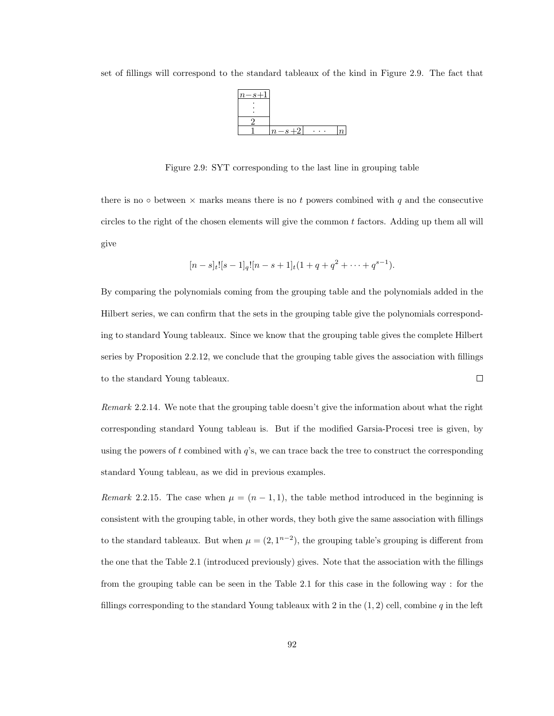

set of fillings will correspond to the standard tableaux of the kind in Figure 2.9. The fact that

Figure 2.9: SYT corresponding to the last line in grouping table

there is no  $\circ$  between  $\times$  marks means there is no t powers combined with q and the consecutive circles to the right of the chosen elements will give the common  $t$  factors. Adding up them all will give

$$
[n-s]_t![s-1]_q![n-s+1]_t(1+q+q^2+\cdots+q^{s-1}).
$$

By comparing the polynomials coming from the grouping table and the polynomials added in the Hilbert series, we can confirm that the sets in the grouping table give the polynomials corresponding to standard Young tableaux. Since we know that the grouping table gives the complete Hilbert series by Proposition 2.2.12, we conclude that the grouping table gives the association with fillings  $\Box$ to the standard Young tableaux.

Remark 2.2.14. We note that the grouping table doesn't give the information about what the right corresponding standard Young tableau is. But if the modified Garsia-Procesi tree is given, by using the powers of t combined with  $q$ 's, we can trace back the tree to construct the corresponding standard Young tableau, as we did in previous examples.

Remark 2.2.15. The case when  $\mu = (n-1,1)$ , the table method introduced in the beginning is consistent with the grouping table, in other words, they both give the same association with fillings to the standard tableaux. But when  $\mu = (2, 1^{n-2})$ , the grouping table's grouping is different from the one that the Table 2.1 (introduced previously) gives. Note that the association with the fillings from the grouping table can be seen in the Table 2.1 for this case in the following way : for the fillings corresponding to the standard Young tableaux with 2 in the  $(1, 2)$  cell, combine q in the left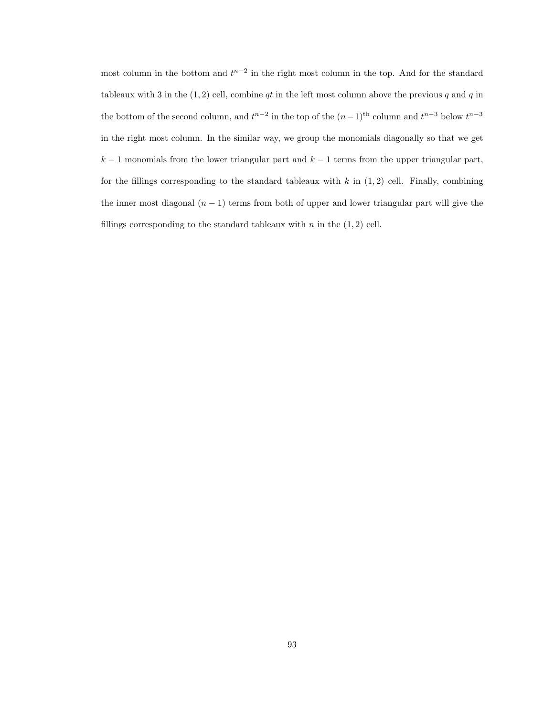most column in the bottom and  $t^{n-2}$  in the right most column in the top. And for the standard tableaux with 3 in the  $(1, 2)$  cell, combine qt in the left most column above the previous q and q in the bottom of the second column, and  $t^{n-2}$  in the top of the  $(n-1)$ <sup>th</sup> column and  $t^{n-3}$  below  $t^{n-3}$ in the right most column. In the similar way, we group the monomials diagonally so that we get  $k-1$  monomials from the lower triangular part and  $k-1$  terms from the upper triangular part, for the fillings corresponding to the standard tableaux with k in  $(1, 2)$  cell. Finally, combining the inner most diagonal  $(n - 1)$  terms from both of upper and lower triangular part will give the fillings corresponding to the standard tableaux with  $n$  in the  $(1, 2)$  cell.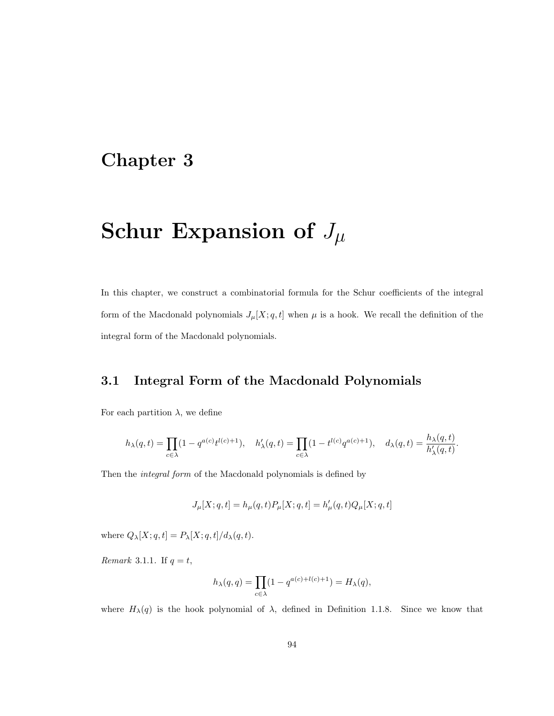# Chapter 3

# Schur Expansion of  $J_{\mu}$

In this chapter, we construct a combinatorial formula for the Schur coefficients of the integral form of the Macdonald polynomials  $J_{\mu}[X; q, t]$  when  $\mu$  is a hook. We recall the definition of the integral form of the Macdonald polynomials.

## 3.1 Integral Form of the Macdonald Polynomials

For each partition  $\lambda$ , we define

$$
h_{\lambda}(q,t) = \prod_{c \in \lambda} (1 - q^{a(c)} t^{l(c)+1}), \quad h'_{\lambda}(q,t) = \prod_{c \in \lambda} (1 - t^{l(c)} q^{a(c)+1}), \quad d_{\lambda}(q,t) = \frac{h_{\lambda}(q,t)}{h'_{\lambda}(q,t)}.
$$

Then the integral form of the Macdonald polynomials is defined by

$$
J_\mu[X;q,t]=h_\mu(q,t)P_\mu[X;q,t]=h_\mu'(q,t)Q_\mu[X;q,t]
$$

where  $Q_{\lambda}[X;q,t]=P_{\lambda}[X;q,t]/d_{\lambda}(q,t).$ 

Remark 3.1.1. If  $q = t$ ,

$$
h_\lambda(q,q)=\prod_{c\in\lambda}(1-q^{a(c)+l(c)+1})=H_\lambda(q),
$$

where  $H_{\lambda}(q)$  is the hook polynomial of  $\lambda$ , defined in Definition 1.1.8. Since we know that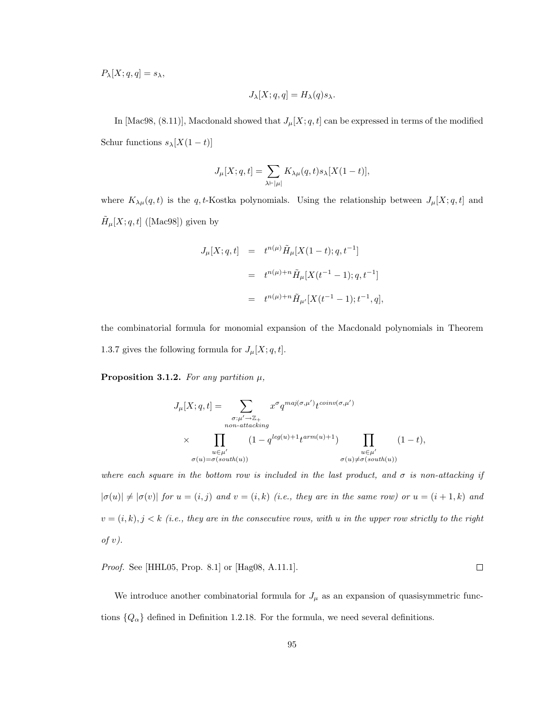$P_{\lambda}[X; q, q] = s_{\lambda},$ 

$$
J_{\lambda}[X;q,q] = H_{\lambda}(q) s_{\lambda}.
$$

In [Mac98, (8.11)], Macdonald showed that  $J_{\mu}[X; q, t]$  can be expressed in terms of the modified Schur functions  $s_\lambda[X(1-t)]$ 

$$
J_\mu[X;q,t]=\sum_{\lambda\vdash |\mu|}K_{\lambda\mu}(q,t)s_\lambda[X(1-t)],
$$

where  $K_{\lambda\mu}(q,t)$  is the q, t-Kostka polynomials. Using the relationship between  $J_{\mu}[X; q, t]$  and  $\tilde{H}_{\mu}[X;q,t]$  ([Mac98]) given by

$$
J_{\mu}[X;q,t] = t^{n(\mu)} \tilde{H}_{\mu}[X(1-t);q,t^{-1}]
$$
  

$$
= t^{n(\mu)+n} \tilde{H}_{\mu}[X(t^{-1}-1);q,t^{-1}]
$$
  

$$
= t^{n(\mu)+n} \tilde{H}_{\mu'}[X(t^{-1}-1);t^{-1},q],
$$

the combinatorial formula for monomial expansion of the Macdonald polynomials in Theorem 1.3.7 gives the following formula for  $J_{\mu}[X; q, t]$ .

Proposition 3.1.2. For any partition  $\mu$ ,

$$
J_{\mu}[X; q, t] = \sum_{\substack{\sigma: \mu' \to \mathbb{Z}_+ \\ non-attacking \\ \times \prod_{\substack{u \in \mu' \\ \sigma(u) = \sigma(south(u))}} (1 - q^{leg(u) + 1} t^{arm(u) + 1})} \prod_{\substack{u \in \mu' \\ \sigma(u) \neq \sigma(south(u))}} (1 - t),
$$

where each square in the bottom row is included in the last product, and  $\sigma$  is non-attacking if  $|\sigma(u)| \neq |\sigma(v)|$  for  $u = (i, j)$  and  $v = (i, k)$  (i.e., they are in the same row) or  $u = (i + 1, k)$  and  $v = (i, k), j < k$  (i.e., they are in the consecutive rows, with u in the upper row strictly to the right of  $v$ ).

Proof. See [HHL05, Prop. 8.1] or [Hag08, A.11.1].

We introduce another combinatorial formula for  $J_\mu$  as an expansion of quasisymmetric functions  $\{Q_{\alpha}\}\$  defined in Definition 1.2.18. For the formula, we need several definitions.

 $\Box$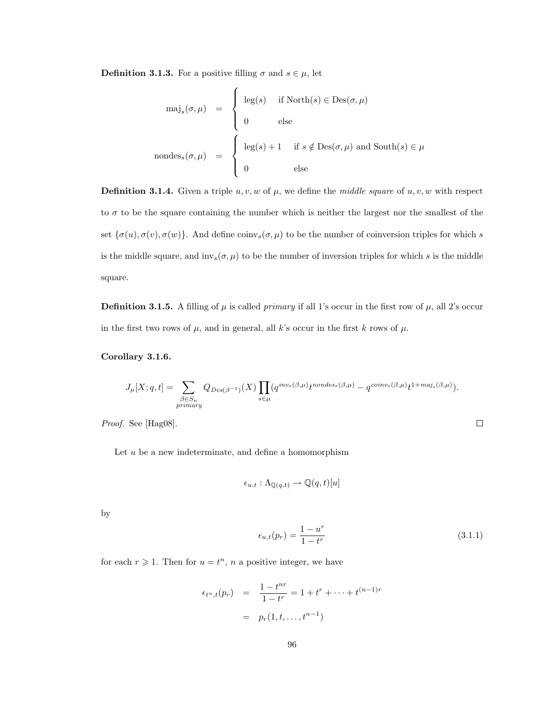**Definition 3.1.3.** For a positive filling  $\sigma$  and  $s \in \mu$ , let

$$
\text{maj}_s(\sigma, \mu) = \begin{cases} \text{leg}(s) & \text{if } \text{North}(s) \in \text{Des}(\sigma, \mu) \\ 0 & \text{else} \end{cases}
$$
\n
$$
\text{nondes}_s(\sigma, \mu) = \begin{cases} \text{leg}(s) + 1 & \text{if } s \notin \text{Des}(\sigma, \mu) \text{ and } \text{South}(s) \in \mu \\ 0 & \text{else} \end{cases}
$$

**Definition 3.1.4.** Given a triple  $u, v, w$  of  $\mu$ , we define the *middle square* of  $u, v, w$  with respect to  $\sigma$  to be the square containing the number which is neither the largest nor the smallest of the set  $\{\sigma(u), \sigma(v), \sigma(w)\}.$  And define  $\text{coinv}_s(\sigma, \mu)$  to be the number of coinversion triples for which s is the middle square, and  $inv_s(\sigma, \mu)$  to be the number of inversion triples for which s is the middle square.

**Definition 3.1.5.** A filling of  $\mu$  is called *primary* if all 1's occur in the first row of  $\mu$ , all 2's occur in the first two rows of  $\mu$ , and in general, all k's occur in the first k rows of  $\mu$ .

Corollary 3.1.6.

$$
J_{\mu}[X;q,t] = \sum_{\substack{\beta \in S_n \\ primary}} Q_{Des(\beta^{-1})}(X) \prod_{s \in \mu} (q^{inv_s(\beta,\mu)} t^{nondes_s(\beta,\mu)} - q^{coinv_s(\beta,\mu)} t^{1+maj_s(\beta,\mu)}).
$$

Proof. See [Hag08].

Let  $u$  be a new indeterminate, and define a homomorphism

$$
\epsilon_{u,t} : \Lambda_{\mathbb{Q}(q,t)} \to \mathbb{Q}(q,t)[u]
$$

by

$$
\epsilon_{u,t}(p_r) = \frac{1 - u^r}{1 - t^r} \tag{3.1.1}
$$

 $\Box$ 

for each  $r \geq 1$ . Then for  $u = t^n$ , n a positive integer, we have

$$
\epsilon_{t^n,t}(p_r) = \frac{1 - t^{nr}}{1 - t^r} = 1 + t^r + \dots + t^{(n-1)r}
$$

$$
= p_r(1, t, \dots, t^{n-1})
$$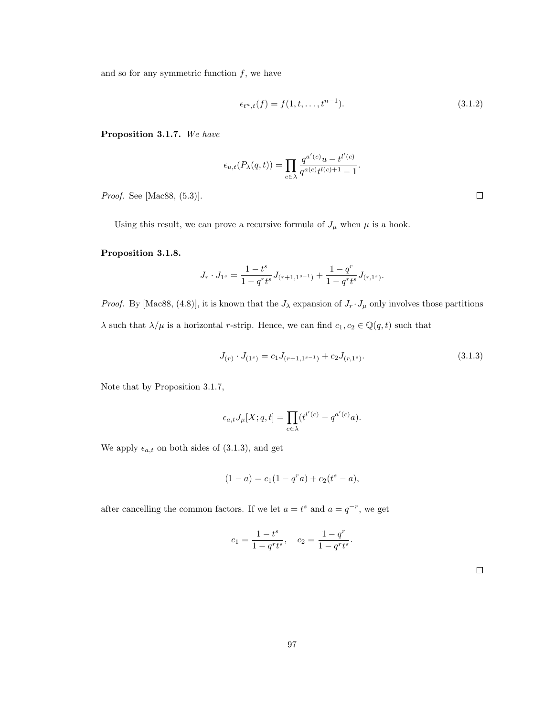and so for any symmetric function  $f$ , we have

$$
\epsilon_{t^n,t}(f) = f(1,t,\ldots,t^{n-1}).
$$
\n(3.1.2)

Proposition 3.1.7. We have

$$
\epsilon_{u,t}(P_{\lambda}(q,t)) = \prod_{c \in \lambda} \frac{q^{a'(c)}u - t^{l'(c)}}{q^{a(c)}t^{l(c)+1} - 1}.
$$

Proof. See [Mac88, (5.3)].

Using this result, we can prove a recursive formula of  $J_{\mu}$  when  $\mu$  is a hook.

### Proposition 3.1.8.

$$
J_r\cdot J_{1^s}=\frac{1-t^s}{1-q^rt^s}J_{(r+1,1^{s-1})}+\frac{1-q^r}{1-q^rt^s}J_{(r,1^s)}.
$$

*Proof.* By [Mac88, (4.8)], it is known that the  $J_{\lambda}$  expansion of  $J_r \cdot J_{\mu}$  only involves those partitions  $\lambda$  such that  $\lambda/\mu$  is a horizontal  $r\text{-strip.}$  Hence, we can find  $c_1, c_2 \in \mathbb Q(q,t)$  such that

$$
J_{(r)} \cdot J_{(1^s)} = c_1 J_{(r+1,1^{s-1})} + c_2 J_{(r,1^s)}.
$$
\n(3.1.3)

Note that by Proposition 3.1.7,

$$
\epsilon_{a,t}J_\mu[X;q,t] = \prod_{c \in \lambda} (t^{l'(c)} - q^{a'(c)}a).
$$

We apply  $\epsilon_{a,t}$  on both sides of (3.1.3), and get

$$
(1-a) = c_1(1-q^r a) + c_2(t^s - a),
$$

after cancelling the common factors. If we let  $a = t^s$  and  $a = q^{-r}$ , we get

$$
c_1 = \frac{1 - t^s}{1 - q^r t^s}, \quad c_2 = \frac{1 - q^r}{1 - q^r t^s}.
$$

 $\Box$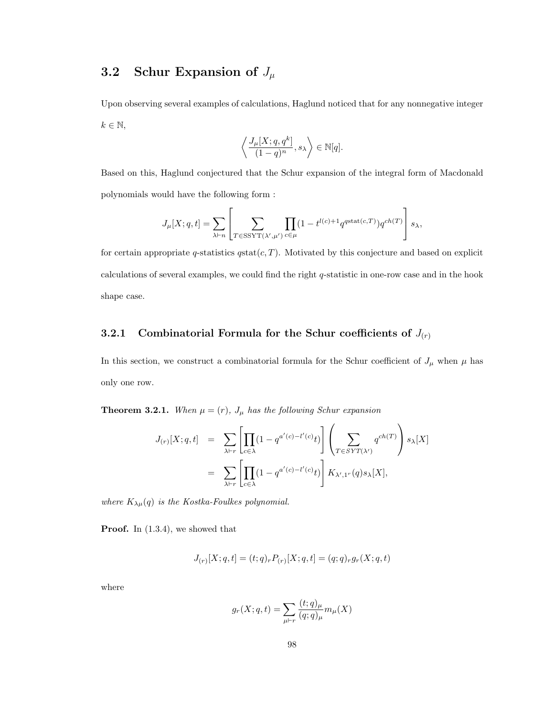# 3.2 Schur Expansion of  $J_\mu$

Upon observing several examples of calculations, Haglund noticed that for any nonnegative integer  $k \in \mathbb{N}$ ,

$$
\left\langle \frac{J_\mu[X;q,q^k]}{(1-q)^n},s_\lambda\right\rangle\in\mathbb{N}[q].
$$

Based on this, Haglund conjectured that the Schur expansion of the integral form of Macdonald polynomials would have the following form :

$$
J_{\mu}[X;q,t] = \sum_{\lambda \vdash n} \left[ \sum_{T \in \text{SSYT}(\lambda',\mu')} \prod_{c \in \mu} (1 - t^{l(c)+1} q^{\text{stat}(c,T)}) q^{ch(T)} \right] s_{\lambda},
$$

for certain appropriate q-statistics  $q$ stat $(c, T)$ . Motivated by this conjecture and based on explicit calculations of several examples, we could find the right  $q$ -statistic in one-row case and in the hook shape case.

### 3.2.1 Combinatorial Formula for the Schur coefficients of  $J(r)$

In this section, we construct a combinatorial formula for the Schur coefficient of  $J_{\mu}$  when  $\mu$  has only one row.

**Theorem 3.2.1.** When  $\mu = (r)$ ,  $J_{\mu}$  has the following Schur expansion

$$
J_{(r)}[X;q,t] = \sum_{\lambda \vdash r} \left[ \prod_{c \in \lambda} (1 - q^{a'(c) - l'(c)} t) \right] \left( \sum_{T \in SYT(\lambda')} q^{ch(T)} \right) s_{\lambda}[X]
$$
  

$$
= \sum_{\lambda \vdash r} \left[ \prod_{c \in \lambda} (1 - q^{a'(c) - l'(c)} t) \right] K_{\lambda',1'}(q) s_{\lambda}[X],
$$

where  $K_{\lambda\mu}(q)$  is the Kostka-Foulkes polynomial.

**Proof.** In  $(1.3.4)$ , we showed that

$$
J_{(r)}[X;q,t] = (t;q)_r P_{(r)}[X;q,t] = (q;q)_r g_r(X;q,t)
$$

where

$$
g_r(X; q, t) = \sum_{\mu \vdash r} \frac{(t; q)_{\mu}}{(q; q)_{\mu}} m_{\mu}(X)
$$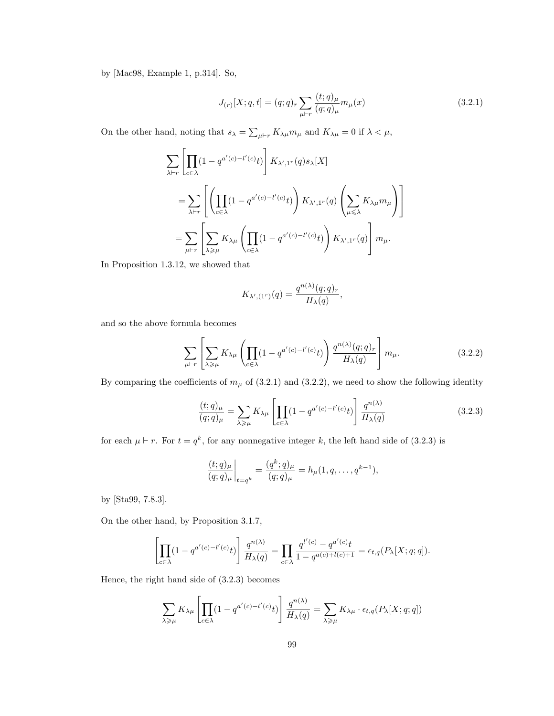by [Mac98, Example 1, p.314]. So,

$$
J_{(r)}[X;q,t] = (q;q)_r \sum_{\mu \vdash r} \frac{(t;q)_\mu}{(q;q)_\mu} m_\mu(x)
$$
\n(3.2.1)

On the other hand, noting that  $s_{\lambda} = \sum_{\mu \vdash r} K_{\lambda \mu} m_{\mu}$  and  $K_{\lambda \mu} = 0$  if  $\lambda < \mu$ ,

$$
\sum_{\lambda \vdash r} \left[ \prod_{c \in \lambda} (1 - q^{a'(c) - l'(c)} t) \right] K_{\lambda', 1^r}(q) s_{\lambda}[X]
$$
\n
$$
= \sum_{\lambda \vdash r} \left[ \left( \prod_{c \in \lambda} (1 - q^{a'(c) - l'(c)} t) \right) K_{\lambda', 1^r}(q) \left( \sum_{\mu \leq \lambda} K_{\lambda \mu} m_{\mu} \right) \right]
$$
\n
$$
= \sum_{\mu \vdash r} \left[ \sum_{\lambda \geq \mu} K_{\lambda \mu} \left( \prod_{c \in \lambda} (1 - q^{a'(c) - l'(c)} t) \right) K_{\lambda', 1^r}(q) \right] m_{\mu}.
$$

In Proposition 1.3.12, we showed that

$$
K_{\lambda',(1^r)}(q) = \frac{q^{n(\lambda)}(q;q)_r}{H_{\lambda}(q)},
$$

and so the above formula becomes

$$
\sum_{\mu \vdash r} \left[ \sum_{\lambda \ge \mu} K_{\lambda \mu} \left( \prod_{c \in \lambda} (1 - q^{a'(c) - l'(c)} t) \right) \frac{q^{n(\lambda)}(q; q)_r}{H_\lambda(q)} \right] m_\mu. \tag{3.2.2}
$$

By comparing the coefficients of  $m<sub>\mu</sub>$  of (3.2.1) and (3.2.2), we need to show the following identity

$$
\frac{(t;q)_{\mu}}{(q;q)_{\mu}} = \sum_{\lambda \ge \mu} K_{\lambda\mu} \left[ \prod_{c \in \lambda} (1 - q^{a'(c) - l'(c)} t) \right] \frac{q^{n(\lambda)}}{H_{\lambda}(q)} \tag{3.2.3}
$$

for each  $\mu \vdash r$ . For  $t = q^k$ , for any nonnegative integer k, the left hand side of (3.2.3) is

$$
\frac{(t;q)_{\mu}}{(q;q)_{\mu}}\bigg|_{t=q^k} = \frac{(q^k;q)_{\mu}}{(q;q)_{\mu}} = h_{\mu}(1,q,\ldots,q^{k-1}),
$$

by [Sta99, 7.8.3].

On the other hand, by Proposition 3.1.7,

$$
\left[\prod_{c\in\lambda}(1-q^{a'(c)-l'(c)}t)\right]\frac{q^{n(\lambda)}}{H_{\lambda}(q)}=\prod_{c\in\lambda}\frac{q^{l'(c)}-q^{a'(c)}t}{1-q^{a(c)+l(c)+1}}=\epsilon_{t,q}(P_{\lambda}[X;q;q]).
$$

Hence, the right hand side of (3.2.3) becomes

$$
\sum_{\lambda \ge \mu} K_{\lambda \mu} \left[ \prod_{c \in \lambda} (1 - q^{a'(c) - l'(c)} t) \right] \frac{q^{n(\lambda)}}{H_{\lambda}(q)} = \sum_{\lambda \ge \mu} K_{\lambda \mu} \cdot \epsilon_{t,q} (P_{\lambda}[X; q; q])
$$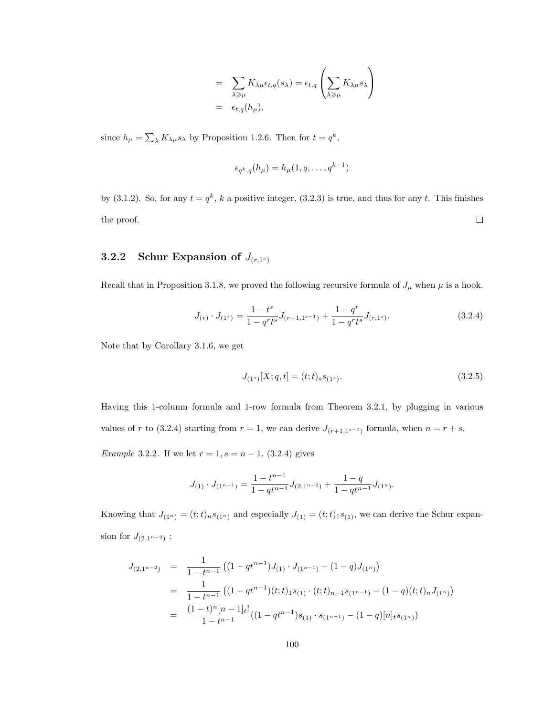$$
= \sum_{\lambda \geq \mu} K_{\lambda \mu} \epsilon_{t,q}(s_{\lambda}) = \epsilon_{t,q} \left( \sum_{\lambda \geq \mu} K_{\lambda \mu} s_{\lambda} \right)
$$
  
=  $\epsilon_{t,q}(h_{\mu}),$ 

since  $h_{\mu} = \sum_{\lambda} K_{\lambda \mu} s_{\lambda}$  by Proposition 1.2.6. Then for  $t = q^k$ ,

$$
\epsilon_{q^k,q}(h_\mu) = h_\mu(1,q,\ldots,q^{k-1})
$$

by (3.1.2). So, for any  $t = q^k$ , k a positive integer, (3.2.3) is true, and thus for any t. This finishes  $\Box$ the proof.

### 3.2.2 Schur Expansion of  $J_{(r,1^s)}$

Recall that in Proposition 3.1.8, we proved the following recursive formula of  $J_{\mu}$  when  $\mu$  is a hook.

$$
J_{(r)} \cdot J_{(1^s)} = \frac{1 - t^s}{1 - q^r t^s} J_{(r+1, 1^{s-1})} + \frac{1 - q^r}{1 - q^r t^s} J_{(r, 1^s)}.
$$
(3.2.4)

Note that by Corollary 3.1.6, we get

$$
J_{(1^s)}[X;q,t] = (t;t)_{s}s_{(1^s)}.
$$
\n(3.2.5)

Having this 1-column formula and 1-row formula from Theorem 3.2.1, by plugging in various values of r to (3.2.4) starting from  $r = 1$ , we can derive  $J_{(r+1,1^{s-1})}$  formula, when  $n = r + s$ .

Example 3.2.2. If we let  $r = 1, s = n - 1, (3.2.4)$  gives

$$
J_{(1)} \cdot J_{(1^{n-1})} = \frac{1-t^{n-1}}{1-qt^{n-1}} J_{(2,1^{n-2})} + \frac{1-q}{1-qt^{n-1}} J_{(1^n)}.
$$

Knowing that  $J_{(1^n)} = (t; t)_n s_{(1^n)}$  and especially  $J_{(1)} = (t; t)_1 s_{(1)}$ , we can derive the Schur expansion for  $J_{(2,1^{n-2})}$ :

$$
J_{(2,1^{n-2})} = \frac{1}{1-t^{n-1}} \left( (1-qt^{n-1})J_{(1)} \cdot J_{(1^{n-1})} - (1-q)J_{(1^n)} \right)
$$
  
= 
$$
\frac{1}{1-t^{n-1}} \left( (1-qt^{n-1})(t;t)_{1} s_{(1)} \cdot (t;t)_{n-1} s_{(1^{n-1})} - (1-q)(t;t)_{n} J_{(1^n)} \right)
$$
  
= 
$$
\frac{(1-t)^n [n-1]_t!}{1-t^{n-1}} \left( (1-qt^{n-1}) s_{(1)} \cdot s_{(1^{n-1})} - (1-q)[n]_t s_{(1^n)} \right)
$$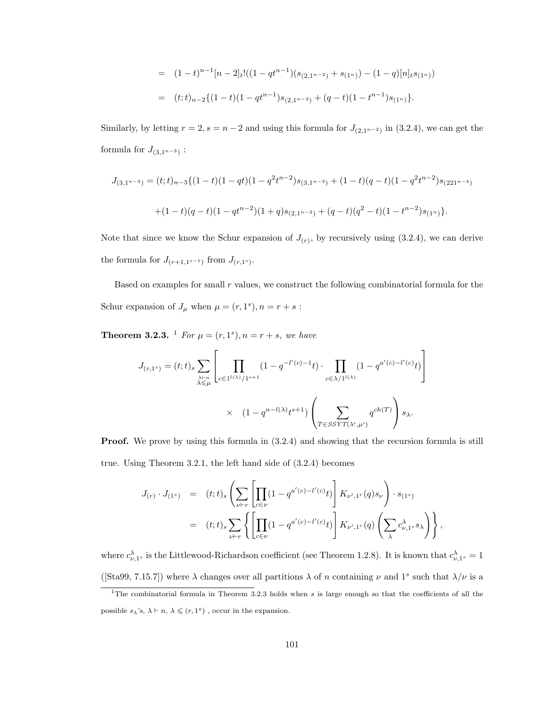$$
= (1-t)^{n-1}[n-2]_t!((1-qt^{n-1})(s_{(2,1^{n-2})}+s_{(1^n)})-(1-q)[n]_ts_{(1^n)})
$$
  

$$
= (t;t)_{n-2}\{(1-t)(1-qt^{n-1})s_{(2,1^{n-2})}+(q-t)(1-t^{n-1})s_{(1^n)}\}.
$$

Similarly, by letting  $r = 2$ ,  $s = n - 2$  and using this formula for  $J_{(2,1^{n-2})}$  in (3.2.4), we can get the formula for  $J_{(3,1^{n-3})}$ :

$$
J_{(3,1^{n-3})} = (t;t)_{n-3}\{(1-t)(1-qt)(1-q^2t^{n-2})s_{(3,1^{n-3})} + (1-t)(q-t)(1-q^2t^{n-2})s_{(221^{n-4})}
$$
  
 
$$
+ (1-t)(q-t)(1-qt^{n-2})(1+q)s_{(2,1^{n-2})} + (q-t)(q^2-t)(1-t^{n-2})s_{(1^n)}\}.
$$

Note that since we know the Schur expansion of  $J(r)$ , by recursively using  $(3.2.4)$ , we can derive the formula for  $J_{(r+1,1^{s-1})}$  from  $J_{(r,1^s)}$ .

Based on examples for small  $r$  values, we construct the following combinatorial formula for the Schur expansion of  $J_{\mu}$  when  $\mu = (r, 1^s), n = r + s$ :

**Theorem 3.2.3.** <sup>1</sup> For  $\mu = (r, 1^s), n = r + s$ , we have

$$
J_{(r,1^s)} = (t;t)_s \sum_{\substack{\lambda \vdash n \\ \lambda \leq \mu}} \left[ \prod_{c \in 1^{l(\lambda)}/1^{s+1}} (1 - q^{-l'(c)-1}t) \cdot \prod_{c \in \lambda/1^{l(\lambda)}} (1 - q^{a'(c)-l'(c)}t) \right]
$$

$$
\times \quad (1 - q^{n-l(\lambda)}t^{s+1}) \left( \sum_{T \in SSYT(\lambda',\mu')} q^{ch(T)} \right) s_{\lambda}.
$$

**Proof.** We prove by using this formula in  $(3.2.4)$  and showing that the recursion formula is still true. Using Theorem 3.2.1, the left hand side of (3.2.4) becomes

$$
J_{(r)} \cdot J_{(1^s)} = (t; t)_s \left( \sum_{\nu \vdash r} \left[ \prod_{c \in \nu} (1 - q^{a'(c) - l'(c)} t) \right] K_{\nu', 1^r}(q) s_{\nu} \right) \cdot s_{(1^s)}
$$
  

$$
= (t; t)_s \sum_{\nu \vdash r} \left\{ \left[ \prod_{c \in \nu} (1 - q^{a'(c) - l'(c)} t) \right] K_{\nu', 1^r}(q) \left( \sum_{\lambda} c_{\nu, 1^s}^{\lambda} s_{\lambda} \right) \right\},
$$

where  $c_{\nu,1^s}^{\lambda}$  is the Littlewood-Richardson coefficient (see Theorem 1.2.8). It is known that  $c_{\nu,1^s}^{\lambda} = 1$ ([Sta99, 7.15.7]) where  $\lambda$  changes over all partitions  $\lambda$  of n containing  $\nu$  and  $1^s$  such that  $\lambda/\nu$  is a

<sup>&</sup>lt;sup>1</sup>The combinatorial formula in Theorem 3.2.3 holds when  $s$  is large enough so that the coefficients of all the possible  $s_\lambda$ 's,  $\lambda \vdash n$ ,  $\lambda \leqslant (r, 1^s)$ , occur in the expansion.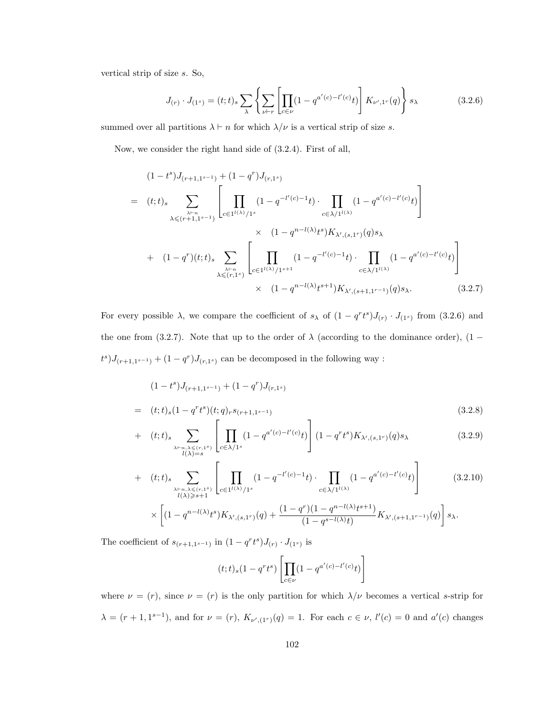vertical strip of size s. So,

$$
J_{(r)} \cdot J_{(1^s)} = (t; t)_s \sum_{\lambda} \left\{ \sum_{\nu \vdash r} \left[ \prod_{c \in \nu} (1 - q^{a'(c) - l'(c)} t) \right] K_{\nu', 1^r}(q) \right\} s_{\lambda}
$$
(3.2.6)

summed over all partitions  $\lambda \vdash n$  for which  $\lambda/\nu$  is a vertical strip of size s.

Now, we consider the right hand side of (3.2.4). First of all,

$$
(1-t^{s})J_{(r+1,1^{s-1})} + (1-q^{r})J_{(r,1^{s})}
$$
\n
$$
= (t;t)_{s} \sum_{\lambda \leq r+1,1^{s-1}} \left[ \prod_{c \in 1^{l(\lambda)}/1^{s}} (1-q^{-l'(c)-1}t) \cdot \prod_{c \in \lambda/1^{l(\lambda)}} (1-q^{a'(c)-l'(c)}t) \right]
$$
\n
$$
\times (1-q^{n-l(\lambda)}t^{s})K_{\lambda',(s,1^{r})}(q)s_{\lambda}
$$
\n
$$
+ (1-q^{r})(t;t)_{s} \sum_{\lambda \leq r,1^{s}} \left[ \prod_{c \in 1^{l(\lambda)}/1^{s+1}} (1-q^{-l'(c)-1}t) \cdot \prod_{c \in \lambda/1^{l(\lambda)}} (1-q^{a'(c)-l'(c)}t) \right]
$$
\n
$$
\times (1-q^{n-l(\lambda)}t^{s+1})K_{\lambda',(s+1,1^{r-1})}(q)s_{\lambda}.
$$
\n(3.2.7)

For every possible  $\lambda$ , we compare the coefficient of  $s_{\lambda}$  of  $(1-q^r t^s)J_{(r)} \cdot J_{(1^s)}$  from  $(3.2.6)$  and the one from (3.2.7). Note that up to the order of  $\lambda$  (according to the dominance order), (1 –  $(t^{s})J_{(r+1,1^{s-1})} + (1-q^{r})J_{(r,1^{s})}$  can be decomposed in the following way :

$$
(1-ts)J(r+1,1s-1) + (1-qr)J(r,1s)
$$
  
=  $(t;t)s(1-qrts)(t;q)rs(r+1,1s-1)$  (3.2.8)

+ 
$$
(t;t)_s \sum_{\substack{\lambda \vdash n, \lambda \leqslant (r,1^s) \\ l(\lambda)=s}} \left[ \prod_{c \in \lambda/1^s} (1 - q^{a'(c)-l'(c)} t) \right] (1 - q^r t^s) K_{\lambda', (s,1^r)}(q) s_{\lambda}
$$
 (3.2.9)

+ 
$$
(t;t)_s \sum_{\substack{\lambda \vdash n, \lambda \leqslant (r,1^s) \\ l(\lambda) \geqslant s+1}} \left[ \prod_{c \in 1^{l(\lambda)}/1^s} (1 - q^{-l'(c)-1}t) \cdot \prod_{c \in \lambda/1^{l(\lambda)}} (1 - q^{a'(c)-l'(c)}t) \right]
$$
 (3.2.10)  
 
$$
\times \left[ (1 - q^{n-l(\lambda)}t^s) K_{\lambda',(s,1^r)}(q) + \frac{(1 - q^r)(1 - q^{n-l(\lambda)}t^{s+1})}{(1 - q^{s-l(\lambda)}t)} K_{\lambda',(s+1,1^{r-1})}(q) \right] s_{\lambda}.
$$

The coefficient of  $s_{(r+1,1^{s-1})}$  in  $(1-q^rt^s)J_{(r)}\cdot J_{(1^s)}$  is

$$
(t;t)_{s}(1-q^{r}t^{s})\left[\prod_{c\in \nu}(1-q^{a'(c)-l'(c)}t)\right]
$$

where  $\nu = (r)$ , since  $\nu = (r)$  is the only partition for which  $\lambda/\nu$  becomes a vertical s-strip for  $\lambda = (r+1, 1^{s-1})$ , and for  $\nu = (r)$ ,  $K_{\nu', (1^r)}(q) = 1$ . For each  $c \in \nu$ ,  $l'(c) = 0$  and  $a'(c)$  changes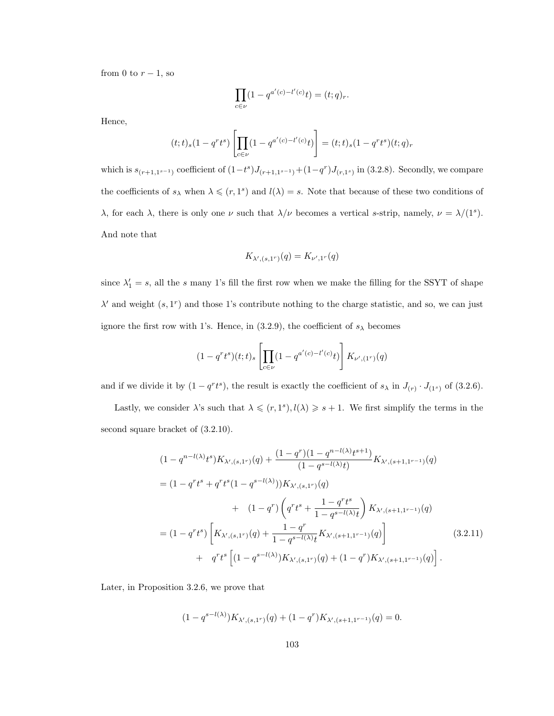from 0 to  $r-1$ , so

$$
\prod_{c\in \nu}(1-q^{a'(c)-l'(c)}t)=(t;q)_r.
$$

Hence,

$$
(t;t)_s(1-q^rt^s)\left[\prod_{c\in \nu}(1-q^{a'(c)-l'(c)}t)\right]=(t;t)_s(1-q^rt^s)(t;q)_r
$$

which is  $s_{(r+1,1^{s-1})}$  coefficient of  $(1-t^s)J_{(r+1,1^{s-1})}+(1-q^r)J_{(r,1^s)}$  in (3.2.8). Secondly, we compare the coefficients of  $s_\lambda$  when  $\lambda \leqslant (r, 1^s)$  and  $l(\lambda) = s$ . Note that because of these two conditions of λ, for each λ, there is only one  $\nu$  such that  $\lambda/\nu$  becomes a vertical s-strip, namely,  $\nu = \lambda/(1^s)$ . And note that

$$
K_{\lambda',(s,1^r)}(q) = K_{\nu',1^r}(q)
$$

since  $\lambda'_1 = s$ , all the s many 1's fill the first row when we make the filling for the SSYT of shape  $\lambda'$  and weight  $(s, 1^r)$  and those 1's contribute nothing to the charge statistic, and so, we can just ignore the first row with 1's. Hence, in (3.2.9), the coefficient of  $s_{\lambda}$  becomes

$$
(1 - qr ts)(t; t)s \left[ \prod_{c \in \nu} (1 - q^{a'(c) - l'(c)} t) \right] K_{\nu', (1r)}(q)
$$

and if we divide it by  $(1 - q^r t^s)$ , the result is exactly the coefficient of  $s_\lambda$  in  $J_{(r)} \cdot J_{(1^s)}$  of (3.2.6).

Lastly, we consider  $\lambda$ 's such that  $\lambda \leqslant (r, 1^s), l(\lambda) \geqslant s+1$ . We first simplify the terms in the second square bracket of (3.2.10).

$$
(1 - q^{n-l(\lambda)}t^{s})K_{\lambda',(s,1^{r})}(q) + \frac{(1 - q^{r})(1 - q^{n-l(\lambda)}t^{s+1})}{(1 - q^{s-l(\lambda)}t)}K_{\lambda',(s+1,1^{r-1})}(q)
$$
  
\n
$$
= (1 - q^{r}t^{s} + q^{r}t^{s}(1 - q^{s-l(\lambda)}))K_{\lambda',(s,1^{r})}(q)
$$
  
\n
$$
+ (1 - q^{r})\left(q^{r}t^{s} + \frac{1 - q^{r}t^{s}}{1 - q^{s-l(\lambda)}t}\right)K_{\lambda',(s+1,1^{r-1})}(q)
$$
  
\n
$$
= (1 - q^{r}t^{s})\left[K_{\lambda',(s,1^{r})}(q) + \frac{1 - q^{r}}{1 - q^{s-l(\lambda)}t}K_{\lambda',(s+1,1^{r-1})}(q)\right]
$$
  
\n
$$
+ q^{r}t^{s}\left[(1 - q^{s-l(\lambda)})K_{\lambda',(s,1^{r})}(q) + (1 - q^{r})K_{\lambda',(s+1,1^{r-1})}(q)\right].
$$
  
\n(3.2.11)

Later, in Proposition 3.2.6, we prove that

$$
(1 - q^{s-l(\lambda)})K_{\lambda', (s, 1^r)}(q) + (1 - q^r)K_{\lambda', (s+1, 1^{r-1})}(q) = 0.
$$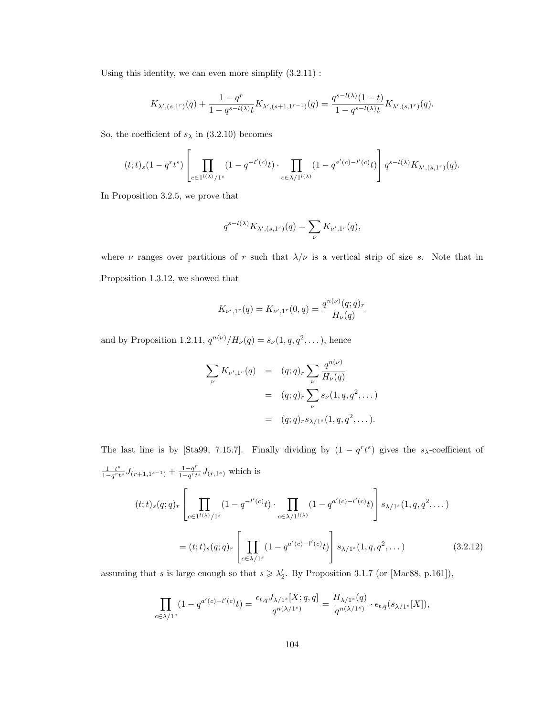Using this identity, we can even more simplify  $(3.2.11)$ :

$$
K_{\lambda',(s,1^r)}(q) + \frac{1-q^r}{1-q^{s-l(\lambda)}t}K_{\lambda',(s+1,1^{r-1})}(q) = \frac{q^{s-l(\lambda)}(1-t)}{1-q^{s-l(\lambda)}t}K_{\lambda',(s,1^r)}(q).
$$

So, the coefficient of  $s_{\lambda}$  in (3.2.10) becomes

$$
(t;t)_s(1-q^rt^s)\left[\prod_{c\in 1^{l(\lambda)}/1^s}(1-q^{-l'(c)}t)\cdot\prod_{c\in \lambda/1^{l(\lambda)}}(1-q^{a'(c)-l'(c)}t)\right]q^{s-l(\lambda)}K_{\lambda',(s,1^r)}(q).
$$

In Proposition 3.2.5, we prove that

$$
q^{s-l(\lambda)}K_{\lambda',(s,1^r)}(q)=\sum_{\nu}K_{\nu',1^r}(q),
$$

where  $\nu$  ranges over partitions of r such that  $\lambda/\nu$  is a vertical strip of size s. Note that in Proposition 1.3.12, we showed that

$$
K_{\nu',1^r}(q) = K_{\nu',1^r}(0,q) = \frac{q^{n(\nu)}(q;q)_r}{H_{\nu}(q)}
$$

and by Proposition 1.2.11,  $q^{n(\nu)}/H_{\nu}(q) = s_{\nu}(1, q, q^2, \dots)$ , hence

$$
\sum_{\nu} K_{\nu',1^r}(q) = (q;q)_r \sum_{\nu} \frac{q^{n(\nu)}}{H_{\nu}(q)}
$$
  
=  $(q;q)_r \sum_{\nu} s_{\nu}(1,q,q^2,...)$   
=  $(q;q)_r s_{\lambda/1^s}(1,q,q^2,...).$ 

The last line is by [Sta99, 7.15.7]. Finally dividing by  $(1 - q^r t^s)$  gives the s<sub>λ</sub>-coefficient of  $1-t^s$  $\frac{1-t^s}{1-q^rt^s}J_{(r+1,1^{s-1})}+\frac{1-q^r}{1-q^rt}$  $\frac{1-q}{1-q^rt^s}J_{(r,1^s)}$  which is  $(t;t)_{s}(q;q)_{r}$  $\lceil$  $\parallel$  II  $c \in 1^{l(\lambda)}/1^s$  $(1 - q^{-l'(c)}t) \cdot \prod$  $c \in \lambda / 1^{l(\lambda)}$  $(1 - q^{a'(c) - l'(c)}t)$ 1  $\Big| \, s_{\lambda/1^s}(1,q,q^2,\dots) \,$  $=(t; t)_{s}(q; q)_{r}$  $\lceil$  $\parallel \Pi$  $c \in \lambda/1^s$  $(1 - q^{a'(c) - l'(c)}t)$ 1  $\Big| s_{\lambda/1^s}(1,q,q^2)$  $(3.2.12)$ 

assuming that s is large enough so that  $s \geq \lambda_2'$ . By Proposition 3.1.7 (or [Mac88, p.161]),

$$
\prod_{c \in \lambda/1^s} (1 - q^{a'(c) - l'(c)} t) = \frac{\epsilon_{t,q} J_{\lambda/1^s}[X; q, q]}{q^{n(\lambda/1^s)}} = \frac{H_{\lambda/1^s}(q)}{q^{n(\lambda/1^s)}} \cdot \epsilon_{t,q}(s_{\lambda/1^s}[X]),
$$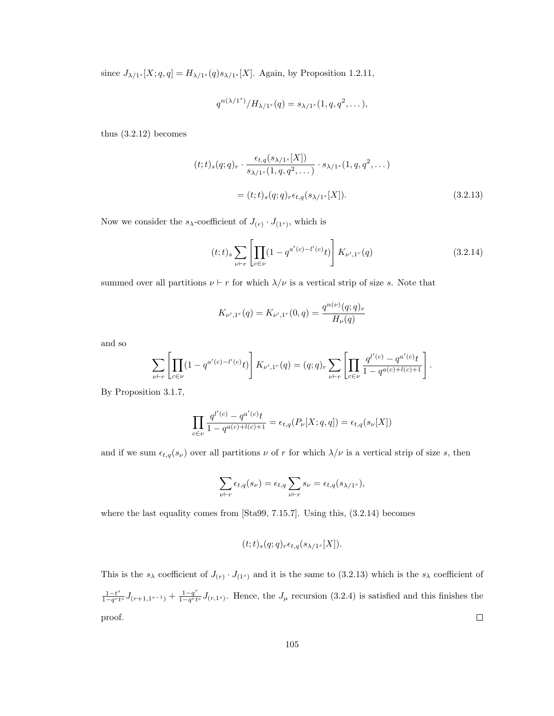since  $J_{\lambda/1^s}[X; q, q] = H_{\lambda/1^s}(q) s_{\lambda/1^s}[X]$ . Again, by Proposition 1.2.11,

$$
q^{n(\lambda/1^s)}/H_{\lambda/1^s}(q) = s_{\lambda/1^s}(1, q, q^2, \dots),
$$

thus (3.2.12) becomes

$$
(t; t)_{s}(q; q)_{r} \cdot \frac{\epsilon_{t,q}(s_{\lambda/1^{s}}[X])}{s_{\lambda/1^{s}}(1, q, q^{2}, \dots)} \cdot s_{\lambda/1^{s}}(1, q, q^{2}, \dots)
$$

$$
= (t; t)_{s}(q; q)_{r} \epsilon_{t,q}(s_{\lambda/1^{s}}[X]).
$$
(3.2.13)

Now we consider the  $s_{\lambda}$ -coefficient of  $J(r) \cdot J(r_1)$ , which is

$$
(t;t)_s \sum_{\nu \vdash r} \left[ \prod_{c \in \nu} (1 - q^{a'(c) - l'(c)} t) \right] K_{\nu',1^r}(q) \tag{3.2.14}
$$

summed over all partitions  $\nu \vdash r$  for which  $\lambda/\nu$  is a vertical strip of size s. Note that

$$
K_{\nu',1^r}(q) = K_{\nu',1^r}(0,q) = \frac{q^{n(\nu)}(q;q)_r}{H_{\nu}(q)}
$$

and so

$$
\sum_{\nu \vdash r} \left[ \prod_{c \in \nu} (1 - q^{a'(c) - l'(c)} t) \right] K_{\nu', 1^r}(q) = (q; q)_r \sum_{\nu \vdash r} \left[ \prod_{c \in \nu} \frac{q^{l'(c)} - q^{a'(c)} t}{1 - q^{a(c) + l(c) + 1}} \right].
$$

By Proposition 3.1.7,

$$
\prod_{c \in \nu} \frac{q^{l'(c)} - q^{a'(c)}t}{1 - q^{a(c) + l(c) + 1}} = \epsilon_{t,q}(P_{\nu}[X; q, q]) = \epsilon_{t,q}(s_{\nu}[X])
$$

and if we sum  $\epsilon_{t,q}(s_\nu)$  over all partitions  $\nu$  of r for which  $\lambda/\nu$  is a vertical strip of size s, then

$$
\sum_{\nu \vdash r} \epsilon_{t,q}(s_{\nu}) = \epsilon_{t,q} \sum_{\nu \vdash r} s_{\nu} = \epsilon_{t,q}(s_{\lambda/1^s}),
$$

where the last equality comes from [Sta99, 7.15.7]. Using this, (3.2.14) becomes

$$
(t; t)_{s}(q; q)_{r} \epsilon_{t, q}(s_{\lambda/1^{s}}[X]).
$$

This is the  $s_{\lambda}$  coefficient of  $J(r) \cdot J(1^{s})$  and it is the same to (3.2.13) which is the  $s_{\lambda}$  coefficient of  $\frac{1-t^s}{1-q^rt^s}J_{(r+1,1^{s-1})}+\frac{1-q^r}{1-q^rt}$  $1-t^s$  $\frac{1-q}{1-q^r t^s} J_{(r,1^s)}$ . Hence, the  $J_\mu$  recursion (3.2.4) is satisfied and this finishes the proof.  $\Box$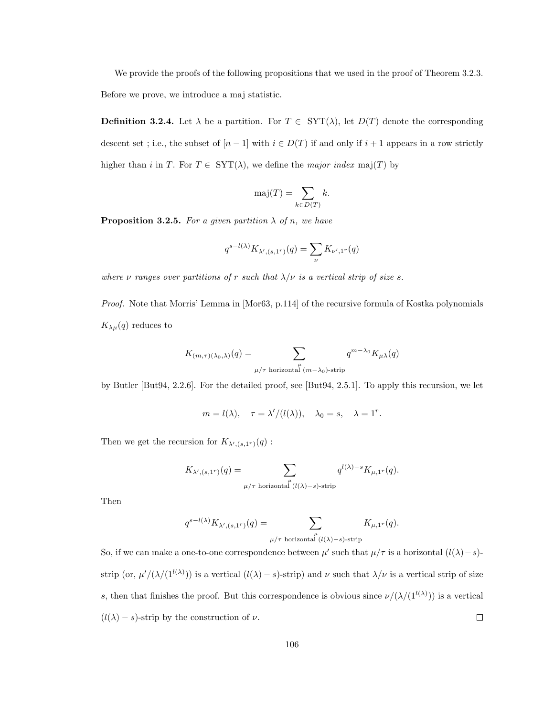We provide the proofs of the following propositions that we used in the proof of Theorem 3.2.3. Before we prove, we introduce a maj statistic.

**Definition 3.2.4.** Let  $\lambda$  be a partition. For  $T \in \text{SYT}(\lambda)$ , let  $D(T)$  denote the corresponding descent set ; i.e., the subset of  $[n-1]$  with  $i \in D(T)$  if and only if  $i+1$  appears in a row strictly higher than i in T. For  $T \in \text{SYT}(\lambda)$ , we define the *major index* maj(T) by

$$
\mathrm{maj}(T) = \sum_{k \in D(T)} k.
$$

**Proposition 3.2.5.** For a given partition  $\lambda$  of n, we have

$$
q^{s-l(\lambda)}K_{\lambda',(s,1^r)}(q)=\sum_{\nu}K_{\nu',1^r}(q)
$$

where  $\nu$  ranges over partitions of r such that  $\lambda/\nu$  is a vertical strip of size s.

Proof. Note that Morris' Lemma in [Mor63, p.114] of the recursive formula of Kostka polynomials  $K_{\lambda\mu}(q)$  reduces to

$$
K_{(m,\tau)(\lambda_0,\lambda)}(q) = \sum_{\substack{\mu \\ \mu/\tau \text{ horizontal } (m-\lambda_0)\text{-strip}}} q^{m-\lambda_0} K_{\mu\lambda}(q)
$$

by Butler [But94, 2.2.6]. For the detailed proof, see [But94, 2.5.1]. To apply this recursion, we let

$$
m = l(\lambda), \quad \tau = \lambda'/(l(\lambda)), \quad \lambda_0 = s, \quad \lambda = 1^r.
$$

Then we get the recursion for  $K_{\lambda',(s,1^r)}(q)$ :

$$
K_{\lambda',(s,1^r)}(q)=\sum_{\substack{\mu\neq \text{ horizontal }(\mathcal{U}(\lambda)=s)\text{-strip}}}q^{l(\lambda)-s}K_{\mu,1^r}(q).
$$

Then

$$
q^{s-l(\lambda)} K_{\lambda', (s,1^r)}(q) = \sum_{\substack{\mu \\ \mu/\tau \text{ horizontal } (l(\lambda)-s)\text{-strip}}} K_{\mu,1^r}(q).
$$

So, if we can make a one-to-one correspondence between  $\mu'$  such that  $\mu/\tau$  is a horizontal  $(l(\lambda)-s)$ strip (or,  $\mu' / (\lambda / (1^{l(\lambda)}))$  is a vertical  $(l(\lambda) - s)$ -strip) and  $\nu$  such that  $\lambda / \nu$  is a vertical strip of size s, then that finishes the proof. But this correspondence is obvious since  $\nu/(\lambda/(1^{l(\lambda)}))$  is a vertical  $(l(\lambda) - s)$ -strip by the construction of  $\nu$ .  $\Box$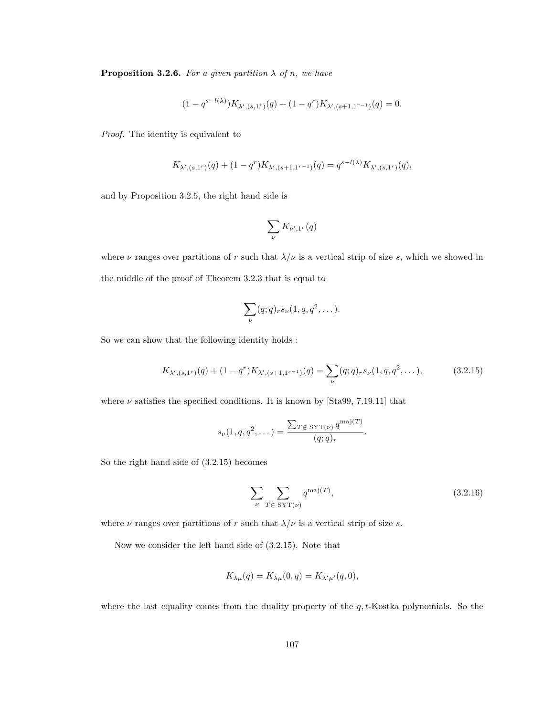**Proposition 3.2.6.** For a given partition  $\lambda$  of n, we have

$$
(1 - q^{s-l(\lambda)})K_{\lambda', (s, 1^r)}(q) + (1 - q^r)K_{\lambda', (s+1, 1^{r-1})}(q) = 0.
$$

Proof. The identity is equivalent to

$$
K_{\lambda',(s,1^r)}(q) + (1-q^r)K_{\lambda',(s+1,1^{r-1})}(q) = q^{s-l(\lambda)}K_{\lambda',(s,1^r)}(q),
$$

and by Proposition 3.2.5, the right hand side is

$$
\sum_\nu K_{\nu',1^r}(q)
$$

where  $\nu$  ranges over partitions of r such that  $\lambda/\nu$  is a vertical strip of size s, which we showed in the middle of the proof of Theorem 3.2.3 that is equal to

$$
\sum_{\nu} (q;q)_r s_{\nu} (1,q,q^2,\dots).
$$

So we can show that the following identity holds :

$$
K_{\lambda', (s,1^r)}(q) + (1 - q^r) K_{\lambda', (s+1,1^{r-1})}(q) = \sum_{\nu} (q; q)_r s_{\nu} (1, q, q^2, \dots), \tag{3.2.15}
$$

where  $\nu$  satisfies the specified conditions. It is known by [Sta99, 7.19.11] that

$$
s_{\nu}(1,q,q^2,\dots) = \frac{\sum_{T \in \text{SYT}(\nu)} q^{\text{maj}(T)}}{(q;q)_r}.
$$

So the right hand side of (3.2.15) becomes

$$
\sum_{\nu} \sum_{T \in \text{SYT}(\nu)} q^{\text{maj}(T)},\tag{3.2.16}
$$

where  $\nu$  ranges over partitions of r such that  $\lambda/\nu$  is a vertical strip of size s.

Now we consider the left hand side of (3.2.15). Note that

$$
K_{\lambda\mu}(q) = K_{\lambda\mu}(0,q) = K_{\lambda'\mu'}(q,0),
$$

where the last equality comes from the duality property of the  $q$ ,  $t$ -Kostka polynomials. So the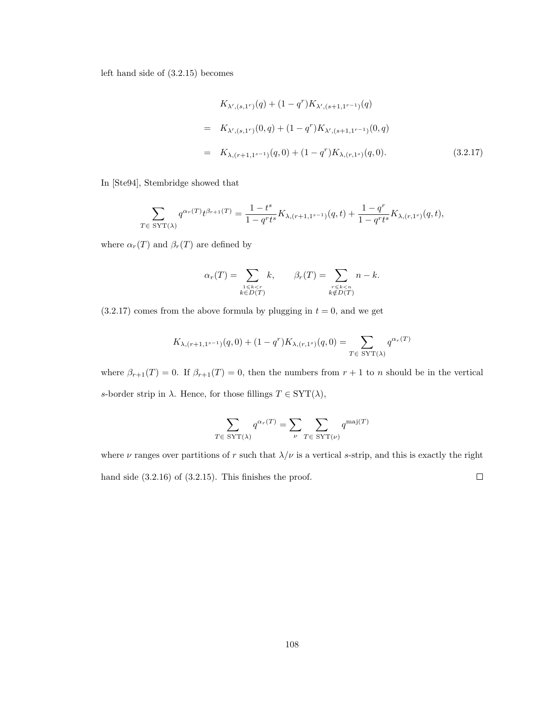left hand side of (3.2.15) becomes

$$
K_{\lambda', (s,1^r)}(q) + (1 - q^r) K_{\lambda', (s+1,1^{r-1})}(q)
$$
  
=  $K_{\lambda', (s,1^r)}(0,q) + (1 - q^r) K_{\lambda', (s+1,1^{r-1})}(0,q)$   
=  $K_{\lambda, (r+1,1^{s-1})}(q,0) + (1 - q^r) K_{\lambda, (r,1^s)}(q,0).$  (3.2.17)

In [Ste94], Stembridge showed that

$$
\sum_{T \in \text{SYT}(\lambda)} q^{\alpha_r(T)} t^{\beta_{r+1}(T)} = \frac{1-t^s}{1-q^r t^s} K_{\lambda, (r+1, 1^{s-1})}(q, t) + \frac{1-q^r}{1-q^r t^s} K_{\lambda, (r, 1^s)}(q, t),
$$

where  $\alpha_r(T)$  and  $\beta_r(T)$  are defined by

$$
\alpha_r(T) = \sum_{\substack{1 \le k < r \\ k \in D(T)}} k, \qquad \beta_r(T) = \sum_{\substack{r \le k < n \\ k \notin D(T)}} n - k.
$$

 $(3.2.17)$  comes from the above formula by plugging in  $t = 0$ , and we get

$$
K_{\lambda,(r+1,1^{s-1})}(q,0) + (1-q^r)K_{\lambda,(r,1^s)}(q,0) = \sum_{T \in \text{SYT}(\lambda)} q^{\alpha_r(T)}
$$

where  $\beta_{r+1}(T) = 0$ . If  $\beta_{r+1}(T) = 0$ , then the numbers from  $r + 1$  to n should be in the vertical s-border strip in  $\lambda$ . Hence, for those fillings  $T \in \text{SYT}(\lambda)$ ,

$$
\sum_{T\in\ \mathrm{SYT}(\lambda)}q^{\alpha_r(T)}=\sum_{\nu}\sum_{T\in\ \mathrm{SYT}(\nu)}q^{\mathrm{maj}(T)}
$$

where  $\nu$  ranges over partitions of r such that  $\lambda/\nu$  is a vertical s-strip, and this is exactly the right  $\Box$ hand side (3.2.16) of (3.2.15). This finishes the proof.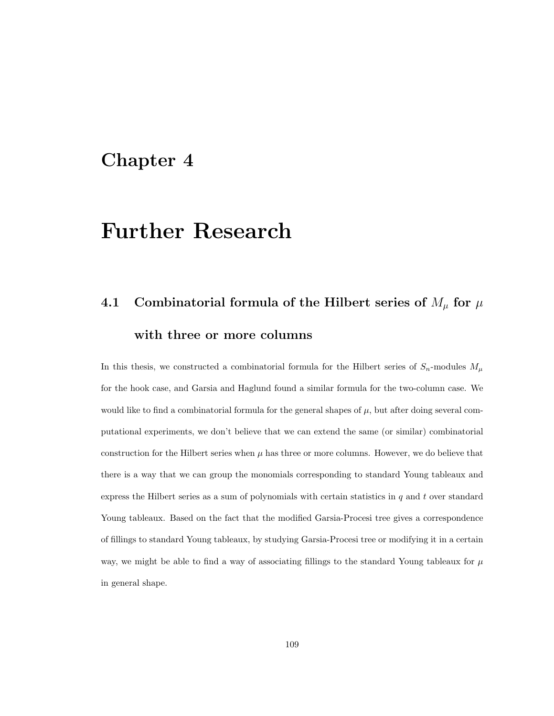### Chapter 4

## Further Research

# 4.1 Combinatorial formula of the Hilbert series of  $M_{\mu}$  for  $\mu$ with three or more columns

In this thesis, we constructed a combinatorial formula for the Hilbert series of  $S_n$ -modules  $M_\mu$ for the hook case, and Garsia and Haglund found a similar formula for the two-column case. We would like to find a combinatorial formula for the general shapes of  $\mu$ , but after doing several computational experiments, we don't believe that we can extend the same (or similar) combinatorial construction for the Hilbert series when  $\mu$  has three or more columns. However, we do believe that there is a way that we can group the monomials corresponding to standard Young tableaux and express the Hilbert series as a sum of polynomials with certain statistics in  $q$  and  $t$  over standard Young tableaux. Based on the fact that the modified Garsia-Procesi tree gives a correspondence of fillings to standard Young tableaux, by studying Garsia-Procesi tree or modifying it in a certain way, we might be able to find a way of associating fillings to the standard Young tableaux for  $\mu$ in general shape.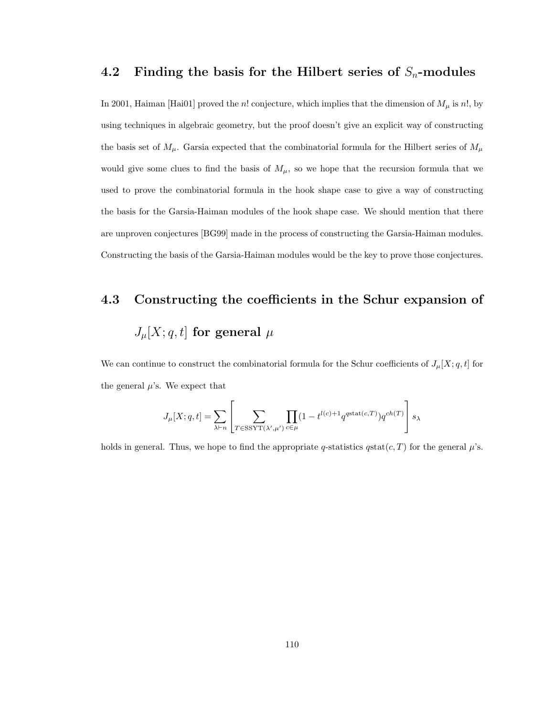#### 4.2 Finding the basis for the Hilbert series of  $S_n$ -modules

In 2001, Haiman [Hai01] proved the n! conjecture, which implies that the dimension of  $M_{\mu}$  is n!, by using techniques in algebraic geometry, but the proof doesn't give an explicit way of constructing the basis set of  $M_{\mu}$ . Garsia expected that the combinatorial formula for the Hilbert series of  $M_{\mu}$ would give some clues to find the basis of  $M_{\mu}$ , so we hope that the recursion formula that we used to prove the combinatorial formula in the hook shape case to give a way of constructing the basis for the Garsia-Haiman modules of the hook shape case. We should mention that there are unproven conjectures [BG99] made in the process of constructing the Garsia-Haiman modules. Constructing the basis of the Garsia-Haiman modules would be the key to prove those conjectures.

# 4.3 Constructing the coefficients in the Schur expansion of  $J_\mu[X; q, t]$  for general  $\mu$

We can continue to construct the combinatorial formula for the Schur coefficients of  $J_{\mu}[X; q, t]$  for the general  $\mu$ 's. We expect that

$$
J_{\mu}[X;q,t] = \sum_{\lambda \vdash n} \left[ \sum_{T \in \text{SSYT}(\lambda',\mu')} \prod_{c \in \mu} (1 - t^{l(c) + 1} q^{\text{gstat}(c,T)}) q^{ch(T)} \right] s_{\lambda}
$$

holds in general. Thus, we hope to find the appropriate q-statistics  $q$ stat $(c, T)$  for the general  $\mu$ 's.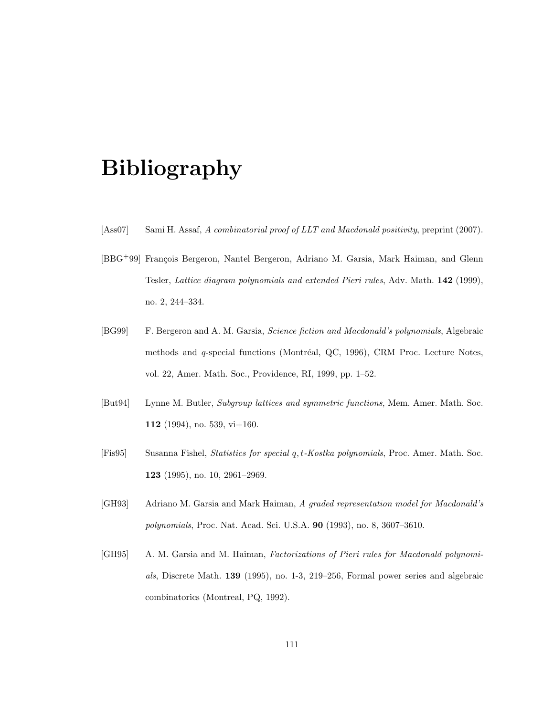# Bibliography

- [Ass07] Sami H. Assaf, A combinatorial proof of LLT and Macdonald positivity, preprint (2007).
- [BBG<sup>+99]</sup> François Bergeron, Nantel Bergeron, Adriano M. Garsia, Mark Haiman, and Glenn Tesler, Lattice diagram polynomials and extended Pieri rules, Adv. Math. 142 (1999), no. 2, 244–334.
- [BG99] F. Bergeron and A. M. Garsia, Science fiction and Macdonald's polynomials, Algebraic methods and  $q$ -special functions (Montréal, QC, 1996), CRM Proc. Lecture Notes, vol. 22, Amer. Math. Soc., Providence, RI, 1999, pp. 1–52.
- [But94] Lynne M. Butler, Subgroup lattices and symmetric functions, Mem. Amer. Math. Soc. 112 (1994), no. 539, vi+160.
- [Fis95] Susanna Fishel, Statistics for special q, t-Kostka polynomials, Proc. Amer. Math. Soc. 123 (1995), no. 10, 2961–2969.
- [GH93] Adriano M. Garsia and Mark Haiman, A graded representation model for Macdonald's polynomials, Proc. Nat. Acad. Sci. U.S.A. 90 (1993), no. 8, 3607–3610.
- [GH95] A. M. Garsia and M. Haiman, Factorizations of Pieri rules for Macdonald polynomials, Discrete Math. 139 (1995), no. 1-3, 219–256, Formal power series and algebraic combinatorics (Montreal, PQ, 1992).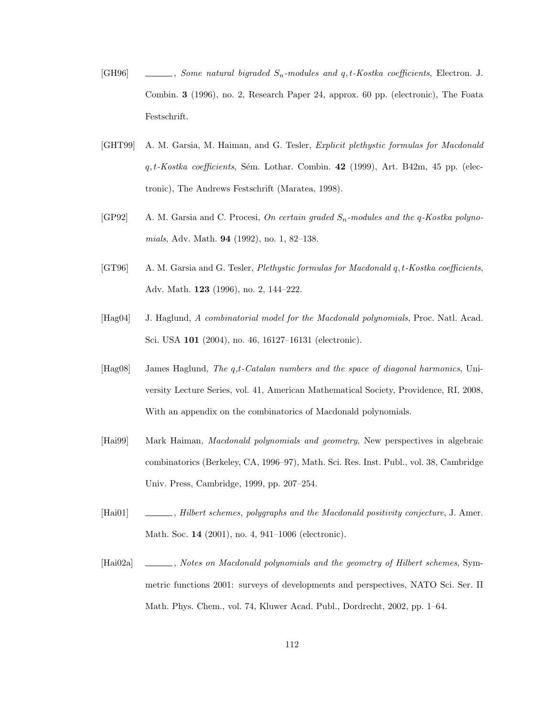- [GH96]  $\Box$ , Some natural bigraded  $S_n$ -modules and q, t-Kostka coefficients, Electron. J. Combin. 3 (1996), no. 2, Research Paper 24, approx. 60 pp. (electronic), The Foata Festschrift.
- [GHT99] A. M. Garsia, M. Haiman, and G. Tesler, Explicit plethystic formulas for Macdonald  $q, t-Koska$  coefficients, Sém. Lothar. Combin. 42 (1999), Art. B42m, 45 pp. (electronic), The Andrews Festschrift (Maratea, 1998).
- [GP92] A. M. Garsia and C. Procesi, On certain graded  $S_n$ -modules and the q-Kostka polynomials, Adv. Math. 94 (1992), no. 1, 82–138.
- [GT96] A. M. Garsia and G. Tesler, *Plethystic formulas for Macdonald q, t-Kostka coefficients*, Adv. Math. 123 (1996), no. 2, 144–222.
- [Hag04] J. Haglund, A combinatorial model for the Macdonald polynomials, Proc. Natl. Acad. Sci. USA 101 (2004), no. 46, 16127–16131 (electronic).
- [Hag08] James Haglund, The q,t-Catalan numbers and the space of diagonal harmonics, University Lecture Series, vol. 41, American Mathematical Society, Providence, RI, 2008, With an appendix on the combinatorics of Macdonald polynomials.
- [Hai99] Mark Haiman, Macdonald polynomials and geometry, New perspectives in algebraic combinatorics (Berkeley, CA, 1996–97), Math. Sci. Res. Inst. Publ., vol. 38, Cambridge Univ. Press, Cambridge, 1999, pp. 207–254.
- [Hai01] , Hilbert schemes, polygraphs and the Macdonald positivity conjecture, J. Amer. Math. Soc. 14 (2001), no. 4, 941–1006 (electronic).
- [Hai02a] , Notes on Macdonald polynomials and the geometry of Hilbert schemes, Symmetric functions 2001: surveys of developments and perspectives, NATO Sci. Ser. II Math. Phys. Chem., vol. 74, Kluwer Acad. Publ., Dordrecht, 2002, pp. 1–64.